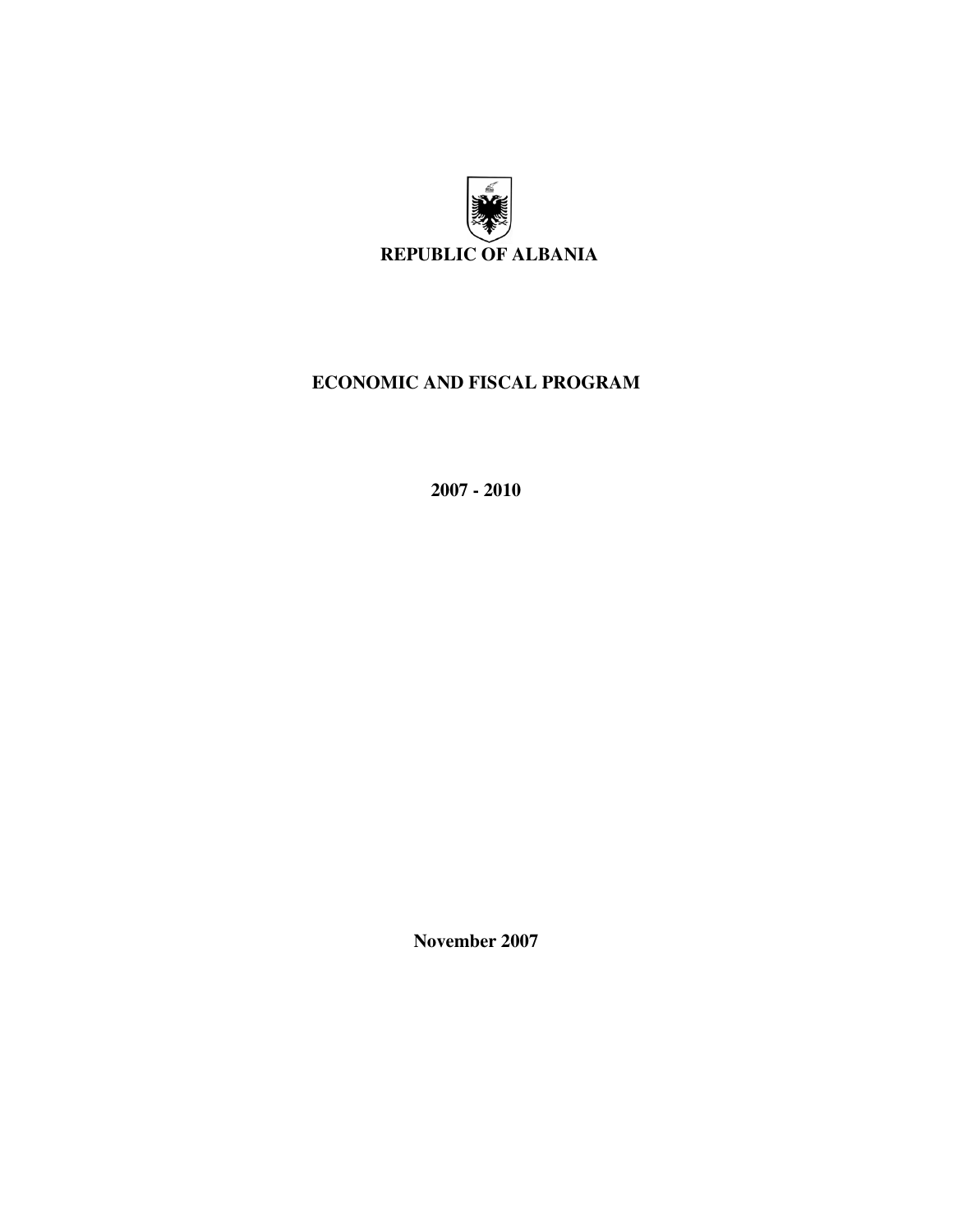

# **ECONOMIC AND FISCAL PROGRAM**

**2007 - 2010** 

**November 2007**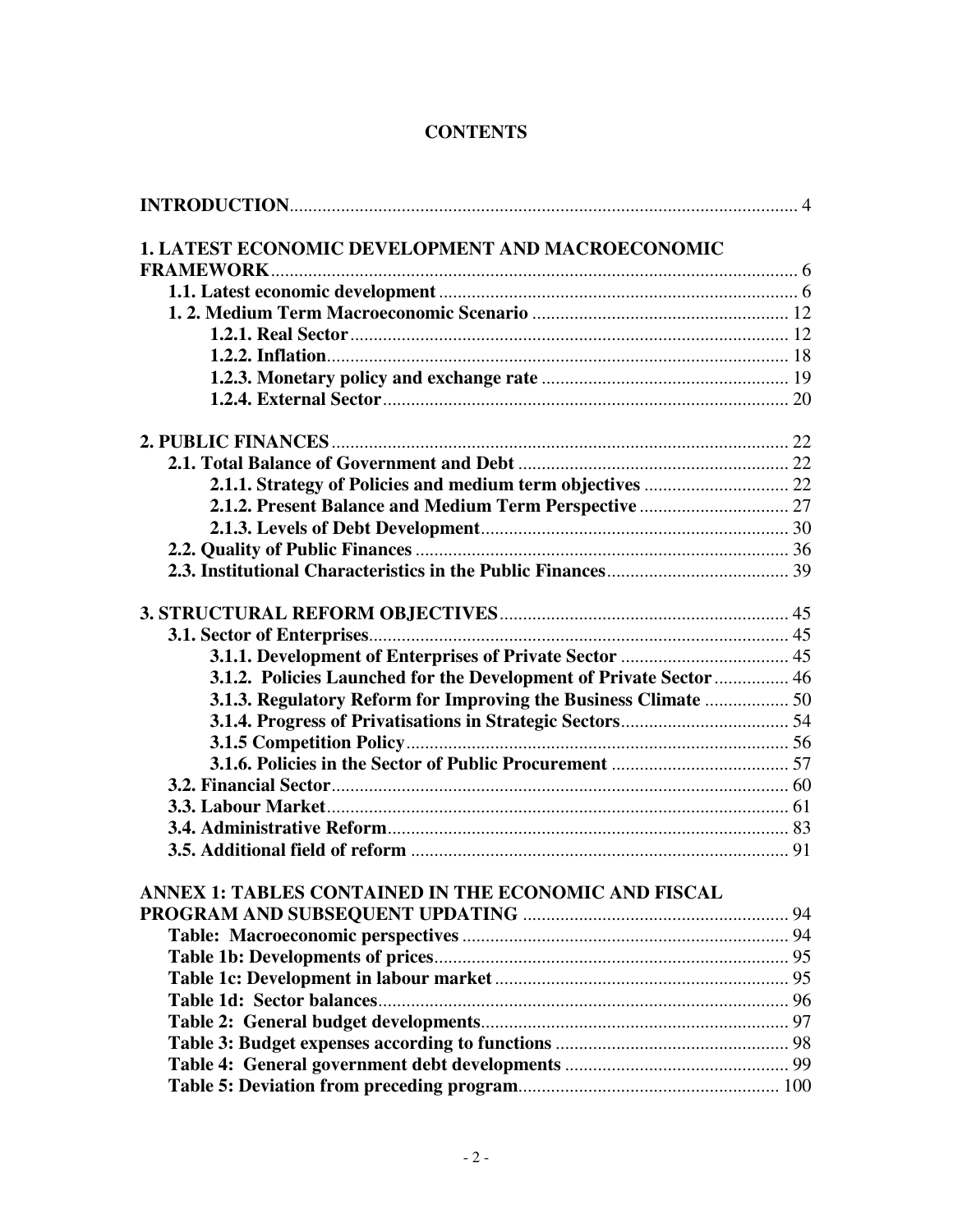# **CONTENTS**

| 1. LATEST ECONOMIC DEVELOPMENT AND MACROECONOMIC                   |  |
|--------------------------------------------------------------------|--|
|                                                                    |  |
|                                                                    |  |
|                                                                    |  |
|                                                                    |  |
|                                                                    |  |
|                                                                    |  |
|                                                                    |  |
|                                                                    |  |
|                                                                    |  |
|                                                                    |  |
|                                                                    |  |
|                                                                    |  |
|                                                                    |  |
|                                                                    |  |
|                                                                    |  |
|                                                                    |  |
|                                                                    |  |
|                                                                    |  |
|                                                                    |  |
| 3.1.2. Policies Launched for the Development of Private Sector  46 |  |
| 3.1.3. Regulatory Reform for Improving the Business Climate  50    |  |
|                                                                    |  |
|                                                                    |  |
|                                                                    |  |
|                                                                    |  |
|                                                                    |  |
|                                                                    |  |
|                                                                    |  |
|                                                                    |  |
| ANNEX 1: TABLES CONTAINED IN THE ECONOMIC AND FISCAL               |  |
|                                                                    |  |
|                                                                    |  |
|                                                                    |  |
|                                                                    |  |
|                                                                    |  |
|                                                                    |  |
|                                                                    |  |
|                                                                    |  |
|                                                                    |  |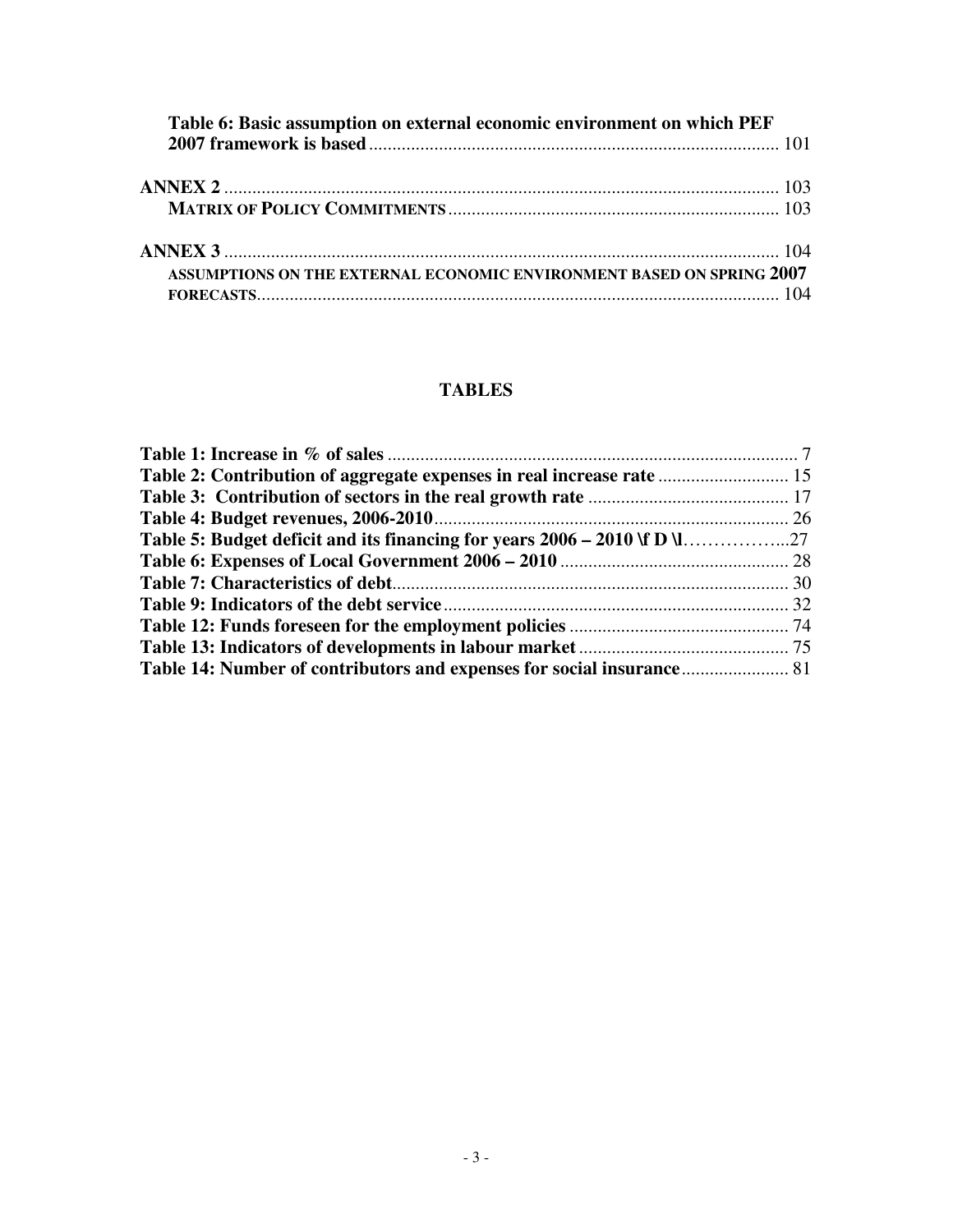| Table 6: Basic assumption on external economic environment on which PEF |  |
|-------------------------------------------------------------------------|--|
|                                                                         |  |
|                                                                         |  |
|                                                                         |  |
|                                                                         |  |
|                                                                         |  |
| ASSUMPTIONS ON THE EXTERNAL ECONOMIC ENVIRONMENT BASED ON SPRING 2007   |  |
|                                                                         |  |
|                                                                         |  |

# **TABLES**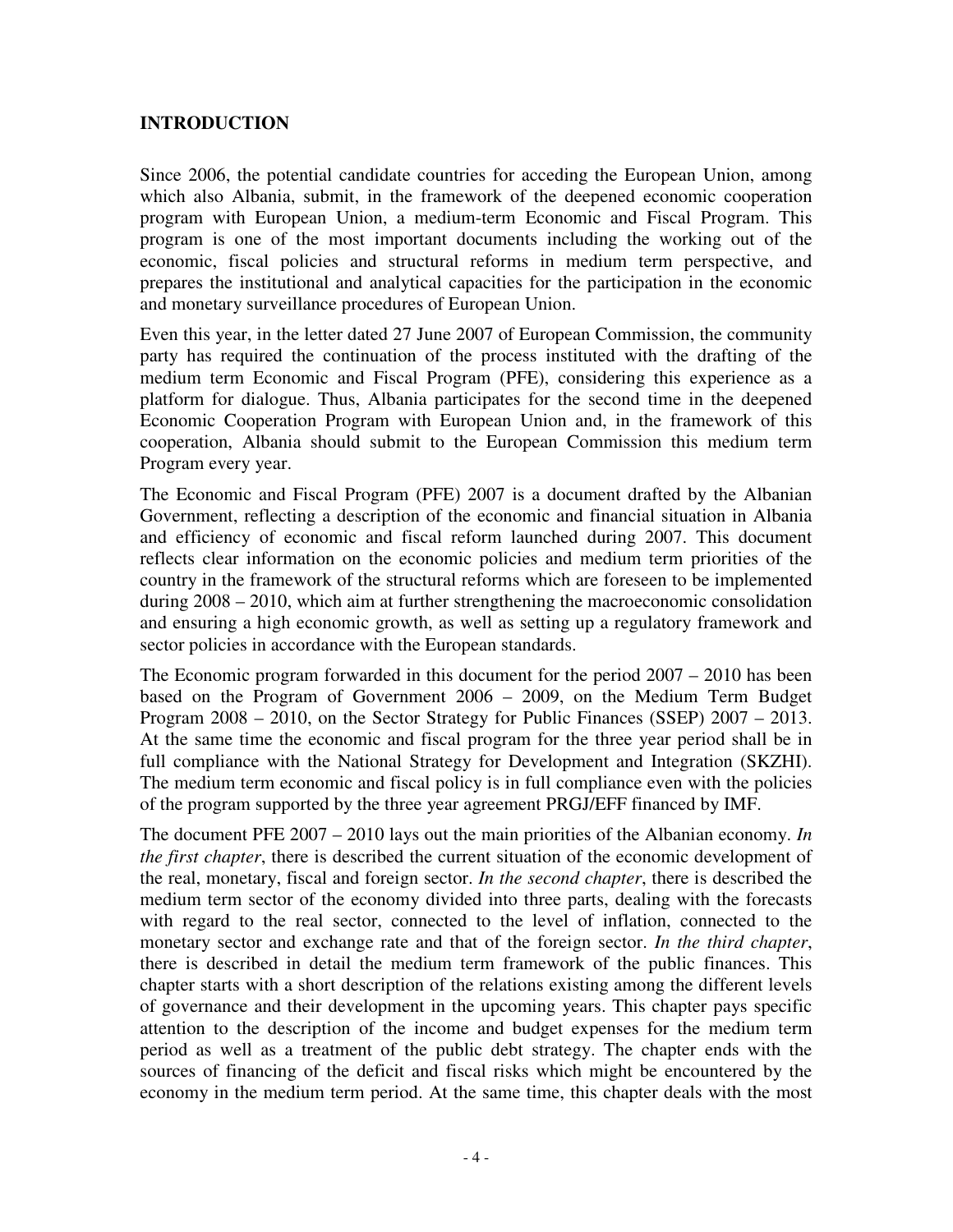### **INTRODUCTION**

Since 2006, the potential candidate countries for acceding the European Union, among which also Albania, submit, in the framework of the deepened economic cooperation program with European Union, a medium-term Economic and Fiscal Program. This program is one of the most important documents including the working out of the economic, fiscal policies and structural reforms in medium term perspective, and prepares the institutional and analytical capacities for the participation in the economic and monetary surveillance procedures of European Union.

Even this year, in the letter dated 27 June 2007 of European Commission, the community party has required the continuation of the process instituted with the drafting of the medium term Economic and Fiscal Program (PFE), considering this experience as a platform for dialogue. Thus, Albania participates for the second time in the deepened Economic Cooperation Program with European Union and, in the framework of this cooperation, Albania should submit to the European Commission this medium term Program every year.

The Economic and Fiscal Program (PFE) 2007 is a document drafted by the Albanian Government, reflecting a description of the economic and financial situation in Albania and efficiency of economic and fiscal reform launched during 2007. This document reflects clear information on the economic policies and medium term priorities of the country in the framework of the structural reforms which are foreseen to be implemented during 2008 – 2010, which aim at further strengthening the macroeconomic consolidation and ensuring a high economic growth, as well as setting up a regulatory framework and sector policies in accordance with the European standards.

The Economic program forwarded in this document for the period 2007 – 2010 has been based on the Program of Government 2006 – 2009, on the Medium Term Budget Program 2008 – 2010, on the Sector Strategy for Public Finances (SSEP) 2007 – 2013. At the same time the economic and fiscal program for the three year period shall be in full compliance with the National Strategy for Development and Integration (SKZHI). The medium term economic and fiscal policy is in full compliance even with the policies of the program supported by the three year agreement PRGJ/EFF financed by IMF.

The document PFE 2007 – 2010 lays out the main priorities of the Albanian economy. *In the first chapter*, there is described the current situation of the economic development of the real, monetary, fiscal and foreign sector. *In the second chapter*, there is described the medium term sector of the economy divided into three parts, dealing with the forecasts with regard to the real sector, connected to the level of inflation, connected to the monetary sector and exchange rate and that of the foreign sector. *In the third chapter*, there is described in detail the medium term framework of the public finances. This chapter starts with a short description of the relations existing among the different levels of governance and their development in the upcoming years. This chapter pays specific attention to the description of the income and budget expenses for the medium term period as well as a treatment of the public debt strategy. The chapter ends with the sources of financing of the deficit and fiscal risks which might be encountered by the economy in the medium term period. At the same time, this chapter deals with the most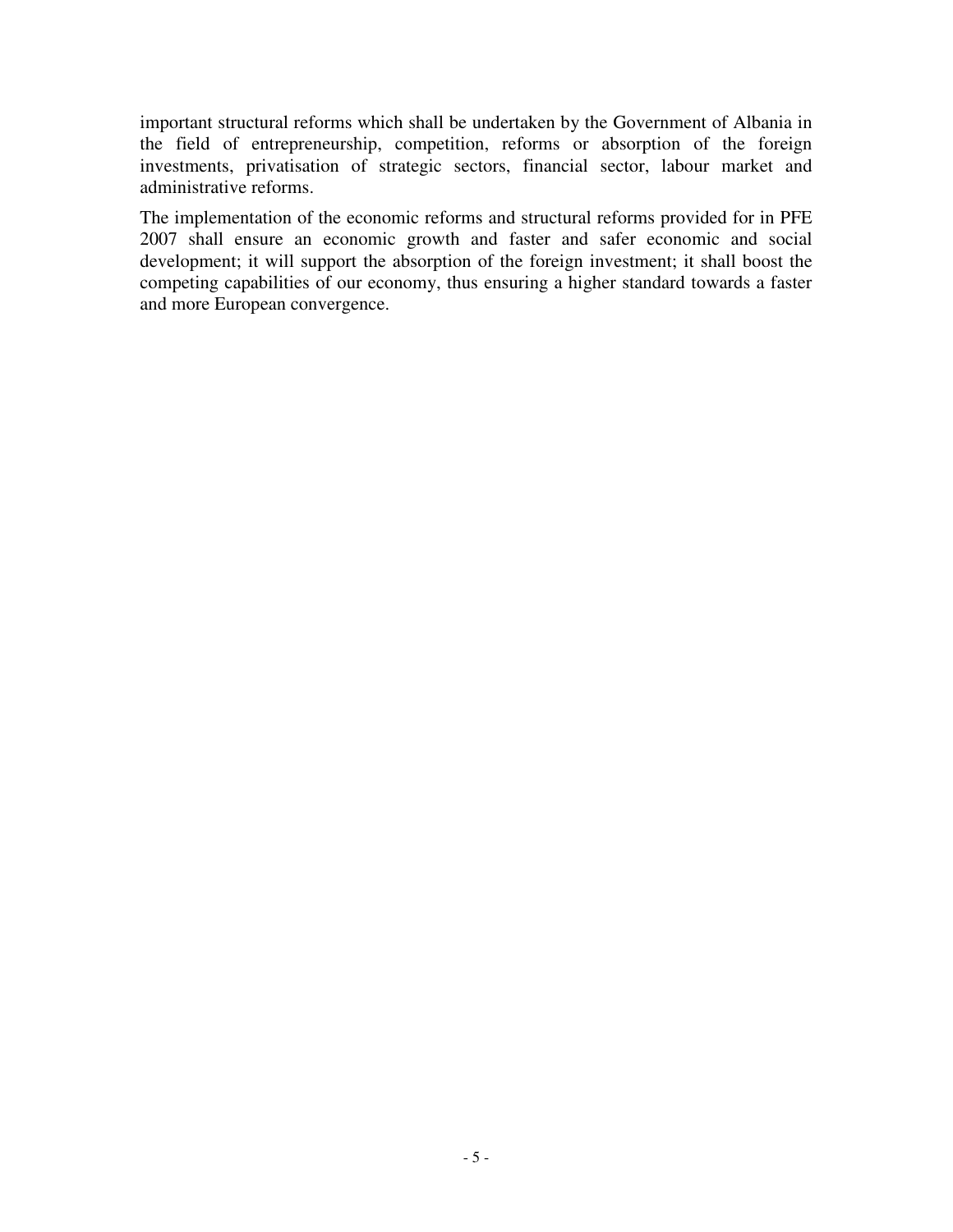important structural reforms which shall be undertaken by the Government of Albania in the field of entrepreneurship, competition, reforms or absorption of the foreign investments, privatisation of strategic sectors, financial sector, labour market and administrative reforms.

The implementation of the economic reforms and structural reforms provided for in PFE 2007 shall ensure an economic growth and faster and safer economic and social development; it will support the absorption of the foreign investment; it shall boost the competing capabilities of our economy, thus ensuring a higher standard towards a faster and more European convergence.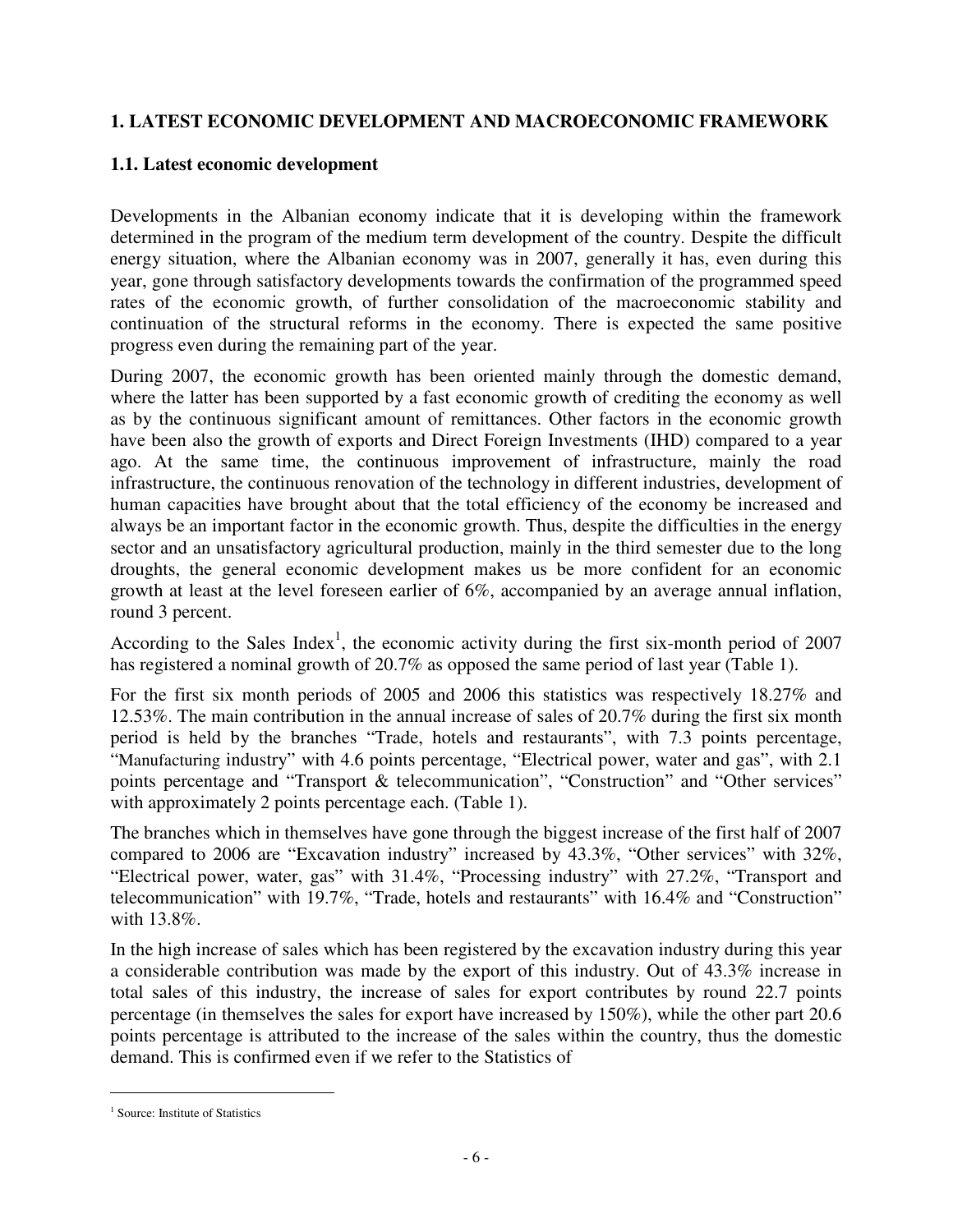## **1. LATEST ECONOMIC DEVELOPMENT AND MACROECONOMIC FRAMEWORK**

## **1.1. Latest economic development**

Developments in the Albanian economy indicate that it is developing within the framework determined in the program of the medium term development of the country. Despite the difficult energy situation, where the Albanian economy was in 2007, generally it has, even during this year, gone through satisfactory developments towards the confirmation of the programmed speed rates of the economic growth, of further consolidation of the macroeconomic stability and continuation of the structural reforms in the economy. There is expected the same positive progress even during the remaining part of the year.

During 2007, the economic growth has been oriented mainly through the domestic demand, where the latter has been supported by a fast economic growth of crediting the economy as well as by the continuous significant amount of remittances. Other factors in the economic growth have been also the growth of exports and Direct Foreign Investments (IHD) compared to a year ago. At the same time, the continuous improvement of infrastructure, mainly the road infrastructure, the continuous renovation of the technology in different industries, development of human capacities have brought about that the total efficiency of the economy be increased and always be an important factor in the economic growth. Thus, despite the difficulties in the energy sector and an unsatisfactory agricultural production, mainly in the third semester due to the long droughts, the general economic development makes us be more confident for an economic growth at least at the level foreseen earlier of 6%, accompanied by an average annual inflation, round 3 percent.

According to the Sales Index<sup>1</sup>, the economic activity during the first six-month period of 2007 has registered a nominal growth of 20.7% as opposed the same period of last year (Table 1).

For the first six month periods of 2005 and 2006 this statistics was respectively 18.27% and 12.53%. The main contribution in the annual increase of sales of 20.7% during the first six month period is held by the branches "Trade, hotels and restaurants", with 7.3 points percentage, "Manufacturing industry" with 4.6 points percentage, "Electrical power, water and gas", with 2.1 points percentage and "Transport & telecommunication", "Construction" and "Other services" with approximately 2 points percentage each. (Table 1).

The branches which in themselves have gone through the biggest increase of the first half of 2007 compared to 2006 are "Excavation industry" increased by 43.3%, "Other services" with 32%, "Electrical power, water, gas" with 31.4%, "Processing industry" with 27.2%, "Transport and telecommunication" with 19.7%, "Trade, hotels and restaurants" with 16.4% and "Construction" with 13.8%.

In the high increase of sales which has been registered by the excavation industry during this year a considerable contribution was made by the export of this industry. Out of 43.3% increase in total sales of this industry, the increase of sales for export contributes by round 22.7 points percentage (in themselves the sales for export have increased by 150%), while the other part 20.6 points percentage is attributed to the increase of the sales within the country, thus the domestic demand. This is confirmed even if we refer to the Statistics of

 $\overline{a}$ 

<sup>&</sup>lt;sup>1</sup> Source: Institute of Statistics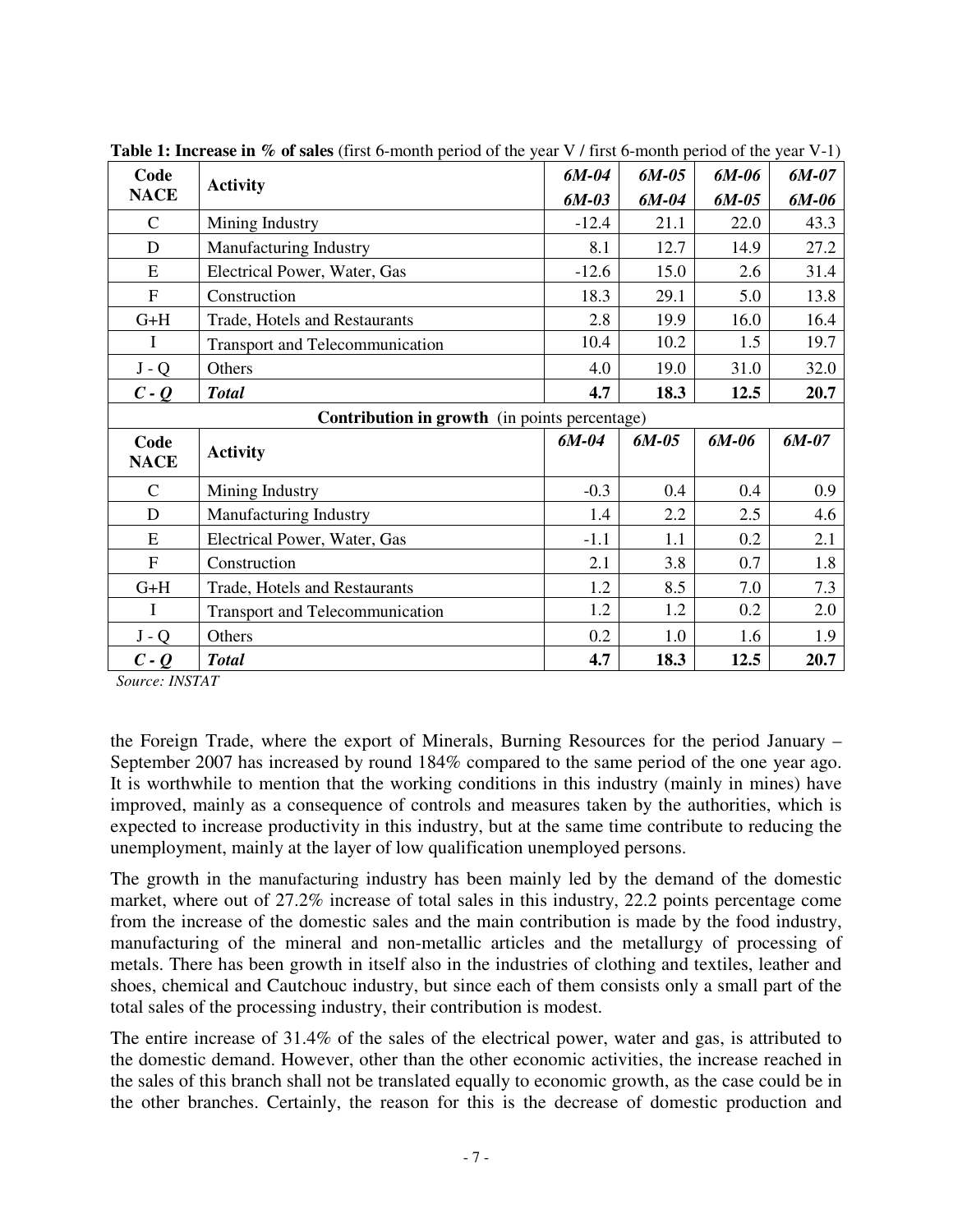| Code<br><b>Activity</b> |                                                      | $6M-04$ | $6M-05$ | 6M-06   | 6M-07   |
|-------------------------|------------------------------------------------------|---------|---------|---------|---------|
| <b>NACE</b>             |                                                      |         | $6M-04$ | $6M-05$ | 6M-06   |
| $\mathcal{C}$           | Mining Industry                                      | $-12.4$ | 21.1    | 22.0    | 43.3    |
| D                       | Manufacturing Industry                               | 8.1     | 12.7    | 14.9    | 27.2    |
| E                       | Electrical Power, Water, Gas                         | $-12.6$ | 15.0    | 2.6     | 31.4    |
| F                       | Construction                                         | 18.3    | 29.1    | 5.0     | 13.8    |
| $G+H$                   | Trade, Hotels and Restaurants                        | 2.8     | 19.9    | 16.0    | 16.4    |
| $\mathbf I$             | <b>Transport and Telecommunication</b>               | 10.4    | 10.2    | 1.5     | 19.7    |
| $J - Q$                 | Others                                               | 4.0     | 19.0    | 31.0    | 32.0    |
| $c - q$                 | <b>Total</b>                                         | 4.7     | 18.3    | 12.5    | 20.7    |
|                         | <b>Contribution in growth</b> (in points percentage) |         |         |         |         |
| Code<br><b>NACE</b>     | <b>Activity</b>                                      | $6M-04$ | $6M-05$ | $6M-06$ | $6M-07$ |
|                         |                                                      |         |         |         |         |
| $\mathcal{C}$           | Mining Industry                                      | $-0.3$  | 0.4     | 0.4     | 0.9     |
| D                       | Manufacturing Industry                               | 1.4     | 2.2     | 2.5     | 4.6     |
| E                       | Electrical Power, Water, Gas                         | $-1.1$  | 1.1     | 0.2     | 2.1     |
| F                       | Construction                                         | 2.1     | 3.8     | 0.7     | 1.8     |
| $G+H$                   | Trade, Hotels and Restaurants                        | 1.2     | 8.5     | 7.0     | 7.3     |
| $\mathbf I$             | <b>Transport and Telecommunication</b>               | 1.2     | 1.2     | 0.2     | 2.0     |
| $J - Q$                 | Others                                               | 0.2     | 1.0     | 1.6     | 1.9     |

**Table 1: Increase in % of sales** (first 6-month period of the year V / first 6-month period of the year V-1)

*Source: INSTAT* 

the Foreign Trade, where the export of Minerals, Burning Resources for the period January – September 2007 has increased by round 184% compared to the same period of the one year ago. It is worthwhile to mention that the working conditions in this industry (mainly in mines) have improved, mainly as a consequence of controls and measures taken by the authorities, which is expected to increase productivity in this industry, but at the same time contribute to reducing the unemployment, mainly at the layer of low qualification unemployed persons.

The growth in the manufacturing industry has been mainly led by the demand of the domestic market, where out of 27.2% increase of total sales in this industry, 22.2 points percentage come from the increase of the domestic sales and the main contribution is made by the food industry, manufacturing of the mineral and non-metallic articles and the metallurgy of processing of metals. There has been growth in itself also in the industries of clothing and textiles, leather and shoes, chemical and Cautchouc industry, but since each of them consists only a small part of the total sales of the processing industry, their contribution is modest.

The entire increase of 31.4% of the sales of the electrical power, water and gas, is attributed to the domestic demand. However, other than the other economic activities, the increase reached in the sales of this branch shall not be translated equally to economic growth, as the case could be in the other branches. Certainly, the reason for this is the decrease of domestic production and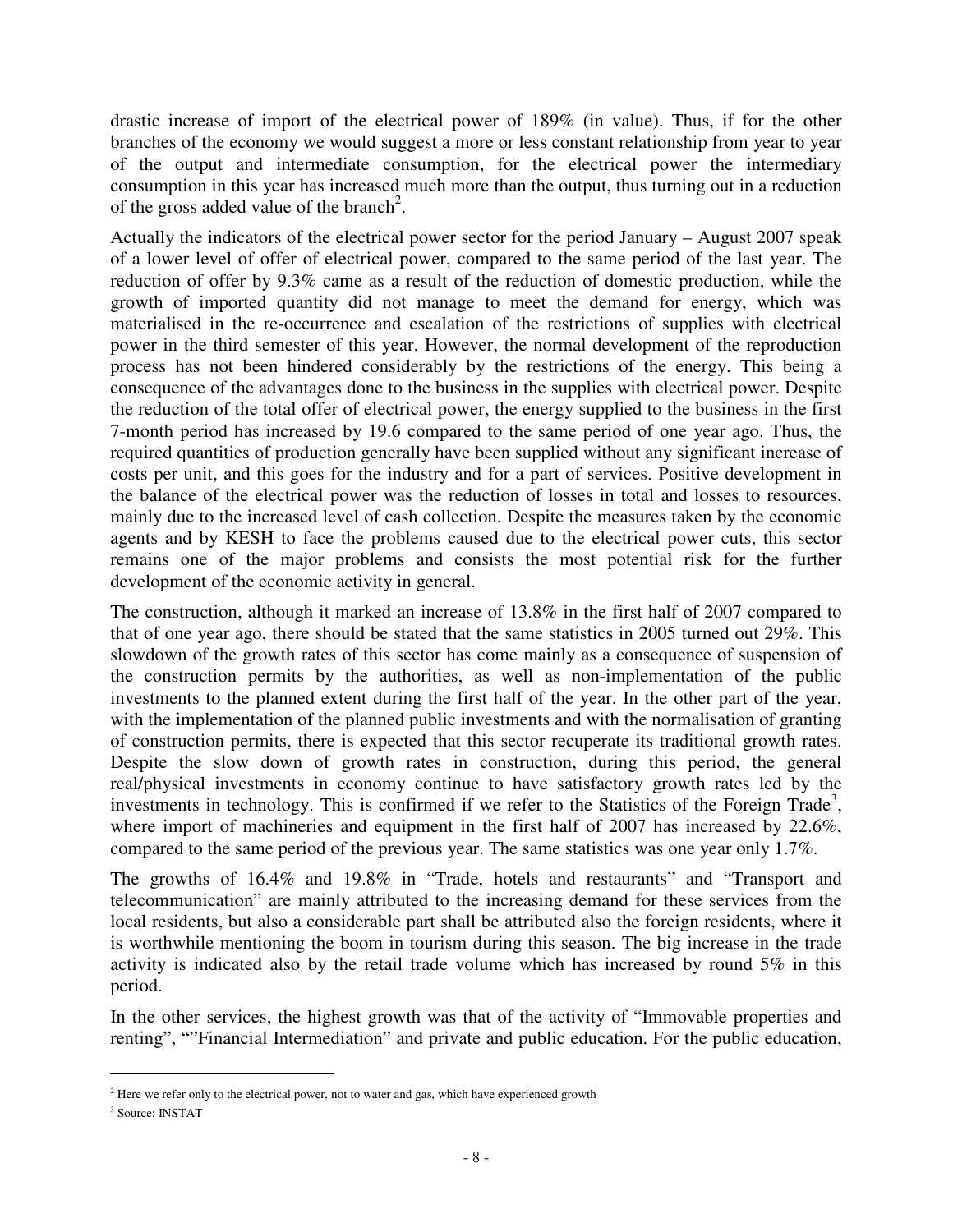drastic increase of import of the electrical power of 189% (in value). Thus, if for the other branches of the economy we would suggest a more or less constant relationship from year to year of the output and intermediate consumption, for the electrical power the intermediary consumption in this year has increased much more than the output, thus turning out in a reduction of the gross added value of the branch<sup>2</sup>.

Actually the indicators of the electrical power sector for the period January – August 2007 speak of a lower level of offer of electrical power, compared to the same period of the last year. The reduction of offer by 9.3% came as a result of the reduction of domestic production, while the growth of imported quantity did not manage to meet the demand for energy, which was materialised in the re-occurrence and escalation of the restrictions of supplies with electrical power in the third semester of this year. However, the normal development of the reproduction process has not been hindered considerably by the restrictions of the energy. This being a consequence of the advantages done to the business in the supplies with electrical power. Despite the reduction of the total offer of electrical power, the energy supplied to the business in the first 7-month period has increased by 19.6 compared to the same period of one year ago. Thus, the required quantities of production generally have been supplied without any significant increase of costs per unit, and this goes for the industry and for a part of services. Positive development in the balance of the electrical power was the reduction of losses in total and losses to resources, mainly due to the increased level of cash collection. Despite the measures taken by the economic agents and by KESH to face the problems caused due to the electrical power cuts, this sector remains one of the major problems and consists the most potential risk for the further development of the economic activity in general.

The construction, although it marked an increase of 13.8% in the first half of 2007 compared to that of one year ago, there should be stated that the same statistics in 2005 turned out 29%. This slowdown of the growth rates of this sector has come mainly as a consequence of suspension of the construction permits by the authorities, as well as non-implementation of the public investments to the planned extent during the first half of the year. In the other part of the year, with the implementation of the planned public investments and with the normalisation of granting of construction permits, there is expected that this sector recuperate its traditional growth rates. Despite the slow down of growth rates in construction, during this period, the general real/physical investments in economy continue to have satisfactory growth rates led by the investments in technology. This is confirmed if we refer to the Statistics of the Foreign Trade<sup>3</sup>, where import of machineries and equipment in the first half of 2007 has increased by 22.6%, compared to the same period of the previous year. The same statistics was one year only 1.7%.

The growths of 16.4% and 19.8% in "Trade, hotels and restaurants" and "Transport and telecommunication" are mainly attributed to the increasing demand for these services from the local residents, but also a considerable part shall be attributed also the foreign residents, where it is worthwhile mentioning the boom in tourism during this season. The big increase in the trade activity is indicated also by the retail trade volume which has increased by round 5% in this period.

In the other services, the highest growth was that of the activity of "Immovable properties and renting", ""Financial Intermediation" and private and public education. For the public education,

 $\overline{a}$ 

 $2^{2}$  Here we refer only to the electrical power, not to water and gas, which have experienced growth

<sup>3</sup> Source: INSTAT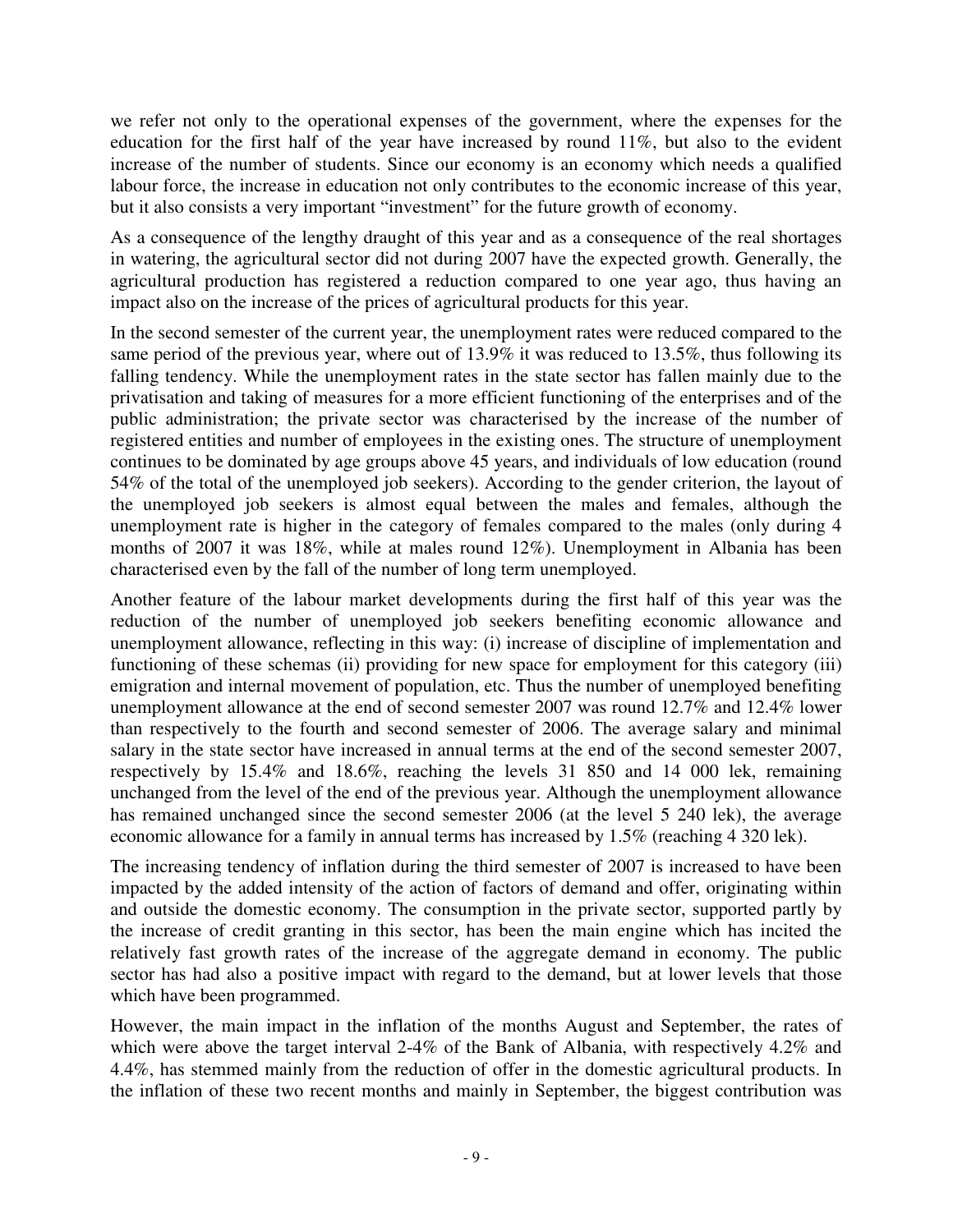we refer not only to the operational expenses of the government, where the expenses for the education for the first half of the year have increased by round 11%, but also to the evident increase of the number of students. Since our economy is an economy which needs a qualified labour force, the increase in education not only contributes to the economic increase of this year, but it also consists a very important "investment" for the future growth of economy.

As a consequence of the lengthy draught of this year and as a consequence of the real shortages in watering, the agricultural sector did not during 2007 have the expected growth. Generally, the agricultural production has registered a reduction compared to one year ago, thus having an impact also on the increase of the prices of agricultural products for this year.

In the second semester of the current year, the unemployment rates were reduced compared to the same period of the previous year, where out of 13.9% it was reduced to 13.5%, thus following its falling tendency. While the unemployment rates in the state sector has fallen mainly due to the privatisation and taking of measures for a more efficient functioning of the enterprises and of the public administration; the private sector was characterised by the increase of the number of registered entities and number of employees in the existing ones. The structure of unemployment continues to be dominated by age groups above 45 years, and individuals of low education (round 54% of the total of the unemployed job seekers). According to the gender criterion, the layout of the unemployed job seekers is almost equal between the males and females, although the unemployment rate is higher in the category of females compared to the males (only during 4 months of 2007 it was 18%, while at males round 12%). Unemployment in Albania has been characterised even by the fall of the number of long term unemployed.

Another feature of the labour market developments during the first half of this year was the reduction of the number of unemployed job seekers benefiting economic allowance and unemployment allowance, reflecting in this way: (i) increase of discipline of implementation and functioning of these schemas (ii) providing for new space for employment for this category (iii) emigration and internal movement of population, etc. Thus the number of unemployed benefiting unemployment allowance at the end of second semester 2007 was round 12.7% and 12.4% lower than respectively to the fourth and second semester of 2006. The average salary and minimal salary in the state sector have increased in annual terms at the end of the second semester 2007, respectively by 15.4% and 18.6%, reaching the levels 31 850 and 14 000 lek, remaining unchanged from the level of the end of the previous year. Although the unemployment allowance has remained unchanged since the second semester 2006 (at the level 5 240 lek), the average economic allowance for a family in annual terms has increased by 1.5% (reaching 4 320 lek).

The increasing tendency of inflation during the third semester of 2007 is increased to have been impacted by the added intensity of the action of factors of demand and offer, originating within and outside the domestic economy. The consumption in the private sector, supported partly by the increase of credit granting in this sector, has been the main engine which has incited the relatively fast growth rates of the increase of the aggregate demand in economy. The public sector has had also a positive impact with regard to the demand, but at lower levels that those which have been programmed.

However, the main impact in the inflation of the months August and September, the rates of which were above the target interval 2-4% of the Bank of Albania, with respectively 4.2% and 4.4%, has stemmed mainly from the reduction of offer in the domestic agricultural products. In the inflation of these two recent months and mainly in September, the biggest contribution was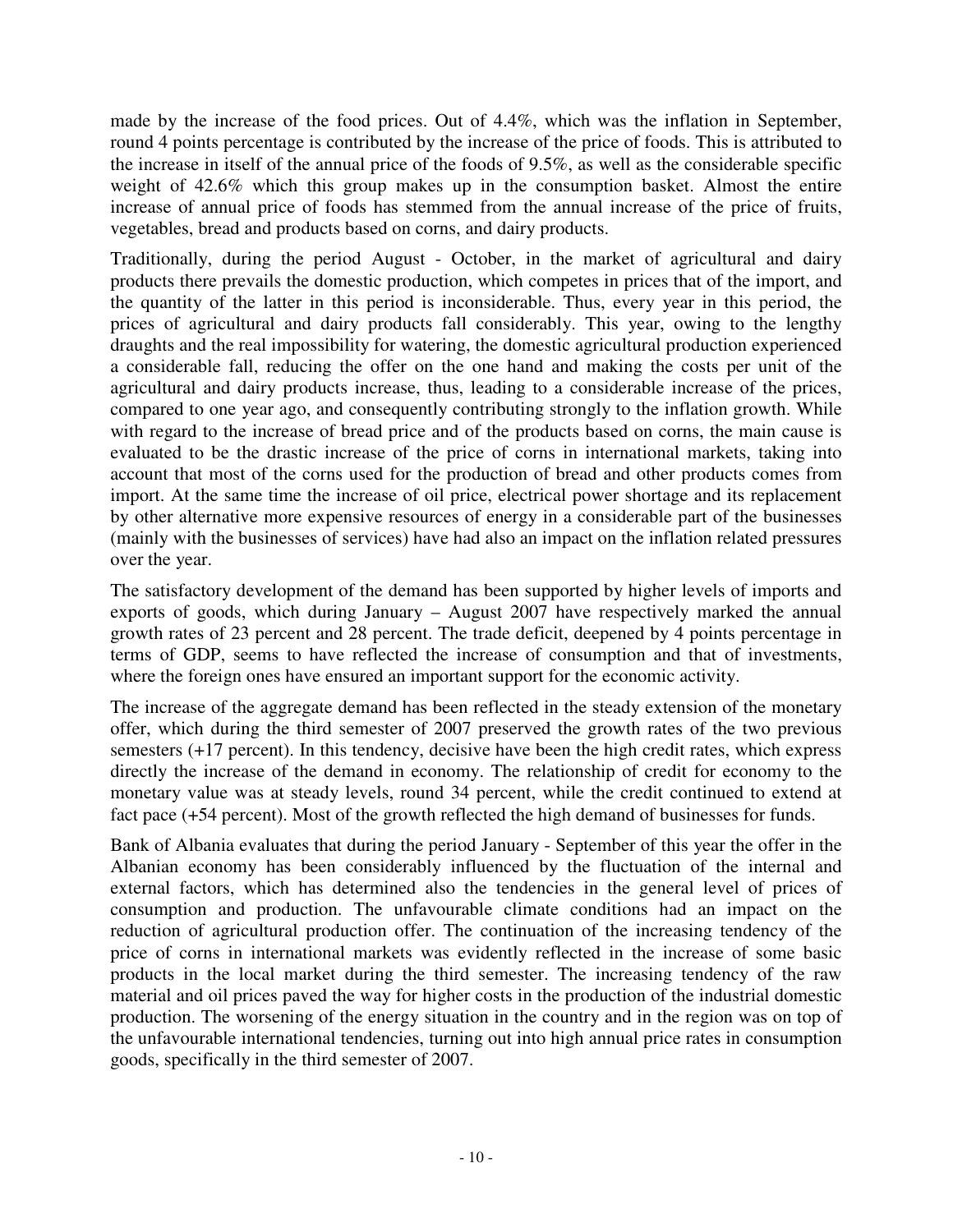made by the increase of the food prices. Out of 4.4%, which was the inflation in September, round 4 points percentage is contributed by the increase of the price of foods. This is attributed to the increase in itself of the annual price of the foods of 9.5%, as well as the considerable specific weight of 42.6% which this group makes up in the consumption basket. Almost the entire increase of annual price of foods has stemmed from the annual increase of the price of fruits, vegetables, bread and products based on corns, and dairy products.

Traditionally, during the period August - October, in the market of agricultural and dairy products there prevails the domestic production, which competes in prices that of the import, and the quantity of the latter in this period is inconsiderable. Thus, every year in this period, the prices of agricultural and dairy products fall considerably. This year, owing to the lengthy draughts and the real impossibility for watering, the domestic agricultural production experienced a considerable fall, reducing the offer on the one hand and making the costs per unit of the agricultural and dairy products increase, thus, leading to a considerable increase of the prices, compared to one year ago, and consequently contributing strongly to the inflation growth. While with regard to the increase of bread price and of the products based on corns, the main cause is evaluated to be the drastic increase of the price of corns in international markets, taking into account that most of the corns used for the production of bread and other products comes from import. At the same time the increase of oil price, electrical power shortage and its replacement by other alternative more expensive resources of energy in a considerable part of the businesses (mainly with the businesses of services) have had also an impact on the inflation related pressures over the year.

The satisfactory development of the demand has been supported by higher levels of imports and exports of goods, which during January – August 2007 have respectively marked the annual growth rates of 23 percent and 28 percent. The trade deficit, deepened by 4 points percentage in terms of GDP, seems to have reflected the increase of consumption and that of investments, where the foreign ones have ensured an important support for the economic activity.

The increase of the aggregate demand has been reflected in the steady extension of the monetary offer, which during the third semester of 2007 preserved the growth rates of the two previous semesters (+17 percent). In this tendency, decisive have been the high credit rates, which express directly the increase of the demand in economy. The relationship of credit for economy to the monetary value was at steady levels, round 34 percent, while the credit continued to extend at fact pace (+54 percent). Most of the growth reflected the high demand of businesses for funds.

Bank of Albania evaluates that during the period January - September of this year the offer in the Albanian economy has been considerably influenced by the fluctuation of the internal and external factors, which has determined also the tendencies in the general level of prices of consumption and production. The unfavourable climate conditions had an impact on the reduction of agricultural production offer. The continuation of the increasing tendency of the price of corns in international markets was evidently reflected in the increase of some basic products in the local market during the third semester. The increasing tendency of the raw material and oil prices paved the way for higher costs in the production of the industrial domestic production. The worsening of the energy situation in the country and in the region was on top of the unfavourable international tendencies, turning out into high annual price rates in consumption goods, specifically in the third semester of 2007.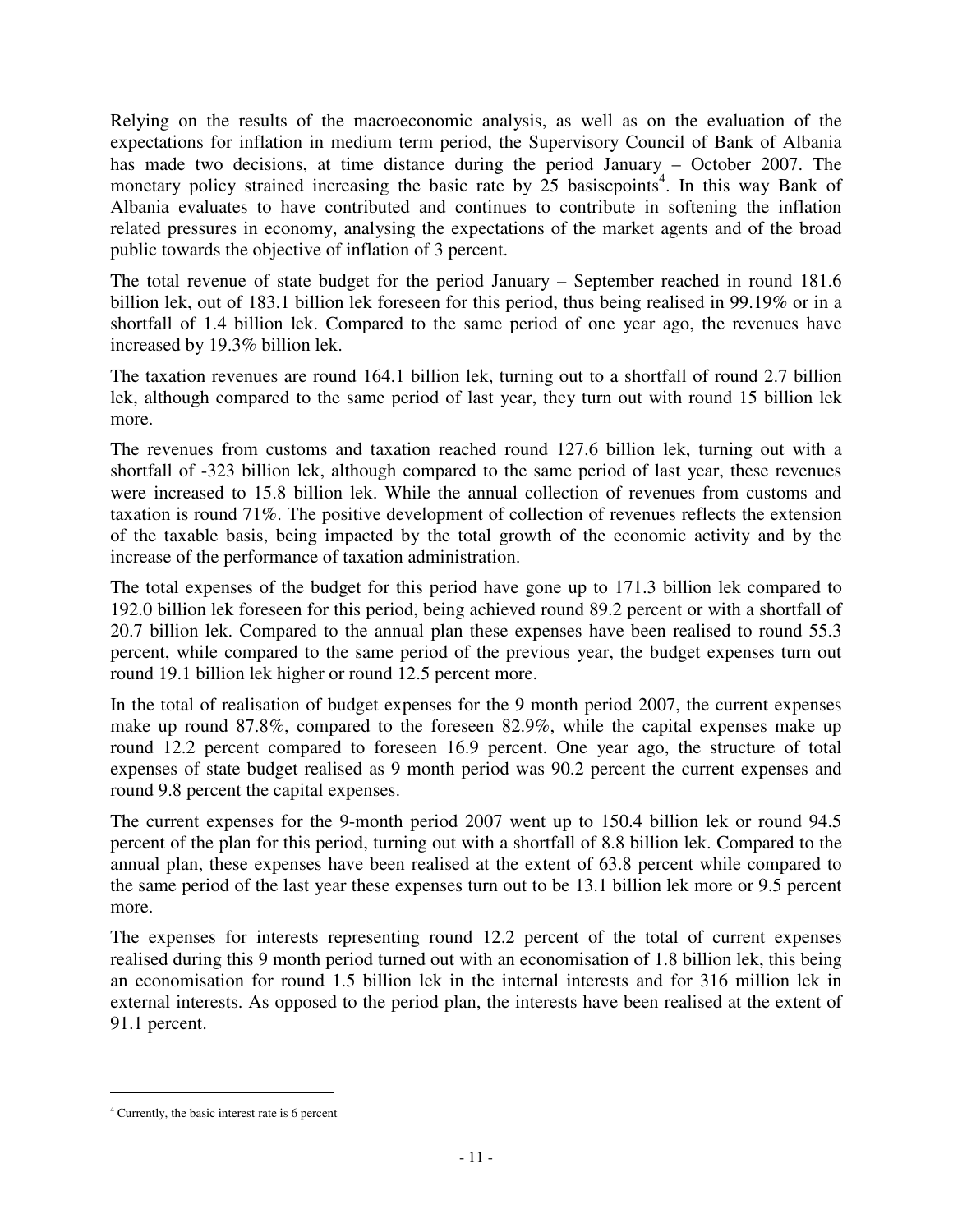Relying on the results of the macroeconomic analysis, as well as on the evaluation of the expectations for inflation in medium term period, the Supervisory Council of Bank of Albania has made two decisions, at time distance during the period January – October 2007. The monetary policy strained increasing the basic rate by  $25$  basiscpoints<sup>4</sup>. In this way Bank of Albania evaluates to have contributed and continues to contribute in softening the inflation related pressures in economy, analysing the expectations of the market agents and of the broad public towards the objective of inflation of 3 percent.

The total revenue of state budget for the period January – September reached in round 181.6 billion lek, out of 183.1 billion lek foreseen for this period, thus being realised in 99.19% or in a shortfall of 1.4 billion lek. Compared to the same period of one year ago, the revenues have increased by 19.3% billion lek.

The taxation revenues are round 164.1 billion lek, turning out to a shortfall of round 2.7 billion lek, although compared to the same period of last year, they turn out with round 15 billion lek more.

The revenues from customs and taxation reached round 127.6 billion lek, turning out with a shortfall of -323 billion lek, although compared to the same period of last year, these revenues were increased to 15.8 billion lek. While the annual collection of revenues from customs and taxation is round 71%. The positive development of collection of revenues reflects the extension of the taxable basis, being impacted by the total growth of the economic activity and by the increase of the performance of taxation administration.

The total expenses of the budget for this period have gone up to 171.3 billion lek compared to 192.0 billion lek foreseen for this period, being achieved round 89.2 percent or with a shortfall of 20.7 billion lek. Compared to the annual plan these expenses have been realised to round 55.3 percent, while compared to the same period of the previous year, the budget expenses turn out round 19.1 billion lek higher or round 12.5 percent more.

In the total of realisation of budget expenses for the 9 month period 2007, the current expenses make up round 87.8%, compared to the foreseen 82.9%, while the capital expenses make up round 12.2 percent compared to foreseen 16.9 percent. One year ago, the structure of total expenses of state budget realised as 9 month period was 90.2 percent the current expenses and round 9.8 percent the capital expenses.

The current expenses for the 9-month period 2007 went up to 150.4 billion lek or round 94.5 percent of the plan for this period, turning out with a shortfall of 8.8 billion lek. Compared to the annual plan, these expenses have been realised at the extent of 63.8 percent while compared to the same period of the last year these expenses turn out to be 13.1 billion lek more or 9.5 percent more.

The expenses for interests representing round 12.2 percent of the total of current expenses realised during this 9 month period turned out with an economisation of 1.8 billion lek, this being an economisation for round 1.5 billion lek in the internal interests and for 316 million lek in external interests. As opposed to the period plan, the interests have been realised at the extent of 91.1 percent.

 $\overline{a}$ 

<sup>4</sup> Currently, the basic interest rate is 6 percent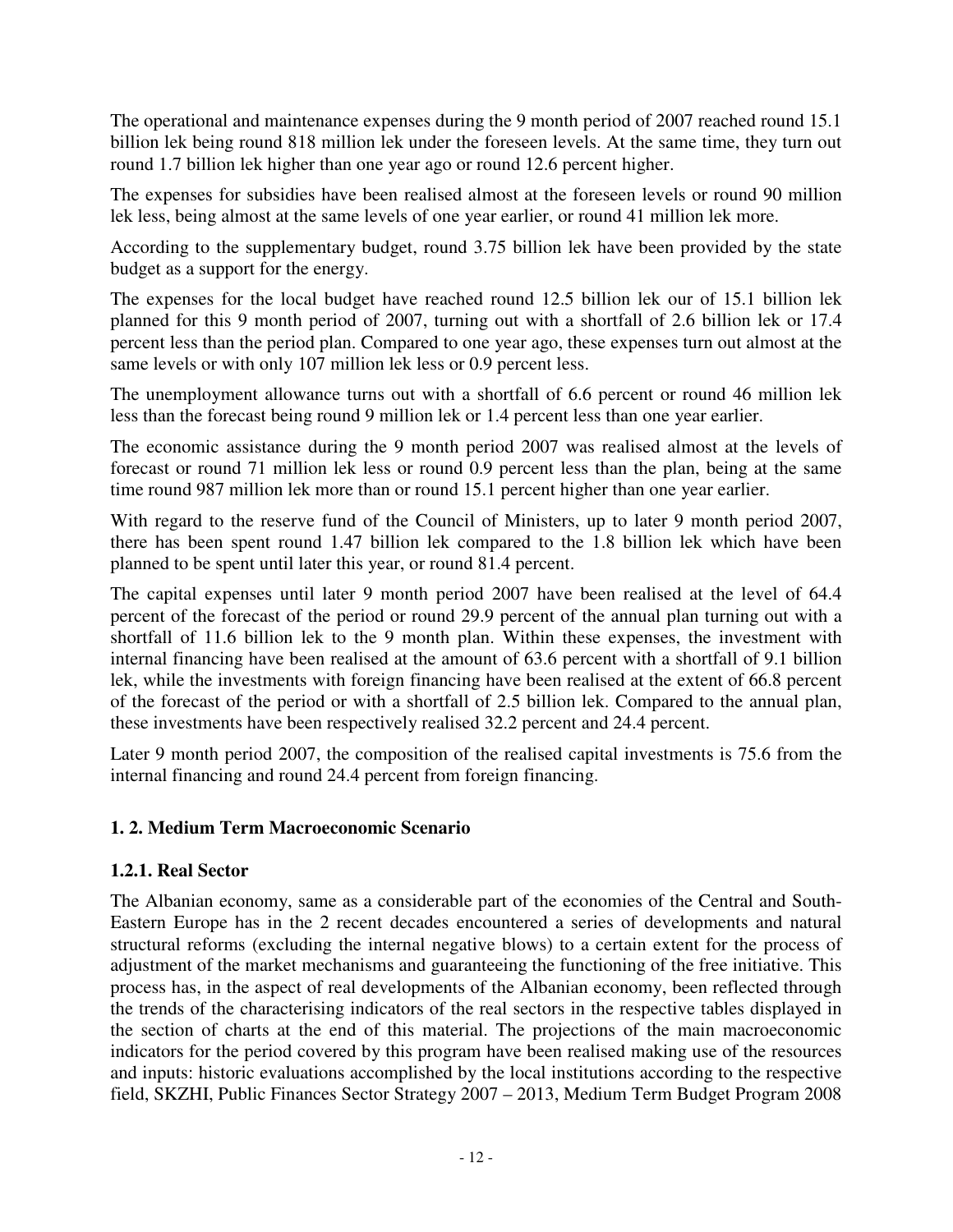The operational and maintenance expenses during the 9 month period of 2007 reached round 15.1 billion lek being round 818 million lek under the foreseen levels. At the same time, they turn out round 1.7 billion lek higher than one year ago or round 12.6 percent higher.

The expenses for subsidies have been realised almost at the foreseen levels or round 90 million lek less, being almost at the same levels of one year earlier, or round 41 million lek more.

According to the supplementary budget, round 3.75 billion lek have been provided by the state budget as a support for the energy.

The expenses for the local budget have reached round 12.5 billion lek our of 15.1 billion lek planned for this 9 month period of 2007, turning out with a shortfall of 2.6 billion lek or 17.4 percent less than the period plan. Compared to one year ago, these expenses turn out almost at the same levels or with only 107 million lek less or 0.9 percent less.

The unemployment allowance turns out with a shortfall of 6.6 percent or round 46 million lek less than the forecast being round 9 million lek or 1.4 percent less than one year earlier.

The economic assistance during the 9 month period 2007 was realised almost at the levels of forecast or round 71 million lek less or round 0.9 percent less than the plan, being at the same time round 987 million lek more than or round 15.1 percent higher than one year earlier.

With regard to the reserve fund of the Council of Ministers, up to later 9 month period 2007, there has been spent round 1.47 billion lek compared to the 1.8 billion lek which have been planned to be spent until later this year, or round 81.4 percent.

The capital expenses until later 9 month period 2007 have been realised at the level of 64.4 percent of the forecast of the period or round 29.9 percent of the annual plan turning out with a shortfall of 11.6 billion lek to the 9 month plan. Within these expenses, the investment with internal financing have been realised at the amount of 63.6 percent with a shortfall of 9.1 billion lek, while the investments with foreign financing have been realised at the extent of 66.8 percent of the forecast of the period or with a shortfall of 2.5 billion lek. Compared to the annual plan, these investments have been respectively realised 32.2 percent and 24.4 percent.

Later 9 month period 2007, the composition of the realised capital investments is 75.6 from the internal financing and round 24.4 percent from foreign financing.

## **1. 2. Medium Term Macroeconomic Scenario**

## **1.2.1. Real Sector**

The Albanian economy, same as a considerable part of the economies of the Central and South-Eastern Europe has in the 2 recent decades encountered a series of developments and natural structural reforms (excluding the internal negative blows) to a certain extent for the process of adjustment of the market mechanisms and guaranteeing the functioning of the free initiative. This process has, in the aspect of real developments of the Albanian economy, been reflected through the trends of the characterising indicators of the real sectors in the respective tables displayed in the section of charts at the end of this material. The projections of the main macroeconomic indicators for the period covered by this program have been realised making use of the resources and inputs: historic evaluations accomplished by the local institutions according to the respective field, SKZHI, Public Finances Sector Strategy 2007 – 2013, Medium Term Budget Program 2008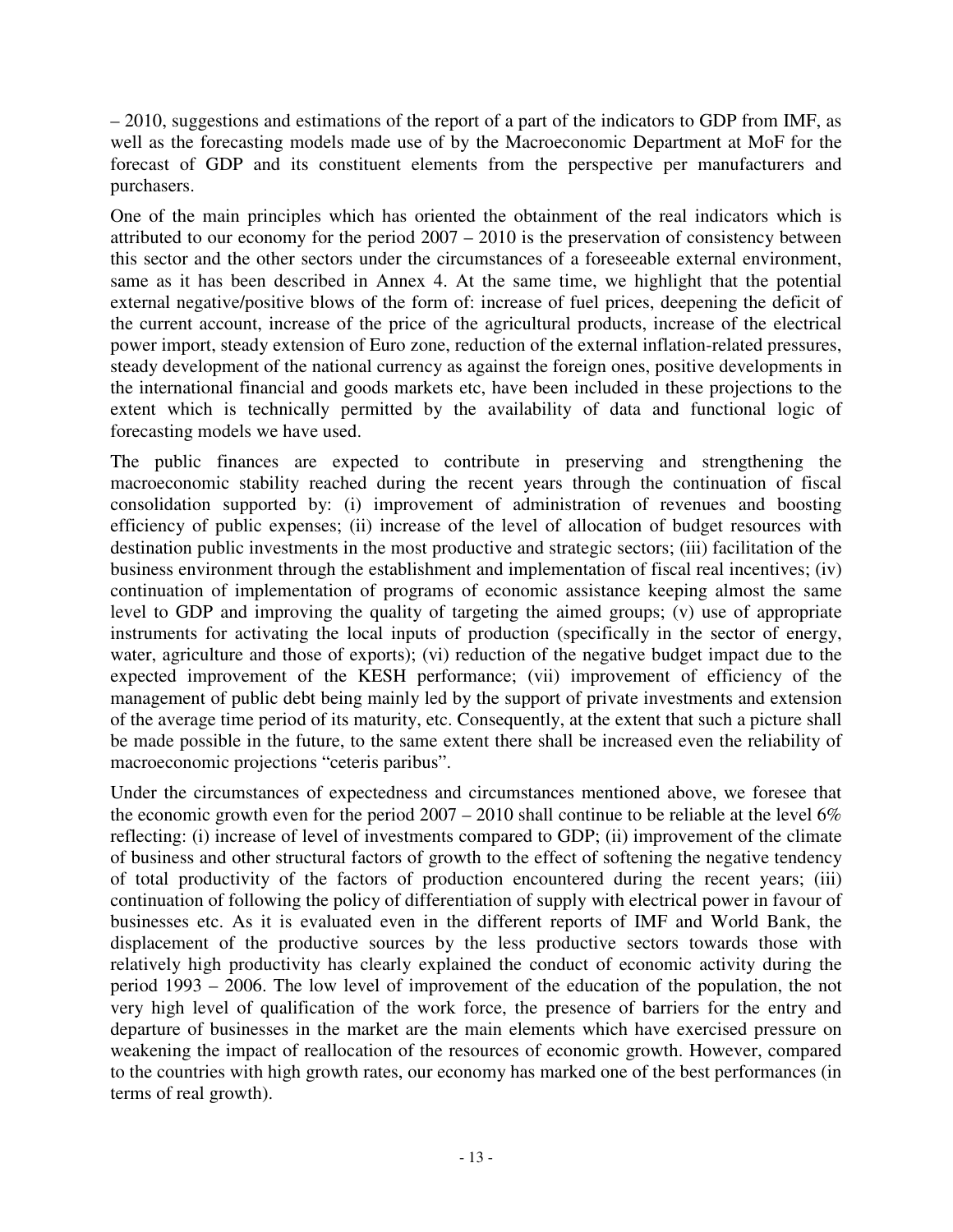– 2010, suggestions and estimations of the report of a part of the indicators to GDP from IMF, as well as the forecasting models made use of by the Macroeconomic Department at MoF for the forecast of GDP and its constituent elements from the perspective per manufacturers and purchasers.

One of the main principles which has oriented the obtainment of the real indicators which is attributed to our economy for the period 2007 – 2010 is the preservation of consistency between this sector and the other sectors under the circumstances of a foreseeable external environment, same as it has been described in Annex 4. At the same time, we highlight that the potential external negative/positive blows of the form of: increase of fuel prices, deepening the deficit of the current account, increase of the price of the agricultural products, increase of the electrical power import, steady extension of Euro zone, reduction of the external inflation-related pressures, steady development of the national currency as against the foreign ones, positive developments in the international financial and goods markets etc, have been included in these projections to the extent which is technically permitted by the availability of data and functional logic of forecasting models we have used.

The public finances are expected to contribute in preserving and strengthening the macroeconomic stability reached during the recent years through the continuation of fiscal consolidation supported by: (i) improvement of administration of revenues and boosting efficiency of public expenses; (ii) increase of the level of allocation of budget resources with destination public investments in the most productive and strategic sectors; (iii) facilitation of the business environment through the establishment and implementation of fiscal real incentives; (iv) continuation of implementation of programs of economic assistance keeping almost the same level to GDP and improving the quality of targeting the aimed groups; (v) use of appropriate instruments for activating the local inputs of production (specifically in the sector of energy, water, agriculture and those of exports); (vi) reduction of the negative budget impact due to the expected improvement of the KESH performance; (vii) improvement of efficiency of the management of public debt being mainly led by the support of private investments and extension of the average time period of its maturity, etc. Consequently, at the extent that such a picture shall be made possible in the future, to the same extent there shall be increased even the reliability of macroeconomic projections "ceteris paribus".

Under the circumstances of expectedness and circumstances mentioned above, we foresee that the economic growth even for the period  $2007 - 2010$  shall continue to be reliable at the level 6% reflecting: (i) increase of level of investments compared to GDP; (ii) improvement of the climate of business and other structural factors of growth to the effect of softening the negative tendency of total productivity of the factors of production encountered during the recent years; (iii) continuation of following the policy of differentiation of supply with electrical power in favour of businesses etc. As it is evaluated even in the different reports of IMF and World Bank, the displacement of the productive sources by the less productive sectors towards those with relatively high productivity has clearly explained the conduct of economic activity during the period 1993 – 2006. The low level of improvement of the education of the population, the not very high level of qualification of the work force, the presence of barriers for the entry and departure of businesses in the market are the main elements which have exercised pressure on weakening the impact of reallocation of the resources of economic growth. However, compared to the countries with high growth rates, our economy has marked one of the best performances (in terms of real growth).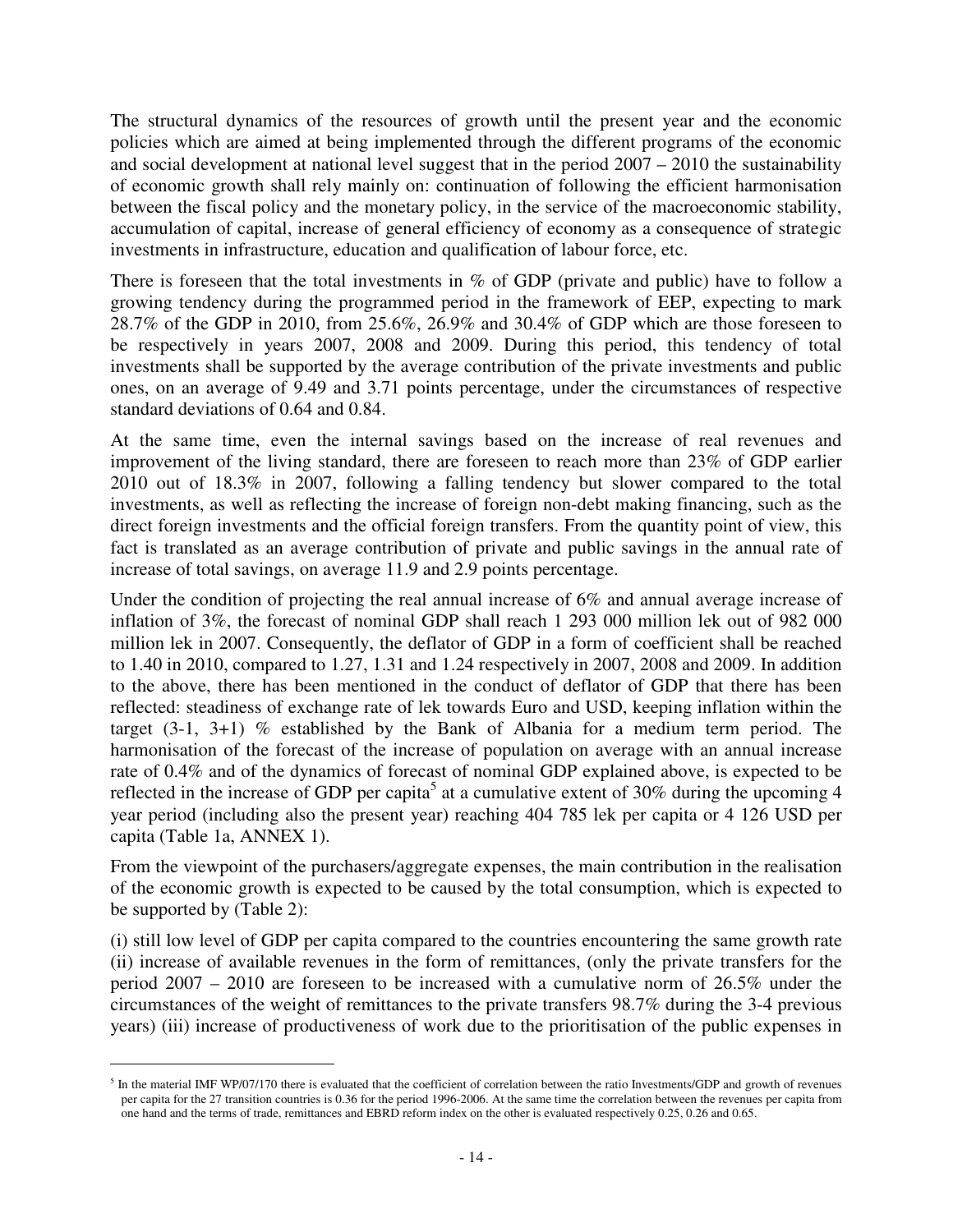The structural dynamics of the resources of growth until the present year and the economic policies which are aimed at being implemented through the different programs of the economic and social development at national level suggest that in the period 2007 – 2010 the sustainability of economic growth shall rely mainly on: continuation of following the efficient harmonisation between the fiscal policy and the monetary policy, in the service of the macroeconomic stability, accumulation of capital, increase of general efficiency of economy as a consequence of strategic investments in infrastructure, education and qualification of labour force, etc.

There is foreseen that the total investments in % of GDP (private and public) have to follow a growing tendency during the programmed period in the framework of EEP, expecting to mark 28.7% of the GDP in 2010, from 25.6%, 26.9% and 30.4% of GDP which are those foreseen to be respectively in years 2007, 2008 and 2009. During this period, this tendency of total investments shall be supported by the average contribution of the private investments and public ones, on an average of 9.49 and 3.71 points percentage, under the circumstances of respective standard deviations of 0.64 and 0.84.

At the same time, even the internal savings based on the increase of real revenues and improvement of the living standard, there are foreseen to reach more than 23% of GDP earlier 2010 out of 18.3% in 2007, following a falling tendency but slower compared to the total investments, as well as reflecting the increase of foreign non-debt making financing, such as the direct foreign investments and the official foreign transfers. From the quantity point of view, this fact is translated as an average contribution of private and public savings in the annual rate of increase of total savings, on average 11.9 and 2.9 points percentage.

Under the condition of projecting the real annual increase of 6% and annual average increase of inflation of 3%, the forecast of nominal GDP shall reach 1 293 000 million lek out of 982 000 million lek in 2007. Consequently, the deflator of GDP in a form of coefficient shall be reached to 1.40 in 2010, compared to 1.27, 1.31 and 1.24 respectively in 2007, 2008 and 2009. In addition to the above, there has been mentioned in the conduct of deflator of GDP that there has been reflected: steadiness of exchange rate of lek towards Euro and USD, keeping inflation within the target (3-1, 3+1) % established by the Bank of Albania for a medium term period. The harmonisation of the forecast of the increase of population on average with an annual increase rate of 0.4% and of the dynamics of forecast of nominal GDP explained above, is expected to be reflected in the increase of GDP per capita<sup>5</sup> at a cumulative extent of 30% during the upcoming 4 year period (including also the present year) reaching 404 785 lek per capita or 4 126 USD per capita (Table 1a, ANNEX 1).

From the viewpoint of the purchasers/aggregate expenses, the main contribution in the realisation of the economic growth is expected to be caused by the total consumption, which is expected to be supported by (Table 2):

(i) still low level of GDP per capita compared to the countries encountering the same growth rate (ii) increase of available revenues in the form of remittances, (only the private transfers for the period 2007 – 2010 are foreseen to be increased with a cumulative norm of 26.5% under the circumstances of the weight of remittances to the private transfers 98.7% during the 3-4 previous years) (iii) increase of productiveness of work due to the prioritisation of the public expenses in

 $\overline{a}$ 

 $<sup>5</sup>$  In the material IMF WP/07/170 there is evaluated that the coefficient of correlation between the ratio Investments/GDP and growth of revenues</sup> per capita for the 27 transition countries is 0.36 for the period 1996-2006. At the same time the correlation between the revenues per capita from one hand and the terms of trade, remittances and EBRD reform index on the other is evaluated respectively 0.25, 0.26 and 0.65.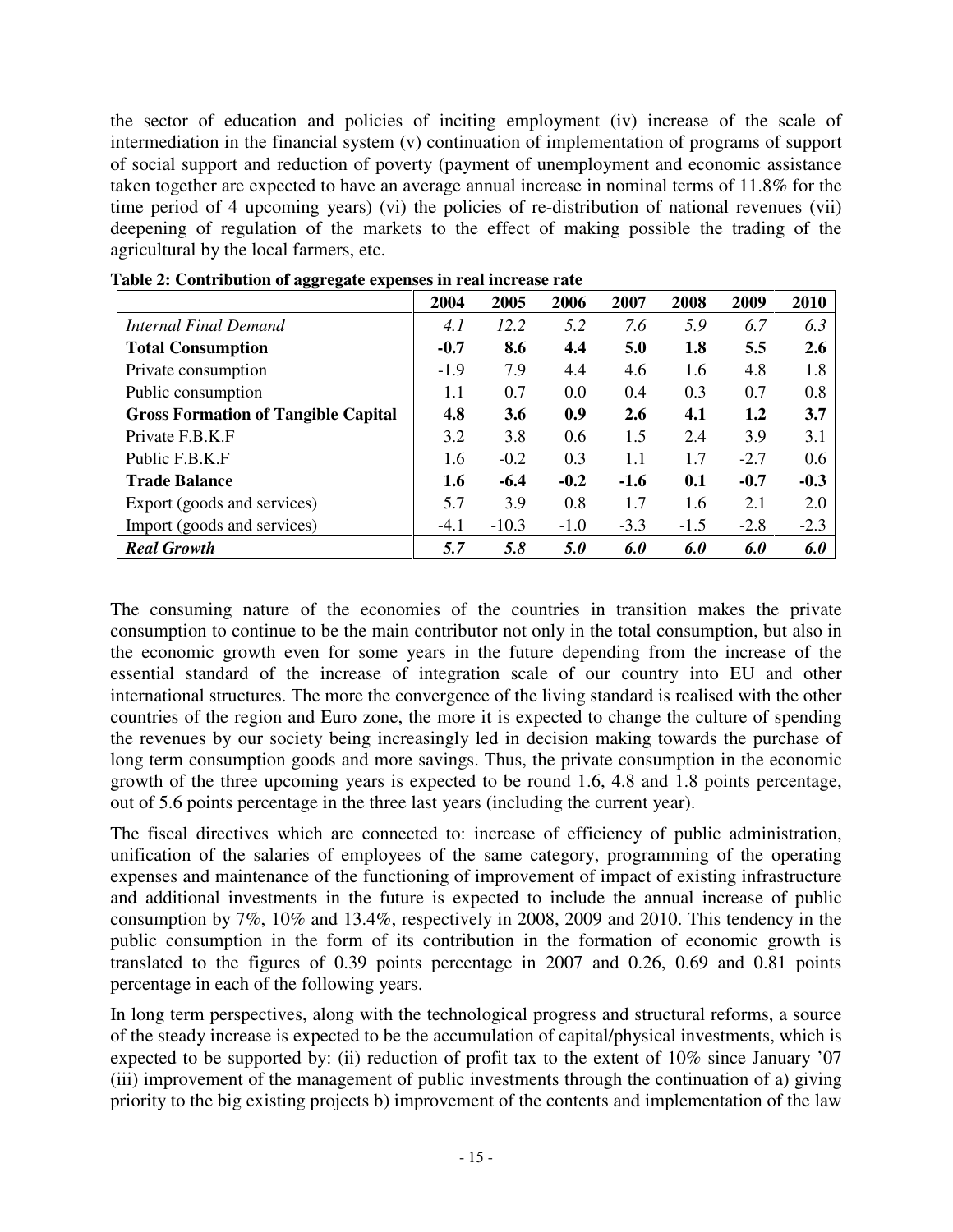the sector of education and policies of inciting employment (iv) increase of the scale of intermediation in the financial system (v) continuation of implementation of programs of support of social support and reduction of poverty (payment of unemployment and economic assistance taken together are expected to have an average annual increase in nominal terms of 11.8% for the time period of 4 upcoming years) (vi) the policies of re-distribution of national revenues (vii) deepening of regulation of the markets to the effect of making possible the trading of the agricultural by the local farmers, etc.

|                                            | 2004   | 2005       | 2006   | 2007   | 2008   | 2009   | 2010   |
|--------------------------------------------|--------|------------|--------|--------|--------|--------|--------|
| Internal Final Demand                      | 4.1    | 12.2       | 5.2    | 7.6    | 5.9    | 6.7    | 6.3    |
| <b>Total Consumption</b>                   | $-0.7$ | 8.6        | 4.4    | 5.0    | 1.8    | 5.5    | 2.6    |
| Private consumption                        | $-1.9$ | 7.9        | 4.4    | 4.6    | 1.6    | 4.8    | 1.8    |
| Public consumption                         | 1.1    | 0.7        | 0.0    | 0.4    | 0.3    | 0.7    | 0.8    |
| <b>Gross Formation of Tangible Capital</b> | 4.8    | <b>3.6</b> | 0.9    | 2.6    | 4.1    | 1.2    | 3.7    |
| Private F.B.K.F                            | 3.2    | 3.8        | 0.6    | 1.5    | 2.4    | 3.9    | 3.1    |
| Public F.B.K.F                             | 1.6    | $-0.2$     | 0.3    | 1.1    | 1.7    | $-2.7$ | 0.6    |
| <b>Trade Balance</b>                       | 1.6    | $-6.4$     | $-0.2$ | $-1.6$ | 0.1    | $-0.7$ | $-0.3$ |
| Export (goods and services)                | 5.7    | 3.9        | 0.8    | 1.7    | 1.6    | 2.1    | 2.0    |
| Import (goods and services)                | $-4.1$ | $-10.3$    | $-1.0$ | $-3.3$ | $-1.5$ | $-2.8$ | $-2.3$ |
| <b>Real Growth</b>                         | 5.7    | 5.8        | 5.0    | 6.0    | 6.0    | 6.0    | 6.0    |

**Table 2: Contribution of aggregate expenses in real increase rate** 

The consuming nature of the economies of the countries in transition makes the private consumption to continue to be the main contributor not only in the total consumption, but also in the economic growth even for some years in the future depending from the increase of the essential standard of the increase of integration scale of our country into EU and other international structures. The more the convergence of the living standard is realised with the other countries of the region and Euro zone, the more it is expected to change the culture of spending the revenues by our society being increasingly led in decision making towards the purchase of long term consumption goods and more savings. Thus, the private consumption in the economic growth of the three upcoming years is expected to be round 1.6, 4.8 and 1.8 points percentage, out of 5.6 points percentage in the three last years (including the current year).

The fiscal directives which are connected to: increase of efficiency of public administration, unification of the salaries of employees of the same category, programming of the operating expenses and maintenance of the functioning of improvement of impact of existing infrastructure and additional investments in the future is expected to include the annual increase of public consumption by 7%, 10% and 13.4%, respectively in 2008, 2009 and 2010. This tendency in the public consumption in the form of its contribution in the formation of economic growth is translated to the figures of 0.39 points percentage in 2007 and 0.26, 0.69 and 0.81 points percentage in each of the following years.

In long term perspectives, along with the technological progress and structural reforms, a source of the steady increase is expected to be the accumulation of capital/physical investments, which is expected to be supported by: (ii) reduction of profit tax to the extent of 10% since January '07 (iii) improvement of the management of public investments through the continuation of a) giving priority to the big existing projects b) improvement of the contents and implementation of the law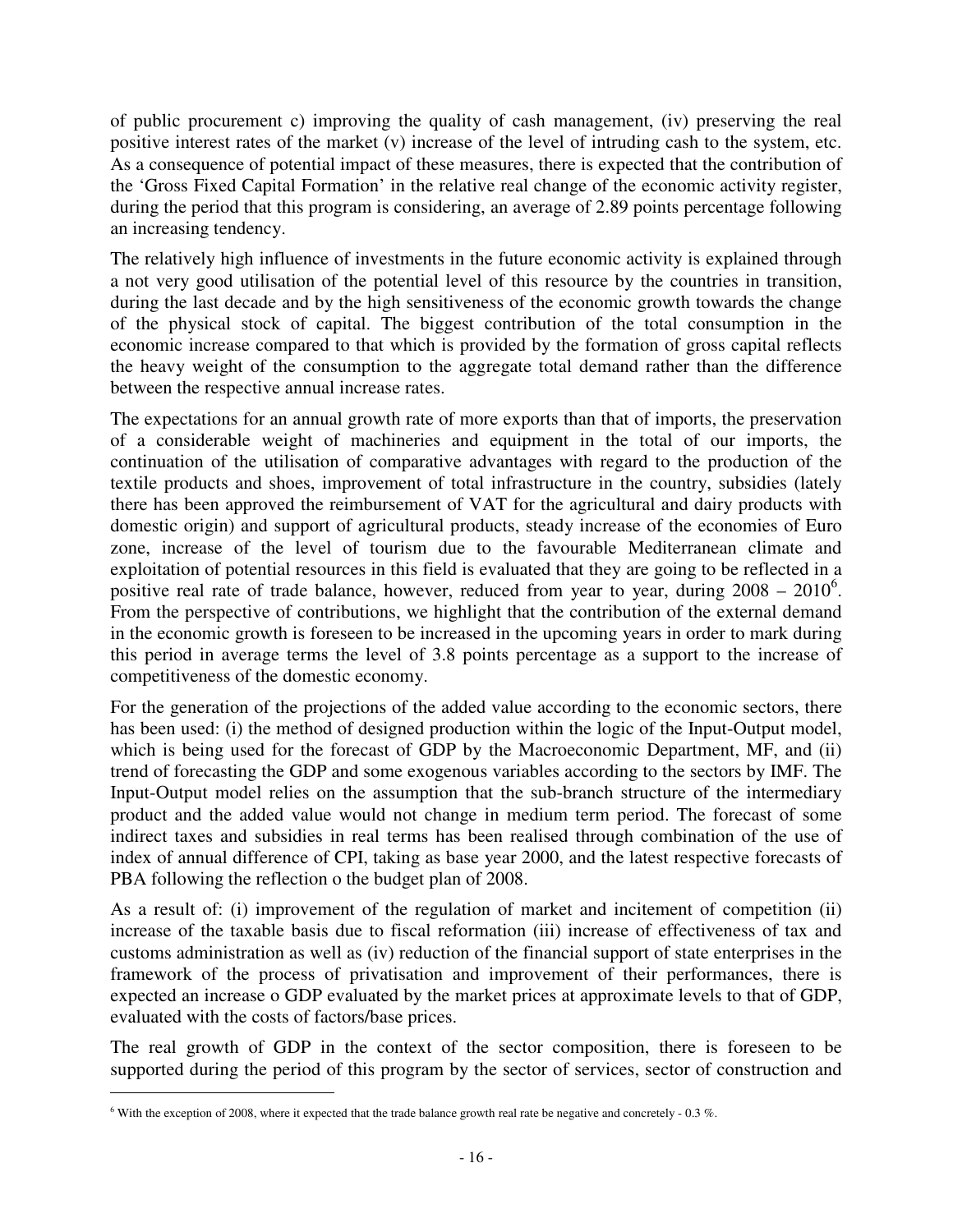of public procurement c) improving the quality of cash management, (iv) preserving the real positive interest rates of the market (v) increase of the level of intruding cash to the system, etc. As a consequence of potential impact of these measures, there is expected that the contribution of the 'Gross Fixed Capital Formation' in the relative real change of the economic activity register, during the period that this program is considering, an average of 2.89 points percentage following an increasing tendency.

The relatively high influence of investments in the future economic activity is explained through a not very good utilisation of the potential level of this resource by the countries in transition, during the last decade and by the high sensitiveness of the economic growth towards the change of the physical stock of capital. The biggest contribution of the total consumption in the economic increase compared to that which is provided by the formation of gross capital reflects the heavy weight of the consumption to the aggregate total demand rather than the difference between the respective annual increase rates.

The expectations for an annual growth rate of more exports than that of imports, the preservation of a considerable weight of machineries and equipment in the total of our imports, the continuation of the utilisation of comparative advantages with regard to the production of the textile products and shoes, improvement of total infrastructure in the country, subsidies (lately there has been approved the reimbursement of VAT for the agricultural and dairy products with domestic origin) and support of agricultural products, steady increase of the economies of Euro zone, increase of the level of tourism due to the favourable Mediterranean climate and exploitation of potential resources in this field is evaluated that they are going to be reflected in a positive real rate of trade balance, however, reduced from year to year, during  $2008 - 2010^6$ . From the perspective of contributions, we highlight that the contribution of the external demand in the economic growth is foreseen to be increased in the upcoming years in order to mark during this period in average terms the level of 3.8 points percentage as a support to the increase of competitiveness of the domestic economy.

For the generation of the projections of the added value according to the economic sectors, there has been used: (i) the method of designed production within the logic of the Input-Output model, which is being used for the forecast of GDP by the Macroeconomic Department, MF, and (ii) trend of forecasting the GDP and some exogenous variables according to the sectors by IMF. The Input-Output model relies on the assumption that the sub-branch structure of the intermediary product and the added value would not change in medium term period. The forecast of some indirect taxes and subsidies in real terms has been realised through combination of the use of index of annual difference of CPI, taking as base year 2000, and the latest respective forecasts of PBA following the reflection o the budget plan of 2008.

As a result of: (i) improvement of the regulation of market and incitement of competition (ii) increase of the taxable basis due to fiscal reformation (iii) increase of effectiveness of tax and customs administration as well as (iv) reduction of the financial support of state enterprises in the framework of the process of privatisation and improvement of their performances, there is expected an increase o GDP evaluated by the market prices at approximate levels to that of GDP, evaluated with the costs of factors/base prices.

The real growth of GDP in the context of the sector composition, there is foreseen to be supported during the period of this program by the sector of services, sector of construction and

 $\overline{a}$ 

<sup>&</sup>lt;sup>6</sup> With the exception of 2008, where it expected that the trade balance growth real rate be negative and concretely - 0.3 %.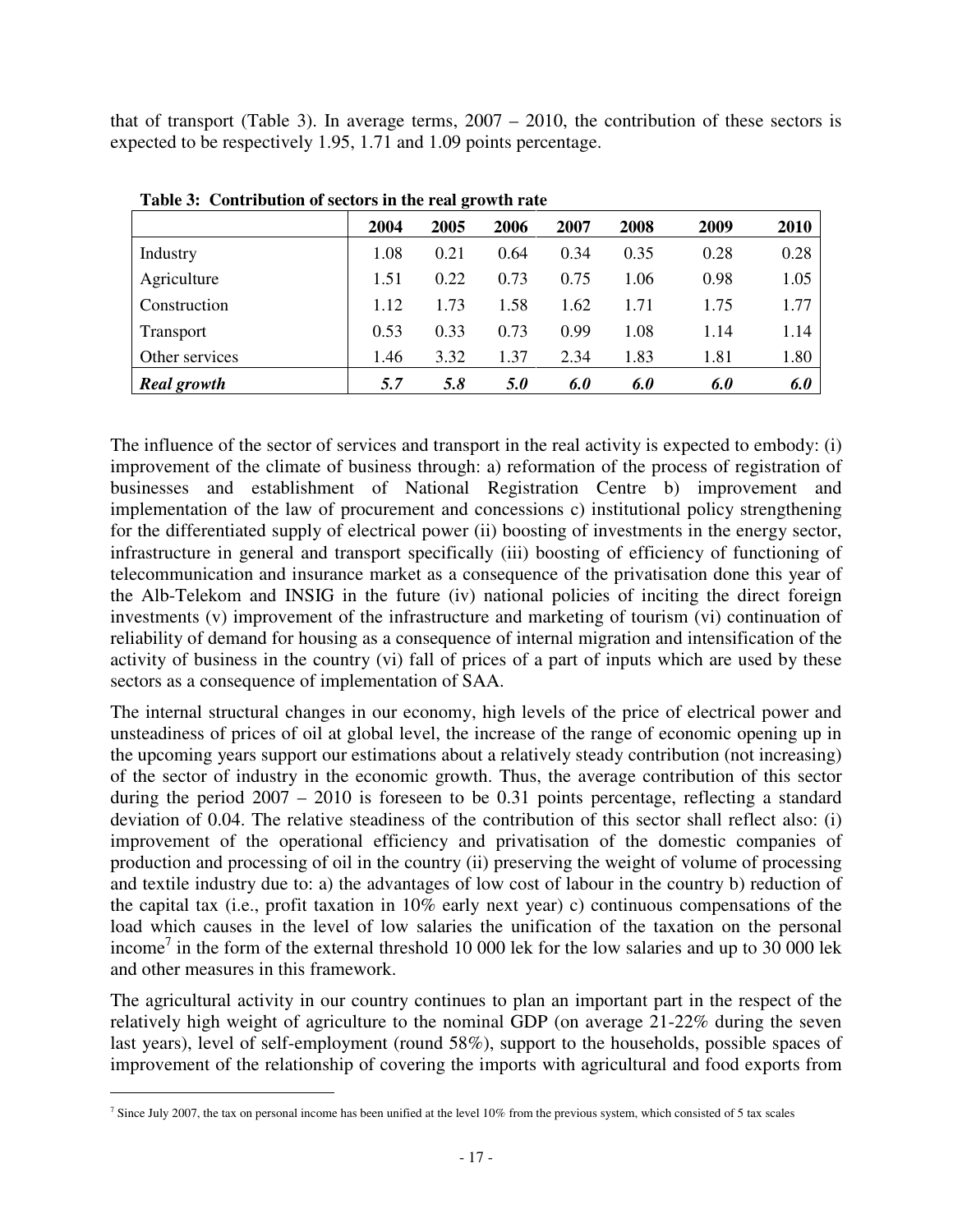that of transport (Table 3). In average terms, 2007 – 2010, the contribution of these sectors is expected to be respectively 1.95, 1.71 and 1.09 points percentage.

|                    |      | ັ    |      |      |      |      |             |
|--------------------|------|------|------|------|------|------|-------------|
|                    | 2004 | 2005 | 2006 | 2007 | 2008 | 2009 | <b>2010</b> |
| Industry           | 1.08 | 0.21 | 0.64 | 0.34 | 0.35 | 0.28 | 0.28        |
| Agriculture        | 1.51 | 0.22 | 0.73 | 0.75 | 1.06 | 0.98 | 1.05        |
| Construction       | 1.12 | 1.73 | 1.58 | 1.62 | 1.71 | 1.75 | 1.77        |
| Transport          | 0.53 | 0.33 | 0.73 | 0.99 | 1.08 | 1.14 | 1.14        |
| Other services     | 1.46 | 3.32 | 1.37 | 2.34 | 1.83 | 1.81 | 1.80        |
| <b>Real growth</b> | 5.7  | 5.8  | 5.0  | 6.0  | 6.0  | 6.0  | 6.0         |

**Table 3: Contribution of sectors in the real growth rate** 

The influence of the sector of services and transport in the real activity is expected to embody: (i) improvement of the climate of business through: a) reformation of the process of registration of businesses and establishment of National Registration Centre b) improvement and implementation of the law of procurement and concessions c) institutional policy strengthening for the differentiated supply of electrical power (ii) boosting of investments in the energy sector, infrastructure in general and transport specifically (iii) boosting of efficiency of functioning of telecommunication and insurance market as a consequence of the privatisation done this year of the Alb-Telekom and INSIG in the future (iv) national policies of inciting the direct foreign investments (v) improvement of the infrastructure and marketing of tourism (vi) continuation of reliability of demand for housing as a consequence of internal migration and intensification of the activity of business in the country (vi) fall of prices of a part of inputs which are used by these sectors as a consequence of implementation of SAA.

The internal structural changes in our economy, high levels of the price of electrical power and unsteadiness of prices of oil at global level, the increase of the range of economic opening up in the upcoming years support our estimations about a relatively steady contribution (not increasing) of the sector of industry in the economic growth. Thus, the average contribution of this sector during the period 2007 – 2010 is foreseen to be 0.31 points percentage, reflecting a standard deviation of 0.04. The relative steadiness of the contribution of this sector shall reflect also: (i) improvement of the operational efficiency and privatisation of the domestic companies of production and processing of oil in the country (ii) preserving the weight of volume of processing and textile industry due to: a) the advantages of low cost of labour in the country b) reduction of the capital tax (i.e., profit taxation in 10% early next year) c) continuous compensations of the load which causes in the level of low salaries the unification of the taxation on the personal income<sup>7</sup> in the form of the external threshold 10 000 lek for the low salaries and up to 30 000 lek and other measures in this framework.

The agricultural activity in our country continues to plan an important part in the respect of the relatively high weight of agriculture to the nominal GDP (on average 21-22% during the seven last years), level of self-employment (round 58%), support to the households, possible spaces of improvement of the relationship of covering the imports with agricultural and food exports from

 $\overline{a}$ 

<sup>&</sup>lt;sup>7</sup> Since July 2007, the tax on personal income has been unified at the level 10% from the previous system, which consisted of 5 tax scales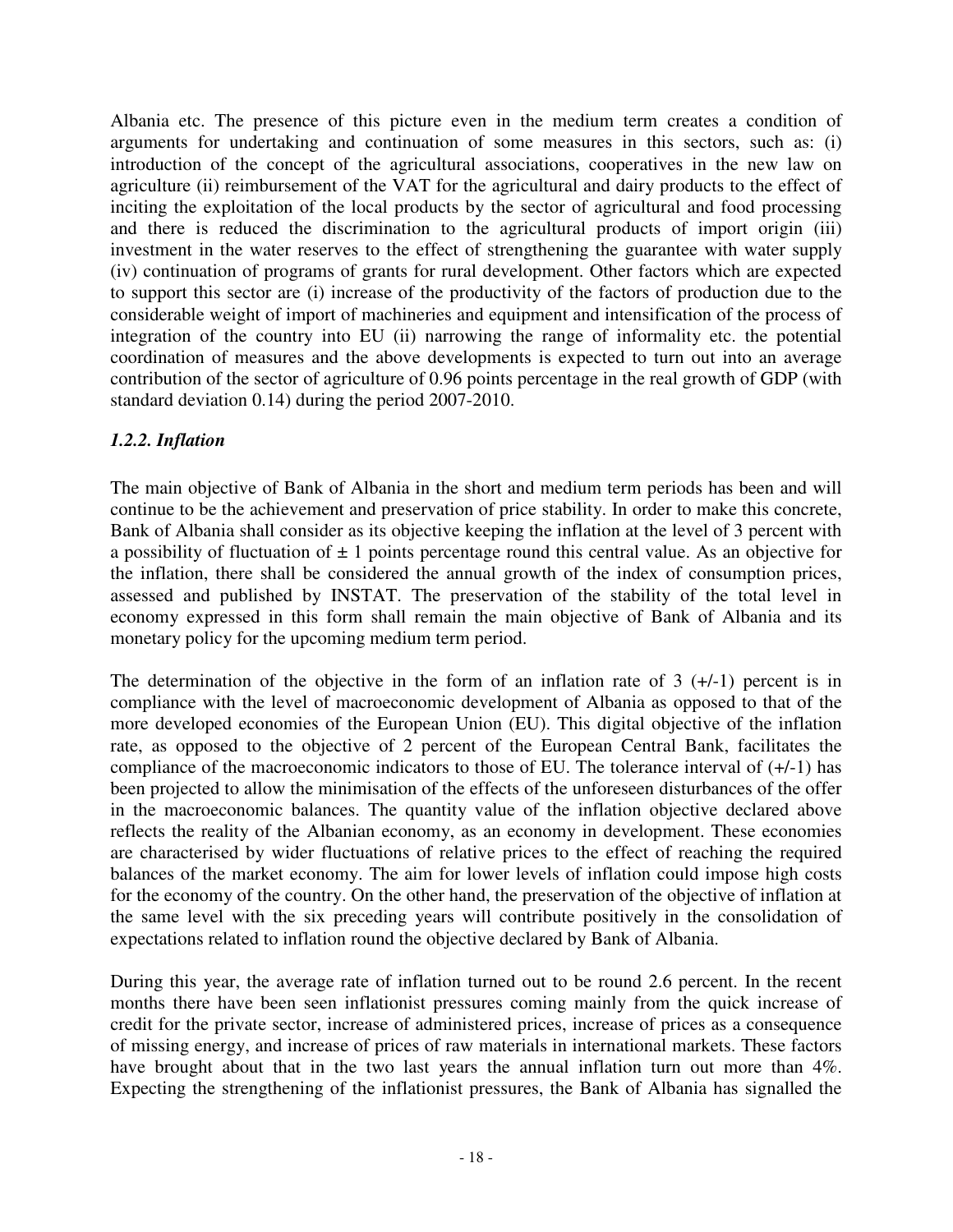Albania etc. The presence of this picture even in the medium term creates a condition of arguments for undertaking and continuation of some measures in this sectors, such as: (i) introduction of the concept of the agricultural associations, cooperatives in the new law on agriculture (ii) reimbursement of the VAT for the agricultural and dairy products to the effect of inciting the exploitation of the local products by the sector of agricultural and food processing and there is reduced the discrimination to the agricultural products of import origin (iii) investment in the water reserves to the effect of strengthening the guarantee with water supply (iv) continuation of programs of grants for rural development. Other factors which are expected to support this sector are (i) increase of the productivity of the factors of production due to the considerable weight of import of machineries and equipment and intensification of the process of integration of the country into EU (ii) narrowing the range of informality etc. the potential coordination of measures and the above developments is expected to turn out into an average contribution of the sector of agriculture of 0.96 points percentage in the real growth of GDP (with standard deviation 0.14) during the period 2007-2010.

## *1.2.2. Inflation*

The main objective of Bank of Albania in the short and medium term periods has been and will continue to be the achievement and preservation of price stability. In order to make this concrete, Bank of Albania shall consider as its objective keeping the inflation at the level of 3 percent with a possibility of fluctuation of  $\pm 1$  points percentage round this central value. As an objective for the inflation, there shall be considered the annual growth of the index of consumption prices, assessed and published by INSTAT. The preservation of the stability of the total level in economy expressed in this form shall remain the main objective of Bank of Albania and its monetary policy for the upcoming medium term period.

The determination of the objective in the form of an inflation rate of  $3 (+/-1)$  percent is in compliance with the level of macroeconomic development of Albania as opposed to that of the more developed economies of the European Union (EU). This digital objective of the inflation rate, as opposed to the objective of 2 percent of the European Central Bank, facilitates the compliance of the macroeconomic indicators to those of EU. The tolerance interval of (+/-1) has been projected to allow the minimisation of the effects of the unforeseen disturbances of the offer in the macroeconomic balances. The quantity value of the inflation objective declared above reflects the reality of the Albanian economy, as an economy in development. These economies are characterised by wider fluctuations of relative prices to the effect of reaching the required balances of the market economy. The aim for lower levels of inflation could impose high costs for the economy of the country. On the other hand, the preservation of the objective of inflation at the same level with the six preceding years will contribute positively in the consolidation of expectations related to inflation round the objective declared by Bank of Albania.

During this year, the average rate of inflation turned out to be round 2.6 percent. In the recent months there have been seen inflationist pressures coming mainly from the quick increase of credit for the private sector, increase of administered prices, increase of prices as a consequence of missing energy, and increase of prices of raw materials in international markets. These factors have brought about that in the two last years the annual inflation turn out more than 4%. Expecting the strengthening of the inflationist pressures, the Bank of Albania has signalled the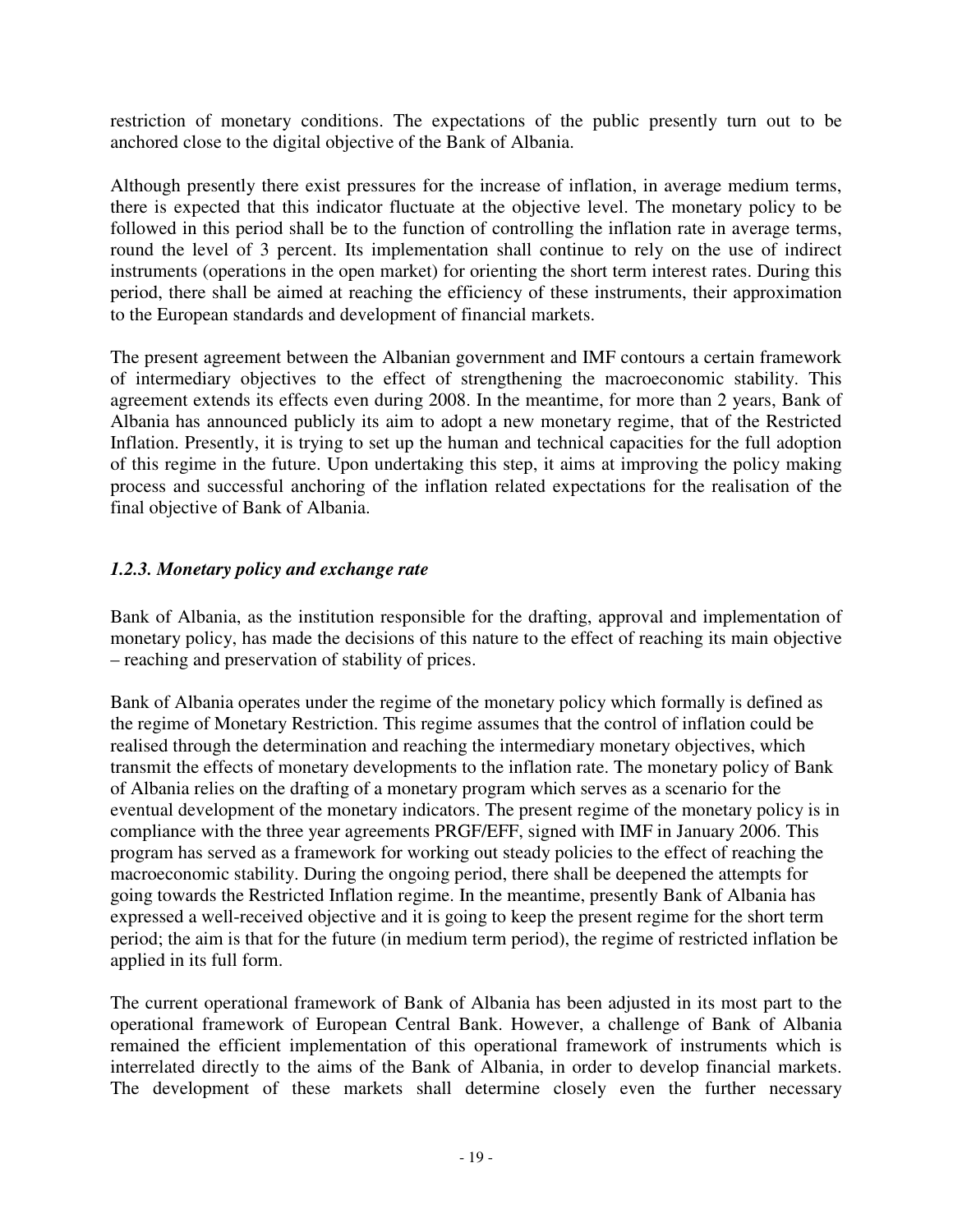restriction of monetary conditions. The expectations of the public presently turn out to be anchored close to the digital objective of the Bank of Albania.

Although presently there exist pressures for the increase of inflation, in average medium terms, there is expected that this indicator fluctuate at the objective level. The monetary policy to be followed in this period shall be to the function of controlling the inflation rate in average terms, round the level of 3 percent. Its implementation shall continue to rely on the use of indirect instruments (operations in the open market) for orienting the short term interest rates. During this period, there shall be aimed at reaching the efficiency of these instruments, their approximation to the European standards and development of financial markets.

The present agreement between the Albanian government and IMF contours a certain framework of intermediary objectives to the effect of strengthening the macroeconomic stability. This agreement extends its effects even during 2008. In the meantime, for more than 2 years, Bank of Albania has announced publicly its aim to adopt a new monetary regime, that of the Restricted Inflation. Presently, it is trying to set up the human and technical capacities for the full adoption of this regime in the future. Upon undertaking this step, it aims at improving the policy making process and successful anchoring of the inflation related expectations for the realisation of the final objective of Bank of Albania.

## *1.2.3. Monetary policy and exchange rate*

Bank of Albania, as the institution responsible for the drafting, approval and implementation of monetary policy, has made the decisions of this nature to the effect of reaching its main objective – reaching and preservation of stability of prices.

Bank of Albania operates under the regime of the monetary policy which formally is defined as the regime of Monetary Restriction. This regime assumes that the control of inflation could be realised through the determination and reaching the intermediary monetary objectives, which transmit the effects of monetary developments to the inflation rate. The monetary policy of Bank of Albania relies on the drafting of a monetary program which serves as a scenario for the eventual development of the monetary indicators. The present regime of the monetary policy is in compliance with the three year agreements PRGF/EFF, signed with IMF in January 2006. This program has served as a framework for working out steady policies to the effect of reaching the macroeconomic stability. During the ongoing period, there shall be deepened the attempts for going towards the Restricted Inflation regime. In the meantime, presently Bank of Albania has expressed a well-received objective and it is going to keep the present regime for the short term period; the aim is that for the future (in medium term period), the regime of restricted inflation be applied in its full form.

The current operational framework of Bank of Albania has been adjusted in its most part to the operational framework of European Central Bank. However, a challenge of Bank of Albania remained the efficient implementation of this operational framework of instruments which is interrelated directly to the aims of the Bank of Albania, in order to develop financial markets. The development of these markets shall determine closely even the further necessary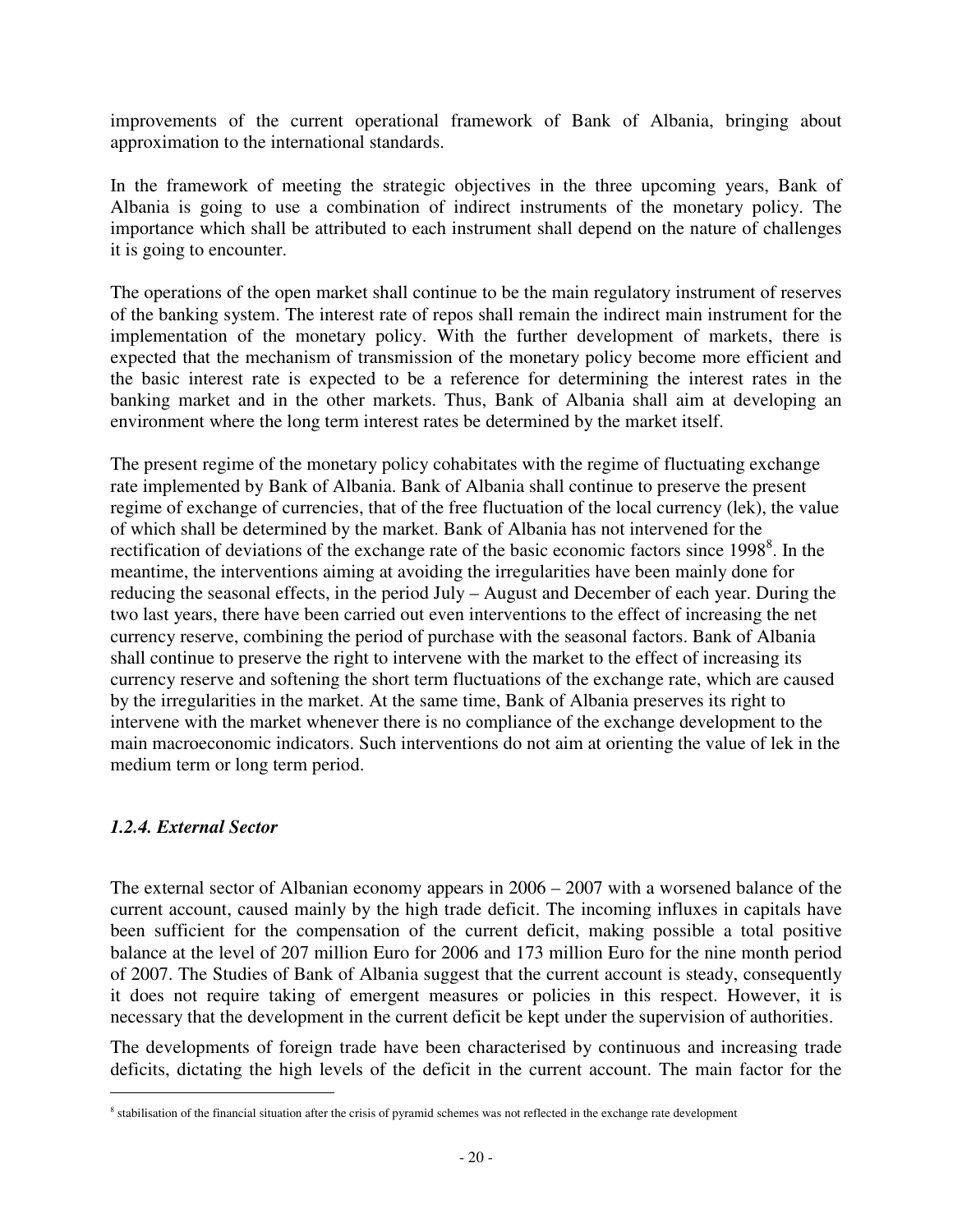improvements of the current operational framework of Bank of Albania, bringing about approximation to the international standards.

In the framework of meeting the strategic objectives in the three upcoming years, Bank of Albania is going to use a combination of indirect instruments of the monetary policy. The importance which shall be attributed to each instrument shall depend on the nature of challenges it is going to encounter.

The operations of the open market shall continue to be the main regulatory instrument of reserves of the banking system. The interest rate of repos shall remain the indirect main instrument for the implementation of the monetary policy. With the further development of markets, there is expected that the mechanism of transmission of the monetary policy become more efficient and the basic interest rate is expected to be a reference for determining the interest rates in the banking market and in the other markets. Thus, Bank of Albania shall aim at developing an environment where the long term interest rates be determined by the market itself.

The present regime of the monetary policy cohabitates with the regime of fluctuating exchange rate implemented by Bank of Albania. Bank of Albania shall continue to preserve the present regime of exchange of currencies, that of the free fluctuation of the local currency (lek), the value of which shall be determined by the market. Bank of Albania has not intervened for the rectification of deviations of the exchange rate of the basic economic factors since  $1998<sup>8</sup>$ . In the meantime, the interventions aiming at avoiding the irregularities have been mainly done for reducing the seasonal effects, in the period July – August and December of each year. During the two last years, there have been carried out even interventions to the effect of increasing the net currency reserve, combining the period of purchase with the seasonal factors. Bank of Albania shall continue to preserve the right to intervene with the market to the effect of increasing its currency reserve and softening the short term fluctuations of the exchange rate, which are caused by the irregularities in the market. At the same time, Bank of Albania preserves its right to intervene with the market whenever there is no compliance of the exchange development to the main macroeconomic indicators. Such interventions do not aim at orienting the value of lek in the medium term or long term period.

## *1.2.4. External Sector*

 $\overline{a}$ 

The external sector of Albanian economy appears in 2006 – 2007 with a worsened balance of the current account, caused mainly by the high trade deficit. The incoming influxes in capitals have been sufficient for the compensation of the current deficit, making possible a total positive balance at the level of 207 million Euro for 2006 and 173 million Euro for the nine month period of 2007. The Studies of Bank of Albania suggest that the current account is steady, consequently it does not require taking of emergent measures or policies in this respect. However, it is necessary that the development in the current deficit be kept under the supervision of authorities.

The developments of foreign trade have been characterised by continuous and increasing trade deficits, dictating the high levels of the deficit in the current account. The main factor for the

<sup>&</sup>lt;sup>8</sup> stabilisation of the financial situation after the crisis of pyramid schemes was not reflected in the exchange rate development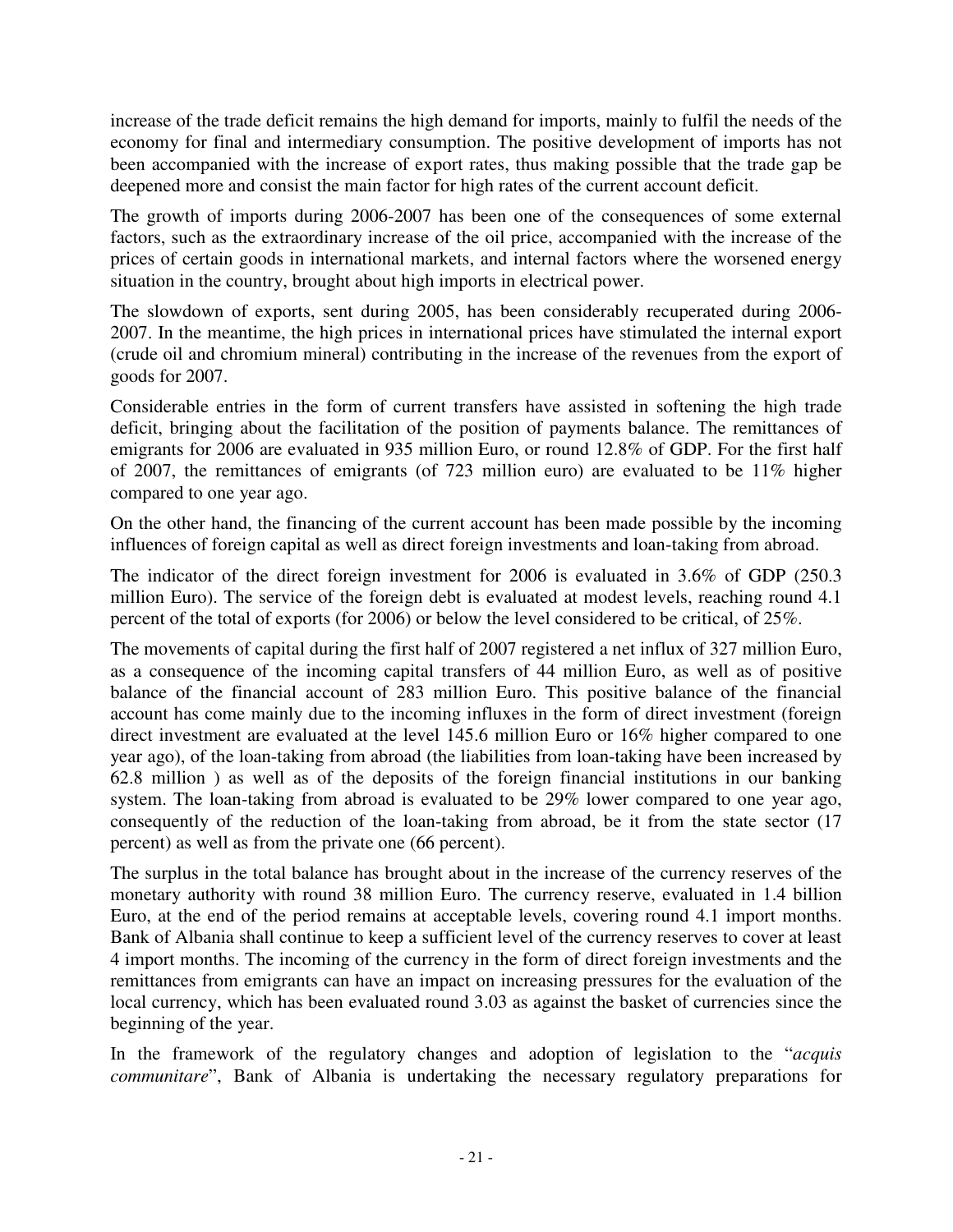increase of the trade deficit remains the high demand for imports, mainly to fulfil the needs of the economy for final and intermediary consumption. The positive development of imports has not been accompanied with the increase of export rates, thus making possible that the trade gap be deepened more and consist the main factor for high rates of the current account deficit.

The growth of imports during 2006-2007 has been one of the consequences of some external factors, such as the extraordinary increase of the oil price, accompanied with the increase of the prices of certain goods in international markets, and internal factors where the worsened energy situation in the country, brought about high imports in electrical power.

The slowdown of exports, sent during 2005, has been considerably recuperated during 2006- 2007. In the meantime, the high prices in international prices have stimulated the internal export (crude oil and chromium mineral) contributing in the increase of the revenues from the export of goods for 2007.

Considerable entries in the form of current transfers have assisted in softening the high trade deficit, bringing about the facilitation of the position of payments balance. The remittances of emigrants for 2006 are evaluated in 935 million Euro, or round 12.8% of GDP. For the first half of 2007, the remittances of emigrants (of 723 million euro) are evaluated to be 11% higher compared to one year ago.

On the other hand, the financing of the current account has been made possible by the incoming influences of foreign capital as well as direct foreign investments and loan-taking from abroad.

The indicator of the direct foreign investment for 2006 is evaluated in 3.6% of GDP (250.3 million Euro). The service of the foreign debt is evaluated at modest levels, reaching round 4.1 percent of the total of exports (for 2006) or below the level considered to be critical, of 25%.

The movements of capital during the first half of 2007 registered a net influx of 327 million Euro, as a consequence of the incoming capital transfers of 44 million Euro, as well as of positive balance of the financial account of 283 million Euro. This positive balance of the financial account has come mainly due to the incoming influxes in the form of direct investment (foreign direct investment are evaluated at the level 145.6 million Euro or 16% higher compared to one year ago), of the loan-taking from abroad (the liabilities from loan-taking have been increased by 62.8 million ) as well as of the deposits of the foreign financial institutions in our banking system. The loan-taking from abroad is evaluated to be 29% lower compared to one year ago, consequently of the reduction of the loan-taking from abroad, be it from the state sector (17 percent) as well as from the private one (66 percent).

The surplus in the total balance has brought about in the increase of the currency reserves of the monetary authority with round 38 million Euro. The currency reserve, evaluated in 1.4 billion Euro, at the end of the period remains at acceptable levels, covering round 4.1 import months. Bank of Albania shall continue to keep a sufficient level of the currency reserves to cover at least 4 import months. The incoming of the currency in the form of direct foreign investments and the remittances from emigrants can have an impact on increasing pressures for the evaluation of the local currency, which has been evaluated round 3.03 as against the basket of currencies since the beginning of the year.

In the framework of the regulatory changes and adoption of legislation to the "*acquis communitare*", Bank of Albania is undertaking the necessary regulatory preparations for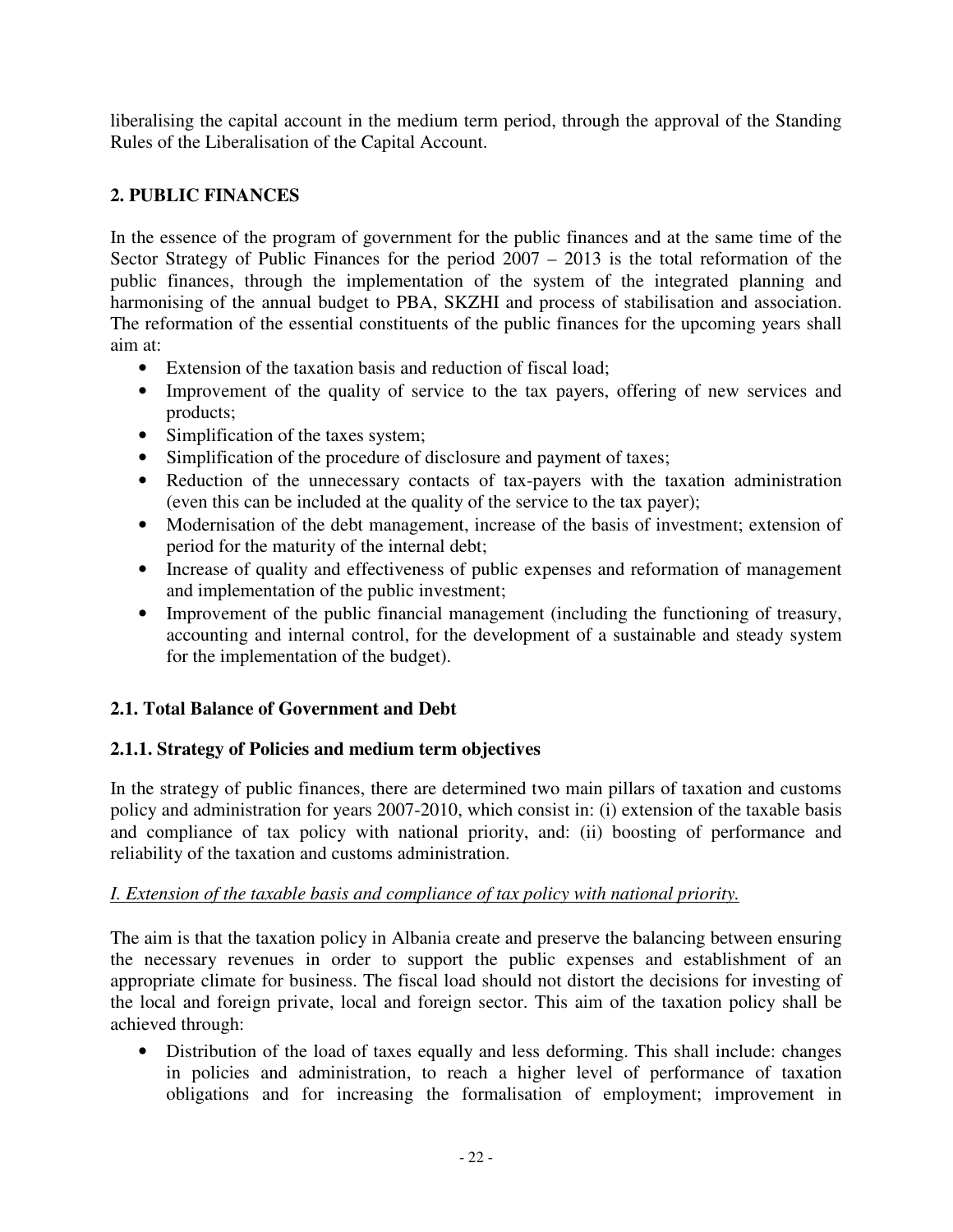liberalising the capital account in the medium term period, through the approval of the Standing Rules of the Liberalisation of the Capital Account.

## **2. PUBLIC FINANCES**

In the essence of the program of government for the public finances and at the same time of the Sector Strategy of Public Finances for the period  $2007 - 2013$  is the total reformation of the public finances, through the implementation of the system of the integrated planning and harmonising of the annual budget to PBA, SKZHI and process of stabilisation and association. The reformation of the essential constituents of the public finances for the upcoming years shall aim at:

- Extension of the taxation basis and reduction of fiscal load;
- Improvement of the quality of service to the tax payers, offering of new services and products;
- Simplification of the taxes system;
- Simplification of the procedure of disclosure and payment of taxes;
- Reduction of the unnecessary contacts of tax-payers with the taxation administration (even this can be included at the quality of the service to the tax payer);
- Modernisation of the debt management, increase of the basis of investment; extension of period for the maturity of the internal debt;
- Increase of quality and effectiveness of public expenses and reformation of management and implementation of the public investment;
- Improvement of the public financial management (including the functioning of treasury, accounting and internal control, for the development of a sustainable and steady system for the implementation of the budget).

# **2.1. Total Balance of Government and Debt**

## **2.1.1. Strategy of Policies and medium term objectives**

In the strategy of public finances, there are determined two main pillars of taxation and customs policy and administration for years 2007-2010, which consist in: (i) extension of the taxable basis and compliance of tax policy with national priority, and: (ii) boosting of performance and reliability of the taxation and customs administration.

## *I. Extension of the taxable basis and compliance of tax policy with national priority.*

The aim is that the taxation policy in Albania create and preserve the balancing between ensuring the necessary revenues in order to support the public expenses and establishment of an appropriate climate for business. The fiscal load should not distort the decisions for investing of the local and foreign private, local and foreign sector. This aim of the taxation policy shall be achieved through:

• Distribution of the load of taxes equally and less deforming. This shall include: changes in policies and administration, to reach a higher level of performance of taxation obligations and for increasing the formalisation of employment; improvement in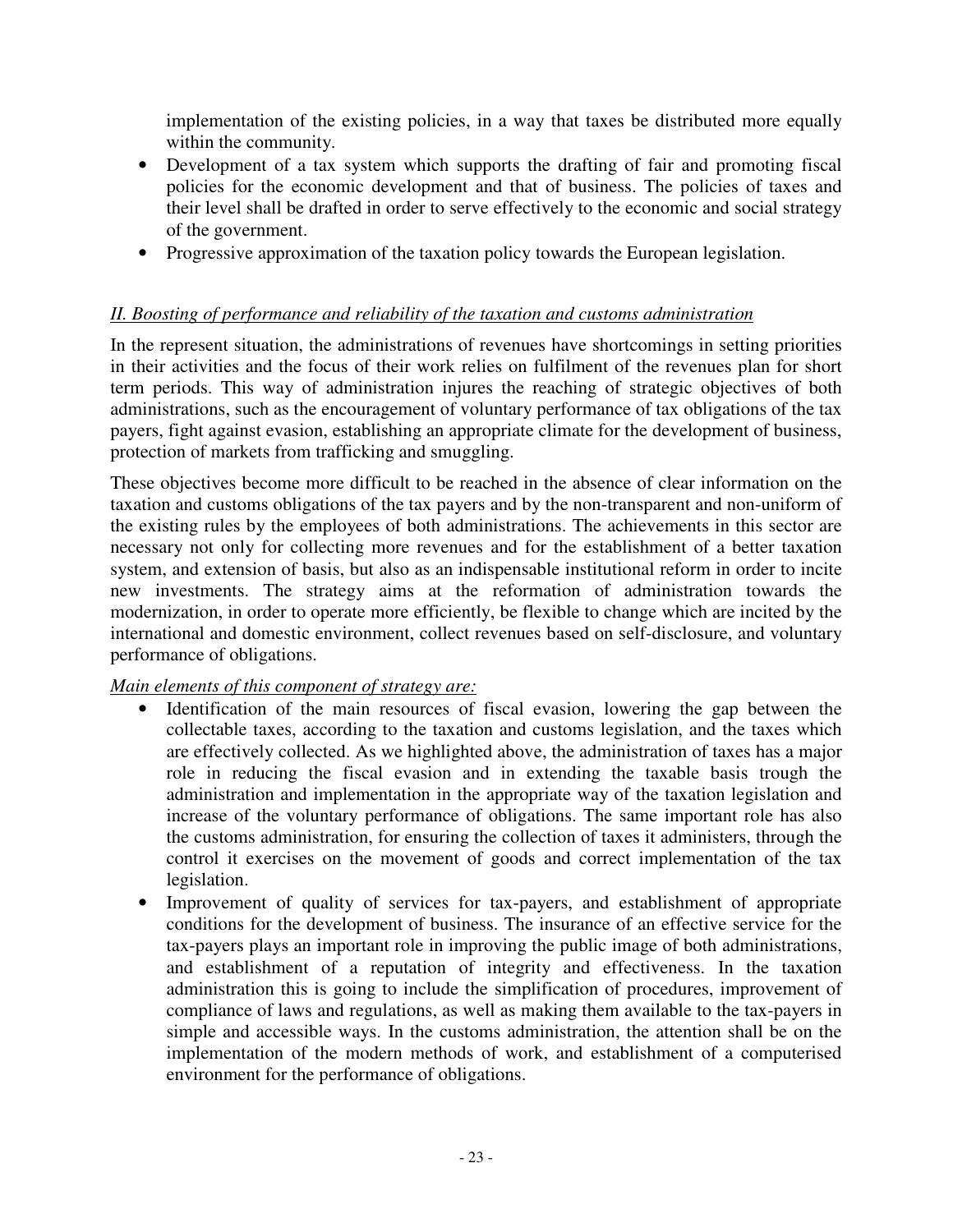implementation of the existing policies, in a way that taxes be distributed more equally within the community.

- Development of a tax system which supports the drafting of fair and promoting fiscal policies for the economic development and that of business. The policies of taxes and their level shall be drafted in order to serve effectively to the economic and social strategy of the government.
- Progressive approximation of the taxation policy towards the European legislation.

## *II. Boosting of performance and reliability of the taxation and customs administration*

In the represent situation, the administrations of revenues have shortcomings in setting priorities in their activities and the focus of their work relies on fulfilment of the revenues plan for short term periods. This way of administration injures the reaching of strategic objectives of both administrations, such as the encouragement of voluntary performance of tax obligations of the tax payers, fight against evasion, establishing an appropriate climate for the development of business, protection of markets from trafficking and smuggling.

These objectives become more difficult to be reached in the absence of clear information on the taxation and customs obligations of the tax payers and by the non-transparent and non-uniform of the existing rules by the employees of both administrations. The achievements in this sector are necessary not only for collecting more revenues and for the establishment of a better taxation system, and extension of basis, but also as an indispensable institutional reform in order to incite new investments. The strategy aims at the reformation of administration towards the modernization, in order to operate more efficiently, be flexible to change which are incited by the international and domestic environment, collect revenues based on self-disclosure, and voluntary performance of obligations.

## *Main elements of this component of strategy are:*

- Identification of the main resources of fiscal evasion, lowering the gap between the collectable taxes, according to the taxation and customs legislation, and the taxes which are effectively collected. As we highlighted above, the administration of taxes has a major role in reducing the fiscal evasion and in extending the taxable basis trough the administration and implementation in the appropriate way of the taxation legislation and increase of the voluntary performance of obligations. The same important role has also the customs administration, for ensuring the collection of taxes it administers, through the control it exercises on the movement of goods and correct implementation of the tax legislation.
- Improvement of quality of services for tax-payers, and establishment of appropriate conditions for the development of business. The insurance of an effective service for the tax-payers plays an important role in improving the public image of both administrations, and establishment of a reputation of integrity and effectiveness. In the taxation administration this is going to include the simplification of procedures, improvement of compliance of laws and regulations, as well as making them available to the tax-payers in simple and accessible ways. In the customs administration, the attention shall be on the implementation of the modern methods of work, and establishment of a computerised environment for the performance of obligations.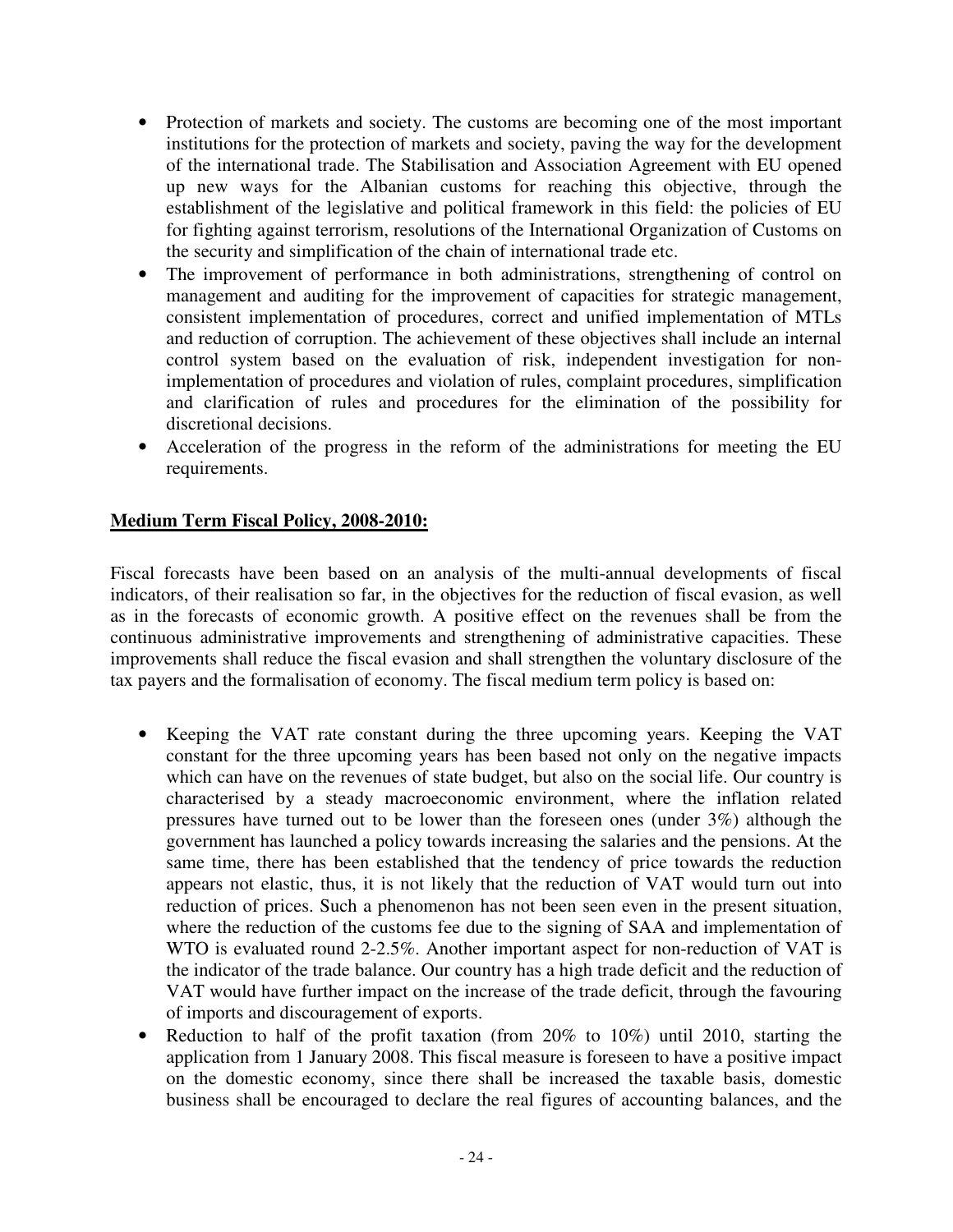- Protection of markets and society. The customs are becoming one of the most important institutions for the protection of markets and society, paving the way for the development of the international trade. The Stabilisation and Association Agreement with EU opened up new ways for the Albanian customs for reaching this objective, through the establishment of the legislative and political framework in this field: the policies of EU for fighting against terrorism, resolutions of the International Organization of Customs on the security and simplification of the chain of international trade etc.
- The improvement of performance in both administrations, strengthening of control on management and auditing for the improvement of capacities for strategic management, consistent implementation of procedures, correct and unified implementation of MTLs and reduction of corruption. The achievement of these objectives shall include an internal control system based on the evaluation of risk, independent investigation for nonimplementation of procedures and violation of rules, complaint procedures, simplification and clarification of rules and procedures for the elimination of the possibility for discretional decisions.
- Acceleration of the progress in the reform of the administrations for meeting the EU requirements.

## **Medium Term Fiscal Policy, 2008-2010:**

Fiscal forecasts have been based on an analysis of the multi-annual developments of fiscal indicators, of their realisation so far, in the objectives for the reduction of fiscal evasion, as well as in the forecasts of economic growth. A positive effect on the revenues shall be from the continuous administrative improvements and strengthening of administrative capacities. These improvements shall reduce the fiscal evasion and shall strengthen the voluntary disclosure of the tax payers and the formalisation of economy. The fiscal medium term policy is based on:

- Keeping the VAT rate constant during the three upcoming years. Keeping the VAT constant for the three upcoming years has been based not only on the negative impacts which can have on the revenues of state budget, but also on the social life. Our country is characterised by a steady macroeconomic environment, where the inflation related pressures have turned out to be lower than the foreseen ones (under 3%) although the government has launched a policy towards increasing the salaries and the pensions. At the same time, there has been established that the tendency of price towards the reduction appears not elastic, thus, it is not likely that the reduction of VAT would turn out into reduction of prices. Such a phenomenon has not been seen even in the present situation, where the reduction of the customs fee due to the signing of SAA and implementation of WTO is evaluated round 2-2.5%. Another important aspect for non-reduction of VAT is the indicator of the trade balance. Our country has a high trade deficit and the reduction of VAT would have further impact on the increase of the trade deficit, through the favouring of imports and discouragement of exports.
- Reduction to half of the profit taxation (from 20% to 10%) until 2010, starting the application from 1 January 2008. This fiscal measure is foreseen to have a positive impact on the domestic economy, since there shall be increased the taxable basis, domestic business shall be encouraged to declare the real figures of accounting balances, and the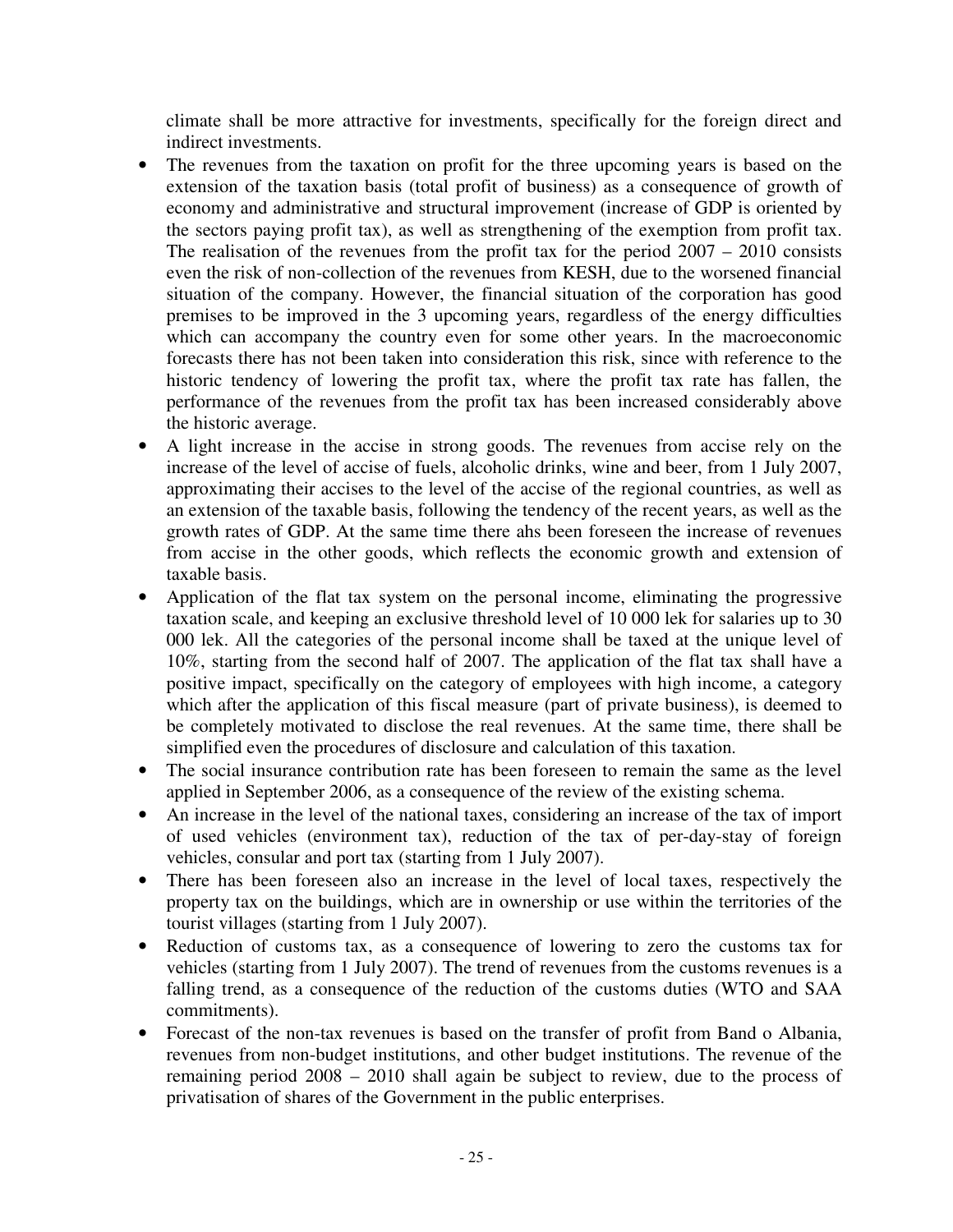climate shall be more attractive for investments, specifically for the foreign direct and indirect investments.

- The revenues from the taxation on profit for the three upcoming years is based on the extension of the taxation basis (total profit of business) as a consequence of growth of economy and administrative and structural improvement (increase of GDP is oriented by the sectors paying profit tax), as well as strengthening of the exemption from profit tax. The realisation of the revenues from the profit tax for the period  $2007 - 2010$  consists even the risk of non-collection of the revenues from KESH, due to the worsened financial situation of the company. However, the financial situation of the corporation has good premises to be improved in the 3 upcoming years, regardless of the energy difficulties which can accompany the country even for some other years. In the macroeconomic forecasts there has not been taken into consideration this risk, since with reference to the historic tendency of lowering the profit tax, where the profit tax rate has fallen, the performance of the revenues from the profit tax has been increased considerably above the historic average.
- A light increase in the accise in strong goods. The revenues from accise rely on the increase of the level of accise of fuels, alcoholic drinks, wine and beer, from 1 July 2007, approximating their accises to the level of the accise of the regional countries, as well as an extension of the taxable basis, following the tendency of the recent years, as well as the growth rates of GDP. At the same time there ahs been foreseen the increase of revenues from accise in the other goods, which reflects the economic growth and extension of taxable basis.
- Application of the flat tax system on the personal income, eliminating the progressive taxation scale, and keeping an exclusive threshold level of 10 000 lek for salaries up to 30 000 lek. All the categories of the personal income shall be taxed at the unique level of 10%, starting from the second half of 2007. The application of the flat tax shall have a positive impact, specifically on the category of employees with high income, a category which after the application of this fiscal measure (part of private business), is deemed to be completely motivated to disclose the real revenues. At the same time, there shall be simplified even the procedures of disclosure and calculation of this taxation.
- The social insurance contribution rate has been foreseen to remain the same as the level applied in September 2006, as a consequence of the review of the existing schema.
- An increase in the level of the national taxes, considering an increase of the tax of import of used vehicles (environment tax), reduction of the tax of per-day-stay of foreign vehicles, consular and port tax (starting from 1 July 2007).
- There has been foreseen also an increase in the level of local taxes, respectively the property tax on the buildings, which are in ownership or use within the territories of the tourist villages (starting from 1 July 2007).
- Reduction of customs tax, as a consequence of lowering to zero the customs tax for vehicles (starting from 1 July 2007). The trend of revenues from the customs revenues is a falling trend, as a consequence of the reduction of the customs duties (WTO and SAA commitments).
- Forecast of the non-tax revenues is based on the transfer of profit from Band o Albania, revenues from non-budget institutions, and other budget institutions. The revenue of the remaining period 2008 – 2010 shall again be subject to review, due to the process of privatisation of shares of the Government in the public enterprises.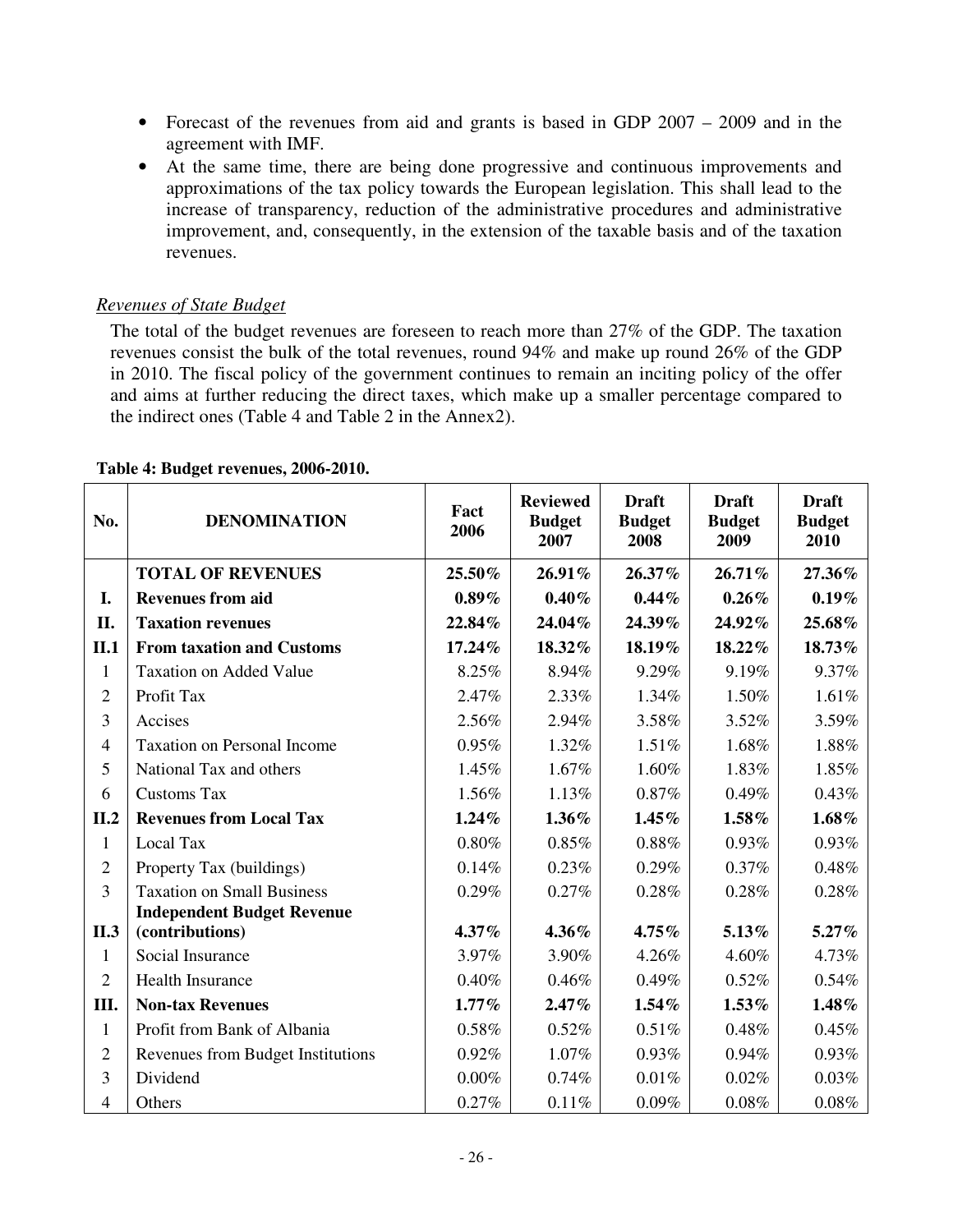- Forecast of the revenues from aid and grants is based in GDP 2007 2009 and in the agreement with IMF.
- At the same time, there are being done progressive and continuous improvements and approximations of the tax policy towards the European legislation. This shall lead to the increase of transparency, reduction of the administrative procedures and administrative improvement, and, consequently, in the extension of the taxable basis and of the taxation revenues.

## *Revenues of State Budget*

The total of the budget revenues are foreseen to reach more than 27% of the GDP. The taxation revenues consist the bulk of the total revenues, round 94% and make up round 26% of the GDP in 2010. The fiscal policy of the government continues to remain an inciting policy of the offer and aims at further reducing the direct taxes, which make up a smaller percentage compared to the indirect ones (Table 4 and Table 2 in the Annex2).

| No.            | <b>DENOMINATION</b>                | Fact<br>2006 | <b>Reviewed</b><br><b>Budget</b><br>2007 | <b>Draft</b><br><b>Budget</b><br>2008 | <b>Draft</b><br><b>Budget</b><br>2009 | <b>Draft</b><br><b>Budget</b><br>2010 |
|----------------|------------------------------------|--------------|------------------------------------------|---------------------------------------|---------------------------------------|---------------------------------------|
|                | <b>TOTAL OF REVENUES</b>           | 25.50%       | 26.91%                                   | 26.37%                                | $26.71\%$                             | 27.36%                                |
| I.             | <b>Revenues from aid</b>           | $0.89\%$     | $0.40\%$                                 | $0.44\%$                              | $0.26\%$                              | 0.19%                                 |
| II.            | <b>Taxation revenues</b>           | 22.84%       | 24.04%                                   | 24.39%                                | 24.92%                                | 25.68%                                |
| II.1           | <b>From taxation and Customs</b>   | 17.24%       | 18.32%                                   | 18.19%                                | 18.22%                                | 18.73%                                |
| 1              | <b>Taxation on Added Value</b>     | 8.25%        | 8.94%                                    | 9.29%                                 | 9.19%                                 | 9.37%                                 |
| $\overline{2}$ | Profit Tax                         | 2.47%        | 2.33%                                    | 1.34%                                 | 1.50%                                 | 1.61%                                 |
| 3              | Accises                            | 2.56%        | 2.94%                                    | 3.58%                                 | 3.52%                                 | 3.59%                                 |
| 4              | <b>Taxation on Personal Income</b> | 0.95%        | 1.32%                                    | 1.51%                                 | 1.68%                                 | 1.88%                                 |
| 5              | National Tax and others            | 1.45%        | 1.67%                                    | 1.60%                                 | 1.83%                                 | 1.85%                                 |
| 6              | <b>Customs Tax</b>                 | 1.56%        | 1.13%                                    | 0.87%                                 | 0.49%                                 | 0.43%                                 |
| II.2           | <b>Revenues from Local Tax</b>     | 1.24%        | 1.36%                                    | $1.45\%$                              | 1.58%                                 | $1.68\%$                              |
| $\mathbf{1}$   | Local Tax                          | $0.80\%$     | 0.85%                                    | 0.88%                                 | 0.93%                                 | 0.93%                                 |
| $\overline{2}$ | Property Tax (buildings)           | 0.14%        | 0.23%                                    | 0.29%                                 | 0.37%                                 | 0.48%                                 |
| 3              | <b>Taxation on Small Business</b>  | 0.29%        | 0.27%                                    | 0.28%                                 | 0.28%                                 | 0.28%                                 |
|                | <b>Independent Budget Revenue</b>  |              |                                          |                                       |                                       |                                       |
| II.3           | (contributions)                    | $4.37\%$     | 4.36%                                    | $4.75\%$                              | 5.13%                                 | $5.27\%$                              |
| $\mathbf{1}$   | Social Insurance                   | 3.97%        | 3.90%                                    | 4.26%                                 | 4.60%                                 | 4.73%                                 |
| $\overline{2}$ | <b>Health Insurance</b>            | 0.40%        | 0.46%                                    | 0.49%                                 | 0.52%                                 | 0.54%                                 |
| III.           | <b>Non-tax Revenues</b>            | $1.77\%$     | 2.47%                                    | 1.54%                                 | 1.53%                                 | $1.48\%$                              |
| $\mathbf{1}$   | Profit from Bank of Albania        | 0.58%        | 0.52%                                    | 0.51%                                 | 0.48%                                 | 0.45%                                 |
| $\overline{2}$ | Revenues from Budget Institutions  | 0.92%        | 1.07%                                    | 0.93%                                 | $0.94\%$                              | 0.93%                                 |
| 3              | Dividend                           | $0.00\%$     | 0.74%                                    | 0.01%                                 | 0.02%                                 | 0.03%                                 |
| $\overline{4}$ | Others                             | 0.27%        | 0.11%                                    | 0.09%                                 | 0.08%                                 | 0.08%                                 |

#### **Table 4: Budget revenues, 2006-2010.**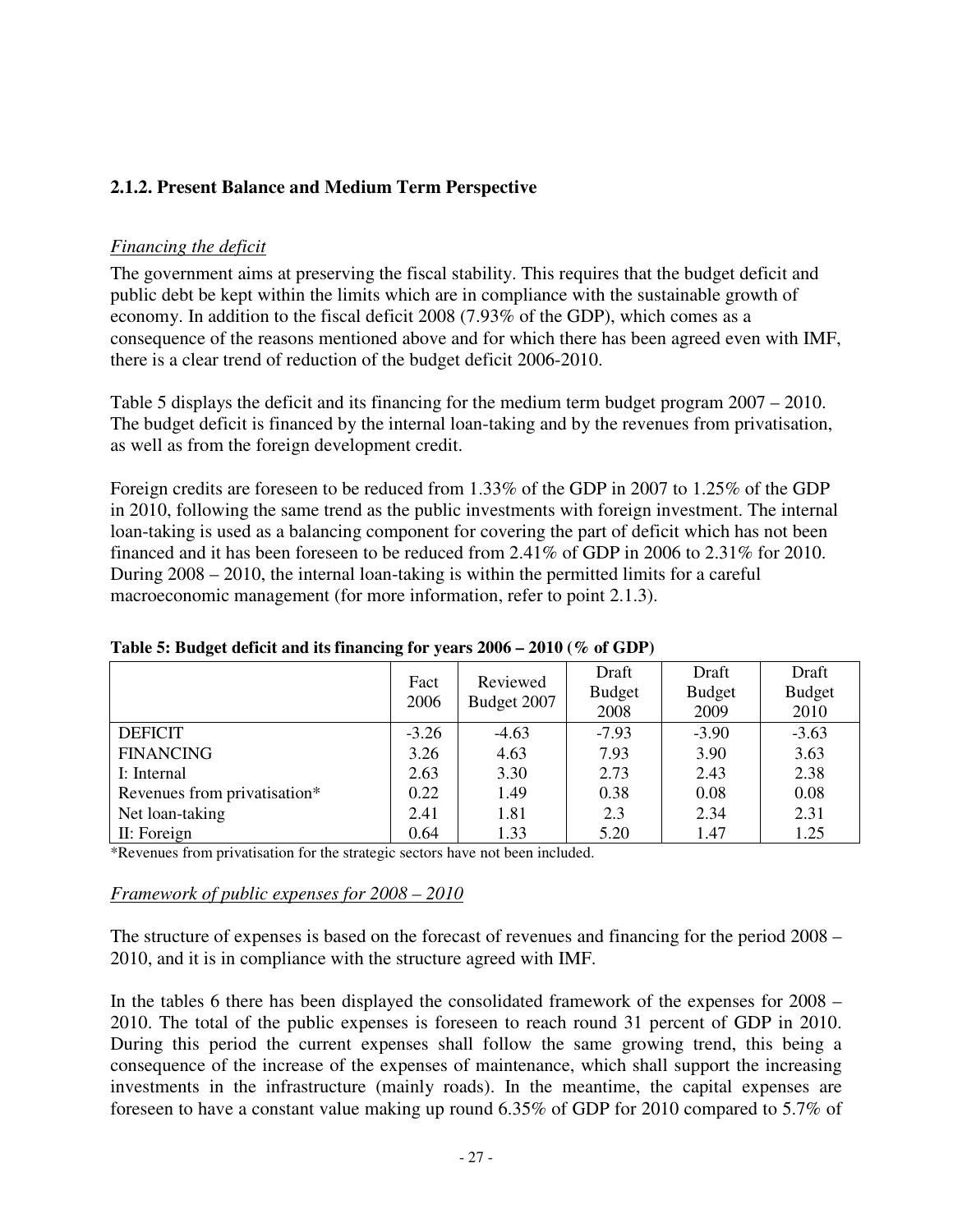## **2.1.2. Present Balance and Medium Term Perspective**

## *Financing the deficit*

The government aims at preserving the fiscal stability. This requires that the budget deficit and public debt be kept within the limits which are in compliance with the sustainable growth of economy. In addition to the fiscal deficit 2008 (7.93% of the GDP), which comes as a consequence of the reasons mentioned above and for which there has been agreed even with IMF, there is a clear trend of reduction of the budget deficit 2006-2010.

Table 5 displays the deficit and its financing for the medium term budget program 2007 – 2010. The budget deficit is financed by the internal loan-taking and by the revenues from privatisation, as well as from the foreign development credit.

Foreign credits are foreseen to be reduced from 1.33% of the GDP in 2007 to 1.25% of the GDP in 2010, following the same trend as the public investments with foreign investment. The internal loan-taking is used as a balancing component for covering the part of deficit which has not been financed and it has been foreseen to be reduced from 2.41% of GDP in 2006 to 2.31% for 2010. During 2008 – 2010, the internal loan-taking is within the permitted limits for a careful macroeconomic management (for more information, refer to point 2.1.3).

|                              | Fact<br>2006 | Reviewed<br>Budget 2007 | Draft<br><b>Budget</b><br>2008 | Draft<br><b>Budget</b><br>2009 | Draft<br><b>Budget</b><br>2010 |
|------------------------------|--------------|-------------------------|--------------------------------|--------------------------------|--------------------------------|
| <b>DEFICIT</b>               | $-3.26$      | $-4.63$                 | $-7.93$                        | $-3.90$                        | $-3.63$                        |
| <b>FINANCING</b>             | 3.26         | 4.63                    | 7.93                           | 3.90                           | 3.63                           |
| I: Internal                  | 2.63         | 3.30                    | 2.73                           | 2.43                           | 2.38                           |
| Revenues from privatisation* | 0.22         | 1.49                    | 0.38                           | 0.08                           | 0.08                           |
| Net loan-taking              | 2.41         | 1.81                    | 2.3                            | 2.34                           | 2.31                           |
| II: Foreign                  | 0.64         | 1.33                    | 5.20                           | 1.47                           | 1.25                           |

**Table 5: Budget deficit and its financing for years 2006 – 2010 (% of GDP)** 

\*Revenues from privatisation for the strategic sectors have not been included.

#### *Framework of public expenses for 2008 – 2010*

The structure of expenses is based on the forecast of revenues and financing for the period 2008 – 2010, and it is in compliance with the structure agreed with IMF.

In the tables 6 there has been displayed the consolidated framework of the expenses for 2008 – 2010. The total of the public expenses is foreseen to reach round 31 percent of GDP in 2010. During this period the current expenses shall follow the same growing trend, this being a consequence of the increase of the expenses of maintenance, which shall support the increasing investments in the infrastructure (mainly roads). In the meantime, the capital expenses are foreseen to have a constant value making up round 6.35% of GDP for 2010 compared to 5.7% of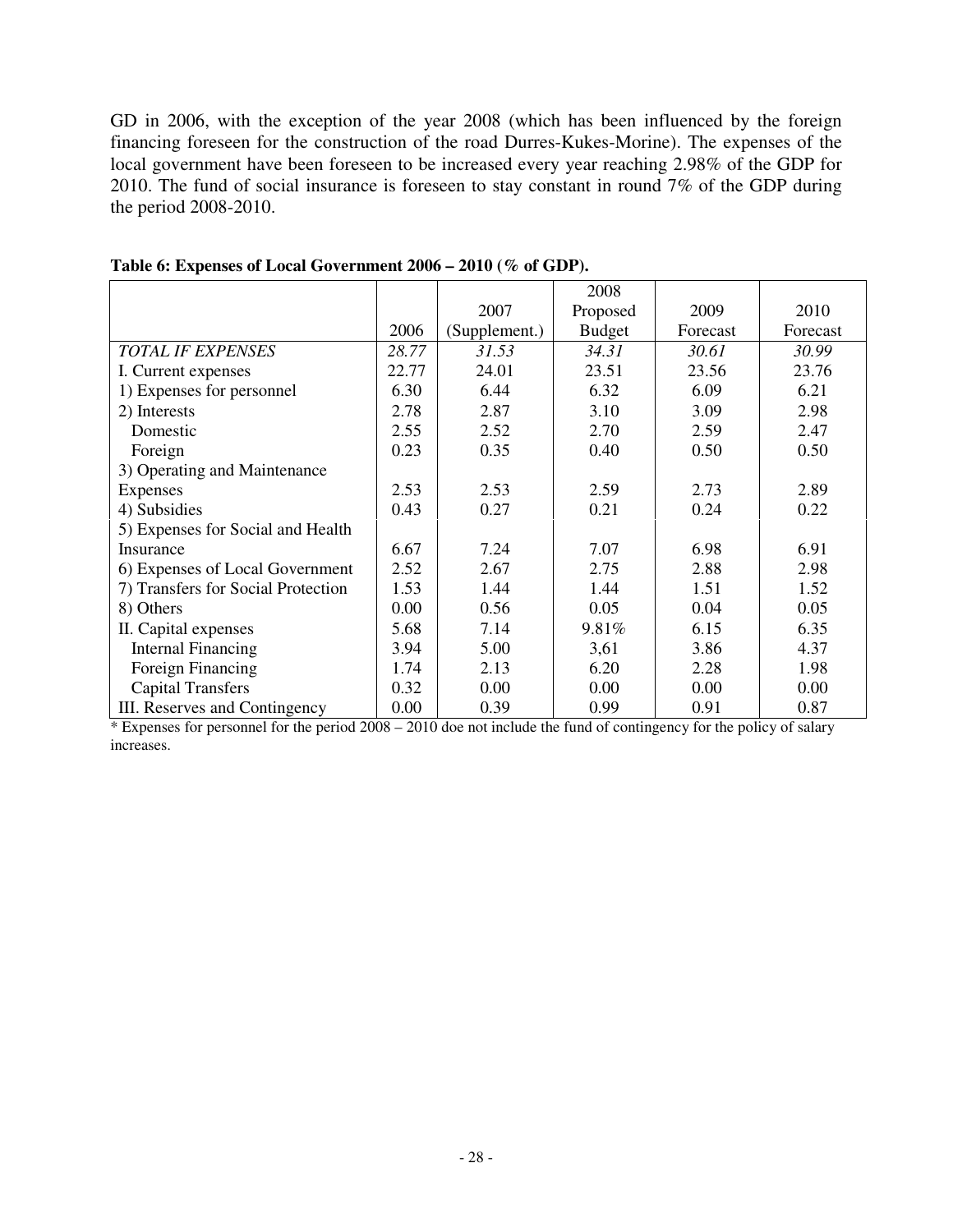GD in 2006, with the exception of the year 2008 (which has been influenced by the foreign financing foreseen for the construction of the road Durres-Kukes-Morine). The expenses of the local government have been foreseen to be increased every year reaching 2.98% of the GDP for 2010. The fund of social insurance is foreseen to stay constant in round 7% of the GDP during the period 2008-2010.

|                                    |       |               | 2008          |          |          |
|------------------------------------|-------|---------------|---------------|----------|----------|
|                                    |       | 2007          | Proposed      | 2009     | 2010     |
|                                    | 2006  | (Supplement.) | <b>Budget</b> | Forecast | Forecast |
| <b>TOTAL IF EXPENSES</b>           | 28.77 | 31.53         | 34.31         | 30.61    | 30.99    |
| I. Current expenses                | 22.77 | 24.01         | 23.51         | 23.56    | 23.76    |
| 1) Expenses for personnel          | 6.30  | 6.44          | 6.32          | 6.09     | 6.21     |
| 2) Interests                       | 2.78  | 2.87          | 3.10          | 3.09     | 2.98     |
| Domestic                           | 2.55  | 2.52          | 2.70          | 2.59     | 2.47     |
| Foreign                            | 0.23  | 0.35          | 0.40          | 0.50     | 0.50     |
| 3) Operating and Maintenance       |       |               |               |          |          |
| Expenses                           | 2.53  | 2.53          | 2.59          | 2.73     | 2.89     |
| 4) Subsidies                       | 0.43  | 0.27          | 0.21          | 0.24     | 0.22     |
| 5) Expenses for Social and Health  |       |               |               |          |          |
| Insurance                          | 6.67  | 7.24          | 7.07          | 6.98     | 6.91     |
| 6) Expenses of Local Government    | 2.52  | 2.67          | 2.75          | 2.88     | 2.98     |
| 7) Transfers for Social Protection | 1.53  | 1.44          | 1.44          | 1.51     | 1.52     |
| 8) Others                          | 0.00  | 0.56          | 0.05          | 0.04     | 0.05     |
| II. Capital expenses               | 5.68  | 7.14          | 9.81%         | 6.15     | 6.35     |
| <b>Internal Financing</b>          | 3.94  | 5.00          | 3,61          | 3.86     | 4.37     |
| Foreign Financing                  | 1.74  | 2.13          | 6.20          | 2.28     | 1.98     |
| <b>Capital Transfers</b>           | 0.32  | 0.00          | 0.00          | 0.00     | 0.00     |
| III. Reserves and Contingency      | 0.00  | 0.39          | 0.99          | 0.91     | 0.87     |

**Table 6: Expenses of Local Government 2006 – 2010 (% of GDP).** 

\* Expenses for personnel for the period 2008 – 2010 doe not include the fund of contingency for the policy of salary increases.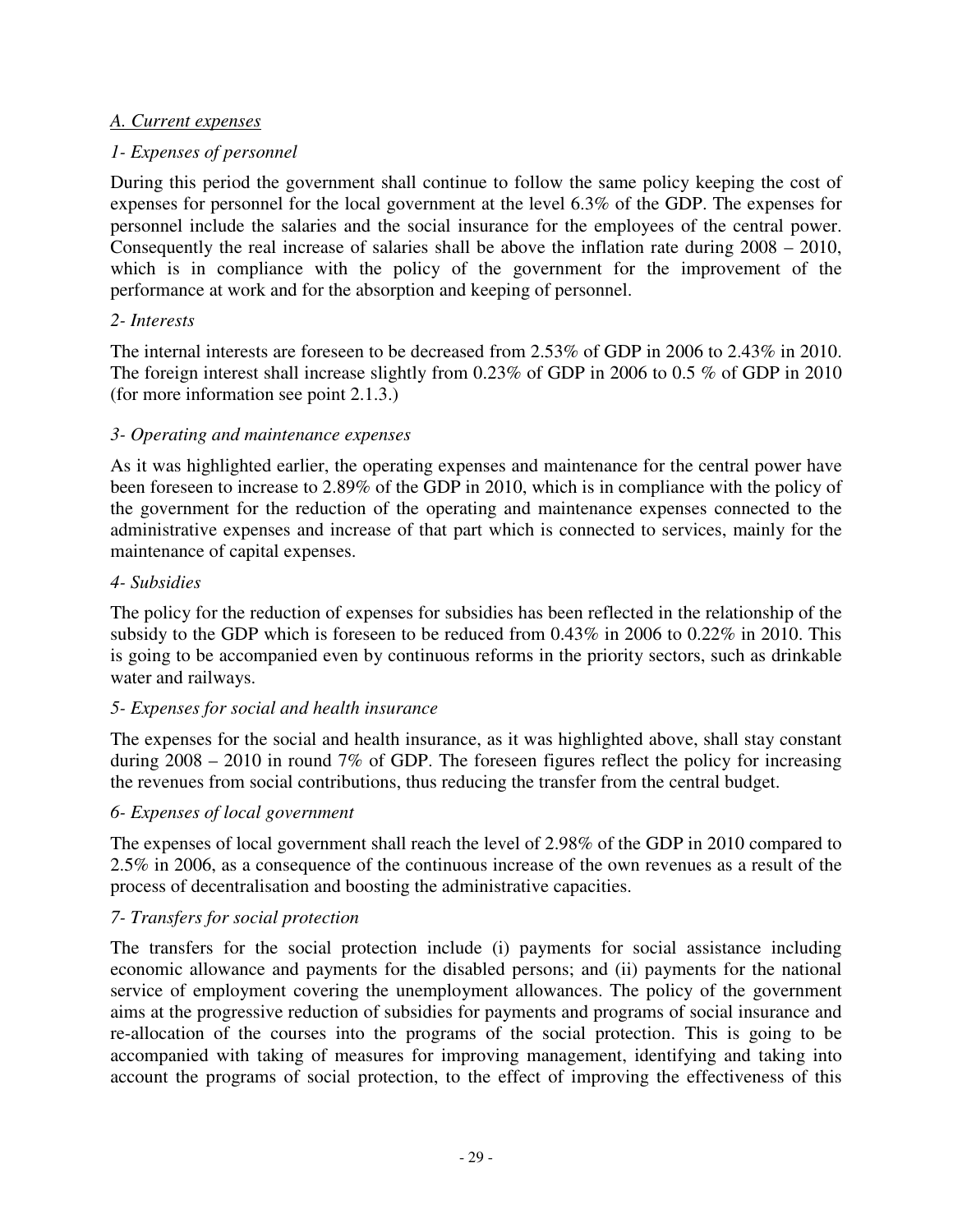### *A. Current expenses*

## *1- Expenses of personnel*

During this period the government shall continue to follow the same policy keeping the cost of expenses for personnel for the local government at the level 6.3% of the GDP. The expenses for personnel include the salaries and the social insurance for the employees of the central power. Consequently the real increase of salaries shall be above the inflation rate during 2008 – 2010, which is in compliance with the policy of the government for the improvement of the performance at work and for the absorption and keeping of personnel.

### *2- Interests*

The internal interests are foreseen to be decreased from 2.53% of GDP in 2006 to 2.43% in 2010. The foreign interest shall increase slightly from 0.23% of GDP in 2006 to 0.5 % of GDP in 2010 (for more information see point 2.1.3.)

### *3- Operating and maintenance expenses*

As it was highlighted earlier, the operating expenses and maintenance for the central power have been foreseen to increase to 2.89% of the GDP in 2010, which is in compliance with the policy of the government for the reduction of the operating and maintenance expenses connected to the administrative expenses and increase of that part which is connected to services, mainly for the maintenance of capital expenses.

#### *4- Subsidies*

The policy for the reduction of expenses for subsidies has been reflected in the relationship of the subsidy to the GDP which is foreseen to be reduced from 0.43% in 2006 to 0.22% in 2010. This is going to be accompanied even by continuous reforms in the priority sectors, such as drinkable water and railways.

## *5- Expenses for social and health insurance*

The expenses for the social and health insurance, as it was highlighted above, shall stay constant during 2008 – 2010 in round 7% of GDP. The foreseen figures reflect the policy for increasing the revenues from social contributions, thus reducing the transfer from the central budget.

## *6- Expenses of local government*

The expenses of local government shall reach the level of 2.98% of the GDP in 2010 compared to 2.5% in 2006, as a consequence of the continuous increase of the own revenues as a result of the process of decentralisation and boosting the administrative capacities.

## *7- Transfers for social protection*

The transfers for the social protection include (i) payments for social assistance including economic allowance and payments for the disabled persons; and (ii) payments for the national service of employment covering the unemployment allowances. The policy of the government aims at the progressive reduction of subsidies for payments and programs of social insurance and re-allocation of the courses into the programs of the social protection. This is going to be accompanied with taking of measures for improving management, identifying and taking into account the programs of social protection, to the effect of improving the effectiveness of this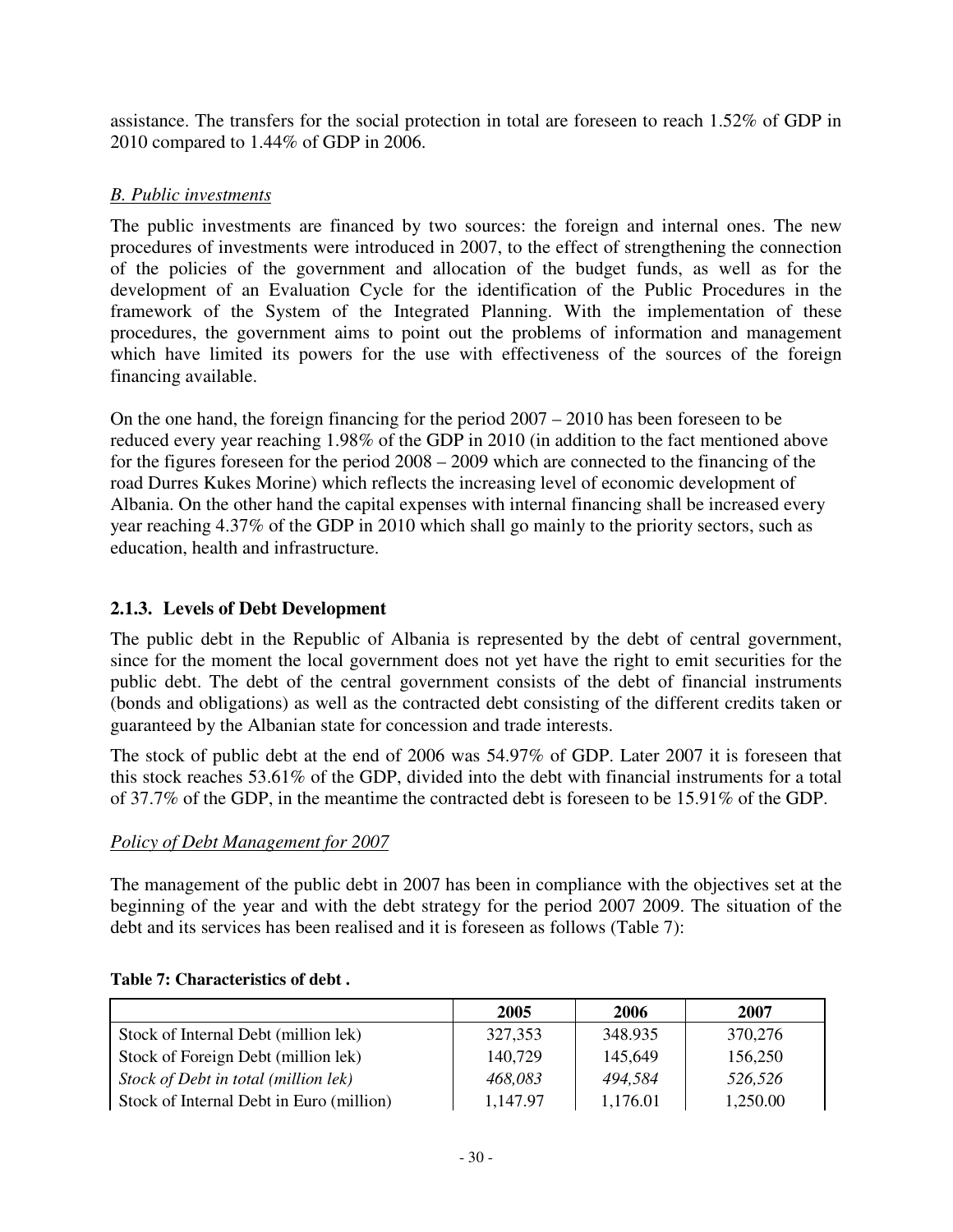assistance. The transfers for the social protection in total are foreseen to reach 1.52% of GDP in 2010 compared to 1.44% of GDP in 2006.

## *B. Public investments*

 The public investments are financed by two sources: the foreign and internal ones. The new procedures of investments were introduced in 2007, to the effect of strengthening the connection of the policies of the government and allocation of the budget funds, as well as for the development of an Evaluation Cycle for the identification of the Public Procedures in the framework of the System of the Integrated Planning. With the implementation of these procedures, the government aims to point out the problems of information and management which have limited its powers for the use with effectiveness of the sources of the foreign financing available.

On the one hand, the foreign financing for the period 2007 – 2010 has been foreseen to be reduced every year reaching 1.98% of the GDP in 2010 (in addition to the fact mentioned above for the figures foreseen for the period 2008 – 2009 which are connected to the financing of the road Durres Kukes Morine) which reflects the increasing level of economic development of Albania. On the other hand the capital expenses with internal financing shall be increased every year reaching 4.37% of the GDP in 2010 which shall go mainly to the priority sectors, such as education, health and infrastructure.

## **2.1.3. Levels of Debt Development**

The public debt in the Republic of Albania is represented by the debt of central government, since for the moment the local government does not yet have the right to emit securities for the public debt. The debt of the central government consists of the debt of financial instruments (bonds and obligations) as well as the contracted debt consisting of the different credits taken or guaranteed by the Albanian state for concession and trade interests.

The stock of public debt at the end of 2006 was 54.97% of GDP. Later 2007 it is foreseen that this stock reaches 53.61% of the GDP, divided into the debt with financial instruments for a total of 37.7% of the GDP, in the meantime the contracted debt is foreseen to be 15.91% of the GDP.

## *Policy of Debt Management for 2007*

The management of the public debt in 2007 has been in compliance with the objectives set at the beginning of the year and with the debt strategy for the period 2007 2009. The situation of the debt and its services has been realised and it is foreseen as follows (Table 7):

|                                          | 2005     | 2006     | 2007     |
|------------------------------------------|----------|----------|----------|
| Stock of Internal Debt (million lek)     | 327,353  | 348.935  | 370,276  |
| Stock of Foreign Debt (million lek)      | 140,729  | 145,649  | 156,250  |
| Stock of Debt in total (million lek)     | 468,083  | 494.584  | 526,526  |
| Stock of Internal Debt in Euro (million) | 1,147.97 | 1,176.01 | 1,250.00 |

#### **Table 7: Characteristics of debt .**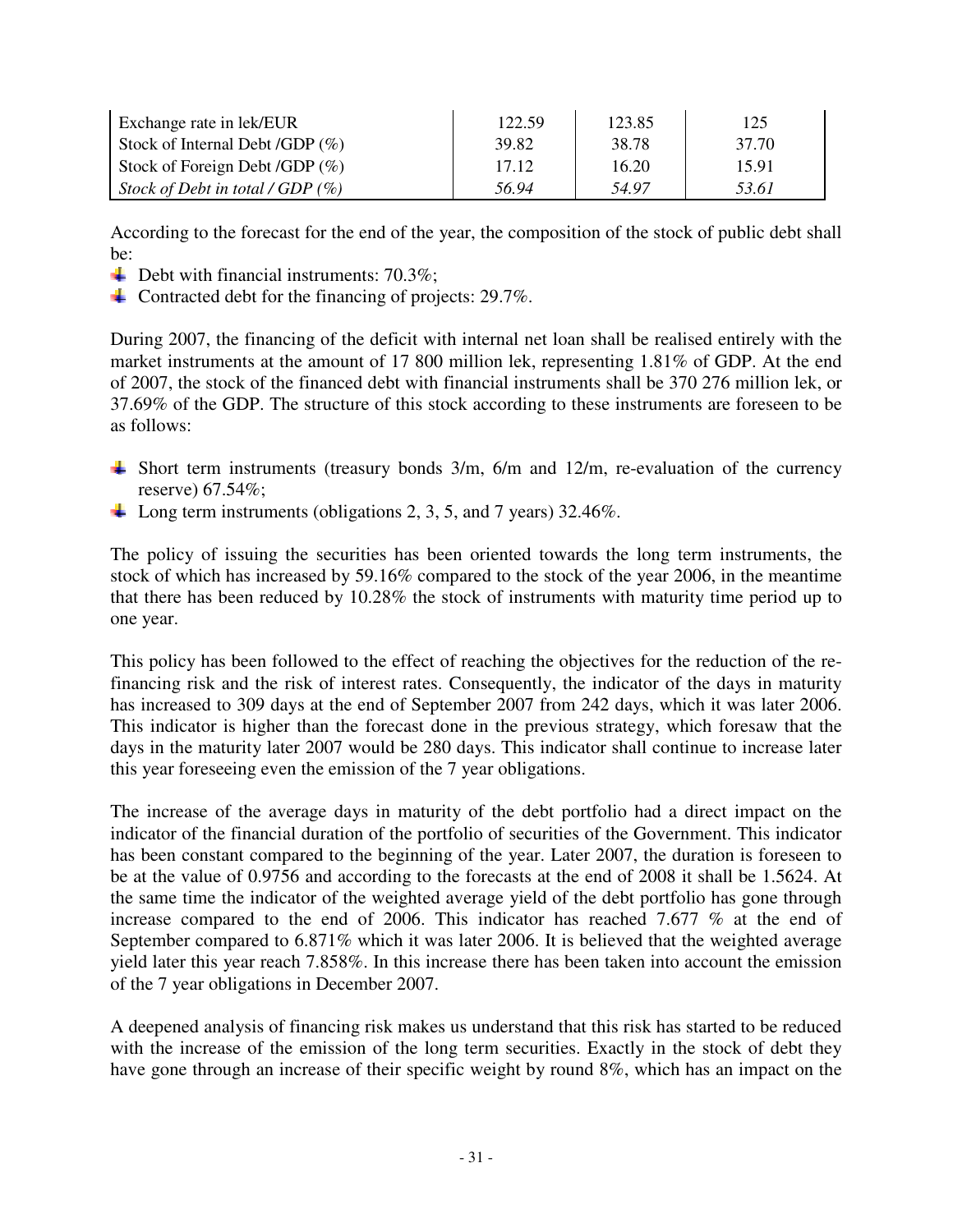| Exchange rate in lek/EUR            | 122.59 | 123.85 | 125   |
|-------------------------------------|--------|--------|-------|
| Stock of Internal Debt /GDP $(\%)$  | 39.82  | 38.78  | 37.70 |
| Stock of Foreign Debt /GDP $(\%)$   | 17.12  | 16.20  | 15.91 |
| Stock of Debt in total / GDP $(\%)$ | 56.94  | 54.97  | 53.61 |

According to the forecast for the end of the year, the composition of the stock of public debt shall be:

- $\overline{\phantom{a}}$  Debt with financial instruments: 70.3%;
- Contracted debt for the financing of projects: 29.7%.

During 2007, the financing of the deficit with internal net loan shall be realised entirely with the market instruments at the amount of 17 800 million lek, representing 1.81% of GDP. At the end of 2007, the stock of the financed debt with financial instruments shall be 370 276 million lek, or 37.69% of the GDP. The structure of this stock according to these instruments are foreseen to be as follows:

- Short term instruments (treasury bonds  $3/m$ ,  $6/m$  and  $12/m$ , re-evaluation of the currency reserve) 67.54%;
- Long term instruments (obligations 2, 3, 5, and 7 years) 32.46%.

The policy of issuing the securities has been oriented towards the long term instruments, the stock of which has increased by 59.16% compared to the stock of the year 2006, in the meantime that there has been reduced by 10.28% the stock of instruments with maturity time period up to one year.

This policy has been followed to the effect of reaching the objectives for the reduction of the refinancing risk and the risk of interest rates. Consequently, the indicator of the days in maturity has increased to 309 days at the end of September 2007 from 242 days, which it was later 2006. This indicator is higher than the forecast done in the previous strategy, which foresaw that the days in the maturity later 2007 would be 280 days. This indicator shall continue to increase later this year foreseeing even the emission of the 7 year obligations.

The increase of the average days in maturity of the debt portfolio had a direct impact on the indicator of the financial duration of the portfolio of securities of the Government. This indicator has been constant compared to the beginning of the year. Later 2007, the duration is foreseen to be at the value of 0.9756 and according to the forecasts at the end of 2008 it shall be 1.5624. At the same time the indicator of the weighted average yield of the debt portfolio has gone through increase compared to the end of 2006. This indicator has reached 7.677 % at the end of September compared to 6.871% which it was later 2006. It is believed that the weighted average yield later this year reach 7.858%. In this increase there has been taken into account the emission of the 7 year obligations in December 2007.

A deepened analysis of financing risk makes us understand that this risk has started to be reduced with the increase of the emission of the long term securities. Exactly in the stock of debt they have gone through an increase of their specific weight by round 8%, which has an impact on the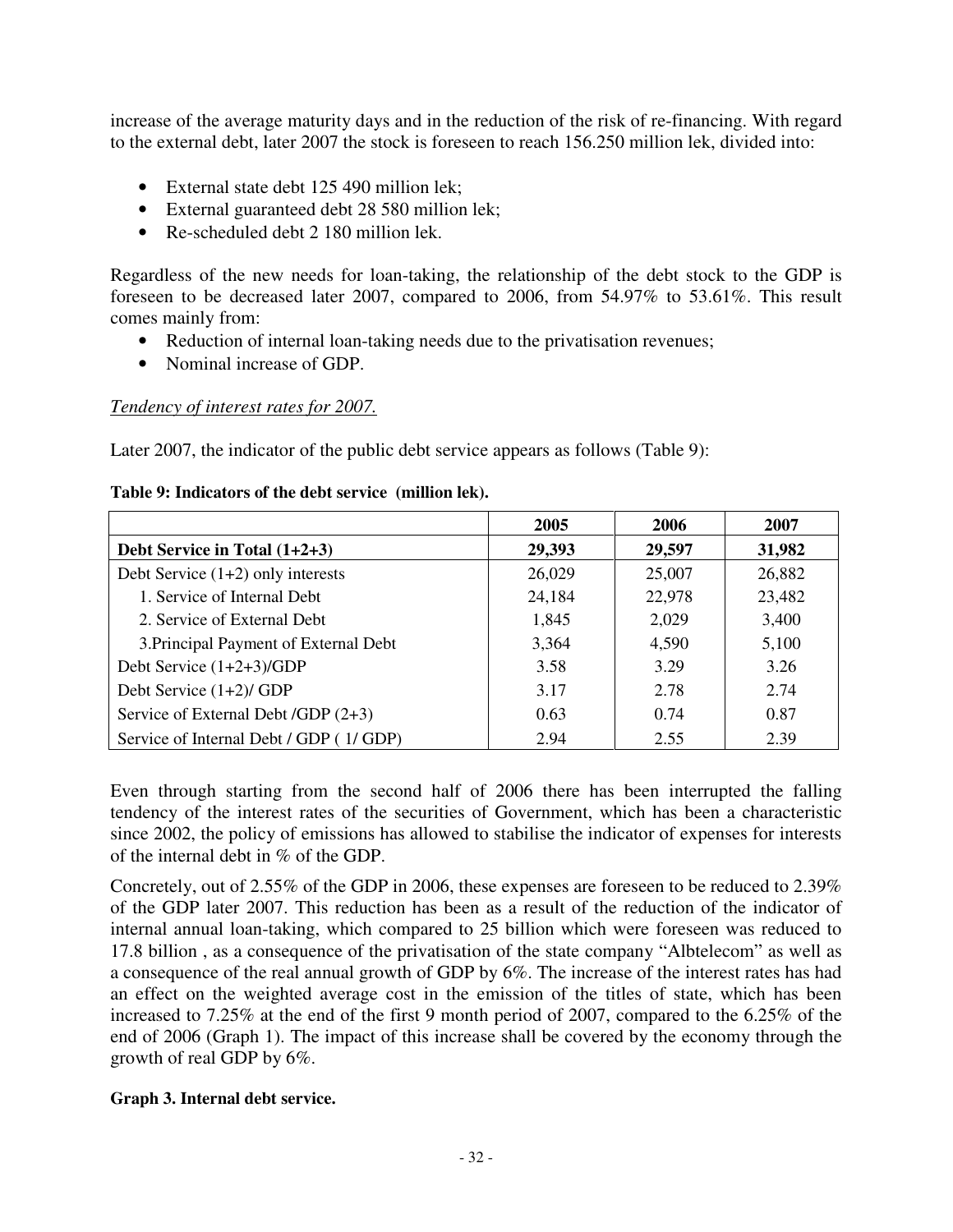increase of the average maturity days and in the reduction of the risk of re-financing. With regard to the external debt, later 2007 the stock is foreseen to reach 156.250 million lek, divided into:

- External state debt 125 490 million lek;
- External guaranteed debt 28 580 million lek;
- Re-scheduled debt 2 180 million lek.

Regardless of the new needs for loan-taking, the relationship of the debt stock to the GDP is foreseen to be decreased later 2007, compared to 2006, from 54.97% to 53.61%. This result comes mainly from:

- Reduction of internal loan-taking needs due to the privatisation revenues;
- Nominal increase of GDP.

### *Tendency of interest rates for 2007.*

Later 2007, the indicator of the public debt service appears as follows (Table 9):

#### **Table 9: Indicators of the debt service (million lek).**

|                                        | 2005   | 2006   | 2007   |
|----------------------------------------|--------|--------|--------|
| Debt Service in Total $(1+2+3)$        | 29,393 | 29,597 | 31,982 |
| Debt Service $(1+2)$ only interests    | 26,029 | 25,007 | 26,882 |
| 1. Service of Internal Debt            | 24,184 | 22,978 | 23,482 |
| 2. Service of External Debt            | 1,845  | 2,029  | 3,400  |
| 3. Principal Payment of External Debt  | 3,364  | 4,590  | 5,100  |
| Debt Service (1+2+3)/GDP               | 3.58   | 3.29   | 3.26   |
| Debt Service $(1+2)/$ GDP              | 3.17   | 2.78   | 2.74   |
| Service of External Debt /GDP (2+3)    | 0.63   | 0.74   | 0.87   |
| Service of Internal Debt / GDP (1/GDP) | 2.94   | 2.55   | 2.39   |

Even through starting from the second half of 2006 there has been interrupted the falling tendency of the interest rates of the securities of Government, which has been a characteristic since 2002, the policy of emissions has allowed to stabilise the indicator of expenses for interests of the internal debt in % of the GDP.

Concretely, out of 2.55% of the GDP in 2006, these expenses are foreseen to be reduced to 2.39% of the GDP later 2007. This reduction has been as a result of the reduction of the indicator of internal annual loan-taking, which compared to 25 billion which were foreseen was reduced to 17.8 billion , as a consequence of the privatisation of the state company "Albtelecom" as well as a consequence of the real annual growth of GDP by 6%. The increase of the interest rates has had an effect on the weighted average cost in the emission of the titles of state, which has been increased to 7.25% at the end of the first 9 month period of 2007, compared to the 6.25% of the end of 2006 (Graph 1). The impact of this increase shall be covered by the economy through the growth of real GDP by 6%.

#### **Graph 3. Internal debt service.**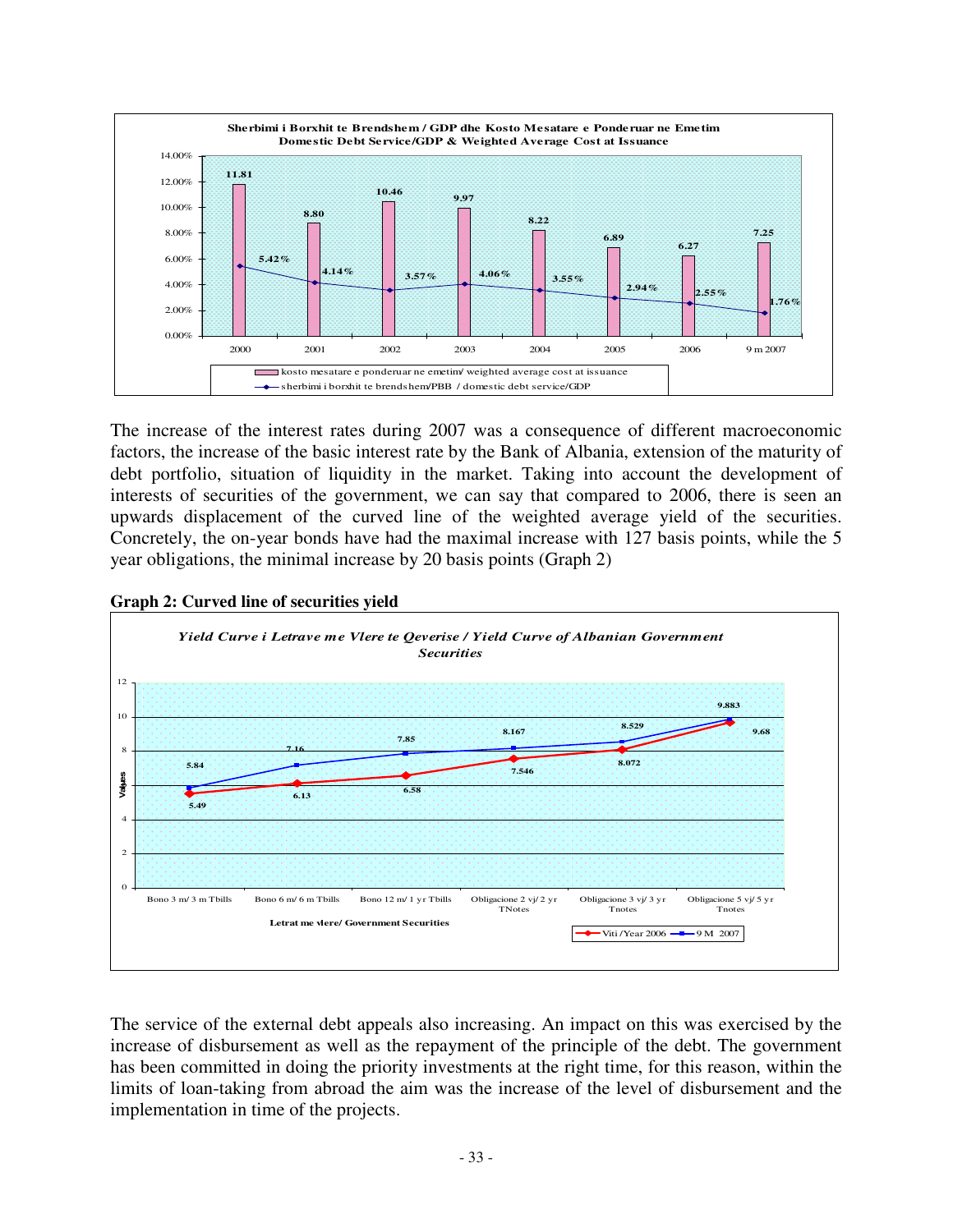

The increase of the interest rates during 2007 was a consequence of different macroeconomic factors, the increase of the basic interest rate by the Bank of Albania, extension of the maturity of debt portfolio, situation of liquidity in the market. Taking into account the development of interests of securities of the government, we can say that compared to 2006, there is seen an upwards displacement of the curved line of the weighted average yield of the securities. Concretely, the on-year bonds have had the maximal increase with 127 basis points, while the 5 year obligations, the minimal increase by 20 basis points (Graph 2)



**Graph 2: Curved line of securities yield** 

The service of the external debt appeals also increasing. An impact on this was exercised by the increase of disbursement as well as the repayment of the principle of the debt. The government has been committed in doing the priority investments at the right time, for this reason, within the limits of loan-taking from abroad the aim was the increase of the level of disbursement and the implementation in time of the projects.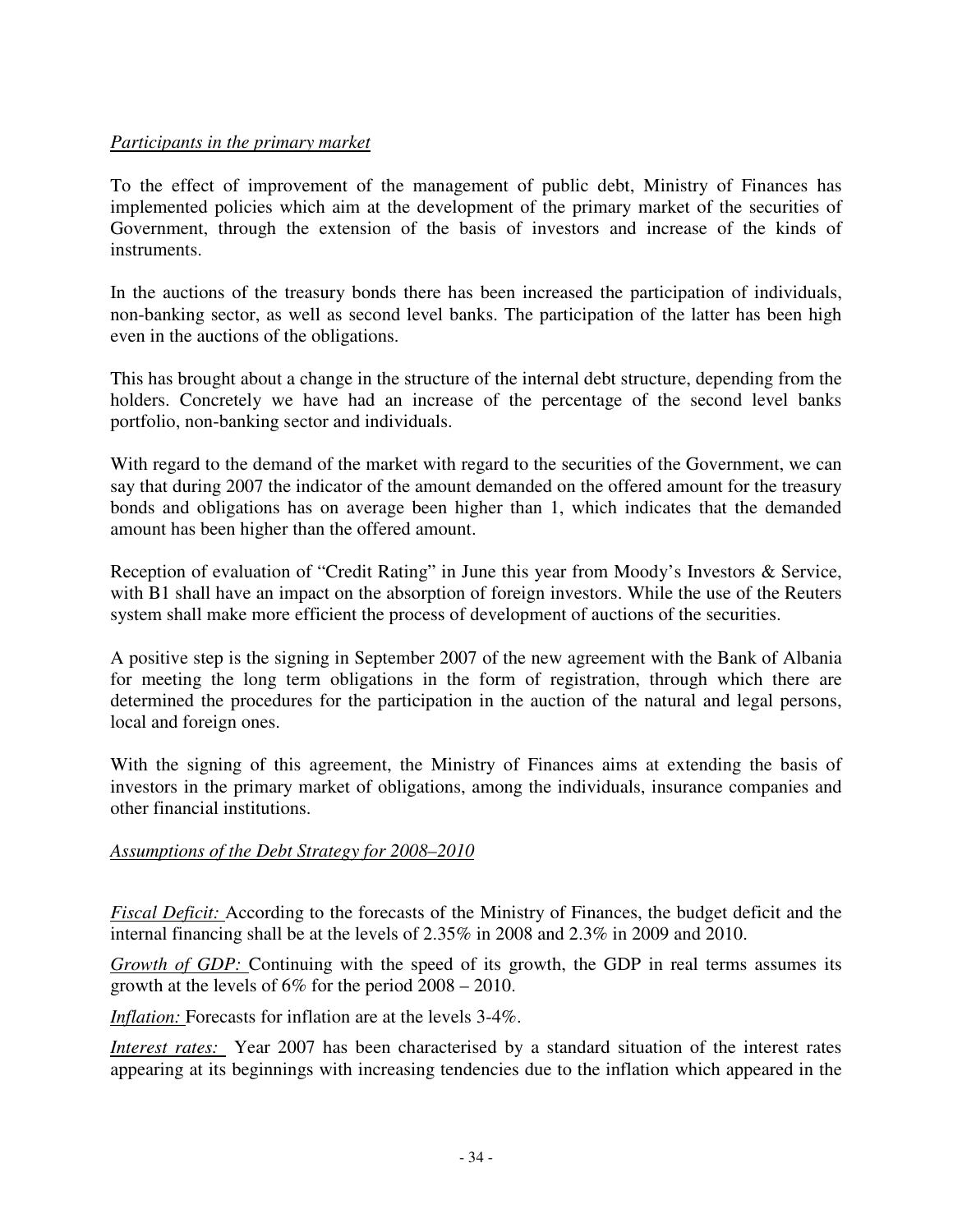## *Participants in the primary market*

To the effect of improvement of the management of public debt, Ministry of Finances has implemented policies which aim at the development of the primary market of the securities of Government, through the extension of the basis of investors and increase of the kinds of instruments.

In the auctions of the treasury bonds there has been increased the participation of individuals, non-banking sector, as well as second level banks. The participation of the latter has been high even in the auctions of the obligations.

This has brought about a change in the structure of the internal debt structure, depending from the holders. Concretely we have had an increase of the percentage of the second level banks portfolio, non-banking sector and individuals.

With regard to the demand of the market with regard to the securities of the Government, we can say that during 2007 the indicator of the amount demanded on the offered amount for the treasury bonds and obligations has on average been higher than 1, which indicates that the demanded amount has been higher than the offered amount.

Reception of evaluation of "Credit Rating" in June this year from Moody's Investors & Service, with B1 shall have an impact on the absorption of foreign investors. While the use of the Reuters system shall make more efficient the process of development of auctions of the securities.

A positive step is the signing in September 2007 of the new agreement with the Bank of Albania for meeting the long term obligations in the form of registration, through which there are determined the procedures for the participation in the auction of the natural and legal persons, local and foreign ones.

With the signing of this agreement, the Ministry of Finances aims at extending the basis of investors in the primary market of obligations, among the individuals, insurance companies and other financial institutions.

## *Assumptions of the Debt Strategy for 2008–2010*

*Fiscal Deficit:* According to the forecasts of the Ministry of Finances, the budget deficit and the internal financing shall be at the levels of 2.35% in 2008 and 2.3% in 2009 and 2010.

*Growth of GDP:* Continuing with the speed of its growth, the GDP in real terms assumes its growth at the levels of 6% for the period 2008 – 2010.

*Inflation:* Forecasts for inflation are at the levels 3-4%.

*Interest rates:* Year 2007 has been characterised by a standard situation of the interest rates appearing at its beginnings with increasing tendencies due to the inflation which appeared in the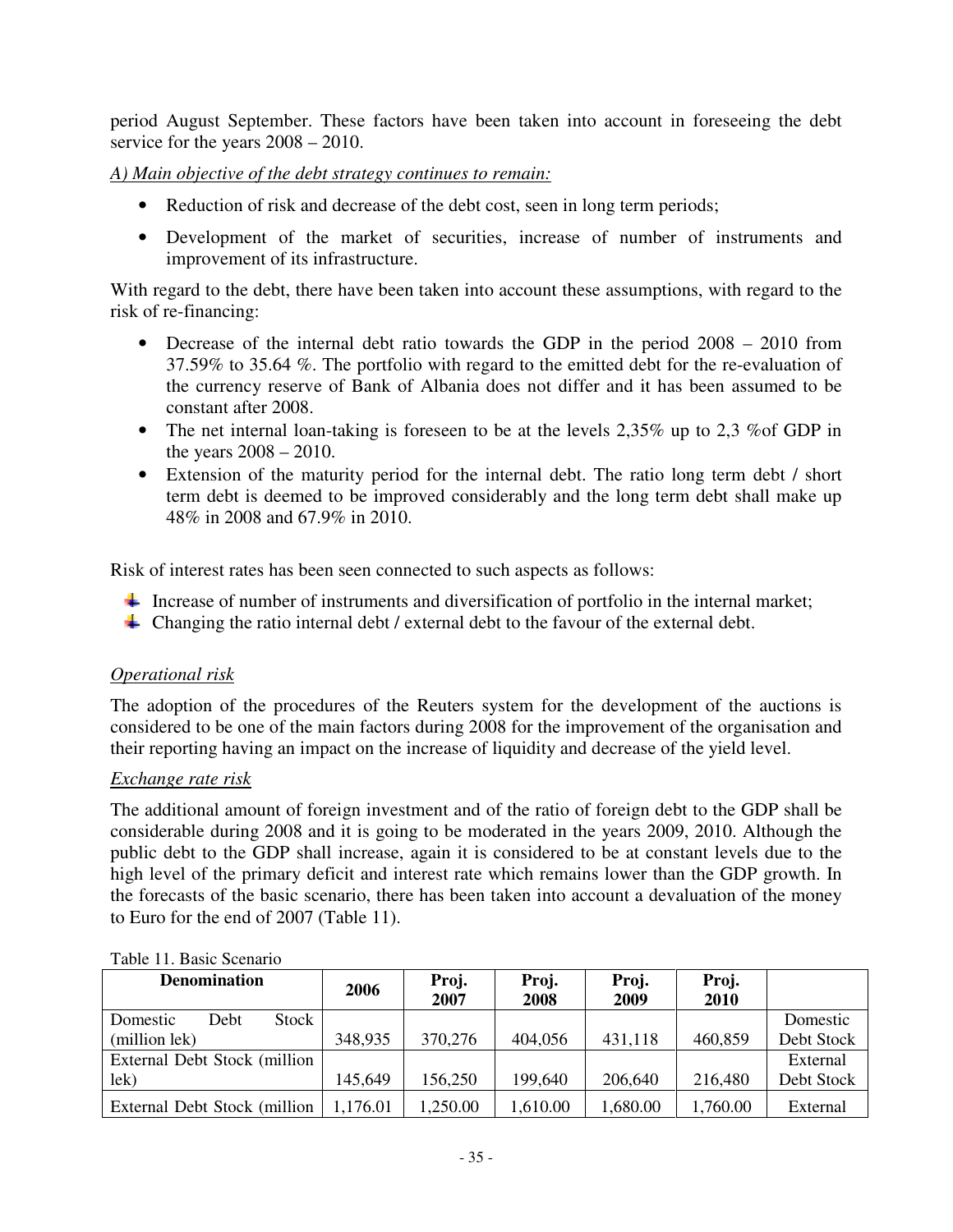period August September. These factors have been taken into account in foreseeing the debt service for the years 2008 – 2010.

*A) Main objective of the debt strategy continues to remain:* 

- Reduction of risk and decrease of the debt cost, seen in long term periods;
- Development of the market of securities, increase of number of instruments and improvement of its infrastructure.

With regard to the debt, there have been taken into account these assumptions, with regard to the risk of re-financing:

- Decrease of the internal debt ratio towards the GDP in the period 2008 2010 from 37.59% to 35.64 %. The portfolio with regard to the emitted debt for the re-evaluation of the currency reserve of Bank of Albania does not differ and it has been assumed to be constant after 2008.
- The net internal loan-taking is foreseen to be at the levels 2,35% up to 2,3 % of GDP in the years 2008 – 2010.
- Extension of the maturity period for the internal debt. The ratio long term debt / short term debt is deemed to be improved considerably and the long term debt shall make up 48% in 2008 and 67.9% in 2010.

Risk of interest rates has been seen connected to such aspects as follows:

- Increase of number of instruments and diversification of portfolio in the internal market;
- Changing the ratio internal debt / external debt to the favour of the external debt.

## *Operational risk*

The adoption of the procedures of the Reuters system for the development of the auctions is considered to be one of the main factors during 2008 for the improvement of the organisation and their reporting having an impact on the increase of liquidity and decrease of the yield level.

#### *Exchange rate risk*

The additional amount of foreign investment and of the ratio of foreign debt to the GDP shall be considerable during 2008 and it is going to be moderated in the years 2009, 2010. Although the public debt to the GDP shall increase, again it is considered to be at constant levels due to the high level of the primary deficit and interest rate which remains lower than the GDP growth. In the forecasts of the basic scenario, there has been taken into account a devaluation of the money to Euro for the end of 2007 (Table 11).

| <b>Denomination</b>           | 2006     | Proj.    | Proj.    | Proj.    | Proj.    |            |
|-------------------------------|----------|----------|----------|----------|----------|------------|
|                               |          | 2007     | 2008     | 2009     | 2010     |            |
| Stock<br>Debt<br>Domestic     |          |          |          |          |          | Domestic   |
| (million lek)                 | 348,935  | 370,276  | 404,056  | 431,118  | 460,859  | Debt Stock |
| External Debt Stock (million) |          |          |          |          |          | External   |
| lek)                          | 145.649  | 156,250  | 199,640  | 206,640  | 216,480  | Debt Stock |
| External Debt Stock (million) | 1,176.01 | 1,250.00 | 1,610.00 | 1,680.00 | 1,760.00 | External   |

#### Table 11. Basic Scenario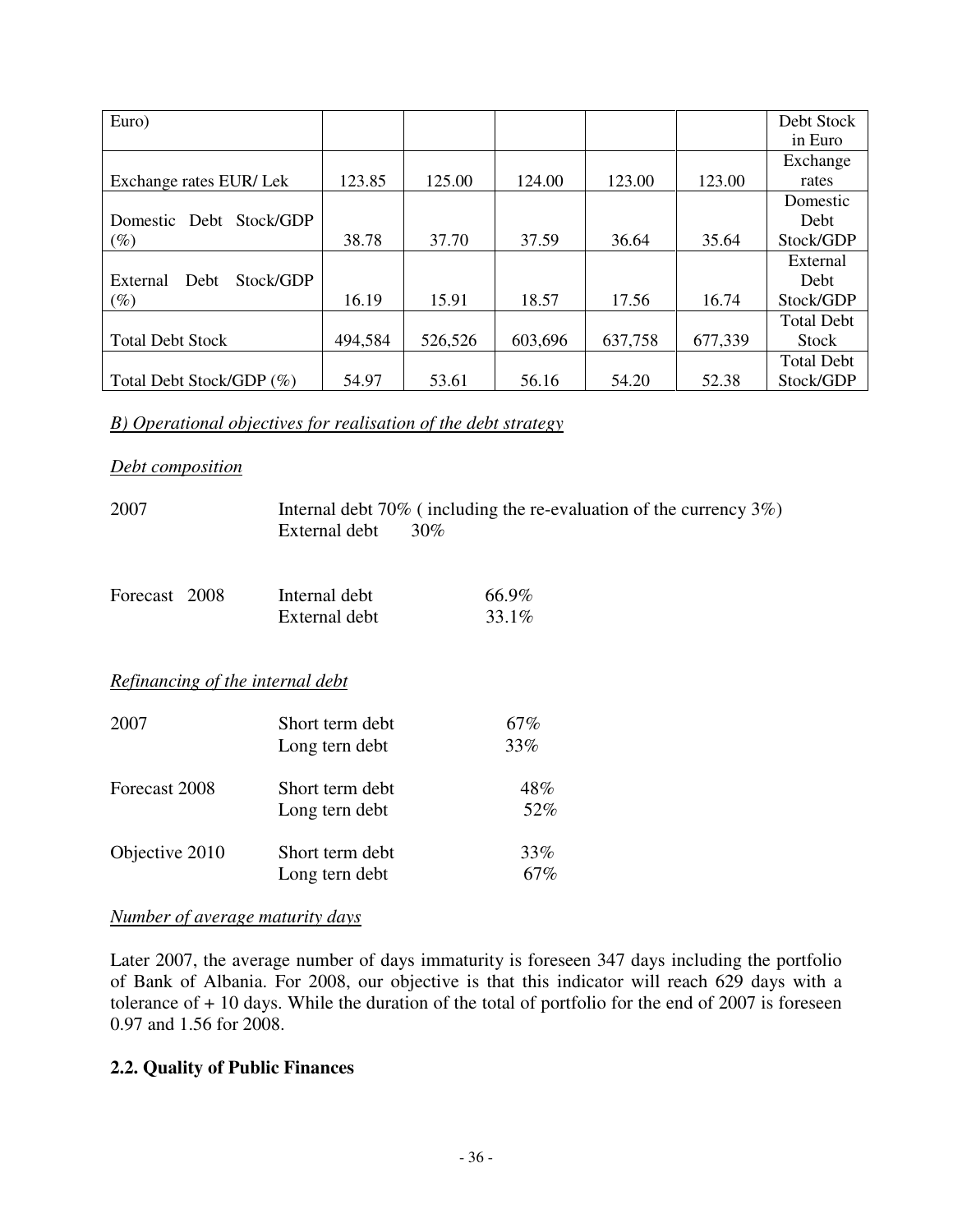| Euro)                         |         |         |         |         |         | Debt Stock        |
|-------------------------------|---------|---------|---------|---------|---------|-------------------|
|                               |         |         |         |         |         | in Euro           |
|                               |         |         |         |         |         | Exchange          |
| Exchange rates EUR/Lek        | 123.85  | 125.00  | 124.00  | 123.00  | 123.00  | rates             |
|                               |         |         |         |         |         | Domestic          |
| Stock/GDP<br>Domestic Debt    |         |         |         |         |         | <b>Debt</b>       |
| $(\%)$                        | 38.78   | 37.70   | 37.59   | 36.64   | 35.64   | Stock/GDP         |
|                               |         |         |         |         |         | External          |
| Stock/GDP<br>External<br>Debt |         |         |         |         |         | Debt              |
| $(\%)$                        | 16.19   | 15.91   | 18.57   | 17.56   | 16.74   | Stock/GDP         |
|                               |         |         |         |         |         | <b>Total Debt</b> |
| <b>Total Debt Stock</b>       | 494,584 | 526,526 | 603,696 | 637,758 | 677,339 | Stock             |
|                               |         |         |         |         |         | <b>Total Debt</b> |
| Total Debt Stock/GDP (%)      | 54.97   | 53.61   | 56.16   | 54.20   | 52.38   | Stock/GDP         |

### *B) Operational objectives for realisation of the debt strategy*

#### *Debt composition*

| 2007                             | External debt   | Internal debt $70\%$ (including the re-evaluation of the currency $3\%$ )<br>$30\%$ |
|----------------------------------|-----------------|-------------------------------------------------------------------------------------|
| Forecast 2008                    | Internal debt   | 66.9%                                                                               |
|                                  | External debt   | 33.1%                                                                               |
| Refinancing of the internal debt |                 |                                                                                     |
| 2007                             | Short term debt | 67%                                                                                 |
|                                  | Long tern debt  | 33%                                                                                 |
| Forecast 2008                    | Short term debt | 48%                                                                                 |
|                                  | Long tern debt  | 52%                                                                                 |
| Objective 2010                   | Short term debt | 33%                                                                                 |
|                                  | Long tern debt  | 67%                                                                                 |
|                                  |                 |                                                                                     |

#### *Number of average maturity days*

Later 2007, the average number of days immaturity is foreseen 347 days including the portfolio of Bank of Albania. For 2008, our objective is that this indicator will reach 629 days with a tolerance of  $+10$  days. While the duration of the total of portfolio for the end of 2007 is foreseen 0.97 and 1.56 for 2008.

## **2.2. Quality of Public Finances**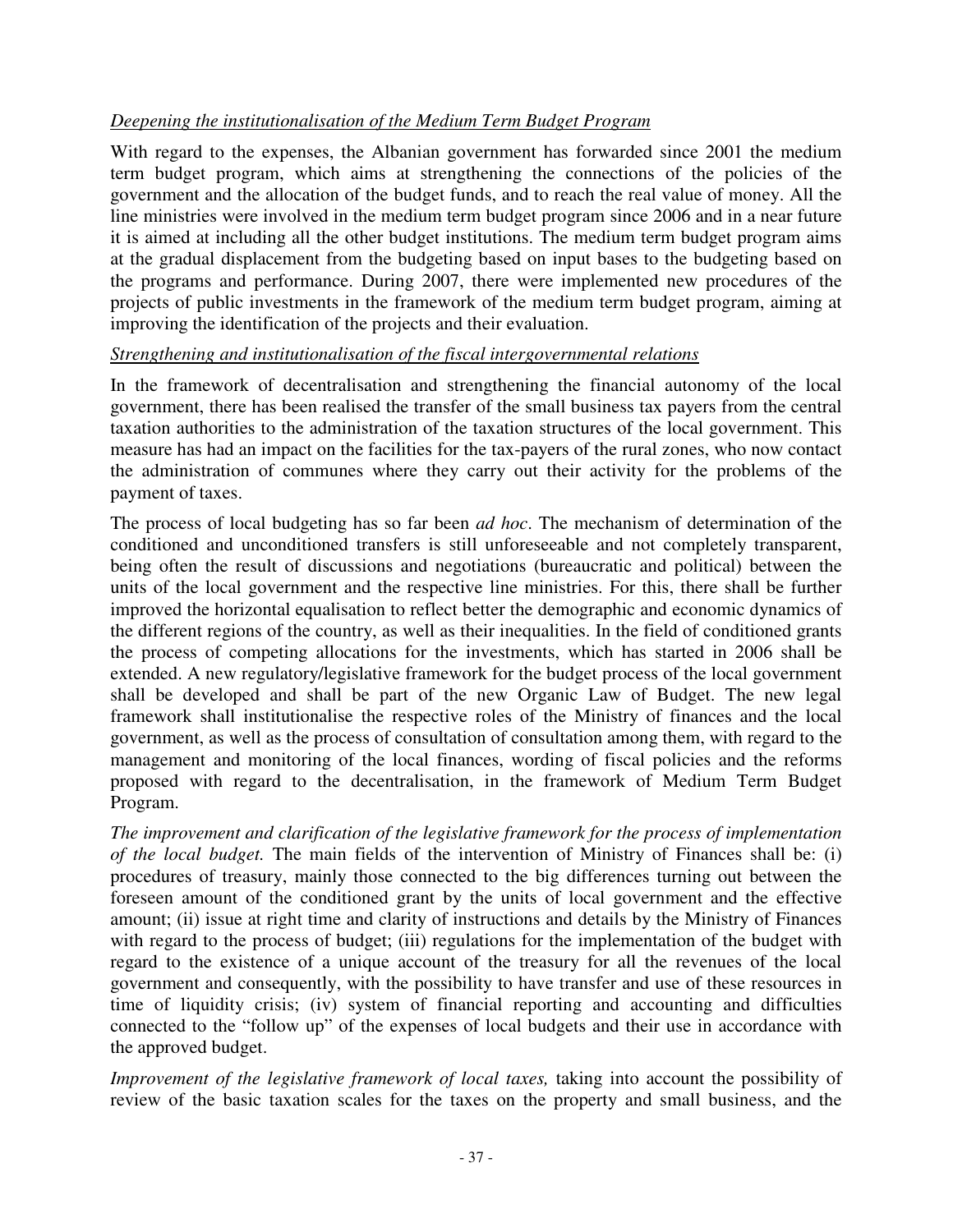## *Deepening the institutionalisation of the Medium Term Budget Program*

With regard to the expenses, the Albanian government has forwarded since 2001 the medium term budget program, which aims at strengthening the connections of the policies of the government and the allocation of the budget funds, and to reach the real value of money. All the line ministries were involved in the medium term budget program since 2006 and in a near future it is aimed at including all the other budget institutions. The medium term budget program aims at the gradual displacement from the budgeting based on input bases to the budgeting based on the programs and performance. During 2007, there were implemented new procedures of the projects of public investments in the framework of the medium term budget program, aiming at improving the identification of the projects and their evaluation.

### *Strengthening and institutionalisation of the fiscal intergovernmental relations*

In the framework of decentralisation and strengthening the financial autonomy of the local government, there has been realised the transfer of the small business tax payers from the central taxation authorities to the administration of the taxation structures of the local government. This measure has had an impact on the facilities for the tax-payers of the rural zones, who now contact the administration of communes where they carry out their activity for the problems of the payment of taxes.

The process of local budgeting has so far been *ad hoc*. The mechanism of determination of the conditioned and unconditioned transfers is still unforeseeable and not completely transparent, being often the result of discussions and negotiations (bureaucratic and political) between the units of the local government and the respective line ministries. For this, there shall be further improved the horizontal equalisation to reflect better the demographic and economic dynamics of the different regions of the country, as well as their inequalities. In the field of conditioned grants the process of competing allocations for the investments, which has started in 2006 shall be extended. A new regulatory/legislative framework for the budget process of the local government shall be developed and shall be part of the new Organic Law of Budget. The new legal framework shall institutionalise the respective roles of the Ministry of finances and the local government, as well as the process of consultation of consultation among them, with regard to the management and monitoring of the local finances, wording of fiscal policies and the reforms proposed with regard to the decentralisation, in the framework of Medium Term Budget Program.

*The improvement and clarification of the legislative framework for the process of implementation of the local budget.* The main fields of the intervention of Ministry of Finances shall be: (i) procedures of treasury, mainly those connected to the big differences turning out between the foreseen amount of the conditioned grant by the units of local government and the effective amount; (ii) issue at right time and clarity of instructions and details by the Ministry of Finances with regard to the process of budget; (iii) regulations for the implementation of the budget with regard to the existence of a unique account of the treasury for all the revenues of the local government and consequently, with the possibility to have transfer and use of these resources in time of liquidity crisis; (iv) system of financial reporting and accounting and difficulties connected to the "follow up" of the expenses of local budgets and their use in accordance with the approved budget.

*Improvement of the legislative framework of local taxes, taking into account the possibility of* review of the basic taxation scales for the taxes on the property and small business, and the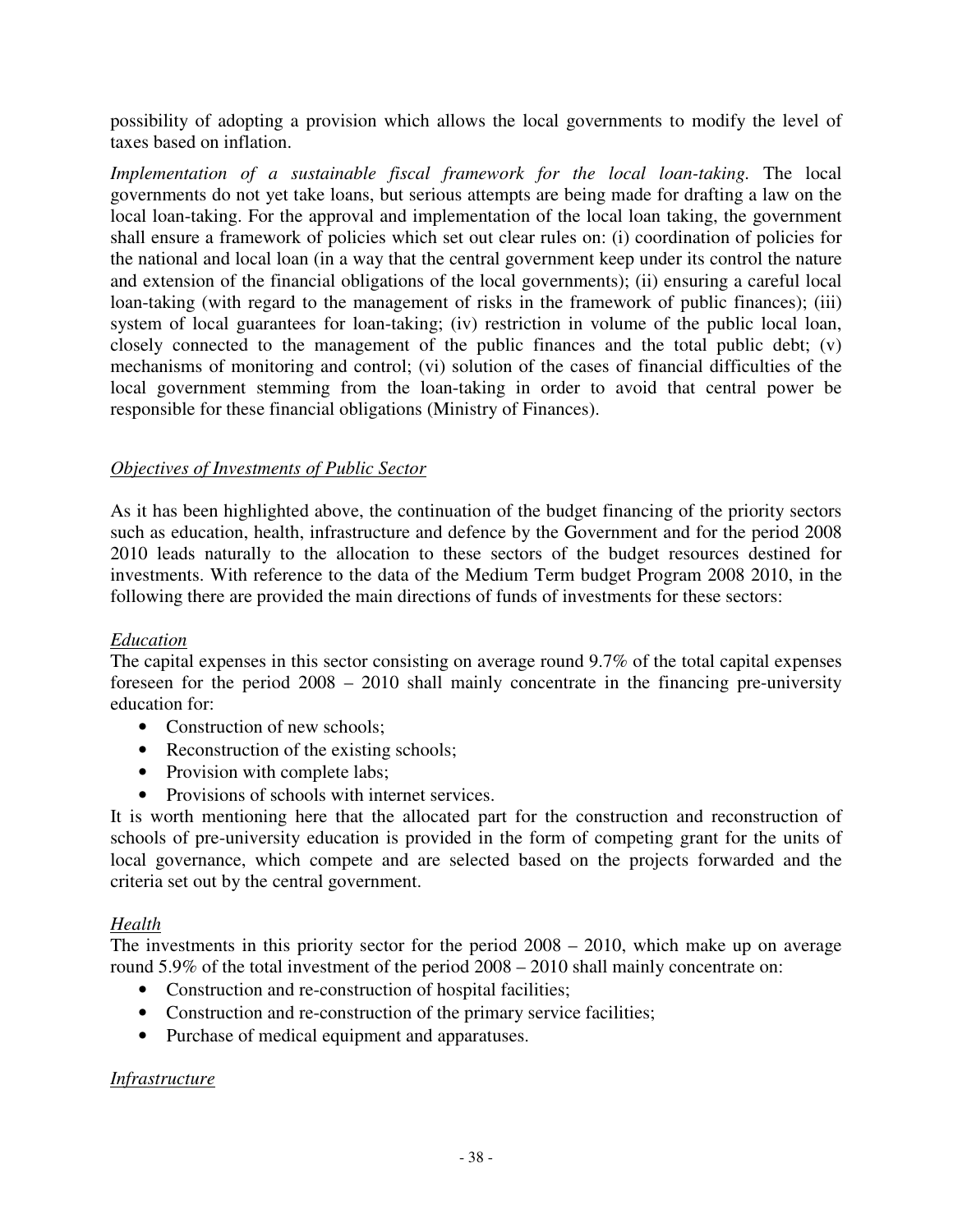possibility of adopting a provision which allows the local governments to modify the level of taxes based on inflation.

*Implementation of a sustainable fiscal framework for the local loan-taking.* The local governments do not yet take loans, but serious attempts are being made for drafting a law on the local loan-taking. For the approval and implementation of the local loan taking, the government shall ensure a framework of policies which set out clear rules on: (i) coordination of policies for the national and local loan (in a way that the central government keep under its control the nature and extension of the financial obligations of the local governments); (ii) ensuring a careful local loan-taking (with regard to the management of risks in the framework of public finances); (iii) system of local guarantees for loan-taking; (iv) restriction in volume of the public local loan, closely connected to the management of the public finances and the total public debt; (v) mechanisms of monitoring and control; (vi) solution of the cases of financial difficulties of the local government stemming from the loan-taking in order to avoid that central power be responsible for these financial obligations (Ministry of Finances).

### *Objectives of Investments of Public Sector*

As it has been highlighted above, the continuation of the budget financing of the priority sectors such as education, health, infrastructure and defence by the Government and for the period 2008 2010 leads naturally to the allocation to these sectors of the budget resources destined for investments. With reference to the data of the Medium Term budget Program 2008 2010, in the following there are provided the main directions of funds of investments for these sectors:

### *Education*

The capital expenses in this sector consisting on average round 9.7% of the total capital expenses foreseen for the period 2008 – 2010 shall mainly concentrate in the financing pre-university education for:

- Construction of new schools:
- Reconstruction of the existing schools;
- Provision with complete labs:
- Provisions of schools with internet services.

It is worth mentioning here that the allocated part for the construction and reconstruction of schools of pre-university education is provided in the form of competing grant for the units of local governance, which compete and are selected based on the projects forwarded and the criteria set out by the central government.

### *Health*

The investments in this priority sector for the period 2008 – 2010, which make up on average round 5.9% of the total investment of the period 2008 – 2010 shall mainly concentrate on:

- Construction and re-construction of hospital facilities;
- Construction and re-construction of the primary service facilities;
- Purchase of medical equipment and apparatuses.

### *Infrastructure*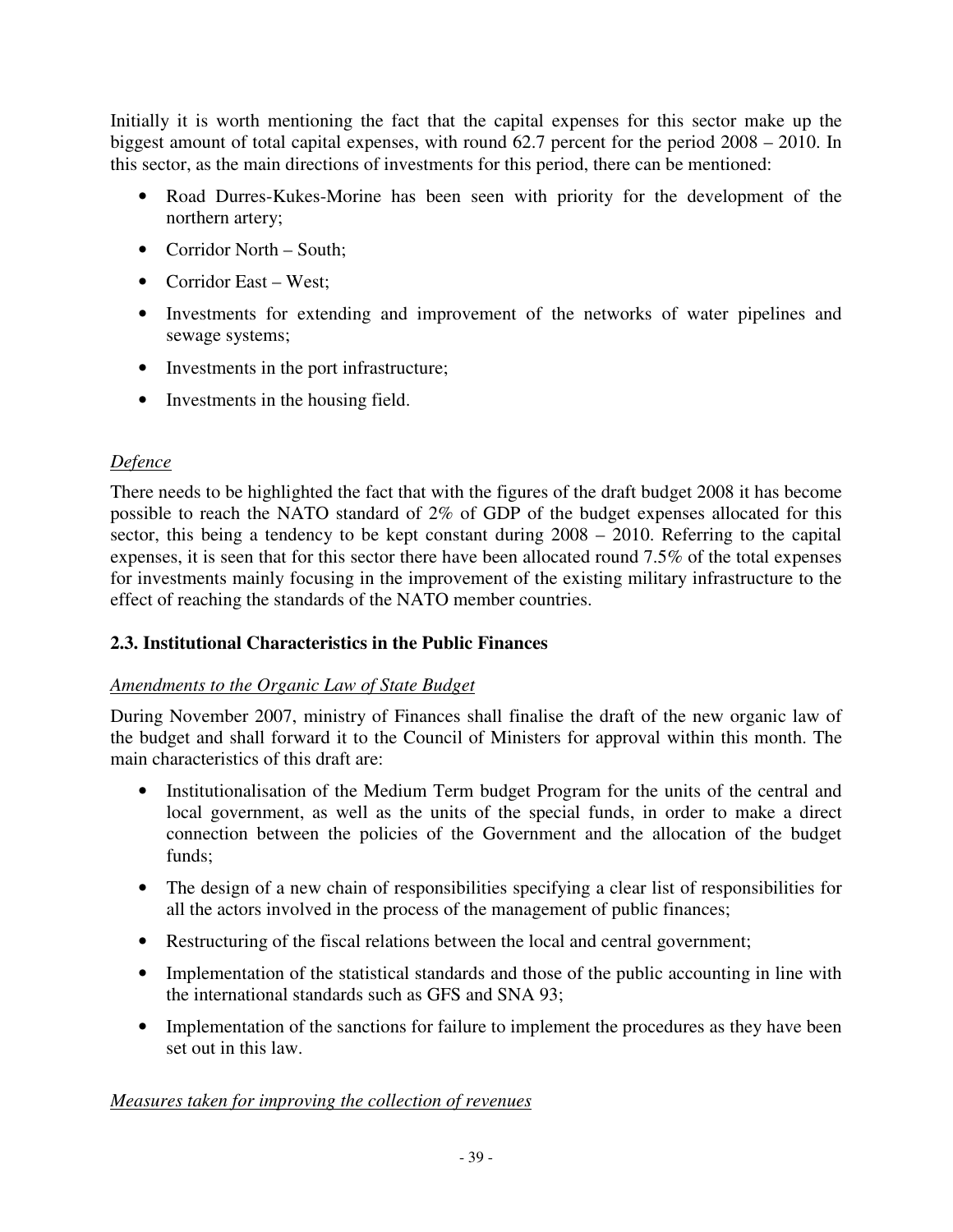Initially it is worth mentioning the fact that the capital expenses for this sector make up the biggest amount of total capital expenses, with round 62.7 percent for the period 2008 – 2010. In this sector, as the main directions of investments for this period, there can be mentioned:

- Road Durres-Kukes-Morine has been seen with priority for the development of the northern artery;
- Corridor North South;
- Corridor East West;
- Investments for extending and improvement of the networks of water pipelines and sewage systems;
- Investments in the port infrastructure;
- Investments in the housing field.

## *Defence*

There needs to be highlighted the fact that with the figures of the draft budget 2008 it has become possible to reach the NATO standard of 2% of GDP of the budget expenses allocated for this sector, this being a tendency to be kept constant during 2008 – 2010. Referring to the capital expenses, it is seen that for this sector there have been allocated round 7.5% of the total expenses for investments mainly focusing in the improvement of the existing military infrastructure to the effect of reaching the standards of the NATO member countries.

# **2.3. Institutional Characteristics in the Public Finances**

### *Amendments to the Organic Law of State Budget*

During November 2007, ministry of Finances shall finalise the draft of the new organic law of the budget and shall forward it to the Council of Ministers for approval within this month. The main characteristics of this draft are:

- Institutionalisation of the Medium Term budget Program for the units of the central and local government, as well as the units of the special funds, in order to make a direct connection between the policies of the Government and the allocation of the budget funds;
- The design of a new chain of responsibilities specifying a clear list of responsibilities for all the actors involved in the process of the management of public finances;
- Restructuring of the fiscal relations between the local and central government;
- Implementation of the statistical standards and those of the public accounting in line with the international standards such as GFS and SNA 93;
- Implementation of the sanctions for failure to implement the procedures as they have been set out in this law.

# *Measures taken for improving the collection of revenues*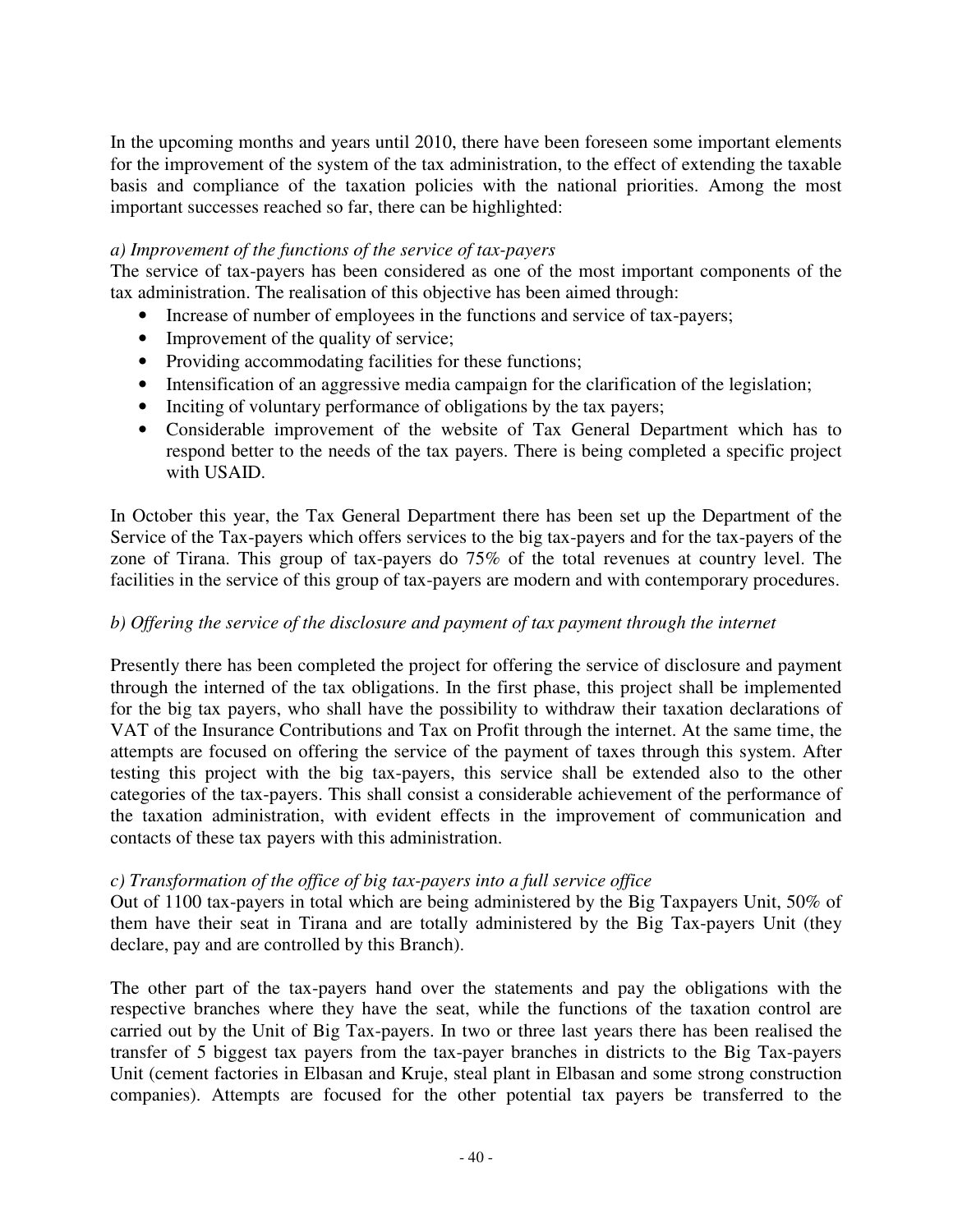In the upcoming months and years until 2010, there have been foreseen some important elements for the improvement of the system of the tax administration, to the effect of extending the taxable basis and compliance of the taxation policies with the national priorities. Among the most important successes reached so far, there can be highlighted:

#### *a) Improvement of the functions of the service of tax-payers*

The service of tax-payers has been considered as one of the most important components of the tax administration. The realisation of this objective has been aimed through:

- Increase of number of employees in the functions and service of tax-payers;
- Improvement of the quality of service;
- Providing accommodating facilities for these functions;
- Intensification of an aggressive media campaign for the clarification of the legislation;
- Inciting of voluntary performance of obligations by the tax payers;
- Considerable improvement of the website of Tax General Department which has to respond better to the needs of the tax payers. There is being completed a specific project with USAID.

In October this year, the Tax General Department there has been set up the Department of the Service of the Tax-payers which offers services to the big tax-payers and for the tax-payers of the zone of Tirana. This group of tax-payers do 75% of the total revenues at country level. The facilities in the service of this group of tax-payers are modern and with contemporary procedures.

### *b) Offering the service of the disclosure and payment of tax payment through the internet*

Presently there has been completed the project for offering the service of disclosure and payment through the interned of the tax obligations. In the first phase, this project shall be implemented for the big tax payers, who shall have the possibility to withdraw their taxation declarations of VAT of the Insurance Contributions and Tax on Profit through the internet. At the same time, the attempts are focused on offering the service of the payment of taxes through this system. After testing this project with the big tax-payers, this service shall be extended also to the other categories of the tax-payers. This shall consist a considerable achievement of the performance of the taxation administration, with evident effects in the improvement of communication and contacts of these tax payers with this administration.

### *c) Transformation of the office of big tax-payers into a full service office*

Out of 1100 tax-payers in total which are being administered by the Big Taxpayers Unit, 50% of them have their seat in Tirana and are totally administered by the Big Tax-payers Unit (they declare, pay and are controlled by this Branch).

The other part of the tax-payers hand over the statements and pay the obligations with the respective branches where they have the seat, while the functions of the taxation control are carried out by the Unit of Big Tax-payers. In two or three last years there has been realised the transfer of 5 biggest tax payers from the tax-payer branches in districts to the Big Tax-payers Unit (cement factories in Elbasan and Kruje, steal plant in Elbasan and some strong construction companies). Attempts are focused for the other potential tax payers be transferred to the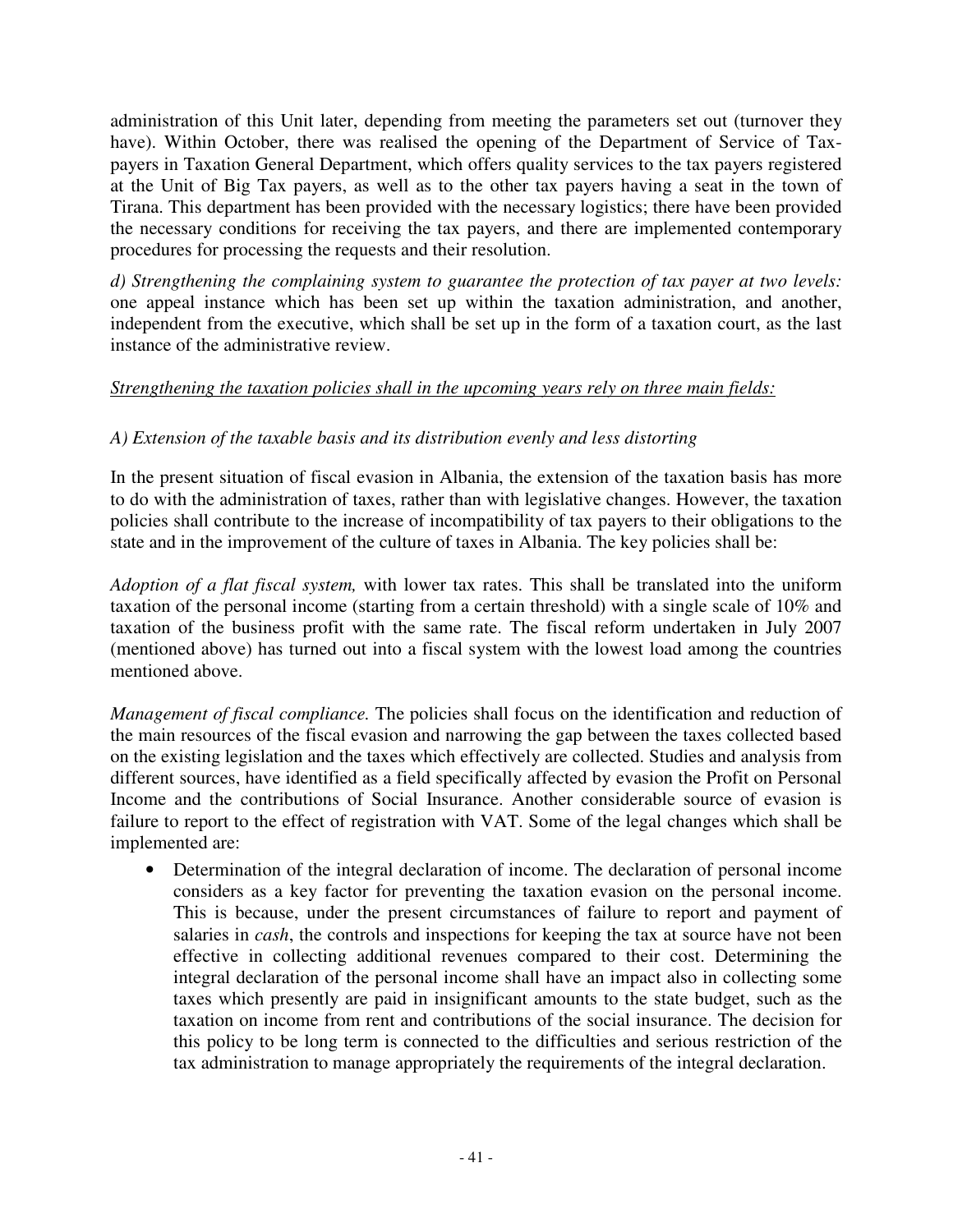administration of this Unit later, depending from meeting the parameters set out (turnover they have). Within October, there was realised the opening of the Department of Service of Taxpayers in Taxation General Department, which offers quality services to the tax payers registered at the Unit of Big Tax payers, as well as to the other tax payers having a seat in the town of Tirana. This department has been provided with the necessary logistics; there have been provided the necessary conditions for receiving the tax payers, and there are implemented contemporary procedures for processing the requests and their resolution.

*d) Strengthening the complaining system to guarantee the protection of tax payer at two levels:*  one appeal instance which has been set up within the taxation administration, and another, independent from the executive, which shall be set up in the form of a taxation court, as the last instance of the administrative review.

## *Strengthening the taxation policies shall in the upcoming years rely on three main fields:*

## *A) Extension of the taxable basis and its distribution evenly and less distorting*

In the present situation of fiscal evasion in Albania, the extension of the taxation basis has more to do with the administration of taxes, rather than with legislative changes. However, the taxation policies shall contribute to the increase of incompatibility of tax payers to their obligations to the state and in the improvement of the culture of taxes in Albania. The key policies shall be:

*Adoption of a flat fiscal system,* with lower tax rates. This shall be translated into the uniform taxation of the personal income (starting from a certain threshold) with a single scale of 10% and taxation of the business profit with the same rate. The fiscal reform undertaken in July 2007 (mentioned above) has turned out into a fiscal system with the lowest load among the countries mentioned above.

*Management of fiscal compliance.* The policies shall focus on the identification and reduction of the main resources of the fiscal evasion and narrowing the gap between the taxes collected based on the existing legislation and the taxes which effectively are collected. Studies and analysis from different sources, have identified as a field specifically affected by evasion the Profit on Personal Income and the contributions of Social Insurance. Another considerable source of evasion is failure to report to the effect of registration with VAT. Some of the legal changes which shall be implemented are:

• Determination of the integral declaration of income. The declaration of personal income considers as a key factor for preventing the taxation evasion on the personal income. This is because, under the present circumstances of failure to report and payment of salaries in *cash*, the controls and inspections for keeping the tax at source have not been effective in collecting additional revenues compared to their cost. Determining the integral declaration of the personal income shall have an impact also in collecting some taxes which presently are paid in insignificant amounts to the state budget, such as the taxation on income from rent and contributions of the social insurance. The decision for this policy to be long term is connected to the difficulties and serious restriction of the tax administration to manage appropriately the requirements of the integral declaration.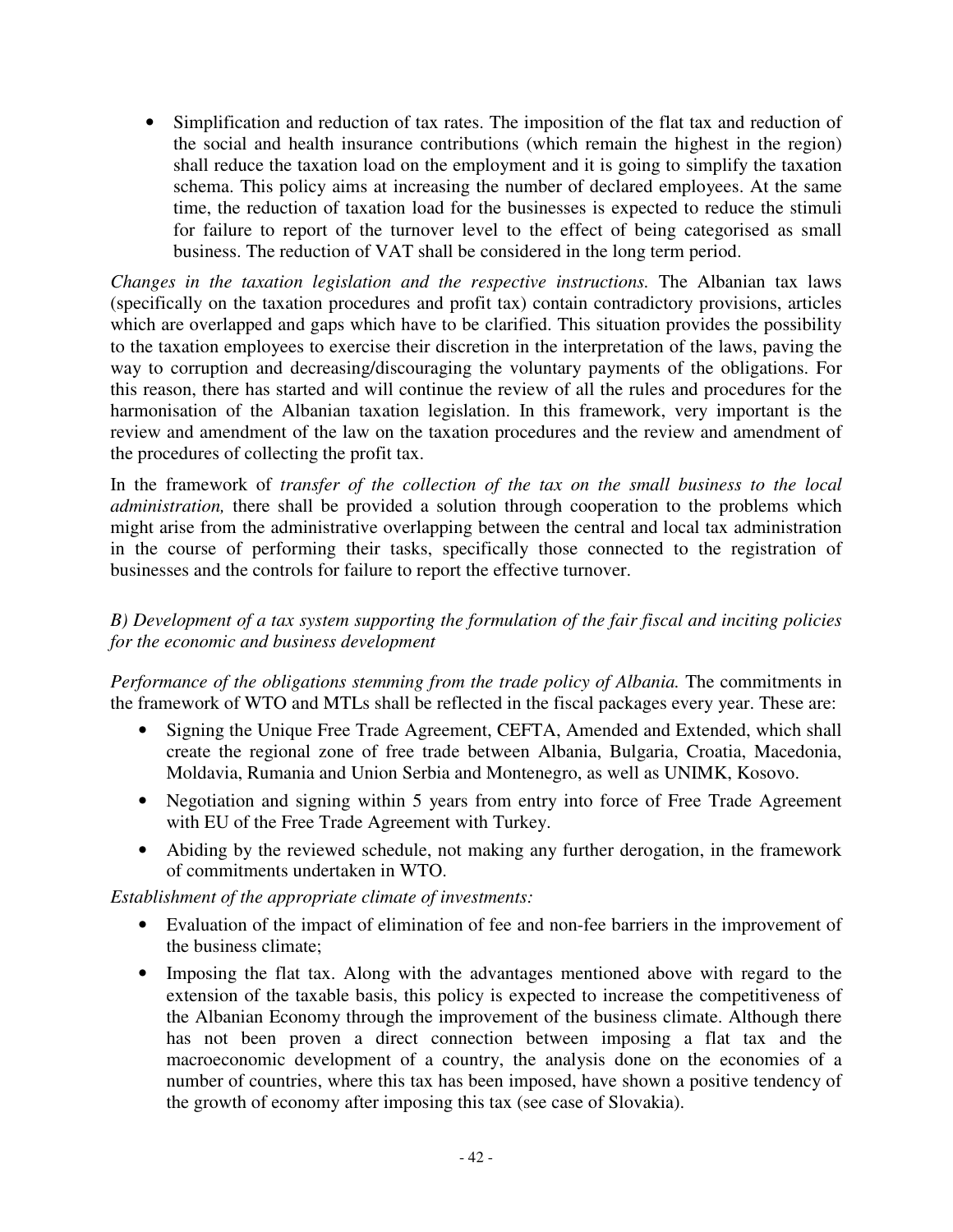• Simplification and reduction of tax rates. The imposition of the flat tax and reduction of the social and health insurance contributions (which remain the highest in the region) shall reduce the taxation load on the employment and it is going to simplify the taxation schema. This policy aims at increasing the number of declared employees. At the same time, the reduction of taxation load for the businesses is expected to reduce the stimuli for failure to report of the turnover level to the effect of being categorised as small business. The reduction of VAT shall be considered in the long term period.

*Changes in the taxation legislation and the respective instructions.* The Albanian tax laws (specifically on the taxation procedures and profit tax) contain contradictory provisions, articles which are overlapped and gaps which have to be clarified. This situation provides the possibility to the taxation employees to exercise their discretion in the interpretation of the laws, paving the way to corruption and decreasing/discouraging the voluntary payments of the obligations. For this reason, there has started and will continue the review of all the rules and procedures for the harmonisation of the Albanian taxation legislation. In this framework, very important is the review and amendment of the law on the taxation procedures and the review and amendment of the procedures of collecting the profit tax.

In the framework of *transfer of the collection of the tax on the small business to the local administration,* there shall be provided a solution through cooperation to the problems which might arise from the administrative overlapping between the central and local tax administration in the course of performing their tasks, specifically those connected to the registration of businesses and the controls for failure to report the effective turnover.

## *B) Development of a tax system supporting the formulation of the fair fiscal and inciting policies for the economic and business development*

*Performance of the obligations stemming from the trade policy of Albania. The commitments in* the framework of WTO and MTLs shall be reflected in the fiscal packages every year. These are:

- Signing the Unique Free Trade Agreement, CEFTA, Amended and Extended, which shall create the regional zone of free trade between Albania, Bulgaria, Croatia, Macedonia, Moldavia, Rumania and Union Serbia and Montenegro, as well as UNIMK, Kosovo.
- Negotiation and signing within 5 years from entry into force of Free Trade Agreement with EU of the Free Trade Agreement with Turkey.
- Abiding by the reviewed schedule, not making any further derogation, in the framework of commitments undertaken in WTO.

*Establishment of the appropriate climate of investments:* 

- Evaluation of the impact of elimination of fee and non-fee barriers in the improvement of the business climate;
- Imposing the flat tax. Along with the advantages mentioned above with regard to the extension of the taxable basis, this policy is expected to increase the competitiveness of the Albanian Economy through the improvement of the business climate. Although there has not been proven a direct connection between imposing a flat tax and the macroeconomic development of a country, the analysis done on the economies of a number of countries, where this tax has been imposed, have shown a positive tendency of the growth of economy after imposing this tax (see case of Slovakia).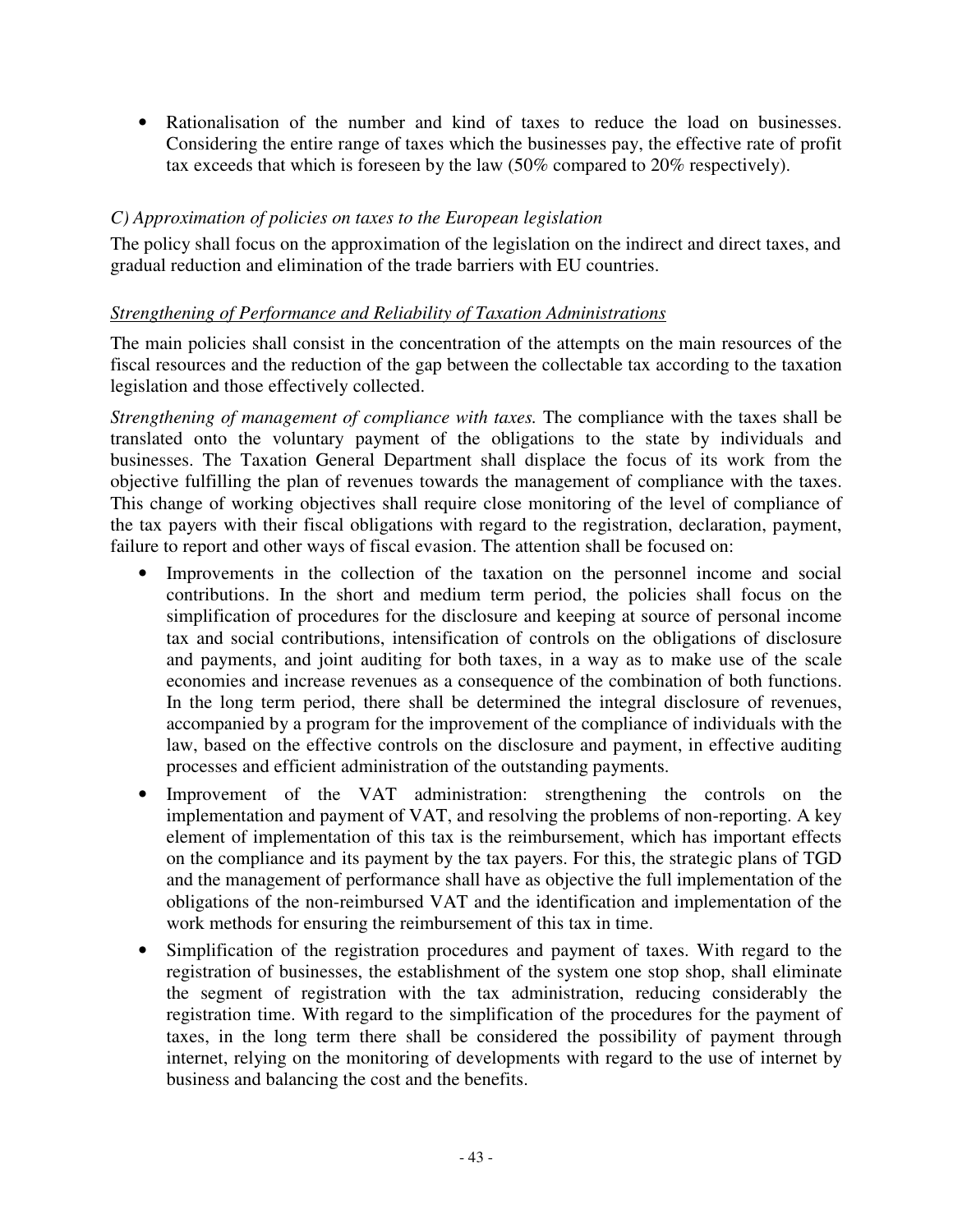• Rationalisation of the number and kind of taxes to reduce the load on businesses. Considering the entire range of taxes which the businesses pay, the effective rate of profit tax exceeds that which is foreseen by the law (50% compared to 20% respectively).

## *C) Approximation of policies on taxes to the European legislation*

The policy shall focus on the approximation of the legislation on the indirect and direct taxes, and gradual reduction and elimination of the trade barriers with EU countries.

## *Strengthening of Performance and Reliability of Taxation Administrations*

The main policies shall consist in the concentration of the attempts on the main resources of the fiscal resources and the reduction of the gap between the collectable tax according to the taxation legislation and those effectively collected.

*Strengthening of management of compliance with taxes.* The compliance with the taxes shall be translated onto the voluntary payment of the obligations to the state by individuals and businesses. The Taxation General Department shall displace the focus of its work from the objective fulfilling the plan of revenues towards the management of compliance with the taxes. This change of working objectives shall require close monitoring of the level of compliance of the tax payers with their fiscal obligations with regard to the registration, declaration, payment, failure to report and other ways of fiscal evasion. The attention shall be focused on:

- Improvements in the collection of the taxation on the personnel income and social contributions. In the short and medium term period, the policies shall focus on the simplification of procedures for the disclosure and keeping at source of personal income tax and social contributions, intensification of controls on the obligations of disclosure and payments, and joint auditing for both taxes, in a way as to make use of the scale economies and increase revenues as a consequence of the combination of both functions. In the long term period, there shall be determined the integral disclosure of revenues, accompanied by a program for the improvement of the compliance of individuals with the law, based on the effective controls on the disclosure and payment, in effective auditing processes and efficient administration of the outstanding payments.
- Improvement of the VAT administration: strengthening the controls on the implementation and payment of VAT, and resolving the problems of non-reporting. A key element of implementation of this tax is the reimbursement, which has important effects on the compliance and its payment by the tax payers. For this, the strategic plans of TGD and the management of performance shall have as objective the full implementation of the obligations of the non-reimbursed VAT and the identification and implementation of the work methods for ensuring the reimbursement of this tax in time.
- Simplification of the registration procedures and payment of taxes. With regard to the registration of businesses, the establishment of the system one stop shop, shall eliminate the segment of registration with the tax administration, reducing considerably the registration time. With regard to the simplification of the procedures for the payment of taxes, in the long term there shall be considered the possibility of payment through internet, relying on the monitoring of developments with regard to the use of internet by business and balancing the cost and the benefits.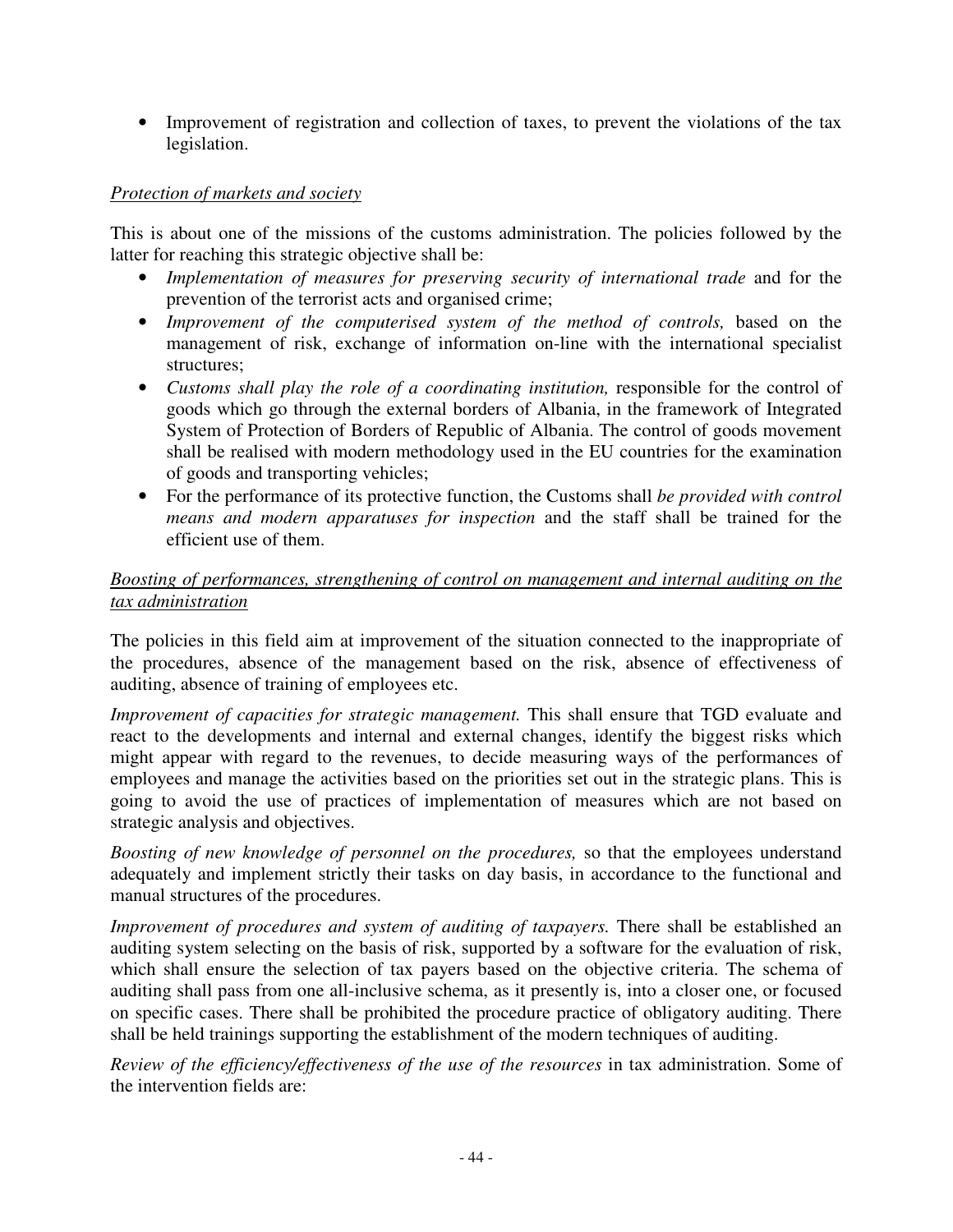• Improvement of registration and collection of taxes, to prevent the violations of the tax legislation.

### *Protection of markets and society*

This is about one of the missions of the customs administration. The policies followed by the latter for reaching this strategic objective shall be:

- *Implementation of measures for preserving security of international trade and for the* prevention of the terrorist acts and organised crime;
- *Improvement of the computerised system of the method of controls, based on the* management of risk, exchange of information on-line with the international specialist structures;
- *Customs shall play the role of a coordinating institution, responsible for the control of* goods which go through the external borders of Albania, in the framework of Integrated System of Protection of Borders of Republic of Albania. The control of goods movement shall be realised with modern methodology used in the EU countries for the examination of goods and transporting vehicles;
- For the performance of its protective function, the Customs shall *be provided with control means and modern apparatuses for inspection* and the staff shall be trained for the efficient use of them.

### *Boosting of performances, strengthening of control on management and internal auditing on the tax administration*

The policies in this field aim at improvement of the situation connected to the inappropriate of the procedures, absence of the management based on the risk, absence of effectiveness of auditing, absence of training of employees etc.

*Improvement of capacities for strategic management.* This shall ensure that TGD evaluate and react to the developments and internal and external changes, identify the biggest risks which might appear with regard to the revenues, to decide measuring ways of the performances of employees and manage the activities based on the priorities set out in the strategic plans. This is going to avoid the use of practices of implementation of measures which are not based on strategic analysis and objectives.

*Boosting of new knowledge of personnel on the procedures,* so that the employees understand adequately and implement strictly their tasks on day basis, in accordance to the functional and manual structures of the procedures.

*Improvement of procedures and system of auditing of taxpayers. There shall be established an* auditing system selecting on the basis of risk, supported by a software for the evaluation of risk, which shall ensure the selection of tax payers based on the objective criteria. The schema of auditing shall pass from one all-inclusive schema, as it presently is, into a closer one, or focused on specific cases. There shall be prohibited the procedure practice of obligatory auditing. There shall be held trainings supporting the establishment of the modern techniques of auditing.

*Review of the efficiency/effectiveness of the use of the resources* in tax administration. Some of the intervention fields are: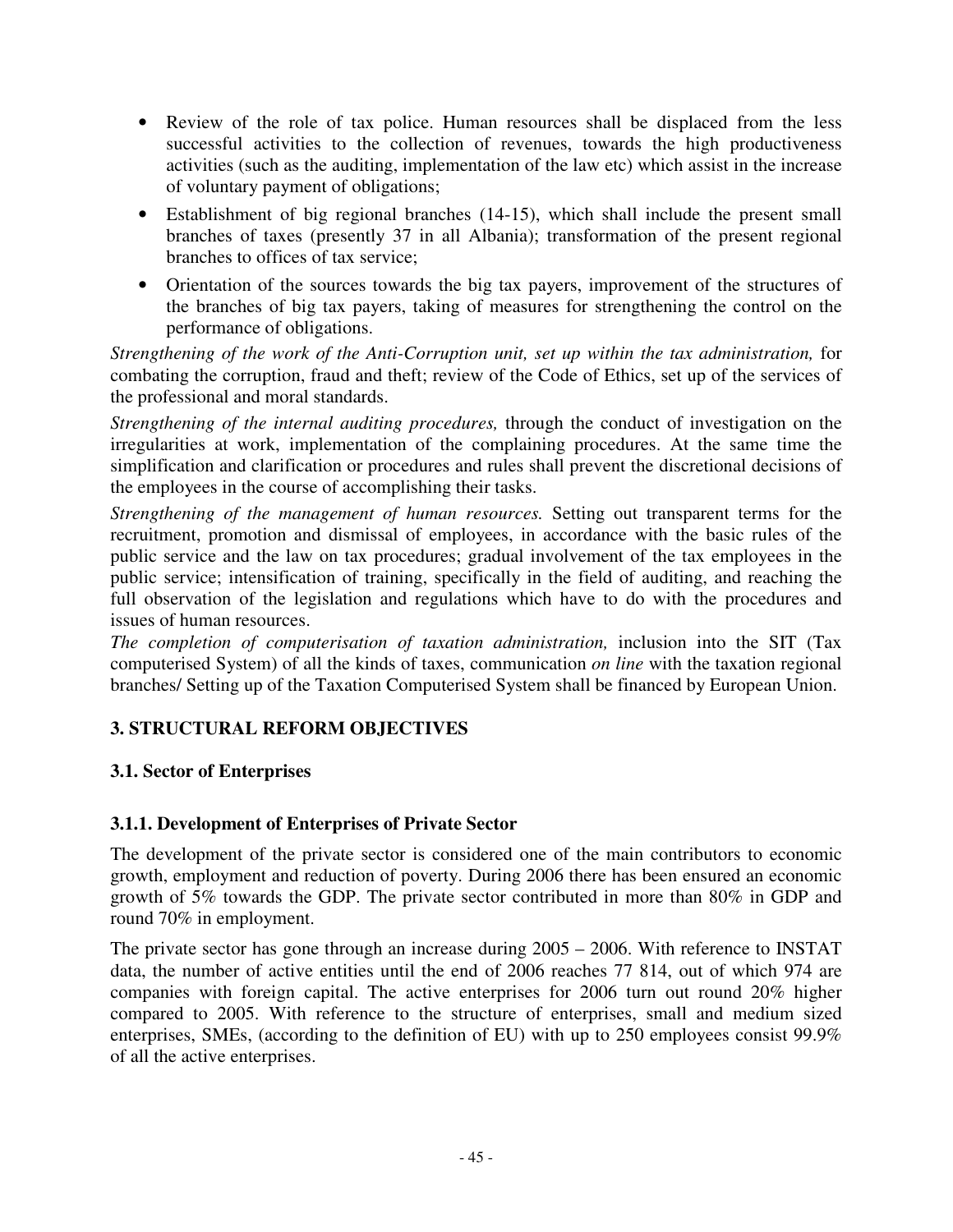- Review of the role of tax police. Human resources shall be displaced from the less successful activities to the collection of revenues, towards the high productiveness activities (such as the auditing, implementation of the law etc) which assist in the increase of voluntary payment of obligations;
- Establishment of big regional branches (14-15), which shall include the present small branches of taxes (presently 37 in all Albania); transformation of the present regional branches to offices of tax service;
- Orientation of the sources towards the big tax payers, improvement of the structures of the branches of big tax payers, taking of measures for strengthening the control on the performance of obligations.

*Strengthening of the work of the Anti-Corruption unit, set up within the tax administration,* for combating the corruption, fraud and theft; review of the Code of Ethics, set up of the services of the professional and moral standards.

*Strengthening of the internal auditing procedures,* through the conduct of investigation on the irregularities at work, implementation of the complaining procedures. At the same time the simplification and clarification or procedures and rules shall prevent the discretional decisions of the employees in the course of accomplishing their tasks.

*Strengthening of the management of human resources.* Setting out transparent terms for the recruitment, promotion and dismissal of employees, in accordance with the basic rules of the public service and the law on tax procedures; gradual involvement of the tax employees in the public service; intensification of training, specifically in the field of auditing, and reaching the full observation of the legislation and regulations which have to do with the procedures and issues of human resources.

*The completion of computerisation of taxation administration,* inclusion into the SIT (Tax computerised System) of all the kinds of taxes, communication *on line* with the taxation regional branches/ Setting up of the Taxation Computerised System shall be financed by European Union.

# **3. STRUCTURAL REFORM OBJECTIVES**

# **3.1. Sector of Enterprises**

### **3.1.1. Development of Enterprises of Private Sector**

The development of the private sector is considered one of the main contributors to economic growth, employment and reduction of poverty. During 2006 there has been ensured an economic growth of 5% towards the GDP. The private sector contributed in more than 80% in GDP and round 70% in employment.

The private sector has gone through an increase during 2005 – 2006. With reference to INSTAT data, the number of active entities until the end of 2006 reaches 77 814, out of which 974 are companies with foreign capital. The active enterprises for 2006 turn out round 20% higher compared to 2005. With reference to the structure of enterprises, small and medium sized enterprises, SMEs, (according to the definition of EU) with up to 250 employees consist 99.9% of all the active enterprises.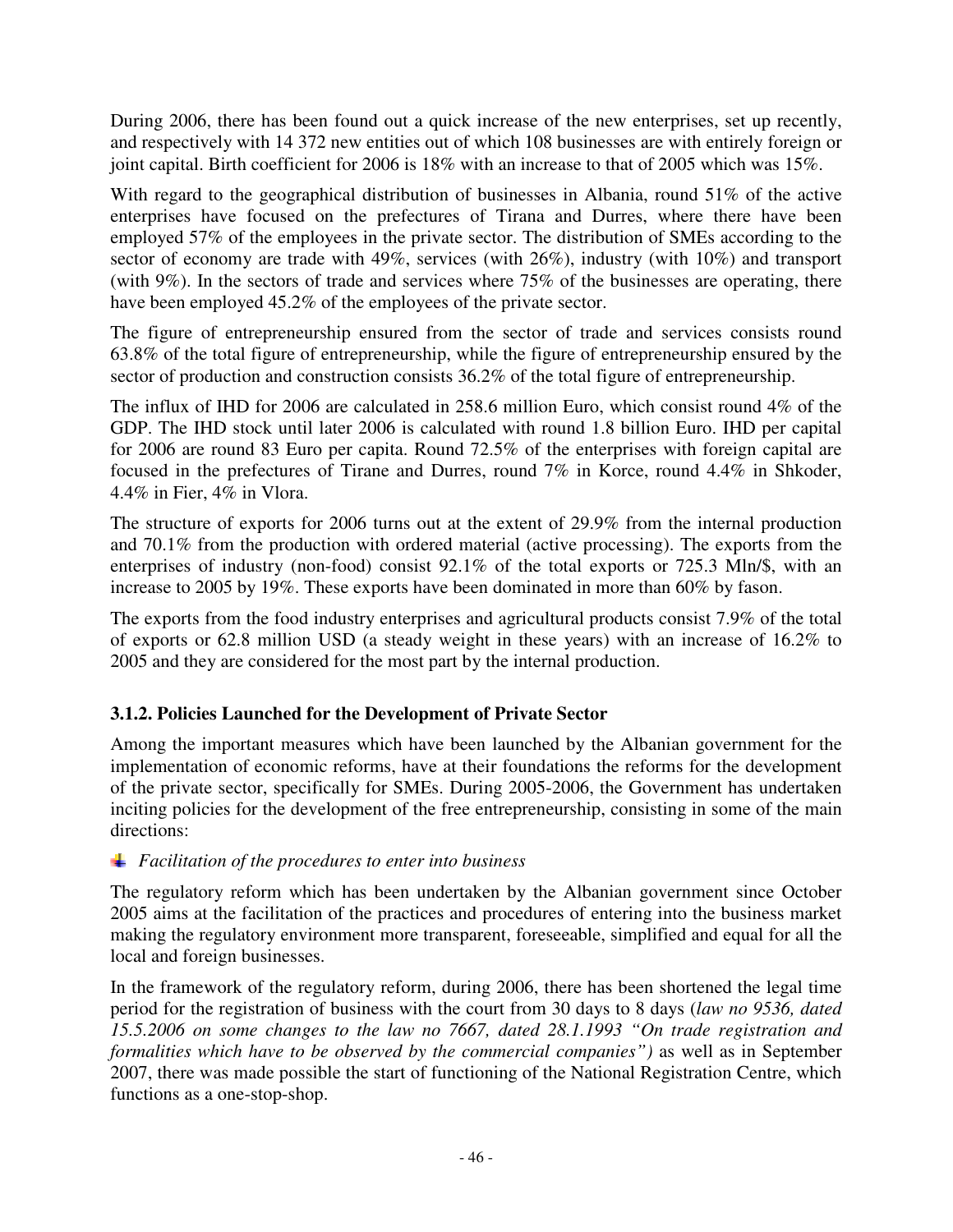During 2006, there has been found out a quick increase of the new enterprises, set up recently, and respectively with 14 372 new entities out of which 108 businesses are with entirely foreign or joint capital. Birth coefficient for 2006 is 18% with an increase to that of 2005 which was 15%.

With regard to the geographical distribution of businesses in Albania, round 51% of the active enterprises have focused on the prefectures of Tirana and Durres, where there have been employed 57% of the employees in the private sector. The distribution of SMEs according to the sector of economy are trade with 49%, services (with 26%), industry (with 10%) and transport (with 9%). In the sectors of trade and services where 75% of the businesses are operating, there have been employed 45.2% of the employees of the private sector.

The figure of entrepreneurship ensured from the sector of trade and services consists round 63.8% of the total figure of entrepreneurship, while the figure of entrepreneurship ensured by the sector of production and construction consists 36.2% of the total figure of entrepreneurship.

The influx of IHD for 2006 are calculated in 258.6 million Euro, which consist round 4% of the GDP. The IHD stock until later 2006 is calculated with round 1.8 billion Euro. IHD per capital for 2006 are round 83 Euro per capita. Round 72.5% of the enterprises with foreign capital are focused in the prefectures of Tirane and Durres, round 7% in Korce, round 4.4% in Shkoder, 4.4% in Fier, 4% in Vlora.

The structure of exports for 2006 turns out at the extent of 29.9% from the internal production and 70.1% from the production with ordered material (active processing). The exports from the enterprises of industry (non-food) consist 92.1% of the total exports or 725.3 Mln/\$, with an increase to 2005 by 19%. These exports have been dominated in more than 60% by fason.

The exports from the food industry enterprises and agricultural products consist 7.9% of the total of exports or 62.8 million USD (a steady weight in these years) with an increase of 16.2% to 2005 and they are considered for the most part by the internal production.

# **3.1.2. Policies Launched for the Development of Private Sector**

Among the important measures which have been launched by the Albanian government for the implementation of economic reforms, have at their foundations the reforms for the development of the private sector, specifically for SMEs. During 2005-2006, the Government has undertaken inciting policies for the development of the free entrepreneurship, consisting in some of the main directions:

### *Facilitation of the procedures to enter into business*

The regulatory reform which has been undertaken by the Albanian government since October 2005 aims at the facilitation of the practices and procedures of entering into the business market making the regulatory environment more transparent, foreseeable, simplified and equal for all the local and foreign businesses.

In the framework of the regulatory reform, during 2006, there has been shortened the legal time period for the registration of business with the court from 30 days to 8 days (*law no 9536, dated 15.5.2006 on some changes to the law no 7667, dated 28.1.1993 "On trade registration and formalities which have to be observed by the commercial companies")* as well as in September 2007, there was made possible the start of functioning of the National Registration Centre, which functions as a one-stop-shop.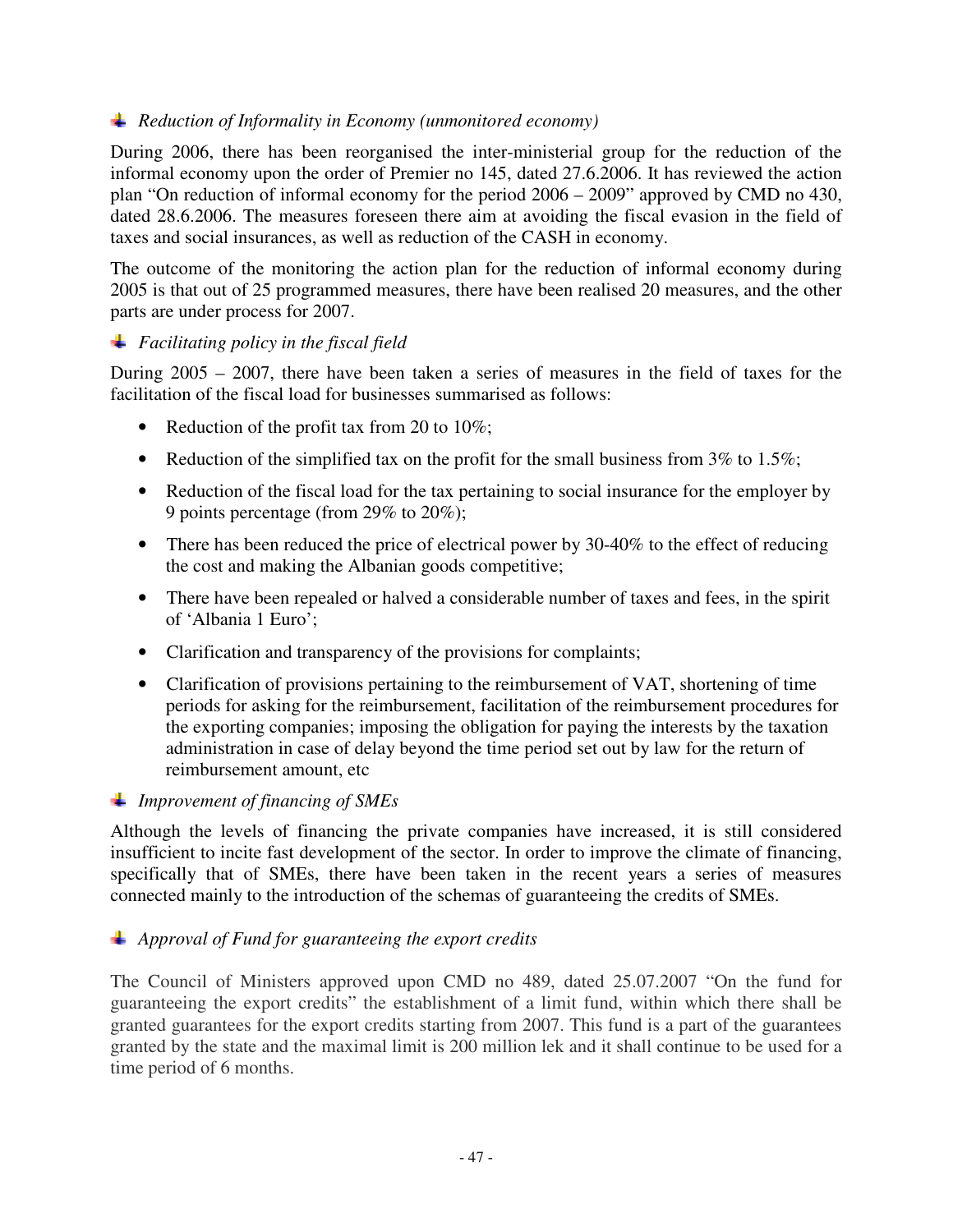### *Reduction of Informality in Economy (unmonitored economy)*

During 2006, there has been reorganised the inter-ministerial group for the reduction of the informal economy upon the order of Premier no 145, dated 27.6.2006. It has reviewed the action plan "On reduction of informal economy for the period 2006 – 2009" approved by CMD no 430, dated 28.6.2006. The measures foreseen there aim at avoiding the fiscal evasion in the field of taxes and social insurances, as well as reduction of the CASH in economy.

The outcome of the monitoring the action plan for the reduction of informal economy during 2005 is that out of 25 programmed measures, there have been realised 20 measures, and the other parts are under process for 2007.

### *Facilitating policy in the fiscal field*

During 2005 – 2007, there have been taken a series of measures in the field of taxes for the facilitation of the fiscal load for businesses summarised as follows:

- Reduction of the profit tax from 20 to 10%;
- Reduction of the simplified tax on the profit for the small business from  $3\%$  to  $1.5\%$ ;
- Reduction of the fiscal load for the tax pertaining to social insurance for the employer by 9 points percentage (from 29% to 20%);
- There has been reduced the price of electrical power by 30-40% to the effect of reducing the cost and making the Albanian goods competitive;
- There have been repealed or halved a considerable number of taxes and fees, in the spirit of 'Albania 1 Euro';
- Clarification and transparency of the provisions for complaints;
- Clarification of provisions pertaining to the reimbursement of VAT, shortening of time periods for asking for the reimbursement, facilitation of the reimbursement procedures for the exporting companies; imposing the obligation for paying the interests by the taxation administration in case of delay beyond the time period set out by law for the return of reimbursement amount, etc

### *Improvement of financing of SMEs*

Although the levels of financing the private companies have increased, it is still considered insufficient to incite fast development of the sector. In order to improve the climate of financing, specifically that of SMEs, there have been taken in the recent years a series of measures connected mainly to the introduction of the schemas of guaranteeing the credits of SMEs.

### *Approval of Fund for guaranteeing the export credits*

The Council of Ministers approved upon CMD no 489, dated 25.07.2007 "On the fund for guaranteeing the export credits" the establishment of a limit fund, within which there shall be granted guarantees for the export credits starting from 2007. This fund is a part of the guarantees granted by the state and the maximal limit is 200 million lek and it shall continue to be used for a time period of 6 months.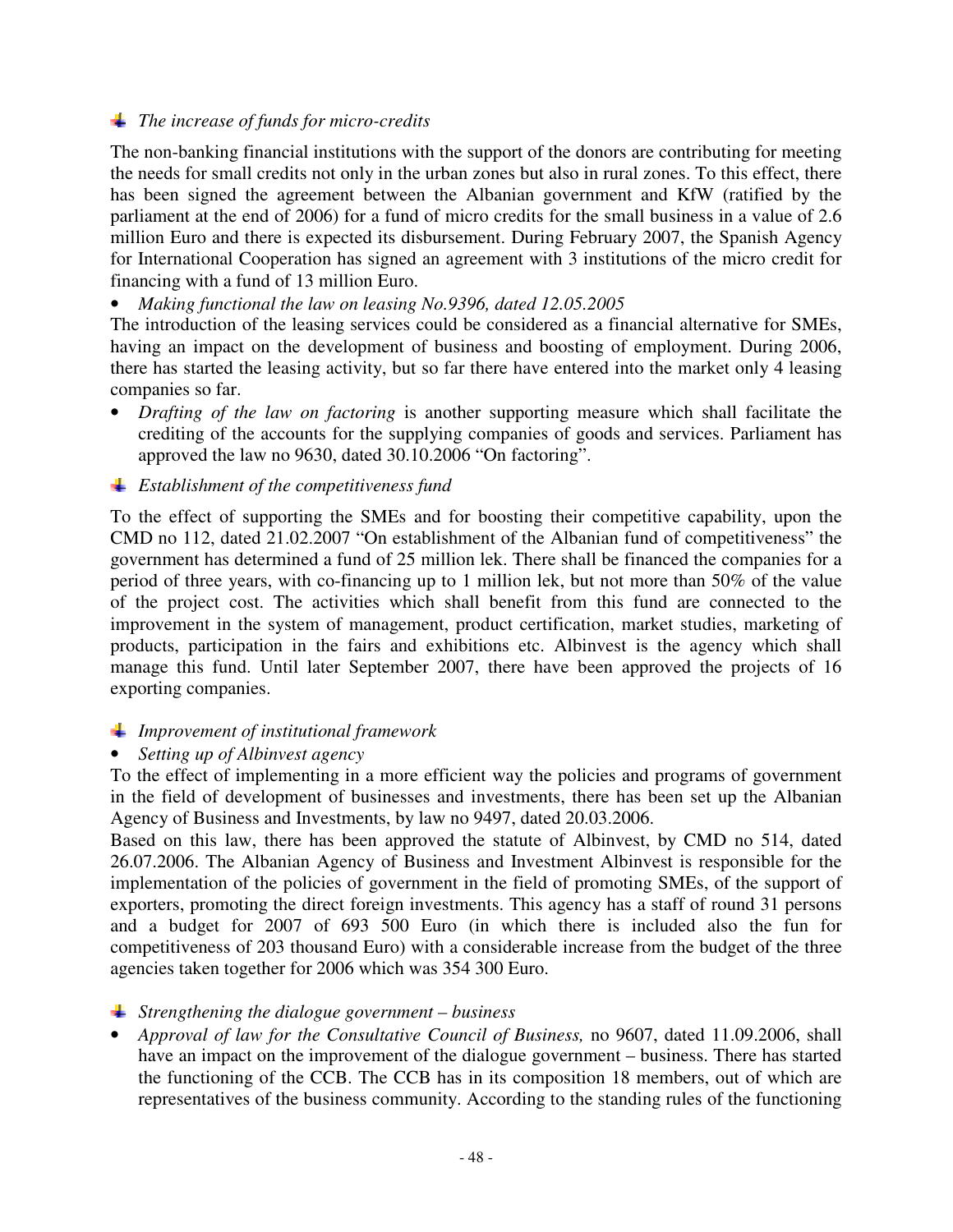### *The increase of funds for micro-credits*

The non-banking financial institutions with the support of the donors are contributing for meeting the needs for small credits not only in the urban zones but also in rural zones. To this effect, there has been signed the agreement between the Albanian government and KfW (ratified by the parliament at the end of 2006) for a fund of micro credits for the small business in a value of 2.6 million Euro and there is expected its disbursement. During February 2007, the Spanish Agency for International Cooperation has signed an agreement with 3 institutions of the micro credit for financing with a fund of 13 million Euro.

### • *Making functional the law on leasing No.9396, dated 12.05.2005*

The introduction of the leasing services could be considered as a financial alternative for SMEs, having an impact on the development of business and boosting of employment. During 2006, there has started the leasing activity, but so far there have entered into the market only 4 leasing companies so far.

• *Drafting of the law on factoring* is another supporting measure which shall facilitate the crediting of the accounts for the supplying companies of goods and services. Parliament has approved the law no 9630, dated 30.10.2006 "On factoring".

### *Establishment of the competitiveness fund*

To the effect of supporting the SMEs and for boosting their competitive capability, upon the CMD no 112, dated 21.02.2007 "On establishment of the Albanian fund of competitiveness" the government has determined a fund of 25 million lek. There shall be financed the companies for a period of three years, with co-financing up to 1 million lek, but not more than 50% of the value of the project cost. The activities which shall benefit from this fund are connected to the improvement in the system of management, product certification, market studies, marketing of products, participation in the fairs and exhibitions etc. Albinvest is the agency which shall manage this fund. Until later September 2007, there have been approved the projects of 16 exporting companies.

### *Improvement of institutional framework*

### • *Setting up of Albinvest agency*

To the effect of implementing in a more efficient way the policies and programs of government in the field of development of businesses and investments, there has been set up the Albanian Agency of Business and Investments, by law no 9497, dated 20.03.2006.

Based on this law, there has been approved the statute of Albinvest, by CMD no 514, dated 26.07.2006. The Albanian Agency of Business and Investment Albinvest is responsible for the implementation of the policies of government in the field of promoting SMEs, of the support of exporters, promoting the direct foreign investments. This agency has a staff of round 31 persons and a budget for 2007 of 693 500 Euro (in which there is included also the fun for competitiveness of 203 thousand Euro) with a considerable increase from the budget of the three agencies taken together for 2006 which was 354 300 Euro.

### *Strengthening the dialogue government – business*

• *Approval of law for the Consultative Council of Business,* no 9607, dated 11.09.2006, shall have an impact on the improvement of the dialogue government – business. There has started the functioning of the CCB. The CCB has in its composition 18 members, out of which are representatives of the business community. According to the standing rules of the functioning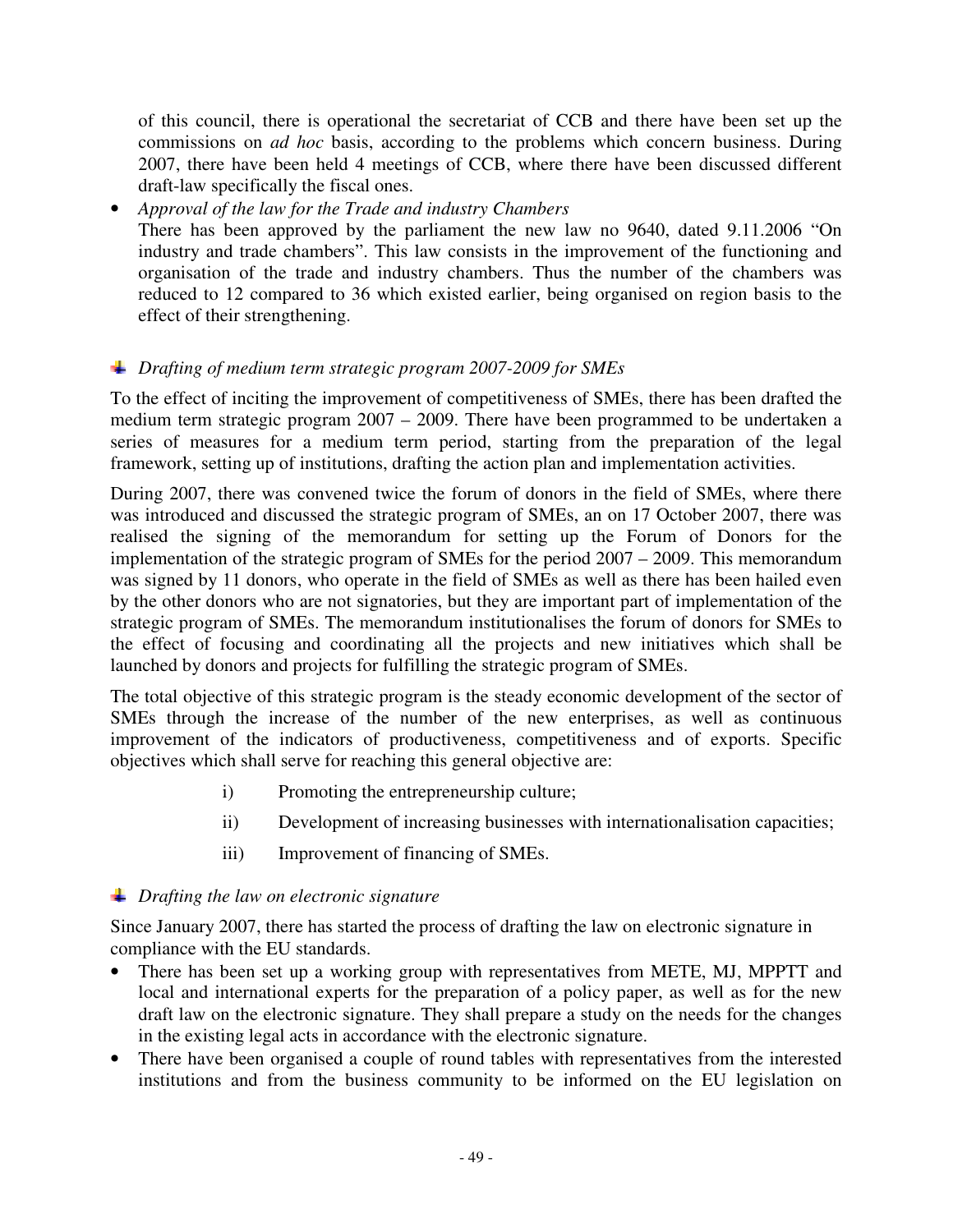of this council, there is operational the secretariat of CCB and there have been set up the commissions on *ad hoc* basis, according to the problems which concern business. During 2007, there have been held 4 meetings of CCB, where there have been discussed different draft-law specifically the fiscal ones.

## • *Approval of the law for the Trade and industry Chambers*

There has been approved by the parliament the new law no 9640, dated 9.11.2006 "On industry and trade chambers". This law consists in the improvement of the functioning and organisation of the trade and industry chambers. Thus the number of the chambers was reduced to 12 compared to 36 which existed earlier, being organised on region basis to the effect of their strengthening.

# *Drafting of medium term strategic program 2007-2009 for SMEs*

To the effect of inciting the improvement of competitiveness of SMEs, there has been drafted the medium term strategic program 2007 – 2009. There have been programmed to be undertaken a series of measures for a medium term period, starting from the preparation of the legal framework, setting up of institutions, drafting the action plan and implementation activities.

During 2007, there was convened twice the forum of donors in the field of SMEs, where there was introduced and discussed the strategic program of SMEs, an on 17 October 2007, there was realised the signing of the memorandum for setting up the Forum of Donors for the implementation of the strategic program of SMEs for the period 2007 – 2009. This memorandum was signed by 11 donors, who operate in the field of SMEs as well as there has been hailed even by the other donors who are not signatories, but they are important part of implementation of the strategic program of SMEs. The memorandum institutionalises the forum of donors for SMEs to the effect of focusing and coordinating all the projects and new initiatives which shall be launched by donors and projects for fulfilling the strategic program of SMEs.

The total objective of this strategic program is the steady economic development of the sector of SMEs through the increase of the number of the new enterprises, as well as continuous improvement of the indicators of productiveness, competitiveness and of exports. Specific objectives which shall serve for reaching this general objective are:

- i) Promoting the entrepreneurship culture;
- ii) Development of increasing businesses with internationalisation capacities;
- iii) Improvement of financing of SMEs.

# *Drafting the law on electronic signature*

Since January 2007, there has started the process of drafting the law on electronic signature in compliance with the EU standards.

- There has been set up a working group with representatives from METE, MJ, MPPTT and local and international experts for the preparation of a policy paper, as well as for the new draft law on the electronic signature. They shall prepare a study on the needs for the changes in the existing legal acts in accordance with the electronic signature.
- There have been organised a couple of round tables with representatives from the interested institutions and from the business community to be informed on the EU legislation on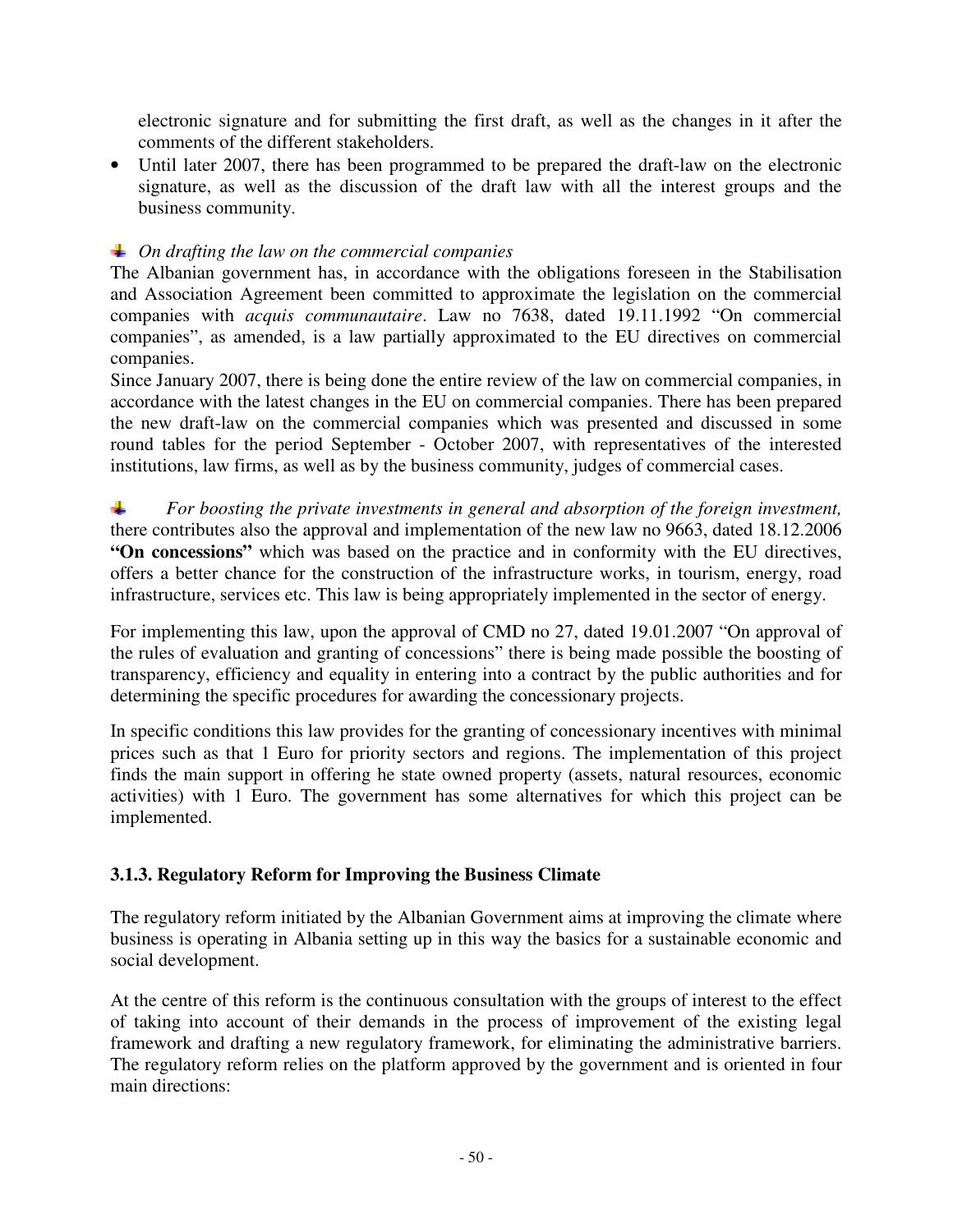electronic signature and for submitting the first draft, as well as the changes in it after the comments of the different stakeholders.

• Until later 2007, there has been programmed to be prepared the draft-law on the electronic signature, as well as the discussion of the draft law with all the interest groups and the business community.

## *On drafting the law on the commercial companies*

The Albanian government has, in accordance with the obligations foreseen in the Stabilisation and Association Agreement been committed to approximate the legislation on the commercial companies with *acquis communautaire*. Law no 7638, dated 19.11.1992 "On commercial companies", as amended, is a law partially approximated to the EU directives on commercial companies.

Since January 2007, there is being done the entire review of the law on commercial companies, in accordance with the latest changes in the EU on commercial companies. There has been prepared the new draft-law on the commercial companies which was presented and discussed in some round tables for the period September - October 2007, with representatives of the interested institutions, law firms, as well as by the business community, judges of commercial cases.

┺ *For boosting the private investments in general and absorption of the foreign investment,*  there contributes also the approval and implementation of the new law no 9663, dated 18.12.2006 **"On concessions"** which was based on the practice and in conformity with the EU directives, offers a better chance for the construction of the infrastructure works, in tourism, energy, road infrastructure, services etc. This law is being appropriately implemented in the sector of energy.

For implementing this law, upon the approval of CMD no 27, dated 19.01.2007 "On approval of the rules of evaluation and granting of concessions" there is being made possible the boosting of transparency, efficiency and equality in entering into a contract by the public authorities and for determining the specific procedures for awarding the concessionary projects.

In specific conditions this law provides for the granting of concessionary incentives with minimal prices such as that 1 Euro for priority sectors and regions. The implementation of this project finds the main support in offering he state owned property (assets, natural resources, economic activities) with 1 Euro. The government has some alternatives for which this project can be implemented.

# **3.1.3. Regulatory Reform for Improving the Business Climate**

The regulatory reform initiated by the Albanian Government aims at improving the climate where business is operating in Albania setting up in this way the basics for a sustainable economic and social development.

At the centre of this reform is the continuous consultation with the groups of interest to the effect of taking into account of their demands in the process of improvement of the existing legal framework and drafting a new regulatory framework, for eliminating the administrative barriers. The regulatory reform relies on the platform approved by the government and is oriented in four main directions: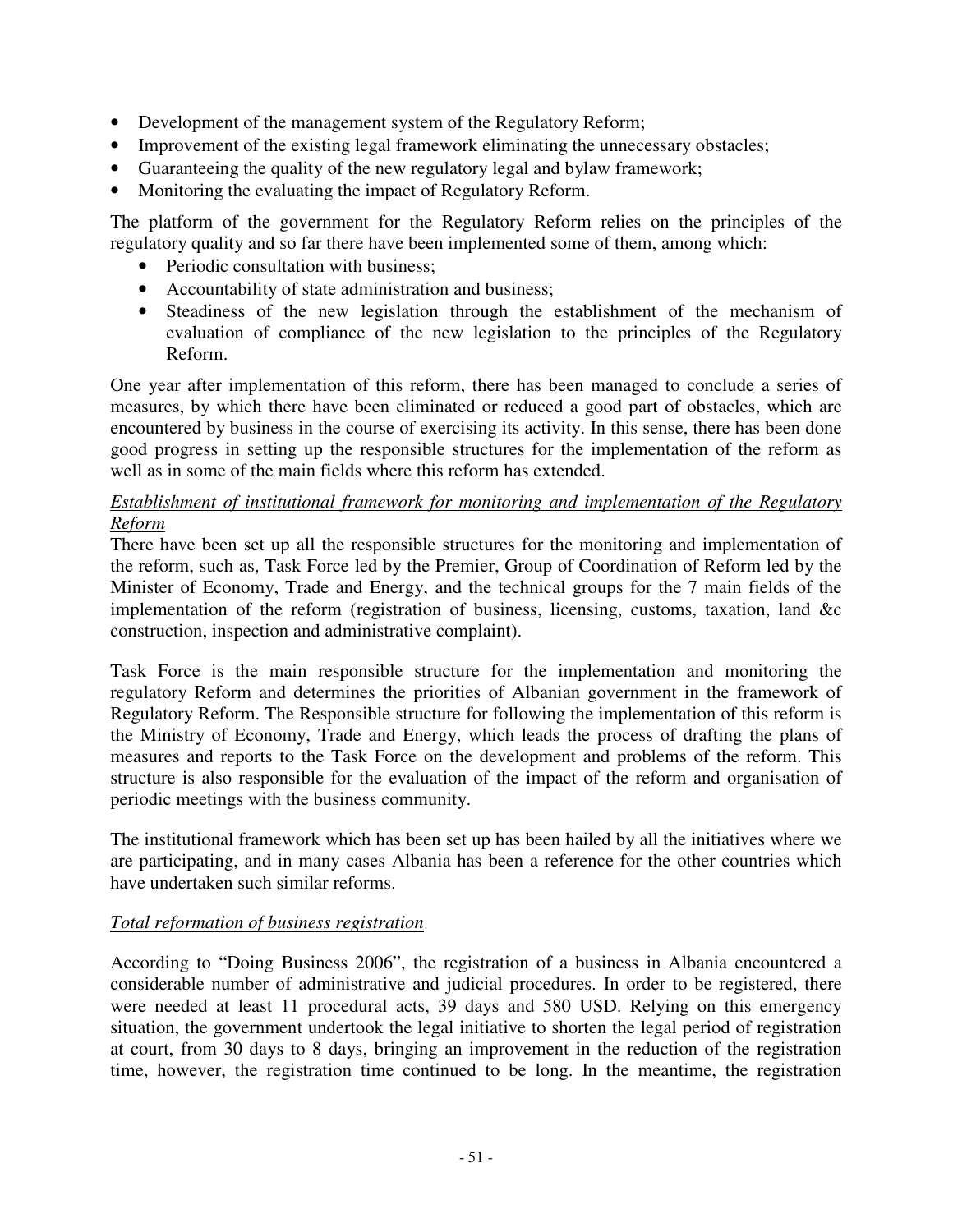- Development of the management system of the Regulatory Reform;
- Improvement of the existing legal framework eliminating the unnecessary obstacles;
- Guaranteeing the quality of the new regulatory legal and bylaw framework;
- Monitoring the evaluating the impact of Regulatory Reform.

The platform of the government for the Regulatory Reform relies on the principles of the regulatory quality and so far there have been implemented some of them, among which:

- Periodic consultation with business;
- Accountability of state administration and business;
- Steadiness of the new legislation through the establishment of the mechanism of evaluation of compliance of the new legislation to the principles of the Regulatory Reform.

One year after implementation of this reform, there has been managed to conclude a series of measures, by which there have been eliminated or reduced a good part of obstacles, which are encountered by business in the course of exercising its activity. In this sense, there has been done good progress in setting up the responsible structures for the implementation of the reform as well as in some of the main fields where this reform has extended.

### *Establishment of institutional framework for monitoring and implementation of the Regulatory Reform*

There have been set up all the responsible structures for the monitoring and implementation of the reform, such as, Task Force led by the Premier, Group of Coordination of Reform led by the Minister of Economy, Trade and Energy, and the technical groups for the 7 main fields of the implementation of the reform (registration of business, licensing, customs, taxation, land &c construction, inspection and administrative complaint).

Task Force is the main responsible structure for the implementation and monitoring the regulatory Reform and determines the priorities of Albanian government in the framework of Regulatory Reform. The Responsible structure for following the implementation of this reform is the Ministry of Economy, Trade and Energy, which leads the process of drafting the plans of measures and reports to the Task Force on the development and problems of the reform. This structure is also responsible for the evaluation of the impact of the reform and organisation of periodic meetings with the business community.

The institutional framework which has been set up has been hailed by all the initiatives where we are participating, and in many cases Albania has been a reference for the other countries which have undertaken such similar reforms.

### *Total reformation of business registration*

According to "Doing Business 2006", the registration of a business in Albania encountered a considerable number of administrative and judicial procedures. In order to be registered, there were needed at least 11 procedural acts, 39 days and 580 USD. Relying on this emergency situation, the government undertook the legal initiative to shorten the legal period of registration at court, from 30 days to 8 days, bringing an improvement in the reduction of the registration time, however, the registration time continued to be long. In the meantime, the registration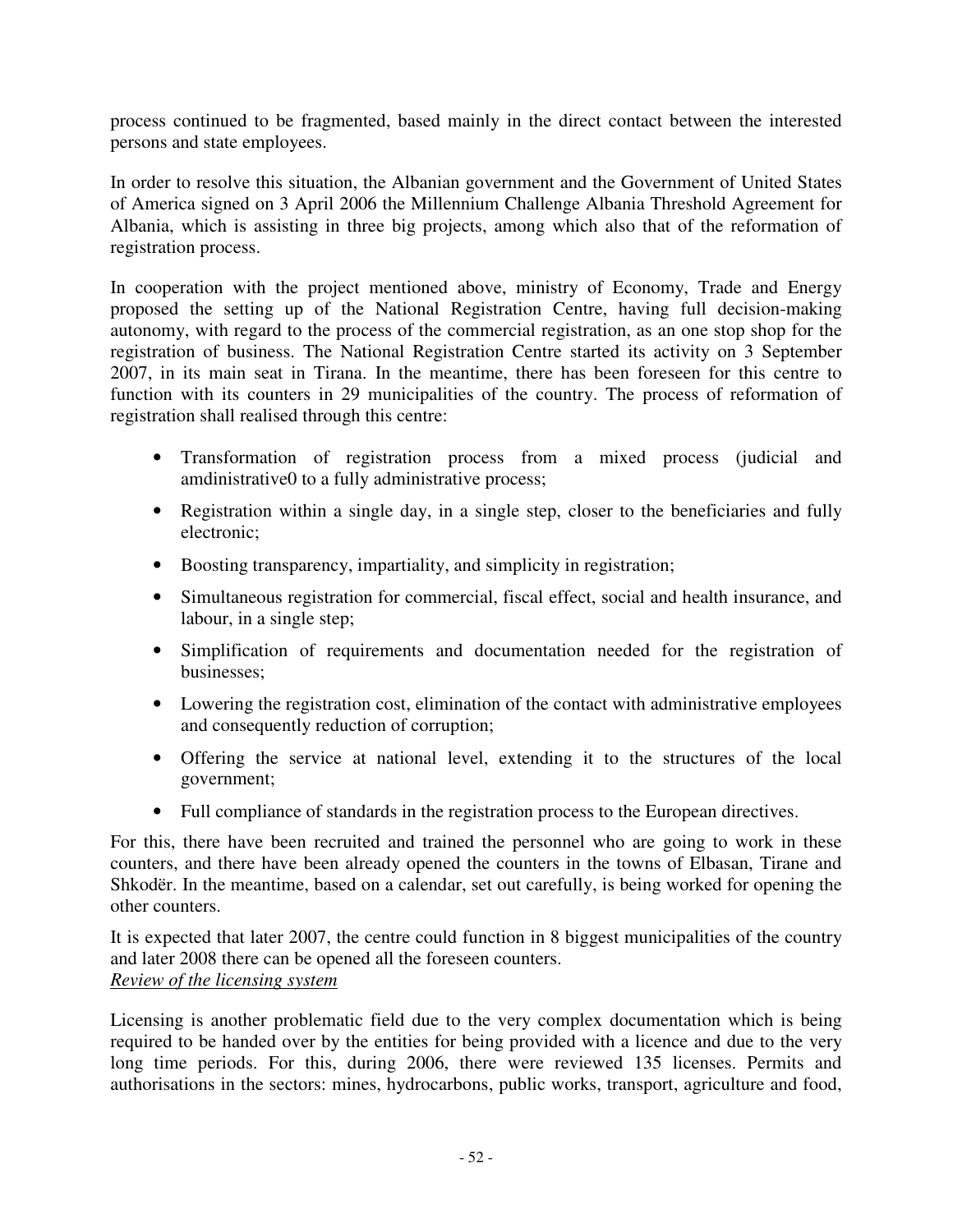process continued to be fragmented, based mainly in the direct contact between the interested persons and state employees.

In order to resolve this situation, the Albanian government and the Government of United States of America signed on 3 April 2006 the Millennium Challenge Albania Threshold Agreement for Albania, which is assisting in three big projects, among which also that of the reformation of registration process.

In cooperation with the project mentioned above, ministry of Economy, Trade and Energy proposed the setting up of the National Registration Centre, having full decision-making autonomy, with regard to the process of the commercial registration, as an one stop shop for the registration of business. The National Registration Centre started its activity on 3 September 2007, in its main seat in Tirana. In the meantime, there has been foreseen for this centre to function with its counters in 29 municipalities of the country. The process of reformation of registration shall realised through this centre:

- Transformation of registration process from a mixed process (judicial and amdinistrative0 to a fully administrative process;
- Registration within a single day, in a single step, closer to the beneficiaries and fully electronic;
- Boosting transparency, impartiality, and simplicity in registration;
- Simultaneous registration for commercial, fiscal effect, social and health insurance, and labour, in a single step;
- Simplification of requirements and documentation needed for the registration of businesses;
- Lowering the registration cost, elimination of the contact with administrative employees and consequently reduction of corruption;
- Offering the service at national level, extending it to the structures of the local government;
- Full compliance of standards in the registration process to the European directives.

For this, there have been recruited and trained the personnel who are going to work in these counters, and there have been already opened the counters in the towns of Elbasan, Tirane and Shkodër. In the meantime, based on a calendar, set out carefully, is being worked for opening the other counters.

It is expected that later 2007, the centre could function in 8 biggest municipalities of the country and later 2008 there can be opened all the foreseen counters. *Review of the licensing system* 

Licensing is another problematic field due to the very complex documentation which is being required to be handed over by the entities for being provided with a licence and due to the very long time periods. For this, during 2006, there were reviewed 135 licenses. Permits and authorisations in the sectors: mines, hydrocarbons, public works, transport, agriculture and food,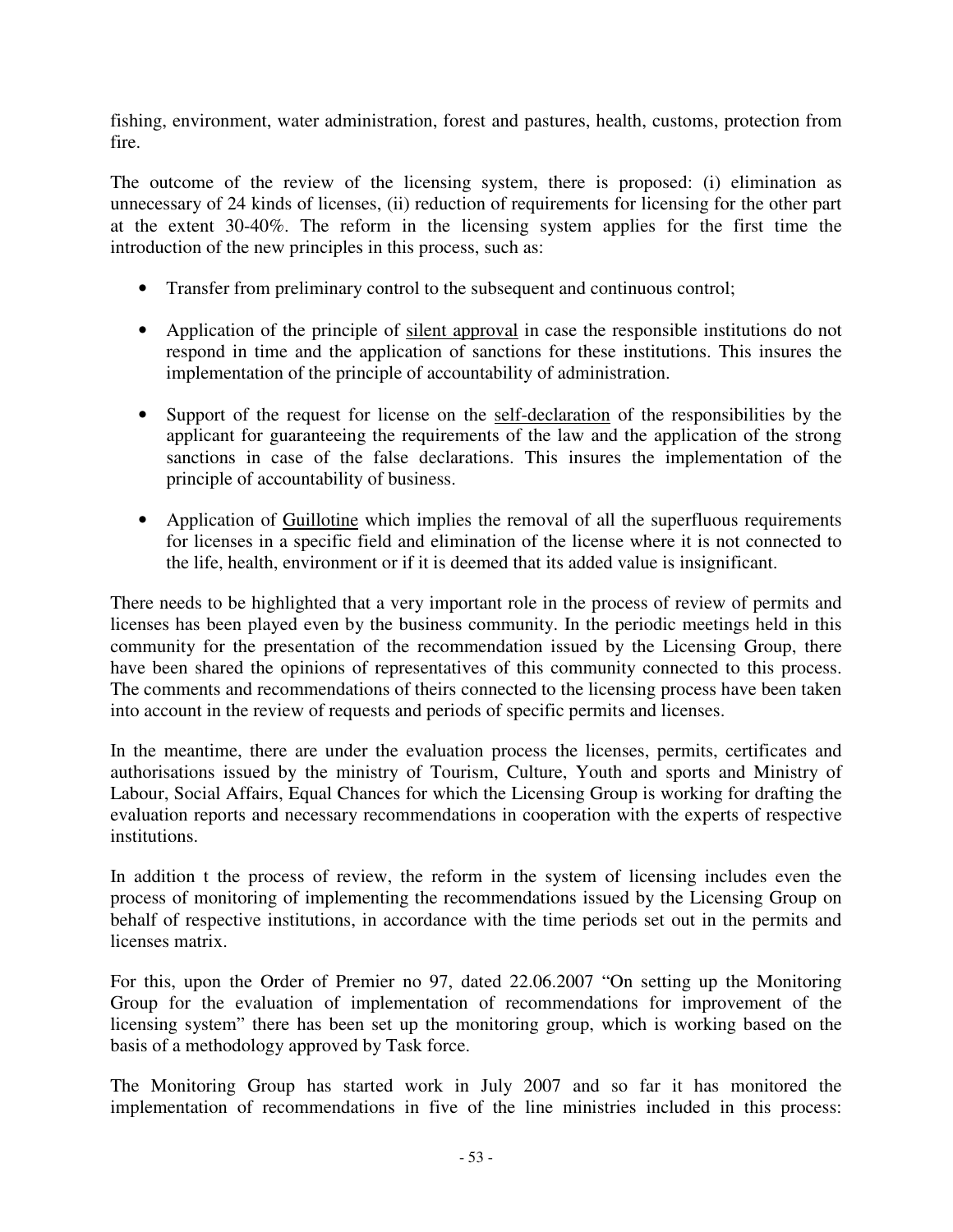fishing, environment, water administration, forest and pastures, health, customs, protection from fire.

The outcome of the review of the licensing system, there is proposed: (i) elimination as unnecessary of 24 kinds of licenses, (ii) reduction of requirements for licensing for the other part at the extent 30-40%. The reform in the licensing system applies for the first time the introduction of the new principles in this process, such as:

- Transfer from preliminary control to the subsequent and continuous control;
- Application of the principle of silent approval in case the responsible institutions do not respond in time and the application of sanctions for these institutions. This insures the implementation of the principle of accountability of administration.
- Support of the request for license on the self-declaration of the responsibilities by the applicant for guaranteeing the requirements of the law and the application of the strong sanctions in case of the false declarations. This insures the implementation of the principle of accountability of business.
- Application of Guillotine which implies the removal of all the superfluous requirements for licenses in a specific field and elimination of the license where it is not connected to the life, health, environment or if it is deemed that its added value is insignificant.

There needs to be highlighted that a very important role in the process of review of permits and licenses has been played even by the business community. In the periodic meetings held in this community for the presentation of the recommendation issued by the Licensing Group, there have been shared the opinions of representatives of this community connected to this process. The comments and recommendations of theirs connected to the licensing process have been taken into account in the review of requests and periods of specific permits and licenses.

In the meantime, there are under the evaluation process the licenses, permits, certificates and authorisations issued by the ministry of Tourism, Culture, Youth and sports and Ministry of Labour, Social Affairs, Equal Chances for which the Licensing Group is working for drafting the evaluation reports and necessary recommendations in cooperation with the experts of respective institutions.

In addition t the process of review, the reform in the system of licensing includes even the process of monitoring of implementing the recommendations issued by the Licensing Group on behalf of respective institutions, in accordance with the time periods set out in the permits and licenses matrix.

For this, upon the Order of Premier no 97, dated 22.06.2007 "On setting up the Monitoring Group for the evaluation of implementation of recommendations for improvement of the licensing system" there has been set up the monitoring group, which is working based on the basis of a methodology approved by Task force.

The Monitoring Group has started work in July 2007 and so far it has monitored the implementation of recommendations in five of the line ministries included in this process: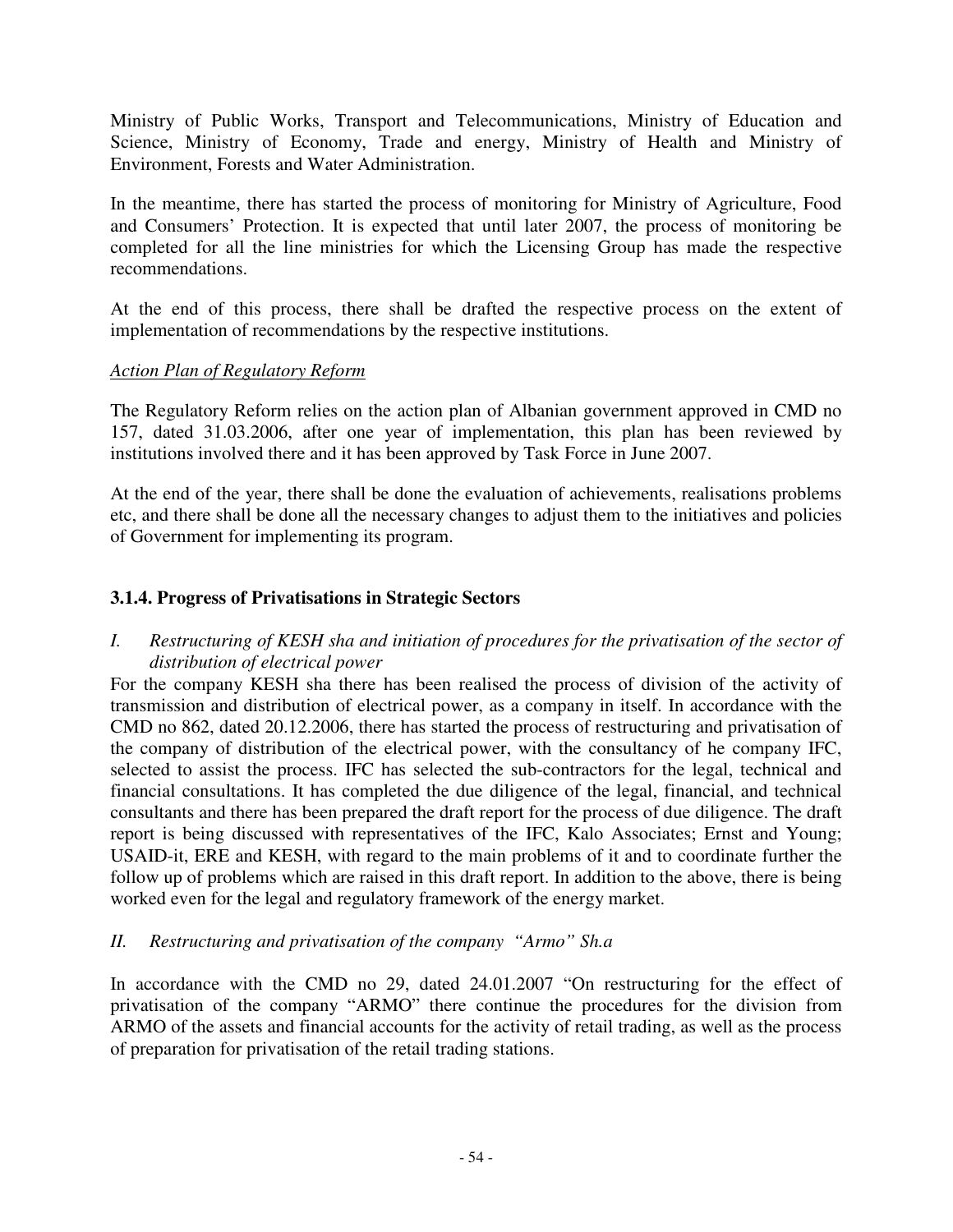Ministry of Public Works, Transport and Telecommunications, Ministry of Education and Science, Ministry of Economy, Trade and energy, Ministry of Health and Ministry of Environment, Forests and Water Administration.

In the meantime, there has started the process of monitoring for Ministry of Agriculture, Food and Consumers' Protection. It is expected that until later 2007, the process of monitoring be completed for all the line ministries for which the Licensing Group has made the respective recommendations.

At the end of this process, there shall be drafted the respective process on the extent of implementation of recommendations by the respective institutions.

#### *Action Plan of Regulatory Reform*

The Regulatory Reform relies on the action plan of Albanian government approved in CMD no 157, dated 31.03.2006, after one year of implementation, this plan has been reviewed by institutions involved there and it has been approved by Task Force in June 2007.

At the end of the year, there shall be done the evaluation of achievements, realisations problems etc, and there shall be done all the necessary changes to adjust them to the initiatives and policies of Government for implementing its program.

### **3.1.4. Progress of Privatisations in Strategic Sectors**

### *I. Restructuring of KESH sha and initiation of procedures for the privatisation of the sector of distribution of electrical power*

For the company KESH sha there has been realised the process of division of the activity of transmission and distribution of electrical power, as a company in itself. In accordance with the CMD no 862, dated 20.12.2006, there has started the process of restructuring and privatisation of the company of distribution of the electrical power, with the consultancy of he company IFC, selected to assist the process. IFC has selected the sub-contractors for the legal, technical and financial consultations. It has completed the due diligence of the legal, financial, and technical consultants and there has been prepared the draft report for the process of due diligence. The draft report is being discussed with representatives of the IFC, Kalo Associates; Ernst and Young; USAID-it, ERE and KESH, with regard to the main problems of it and to coordinate further the follow up of problems which are raised in this draft report. In addition to the above, there is being worked even for the legal and regulatory framework of the energy market.

### *II. Restructuring and privatisation of the company "Armo" Sh.a*

In accordance with the CMD no 29, dated 24.01.2007 "On restructuring for the effect of privatisation of the company "ARMO" there continue the procedures for the division from ARMO of the assets and financial accounts for the activity of retail trading, as well as the process of preparation for privatisation of the retail trading stations.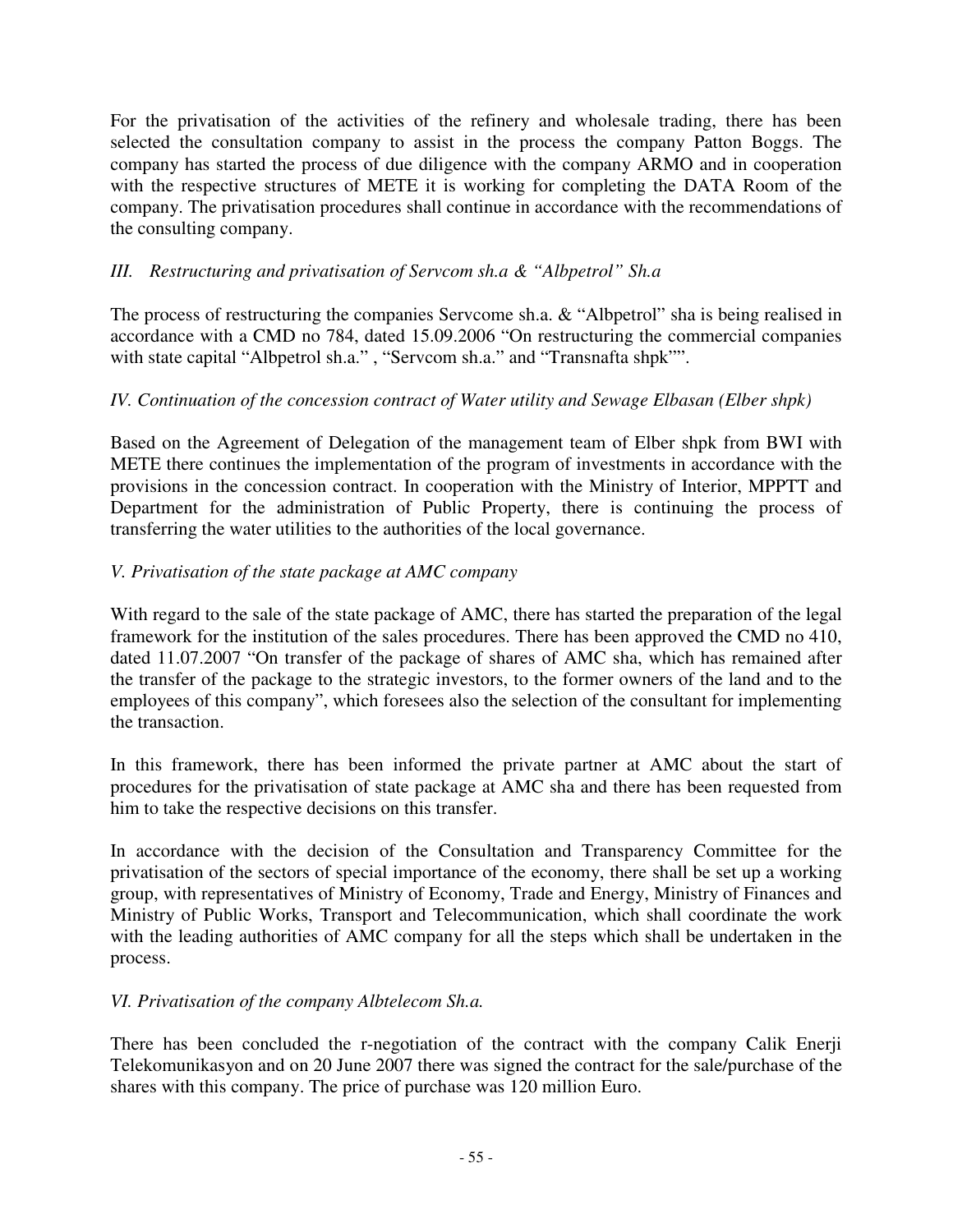For the privatisation of the activities of the refinery and wholesale trading, there has been selected the consultation company to assist in the process the company Patton Boggs. The company has started the process of due diligence with the company ARMO and in cooperation with the respective structures of METE it is working for completing the DATA Room of the company. The privatisation procedures shall continue in accordance with the recommendations of the consulting company.

## *III. Restructuring and privatisation of Servcom sh.a & "Albpetrol" Sh.a*

The process of restructuring the companies Servcome sh.a. & "Albpetrol" sha is being realised in accordance with a CMD no 784, dated 15.09.2006 "On restructuring the commercial companies with state capital "Albpetrol sh.a.", "Servcom sh.a." and "Transnafta shpk"".

## *IV. Continuation of the concession contract of Water utility and Sewage Elbasan (Elber shpk)*

Based on the Agreement of Delegation of the management team of Elber shpk from BWI with METE there continues the implementation of the program of investments in accordance with the provisions in the concession contract. In cooperation with the Ministry of Interior, MPPTT and Department for the administration of Public Property, there is continuing the process of transferring the water utilities to the authorities of the local governance.

### *V. Privatisation of the state package at AMC company*

With regard to the sale of the state package of AMC, there has started the preparation of the legal framework for the institution of the sales procedures. There has been approved the CMD no 410, dated 11.07.2007 "On transfer of the package of shares of AMC sha, which has remained after the transfer of the package to the strategic investors, to the former owners of the land and to the employees of this company", which foresees also the selection of the consultant for implementing the transaction.

In this framework, there has been informed the private partner at AMC about the start of procedures for the privatisation of state package at AMC sha and there has been requested from him to take the respective decisions on this transfer.

In accordance with the decision of the Consultation and Transparency Committee for the privatisation of the sectors of special importance of the economy, there shall be set up a working group, with representatives of Ministry of Economy, Trade and Energy, Ministry of Finances and Ministry of Public Works, Transport and Telecommunication, which shall coordinate the work with the leading authorities of AMC company for all the steps which shall be undertaken in the process.

### *VI. Privatisation of the company Albtelecom Sh.a.*

There has been concluded the r-negotiation of the contract with the company Calik Enerji Telekomunikasyon and on 20 June 2007 there was signed the contract for the sale/purchase of the shares with this company. The price of purchase was 120 million Euro.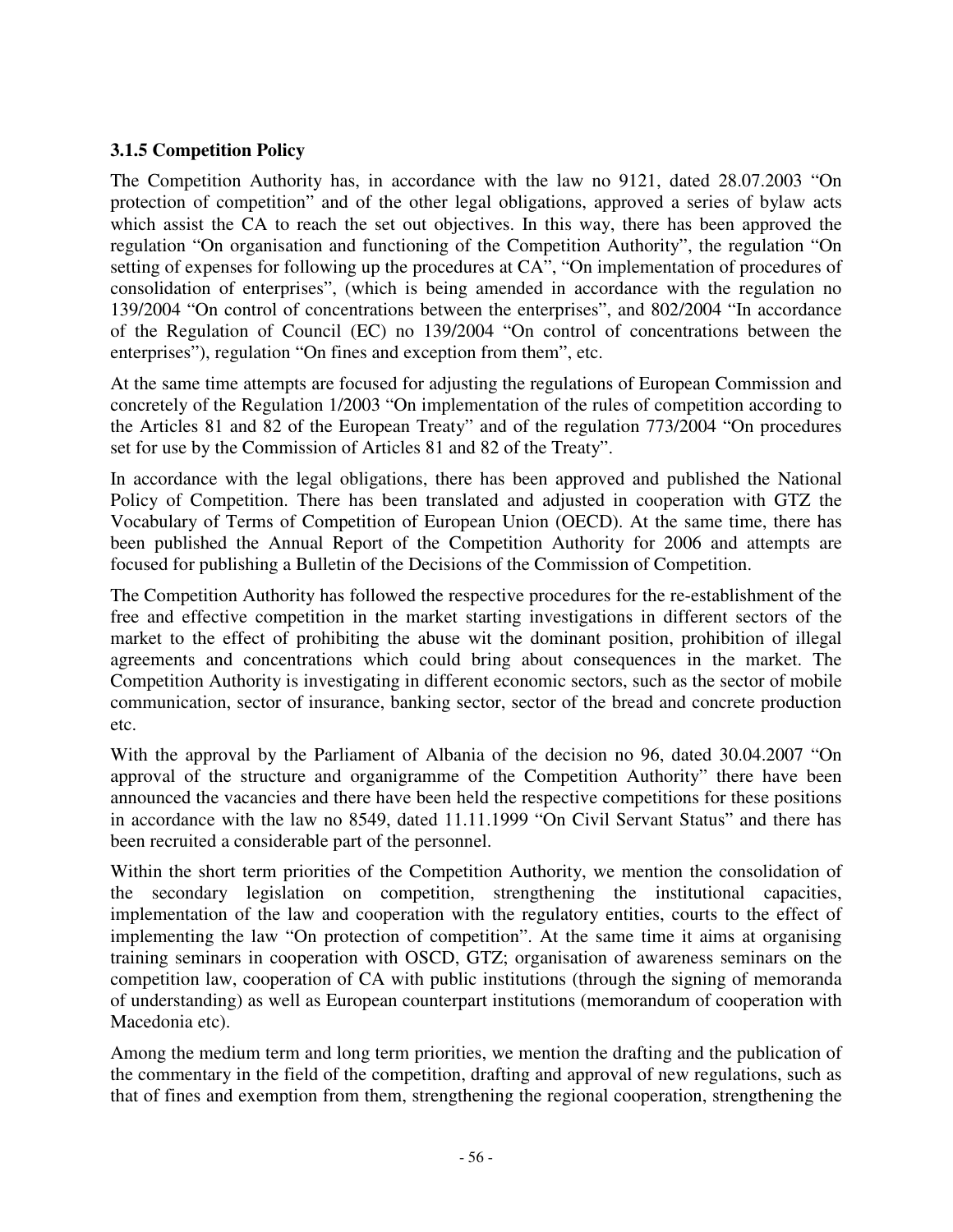## **3.1.5 Competition Policy**

The Competition Authority has, in accordance with the law no 9121, dated 28.07.2003 "On protection of competition" and of the other legal obligations, approved a series of bylaw acts which assist the CA to reach the set out objectives. In this way, there has been approved the regulation "On organisation and functioning of the Competition Authority", the regulation "On setting of expenses for following up the procedures at CA", "On implementation of procedures of consolidation of enterprises", (which is being amended in accordance with the regulation no 139/2004 "On control of concentrations between the enterprises", and 802/2004 "In accordance of the Regulation of Council (EC) no 139/2004 "On control of concentrations between the enterprises"), regulation "On fines and exception from them", etc.

At the same time attempts are focused for adjusting the regulations of European Commission and concretely of the Regulation 1/2003 "On implementation of the rules of competition according to the Articles 81 and 82 of the European Treaty" and of the regulation 773/2004 "On procedures set for use by the Commission of Articles 81 and 82 of the Treaty".

In accordance with the legal obligations, there has been approved and published the National Policy of Competition. There has been translated and adjusted in cooperation with GTZ the Vocabulary of Terms of Competition of European Union (OECD). At the same time, there has been published the Annual Report of the Competition Authority for 2006 and attempts are focused for publishing a Bulletin of the Decisions of the Commission of Competition.

The Competition Authority has followed the respective procedures for the re-establishment of the free and effective competition in the market starting investigations in different sectors of the market to the effect of prohibiting the abuse wit the dominant position, prohibition of illegal agreements and concentrations which could bring about consequences in the market. The Competition Authority is investigating in different economic sectors, such as the sector of mobile communication, sector of insurance, banking sector, sector of the bread and concrete production etc.

With the approval by the Parliament of Albania of the decision no 96, dated 30.04.2007 "On approval of the structure and organigramme of the Competition Authority" there have been announced the vacancies and there have been held the respective competitions for these positions in accordance with the law no 8549, dated 11.11.1999 "On Civil Servant Status" and there has been recruited a considerable part of the personnel.

Within the short term priorities of the Competition Authority, we mention the consolidation of the secondary legislation on competition, strengthening the institutional capacities, implementation of the law and cooperation with the regulatory entities, courts to the effect of implementing the law "On protection of competition". At the same time it aims at organising training seminars in cooperation with OSCD, GTZ; organisation of awareness seminars on the competition law, cooperation of CA with public institutions (through the signing of memoranda of understanding) as well as European counterpart institutions (memorandum of cooperation with Macedonia etc).

Among the medium term and long term priorities, we mention the drafting and the publication of the commentary in the field of the competition, drafting and approval of new regulations, such as that of fines and exemption from them, strengthening the regional cooperation, strengthening the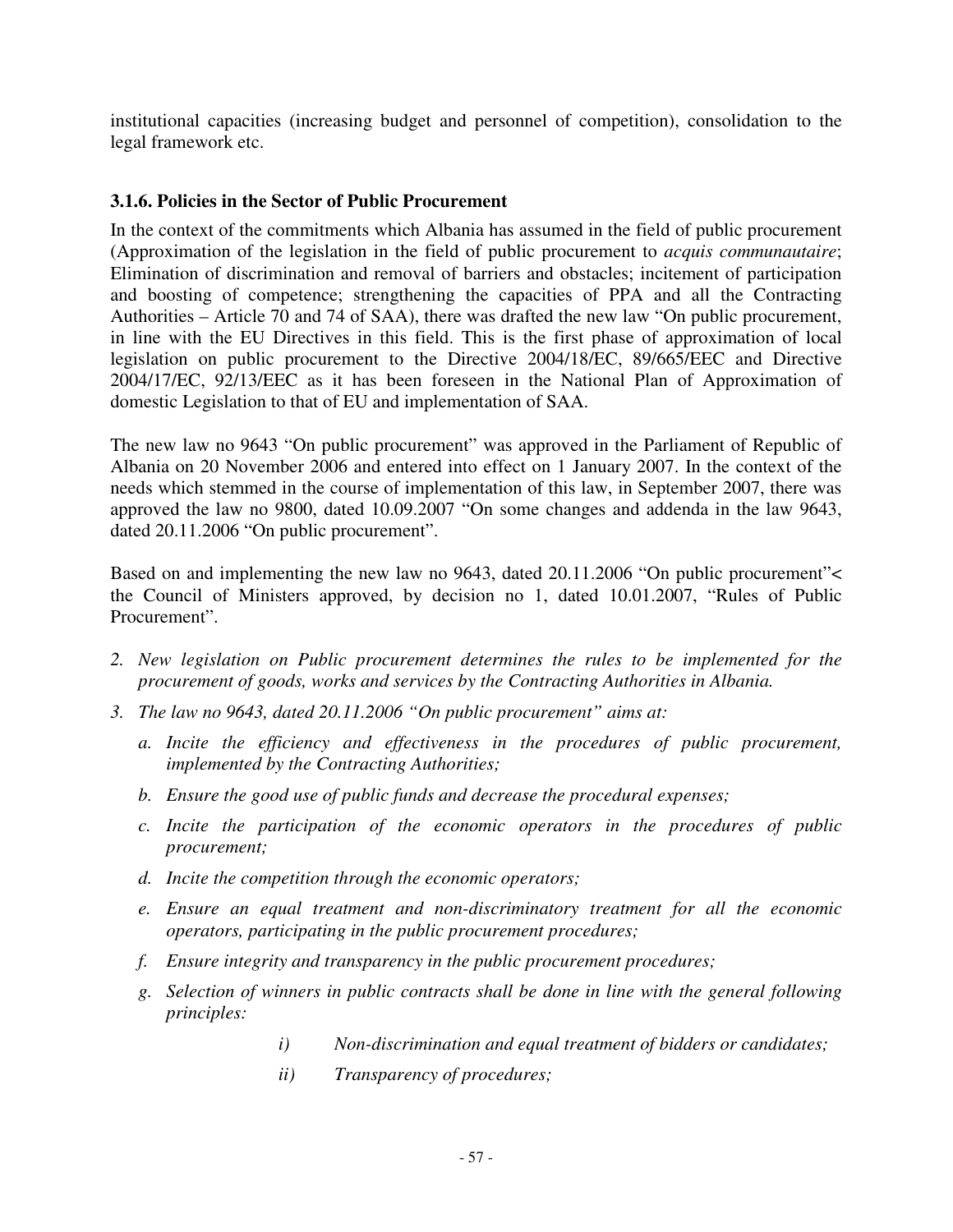institutional capacities (increasing budget and personnel of competition), consolidation to the legal framework etc.

#### **3.1.6. Policies in the Sector of Public Procurement**

In the context of the commitments which Albania has assumed in the field of public procurement (Approximation of the legislation in the field of public procurement to *acquis communautaire*; Elimination of discrimination and removal of barriers and obstacles; incitement of participation and boosting of competence; strengthening the capacities of PPA and all the Contracting Authorities – Article 70 and 74 of SAA), there was drafted the new law "On public procurement, in line with the EU Directives in this field. This is the first phase of approximation of local legislation on public procurement to the Directive 2004/18/EC, 89/665/EEC and Directive 2004/17/EC, 92/13/EEC as it has been foreseen in the National Plan of Approximation of domestic Legislation to that of EU and implementation of SAA.

The new law no 9643 "On public procurement" was approved in the Parliament of Republic of Albania on 20 November 2006 and entered into effect on 1 January 2007. In the context of the needs which stemmed in the course of implementation of this law, in September 2007, there was approved the law no 9800, dated 10.09.2007 "On some changes and addenda in the law 9643, dated 20.11.2006 "On public procurement".

Based on and implementing the new law no 9643, dated 20.11.2006 "On public procurement"< the Council of Ministers approved, by decision no 1, dated 10.01.2007, "Rules of Public Procurement".

- *2. New legislation on Public procurement determines the rules to be implemented for the procurement of goods, works and services by the Contracting Authorities in Albania.*
- *3. The law no 9643, dated 20.11.2006 "On public procurement" aims at:* 
	- *a. Incite the efficiency and effectiveness in the procedures of public procurement, implemented by the Contracting Authorities;*
	- *b. Ensure the good use of public funds and decrease the procedural expenses;*
	- *c. Incite the participation of the economic operators in the procedures of public procurement;*
	- *d. Incite the competition through the economic operators;*
	- *e. Ensure an equal treatment and non-discriminatory treatment for all the economic operators, participating in the public procurement procedures;*
	- *f. Ensure integrity and transparency in the public procurement procedures;*
	- *g. Selection of winners in public contracts shall be done in line with the general following principles:* 
		- *i) Non-discrimination and equal treatment of bidders or candidates;*
		- *ii) Transparency of procedures;*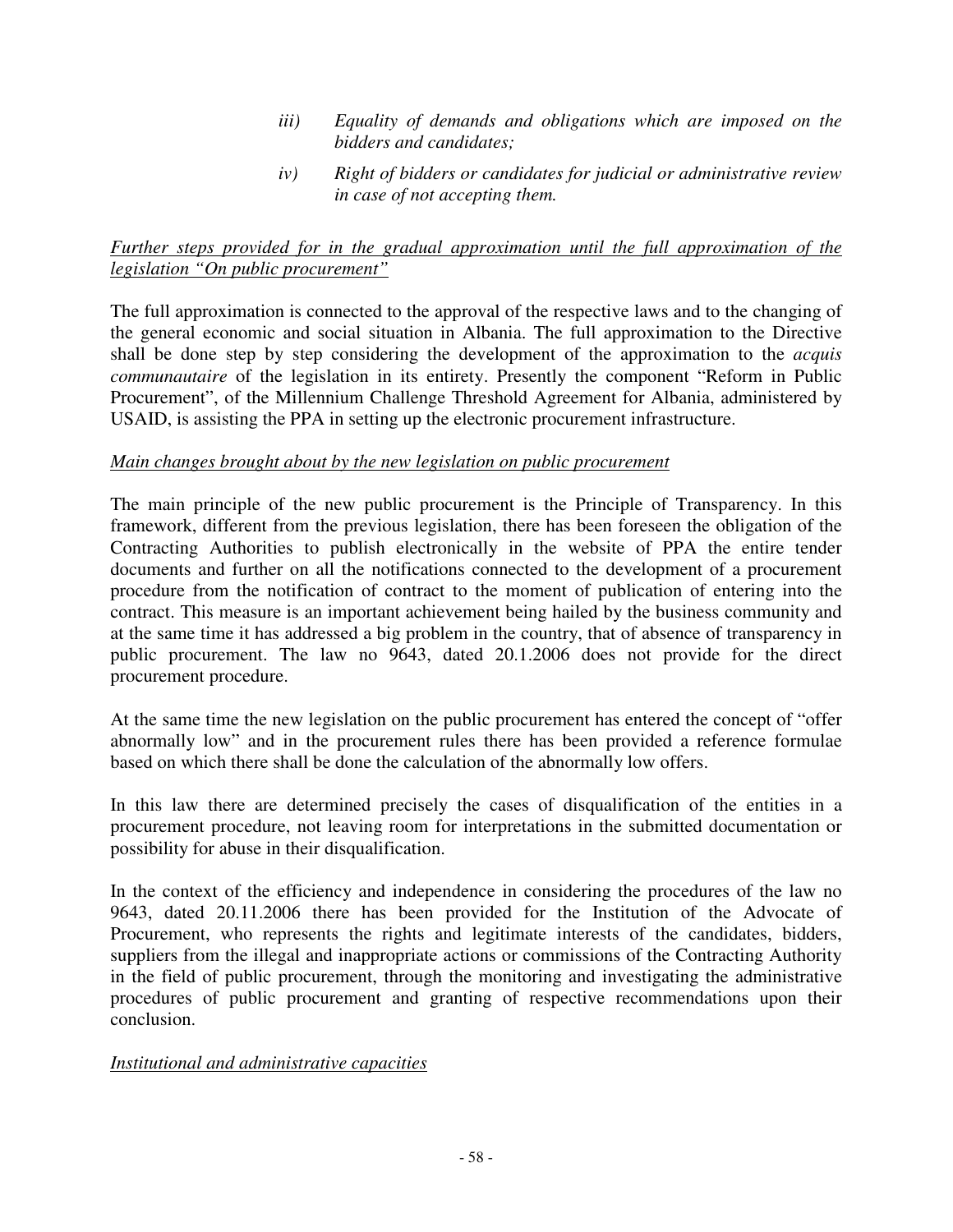- *iii) Equality of demands and obligations which are imposed on the bidders and candidates;*
- *iv) Right of bidders or candidates for judicial or administrative review in case of not accepting them.*

### *Further steps provided for in the gradual approximation until the full approximation of the legislation "On public procurement"*

The full approximation is connected to the approval of the respective laws and to the changing of the general economic and social situation in Albania. The full approximation to the Directive shall be done step by step considering the development of the approximation to the *acquis communautaire* of the legislation in its entirety. Presently the component "Reform in Public Procurement", of the Millennium Challenge Threshold Agreement for Albania, administered by USAID, is assisting the PPA in setting up the electronic procurement infrastructure.

### *Main changes brought about by the new legislation on public procurement*

The main principle of the new public procurement is the Principle of Transparency. In this framework, different from the previous legislation, there has been foreseen the obligation of the Contracting Authorities to publish electronically in the website of PPA the entire tender documents and further on all the notifications connected to the development of a procurement procedure from the notification of contract to the moment of publication of entering into the contract. This measure is an important achievement being hailed by the business community and at the same time it has addressed a big problem in the country, that of absence of transparency in public procurement. The law no 9643, dated 20.1.2006 does not provide for the direct procurement procedure.

At the same time the new legislation on the public procurement has entered the concept of "offer abnormally low" and in the procurement rules there has been provided a reference formulae based on which there shall be done the calculation of the abnormally low offers.

In this law there are determined precisely the cases of disqualification of the entities in a procurement procedure, not leaving room for interpretations in the submitted documentation or possibility for abuse in their disqualification.

In the context of the efficiency and independence in considering the procedures of the law no 9643, dated 20.11.2006 there has been provided for the Institution of the Advocate of Procurement, who represents the rights and legitimate interests of the candidates, bidders, suppliers from the illegal and inappropriate actions or commissions of the Contracting Authority in the field of public procurement, through the monitoring and investigating the administrative procedures of public procurement and granting of respective recommendations upon their conclusion.

#### *Institutional and administrative capacities*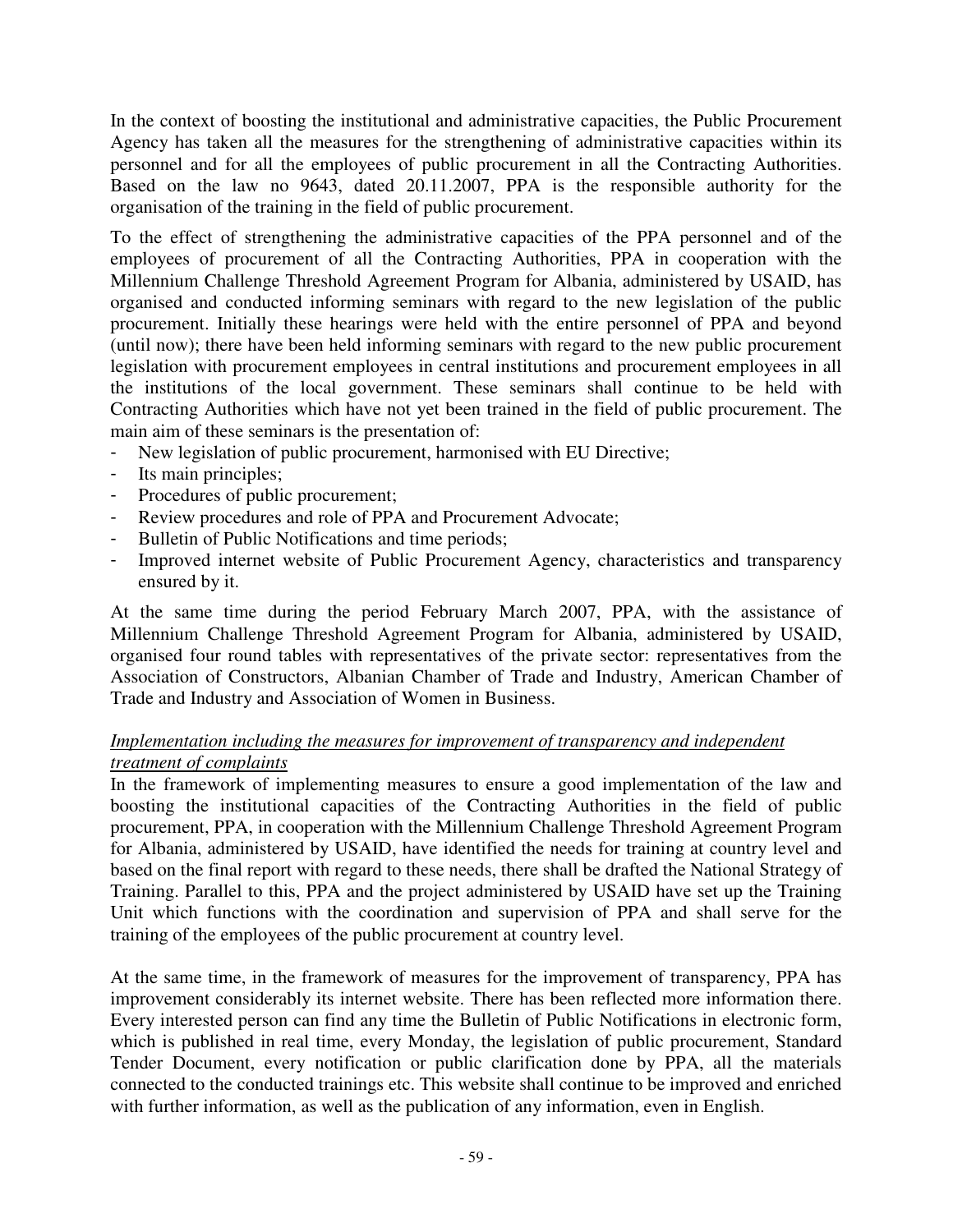In the context of boosting the institutional and administrative capacities, the Public Procurement Agency has taken all the measures for the strengthening of administrative capacities within its personnel and for all the employees of public procurement in all the Contracting Authorities. Based on the law no 9643, dated 20.11.2007, PPA is the responsible authority for the organisation of the training in the field of public procurement.

To the effect of strengthening the administrative capacities of the PPA personnel and of the employees of procurement of all the Contracting Authorities, PPA in cooperation with the Millennium Challenge Threshold Agreement Program for Albania, administered by USAID, has organised and conducted informing seminars with regard to the new legislation of the public procurement. Initially these hearings were held with the entire personnel of PPA and beyond (until now); there have been held informing seminars with regard to the new public procurement legislation with procurement employees in central institutions and procurement employees in all the institutions of the local government. These seminars shall continue to be held with Contracting Authorities which have not yet been trained in the field of public procurement. The main aim of these seminars is the presentation of:

- New legislation of public procurement, harmonised with EU Directive;
- Its main principles;
- Procedures of public procurement;
- Review procedures and role of PPA and Procurement Advocate;
- Bulletin of Public Notifications and time periods;
- Improved internet website of Public Procurement Agency, characteristics and transparency ensured by it.

At the same time during the period February March 2007, PPA, with the assistance of Millennium Challenge Threshold Agreement Program for Albania, administered by USAID, organised four round tables with representatives of the private sector: representatives from the Association of Constructors, Albanian Chamber of Trade and Industry, American Chamber of Trade and Industry and Association of Women in Business.

### *Implementation including the measures for improvement of transparency and independent treatment of complaints*

In the framework of implementing measures to ensure a good implementation of the law and boosting the institutional capacities of the Contracting Authorities in the field of public procurement, PPA, in cooperation with the Millennium Challenge Threshold Agreement Program for Albania, administered by USAID, have identified the needs for training at country level and based on the final report with regard to these needs, there shall be drafted the National Strategy of Training. Parallel to this, PPA and the project administered by USAID have set up the Training Unit which functions with the coordination and supervision of PPA and shall serve for the training of the employees of the public procurement at country level.

At the same time, in the framework of measures for the improvement of transparency, PPA has improvement considerably its internet website. There has been reflected more information there. Every interested person can find any time the Bulletin of Public Notifications in electronic form, which is published in real time, every Monday, the legislation of public procurement, Standard Tender Document, every notification or public clarification done by PPA, all the materials connected to the conducted trainings etc. This website shall continue to be improved and enriched with further information, as well as the publication of any information, even in English.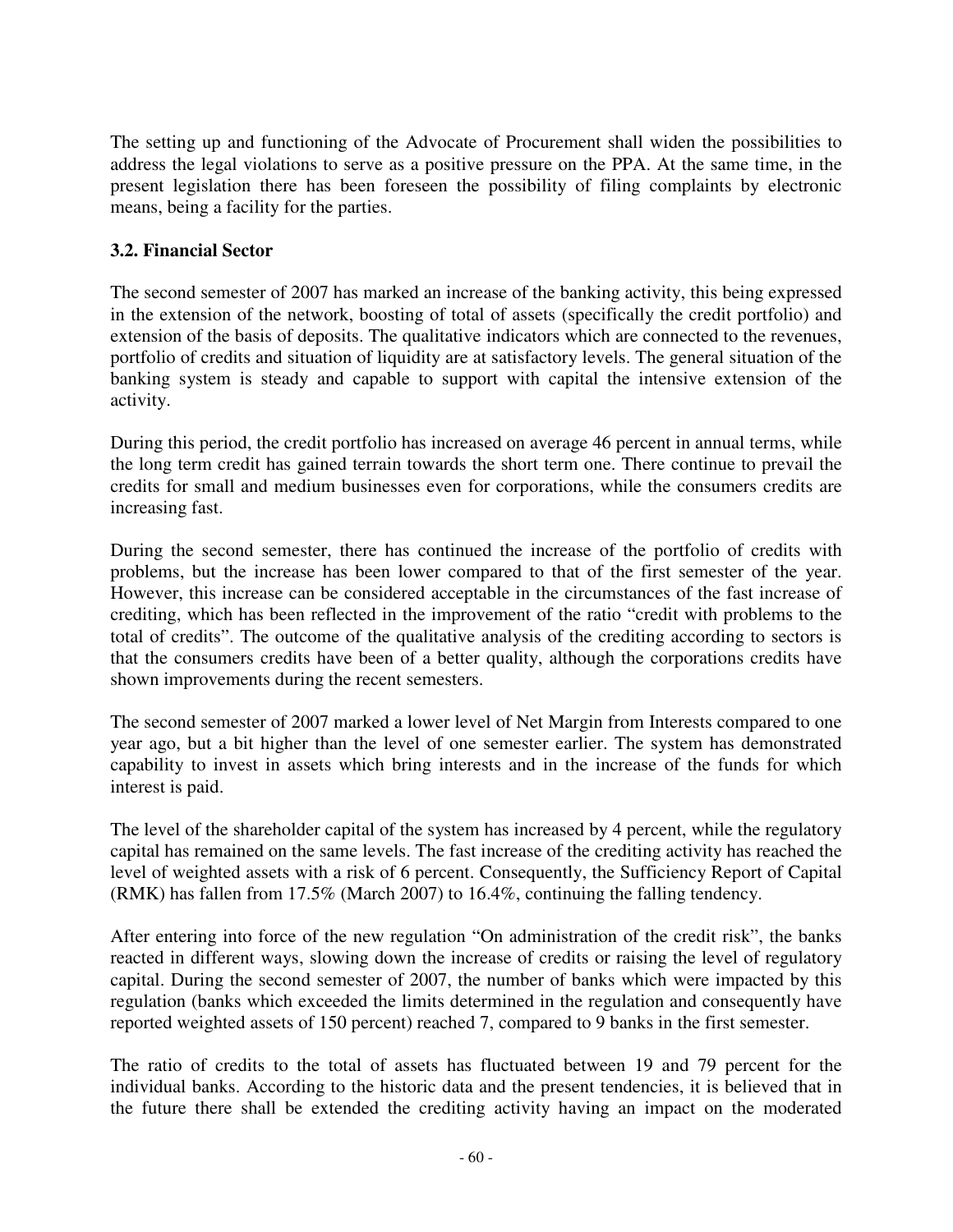The setting up and functioning of the Advocate of Procurement shall widen the possibilities to address the legal violations to serve as a positive pressure on the PPA. At the same time, in the present legislation there has been foreseen the possibility of filing complaints by electronic means, being a facility for the parties.

## **3.2. Financial Sector**

The second semester of 2007 has marked an increase of the banking activity, this being expressed in the extension of the network, boosting of total of assets (specifically the credit portfolio) and extension of the basis of deposits. The qualitative indicators which are connected to the revenues, portfolio of credits and situation of liquidity are at satisfactory levels. The general situation of the banking system is steady and capable to support with capital the intensive extension of the activity.

During this period, the credit portfolio has increased on average 46 percent in annual terms, while the long term credit has gained terrain towards the short term one. There continue to prevail the credits for small and medium businesses even for corporations, while the consumers credits are increasing fast.

During the second semester, there has continued the increase of the portfolio of credits with problems, but the increase has been lower compared to that of the first semester of the year. However, this increase can be considered acceptable in the circumstances of the fast increase of crediting, which has been reflected in the improvement of the ratio "credit with problems to the total of credits". The outcome of the qualitative analysis of the crediting according to sectors is that the consumers credits have been of a better quality, although the corporations credits have shown improvements during the recent semesters.

The second semester of 2007 marked a lower level of Net Margin from Interests compared to one year ago, but a bit higher than the level of one semester earlier. The system has demonstrated capability to invest in assets which bring interests and in the increase of the funds for which interest is paid.

The level of the shareholder capital of the system has increased by 4 percent, while the regulatory capital has remained on the same levels. The fast increase of the crediting activity has reached the level of weighted assets with a risk of 6 percent. Consequently, the Sufficiency Report of Capital (RMK) has fallen from 17.5% (March 2007) to 16.4%, continuing the falling tendency.

After entering into force of the new regulation "On administration of the credit risk", the banks reacted in different ways, slowing down the increase of credits or raising the level of regulatory capital. During the second semester of 2007, the number of banks which were impacted by this regulation (banks which exceeded the limits determined in the regulation and consequently have reported weighted assets of 150 percent) reached 7, compared to 9 banks in the first semester.

The ratio of credits to the total of assets has fluctuated between 19 and 79 percent for the individual banks. According to the historic data and the present tendencies, it is believed that in the future there shall be extended the crediting activity having an impact on the moderated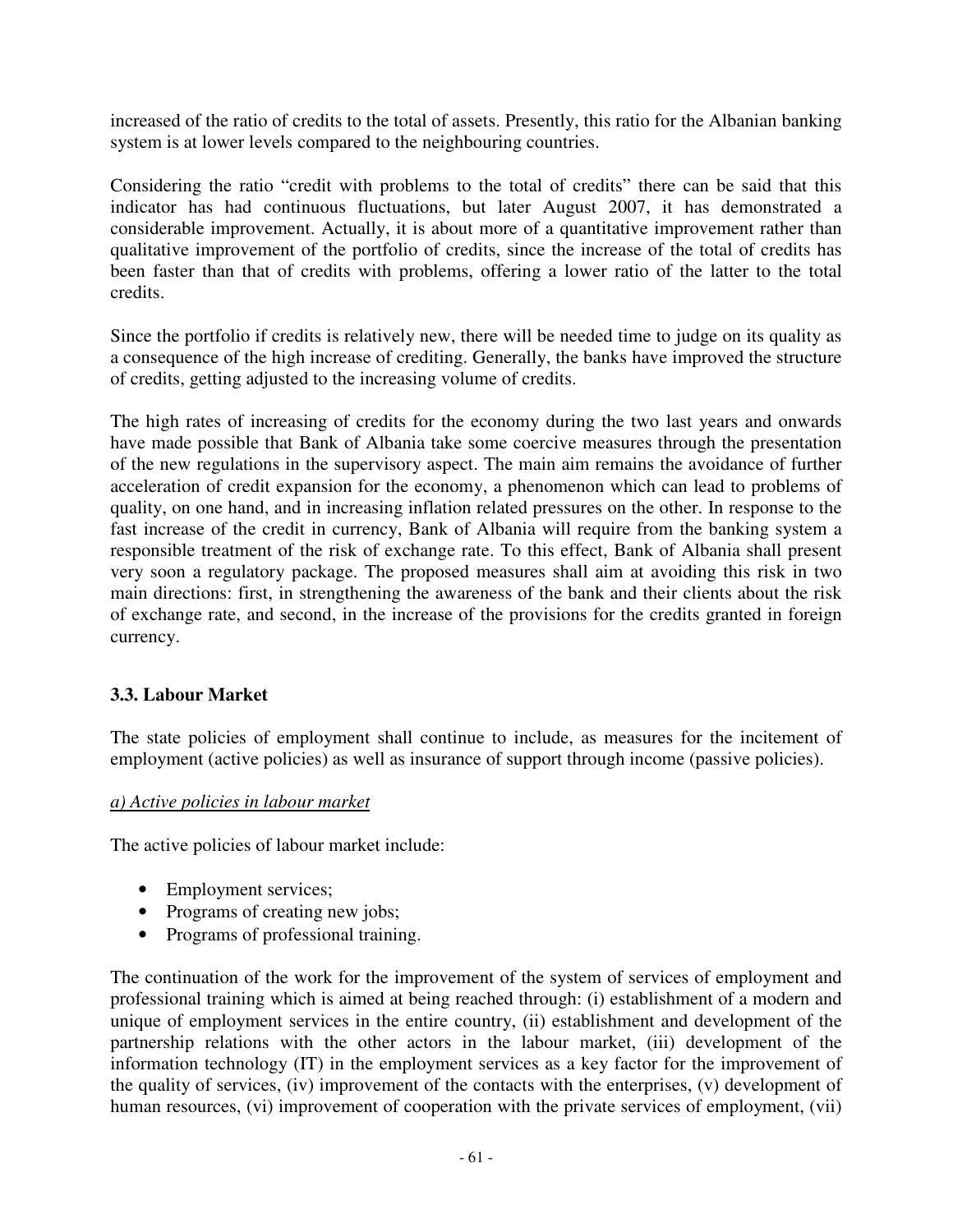increased of the ratio of credits to the total of assets. Presently, this ratio for the Albanian banking system is at lower levels compared to the neighbouring countries.

Considering the ratio "credit with problems to the total of credits" there can be said that this indicator has had continuous fluctuations, but later August 2007, it has demonstrated a considerable improvement. Actually, it is about more of a quantitative improvement rather than qualitative improvement of the portfolio of credits, since the increase of the total of credits has been faster than that of credits with problems, offering a lower ratio of the latter to the total credits.

Since the portfolio if credits is relatively new, there will be needed time to judge on its quality as a consequence of the high increase of crediting. Generally, the banks have improved the structure of credits, getting adjusted to the increasing volume of credits.

The high rates of increasing of credits for the economy during the two last years and onwards have made possible that Bank of Albania take some coercive measures through the presentation of the new regulations in the supervisory aspect. The main aim remains the avoidance of further acceleration of credit expansion for the economy, a phenomenon which can lead to problems of quality, on one hand, and in increasing inflation related pressures on the other. In response to the fast increase of the credit in currency, Bank of Albania will require from the banking system a responsible treatment of the risk of exchange rate. To this effect, Bank of Albania shall present very soon a regulatory package. The proposed measures shall aim at avoiding this risk in two main directions: first, in strengthening the awareness of the bank and their clients about the risk of exchange rate, and second, in the increase of the provisions for the credits granted in foreign currency.

# **3.3. Labour Market**

The state policies of employment shall continue to include, as measures for the incitement of employment (active policies) as well as insurance of support through income (passive policies).

#### *a) Active policies in labour market*

The active policies of labour market include:

- Employment services;
- Programs of creating new jobs;
- Programs of professional training.

The continuation of the work for the improvement of the system of services of employment and professional training which is aimed at being reached through: (i) establishment of a modern and unique of employment services in the entire country, (ii) establishment and development of the partnership relations with the other actors in the labour market, (iii) development of the information technology (IT) in the employment services as a key factor for the improvement of the quality of services, (iv) improvement of the contacts with the enterprises, (v) development of human resources, (vi) improvement of cooperation with the private services of employment, (vii)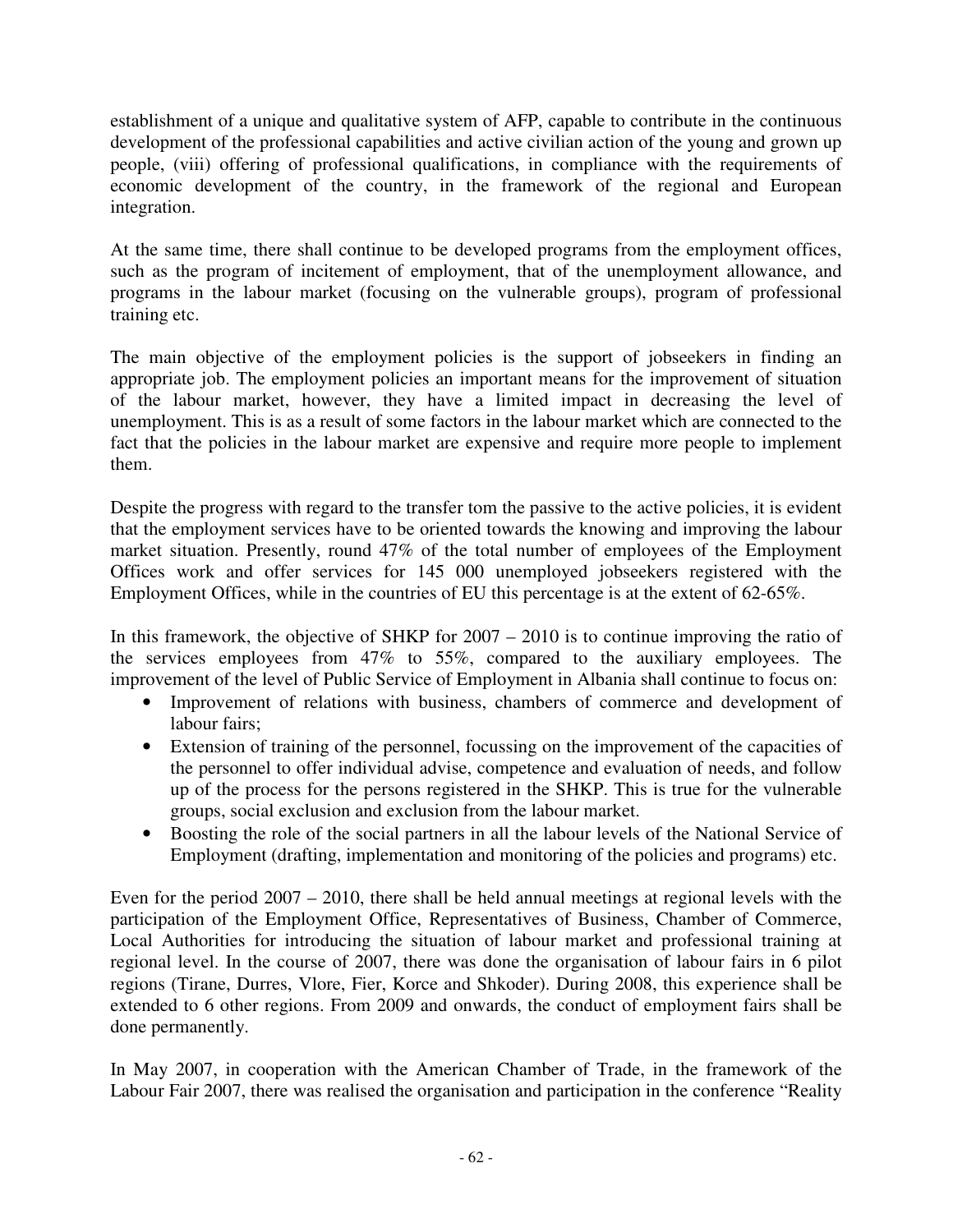establishment of a unique and qualitative system of AFP, capable to contribute in the continuous development of the professional capabilities and active civilian action of the young and grown up people, (viii) offering of professional qualifications, in compliance with the requirements of economic development of the country, in the framework of the regional and European integration.

At the same time, there shall continue to be developed programs from the employment offices, such as the program of incitement of employment, that of the unemployment allowance, and programs in the labour market (focusing on the vulnerable groups), program of professional training etc.

The main objective of the employment policies is the support of jobseekers in finding an appropriate job. The employment policies an important means for the improvement of situation of the labour market, however, they have a limited impact in decreasing the level of unemployment. This is as a result of some factors in the labour market which are connected to the fact that the policies in the labour market are expensive and require more people to implement them.

Despite the progress with regard to the transfer tom the passive to the active policies, it is evident that the employment services have to be oriented towards the knowing and improving the labour market situation. Presently, round 47% of the total number of employees of the Employment Offices work and offer services for 145 000 unemployed jobseekers registered with the Employment Offices, while in the countries of EU this percentage is at the extent of 62-65%.

In this framework, the objective of SHKP for 2007 – 2010 is to continue improving the ratio of the services employees from 47% to 55%, compared to the auxiliary employees. The improvement of the level of Public Service of Employment in Albania shall continue to focus on:

- Improvement of relations with business, chambers of commerce and development of labour fairs;
- Extension of training of the personnel, focussing on the improvement of the capacities of the personnel to offer individual advise, competence and evaluation of needs, and follow up of the process for the persons registered in the SHKP. This is true for the vulnerable groups, social exclusion and exclusion from the labour market.
- Boosting the role of the social partners in all the labour levels of the National Service of Employment (drafting, implementation and monitoring of the policies and programs) etc.

Even for the period 2007 – 2010, there shall be held annual meetings at regional levels with the participation of the Employment Office, Representatives of Business, Chamber of Commerce, Local Authorities for introducing the situation of labour market and professional training at regional level. In the course of 2007, there was done the organisation of labour fairs in 6 pilot regions (Tirane, Durres, Vlore, Fier, Korce and Shkoder). During 2008, this experience shall be extended to 6 other regions. From 2009 and onwards, the conduct of employment fairs shall be done permanently.

In May 2007, in cooperation with the American Chamber of Trade, in the framework of the Labour Fair 2007, there was realised the organisation and participation in the conference "Reality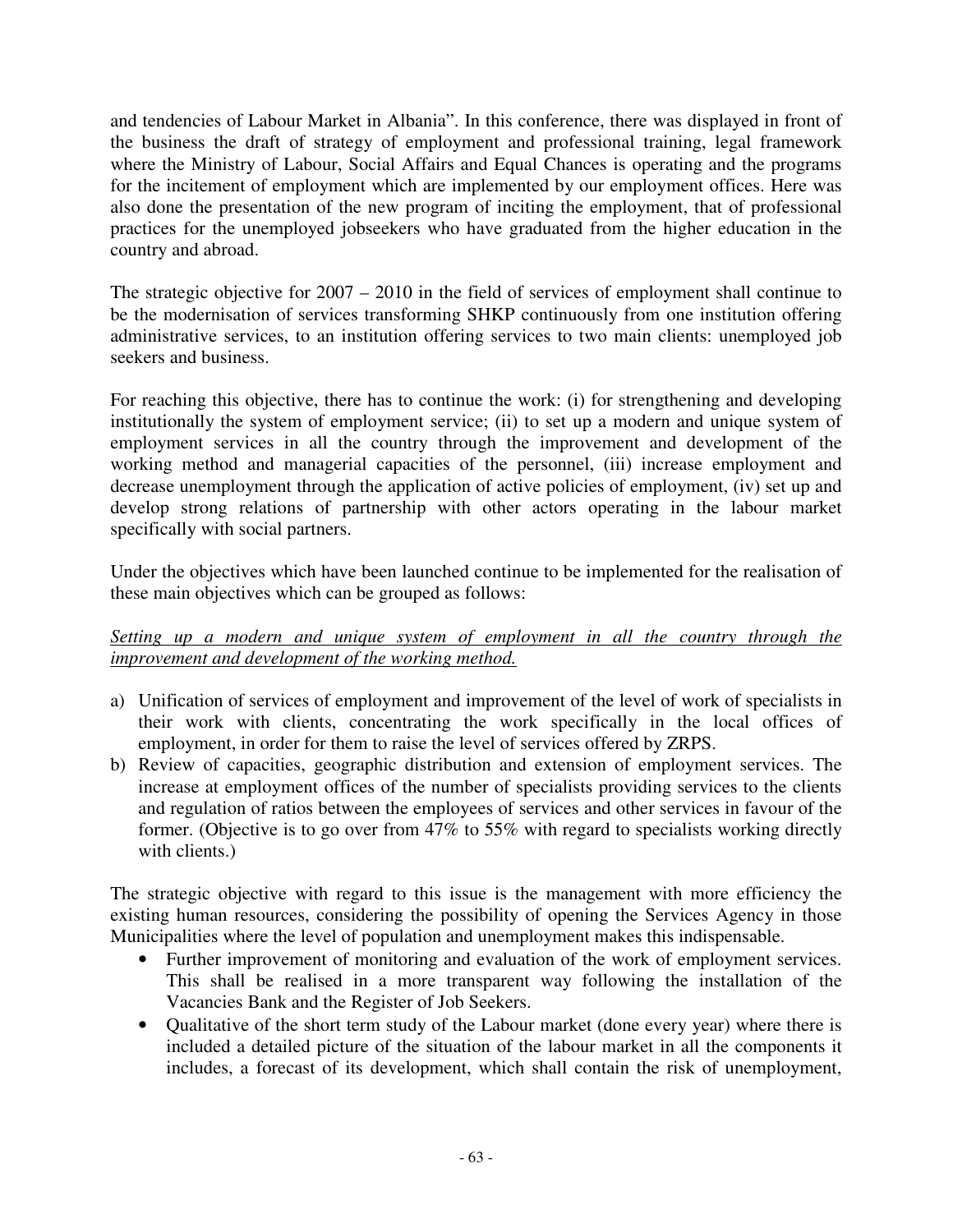and tendencies of Labour Market in Albania". In this conference, there was displayed in front of the business the draft of strategy of employment and professional training, legal framework where the Ministry of Labour, Social Affairs and Equal Chances is operating and the programs for the incitement of employment which are implemented by our employment offices. Here was also done the presentation of the new program of inciting the employment, that of professional practices for the unemployed jobseekers who have graduated from the higher education in the country and abroad.

The strategic objective for 2007 – 2010 in the field of services of employment shall continue to be the modernisation of services transforming SHKP continuously from one institution offering administrative services, to an institution offering services to two main clients: unemployed job seekers and business.

For reaching this objective, there has to continue the work: (i) for strengthening and developing institutionally the system of employment service; (ii) to set up a modern and unique system of employment services in all the country through the improvement and development of the working method and managerial capacities of the personnel, (iii) increase employment and decrease unemployment through the application of active policies of employment, (iv) set up and develop strong relations of partnership with other actors operating in the labour market specifically with social partners.

Under the objectives which have been launched continue to be implemented for the realisation of these main objectives which can be grouped as follows:

*Setting up a modern and unique system of employment in all the country through the improvement and development of the working method.* 

- a) Unification of services of employment and improvement of the level of work of specialists in their work with clients, concentrating the work specifically in the local offices of employment, in order for them to raise the level of services offered by ZRPS.
- b) Review of capacities, geographic distribution and extension of employment services. The increase at employment offices of the number of specialists providing services to the clients and regulation of ratios between the employees of services and other services in favour of the former. (Objective is to go over from 47% to 55% with regard to specialists working directly with clients.)

The strategic objective with regard to this issue is the management with more efficiency the existing human resources, considering the possibility of opening the Services Agency in those Municipalities where the level of population and unemployment makes this indispensable.

- Further improvement of monitoring and evaluation of the work of employment services. This shall be realised in a more transparent way following the installation of the Vacancies Bank and the Register of Job Seekers.
- Qualitative of the short term study of the Labour market (done every year) where there is included a detailed picture of the situation of the labour market in all the components it includes, a forecast of its development, which shall contain the risk of unemployment,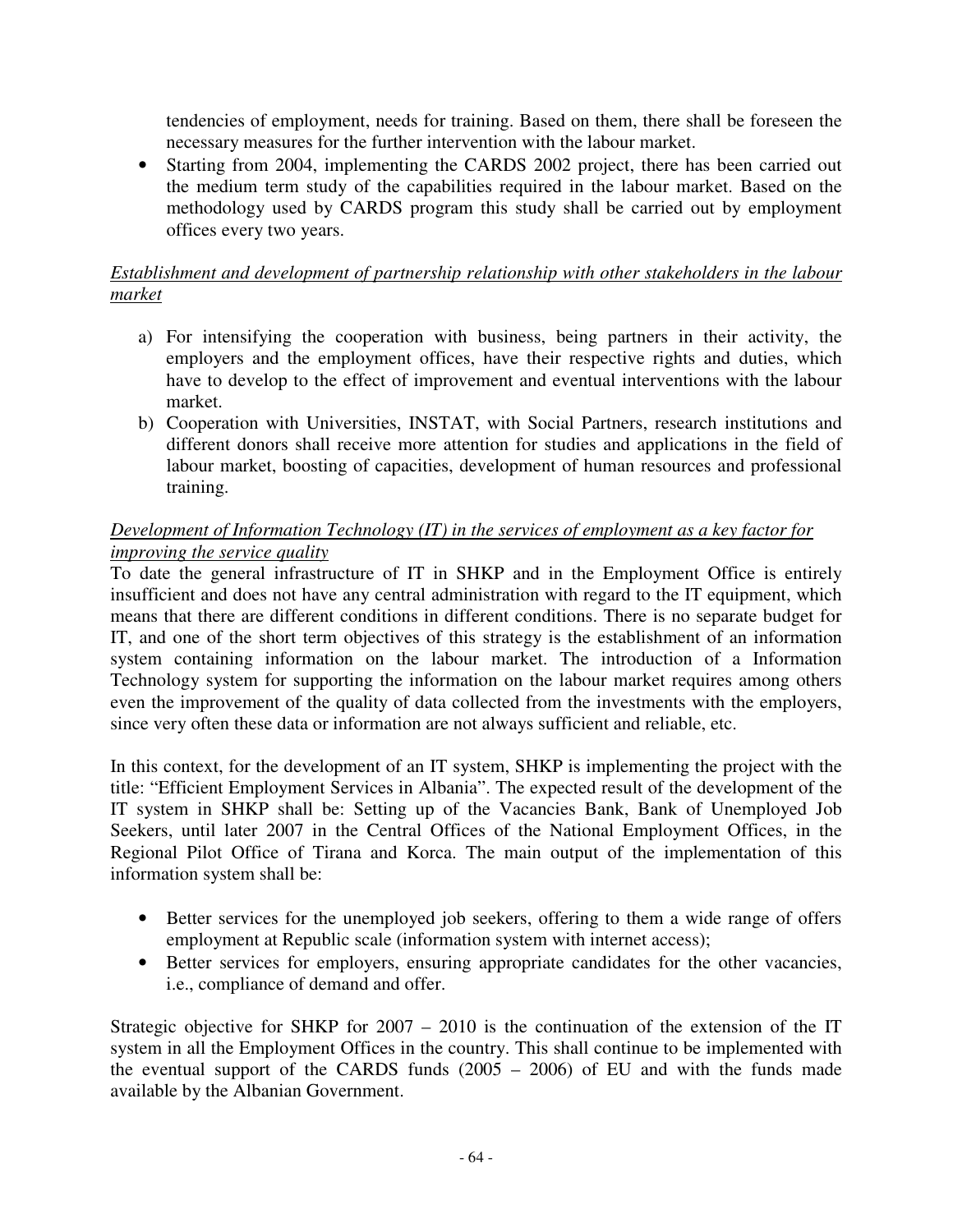tendencies of employment, needs for training. Based on them, there shall be foreseen the necessary measures for the further intervention with the labour market.

• Starting from 2004, implementing the CARDS 2002 project, there has been carried out the medium term study of the capabilities required in the labour market. Based on the methodology used by CARDS program this study shall be carried out by employment offices every two years.

## *Establishment and development of partnership relationship with other stakeholders in the labour market*

- a) For intensifying the cooperation with business, being partners in their activity, the employers and the employment offices, have their respective rights and duties, which have to develop to the effect of improvement and eventual interventions with the labour market.
- b) Cooperation with Universities, INSTAT, with Social Partners, research institutions and different donors shall receive more attention for studies and applications in the field of labour market, boosting of capacities, development of human resources and professional training.

## *Development of Information Technology (IT) in the services of employment as a key factor for improving the service quality*

To date the general infrastructure of IT in SHKP and in the Employment Office is entirely insufficient and does not have any central administration with regard to the IT equipment, which means that there are different conditions in different conditions. There is no separate budget for IT, and one of the short term objectives of this strategy is the establishment of an information system containing information on the labour market. The introduction of a Information Technology system for supporting the information on the labour market requires among others even the improvement of the quality of data collected from the investments with the employers, since very often these data or information are not always sufficient and reliable, etc.

In this context, for the development of an IT system, SHKP is implementing the project with the title: "Efficient Employment Services in Albania". The expected result of the development of the IT system in SHKP shall be: Setting up of the Vacancies Bank, Bank of Unemployed Job Seekers, until later 2007 in the Central Offices of the National Employment Offices, in the Regional Pilot Office of Tirana and Korca. The main output of the implementation of this information system shall be:

- Better services for the unemployed job seekers, offering to them a wide range of offers employment at Republic scale (information system with internet access);
- Better services for employers, ensuring appropriate candidates for the other vacancies, i.e., compliance of demand and offer.

Strategic objective for SHKP for 2007 – 2010 is the continuation of the extension of the IT system in all the Employment Offices in the country. This shall continue to be implemented with the eventual support of the CARDS funds (2005 – 2006) of EU and with the funds made available by the Albanian Government.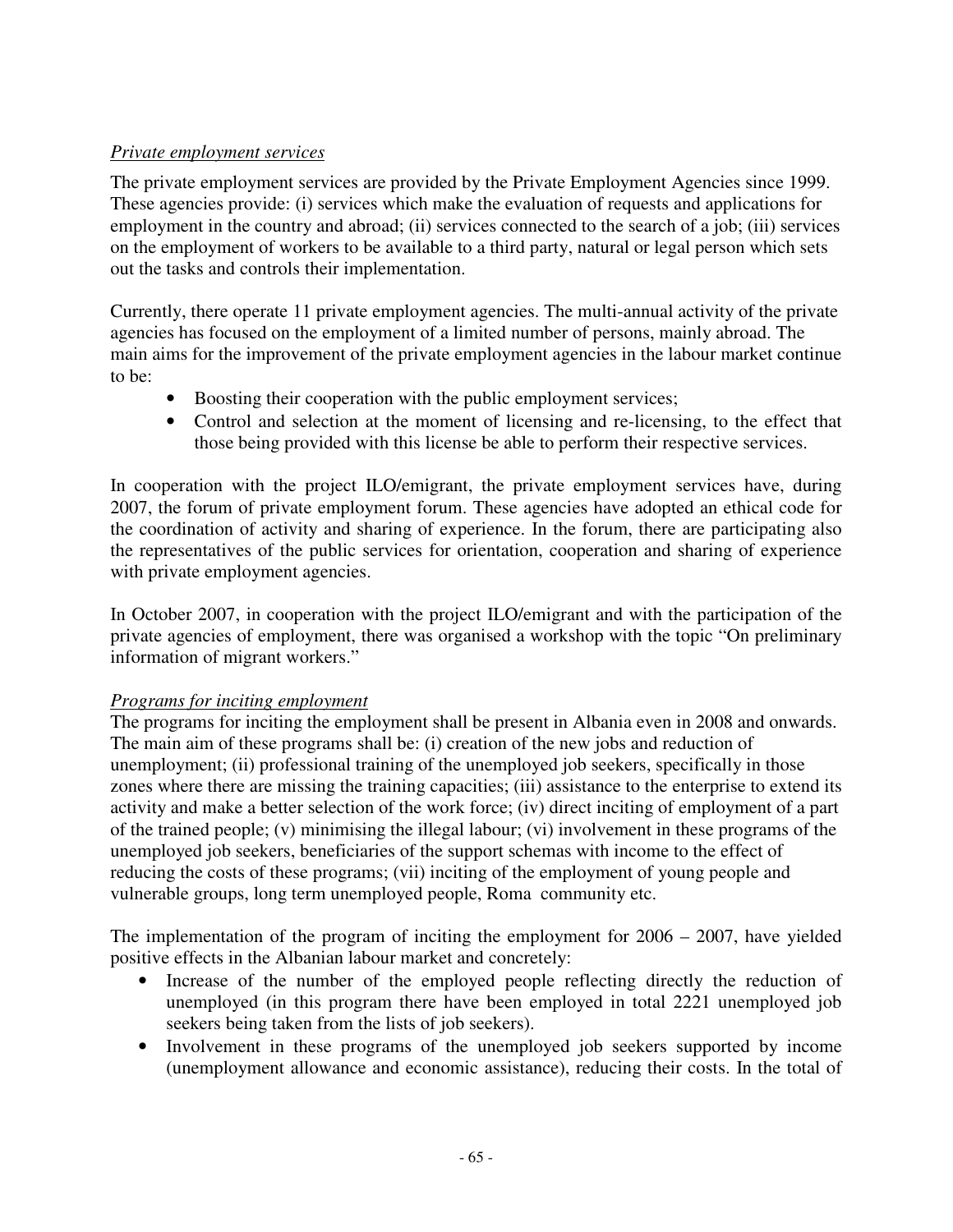## *Private employment services*

The private employment services are provided by the Private Employment Agencies since 1999. These agencies provide: (i) services which make the evaluation of requests and applications for employment in the country and abroad; (ii) services connected to the search of a job; (iii) services on the employment of workers to be available to a third party, natural or legal person which sets out the tasks and controls their implementation.

Currently, there operate 11 private employment agencies. The multi-annual activity of the private agencies has focused on the employment of a limited number of persons, mainly abroad. The main aims for the improvement of the private employment agencies in the labour market continue to be:

- Boosting their cooperation with the public employment services;
- Control and selection at the moment of licensing and re-licensing, to the effect that those being provided with this license be able to perform their respective services.

In cooperation with the project ILO/emigrant, the private employment services have, during 2007, the forum of private employment forum. These agencies have adopted an ethical code for the coordination of activity and sharing of experience. In the forum, there are participating also the representatives of the public services for orientation, cooperation and sharing of experience with private employment agencies.

In October 2007, in cooperation with the project ILO/emigrant and with the participation of the private agencies of employment, there was organised a workshop with the topic "On preliminary information of migrant workers."

### *Programs for inciting employment*

The programs for inciting the employment shall be present in Albania even in 2008 and onwards. The main aim of these programs shall be: (i) creation of the new jobs and reduction of unemployment; (ii) professional training of the unemployed job seekers, specifically in those zones where there are missing the training capacities; (iii) assistance to the enterprise to extend its activity and make a better selection of the work force; (iv) direct inciting of employment of a part of the trained people; (v) minimising the illegal labour; (vi) involvement in these programs of the unemployed job seekers, beneficiaries of the support schemas with income to the effect of reducing the costs of these programs; (vii) inciting of the employment of young people and vulnerable groups, long term unemployed people, Roma community etc.

The implementation of the program of inciting the employment for 2006 – 2007, have yielded positive effects in the Albanian labour market and concretely:

- Increase of the number of the employed people reflecting directly the reduction of unemployed (in this program there have been employed in total 2221 unemployed job seekers being taken from the lists of job seekers).
- Involvement in these programs of the unemployed job seekers supported by income (unemployment allowance and economic assistance), reducing their costs. In the total of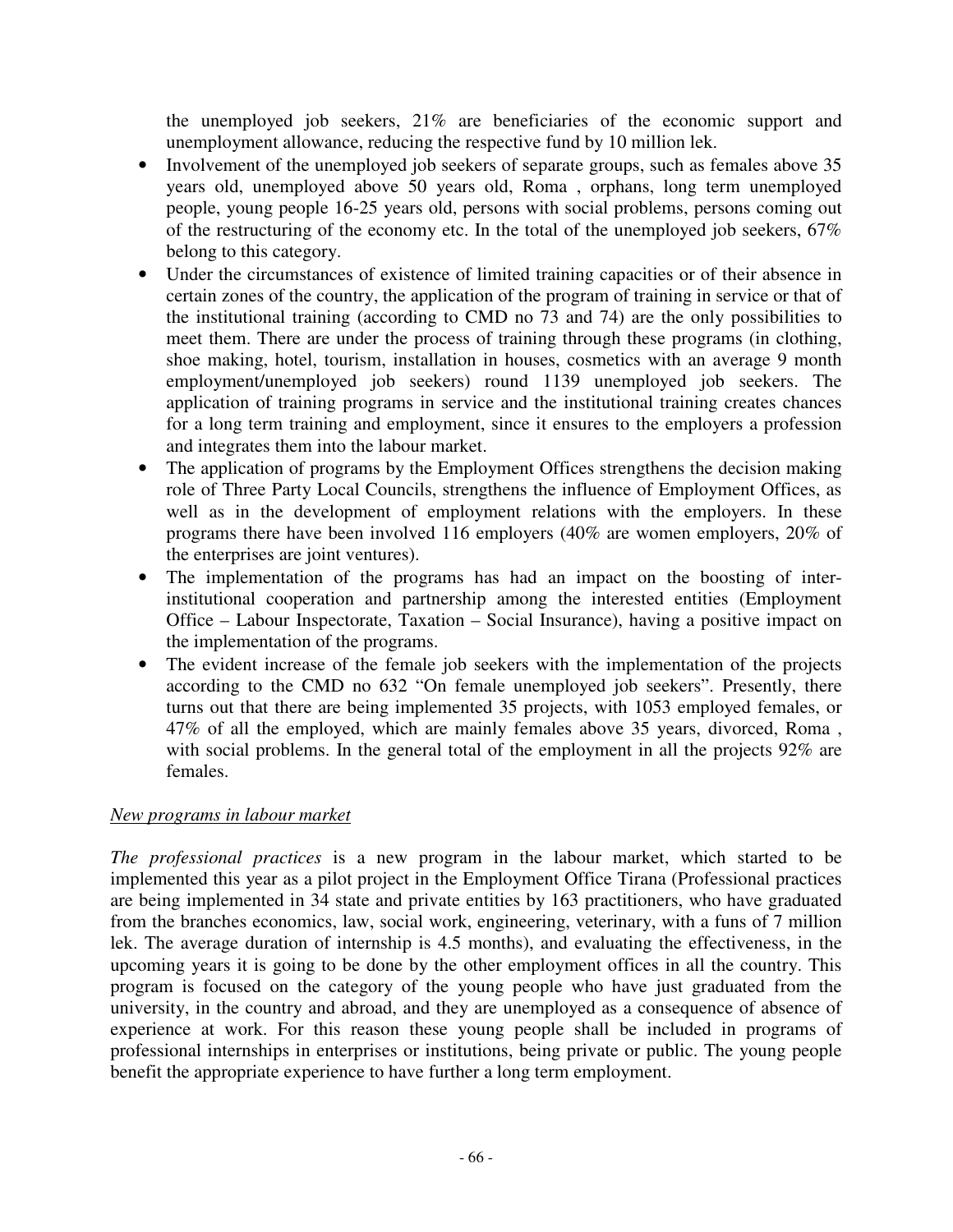the unemployed job seekers, 21% are beneficiaries of the economic support and unemployment allowance, reducing the respective fund by 10 million lek.

- Involvement of the unemployed job seekers of separate groups, such as females above 35 years old, unemployed above 50 years old, Roma , orphans, long term unemployed people, young people 16-25 years old, persons with social problems, persons coming out of the restructuring of the economy etc. In the total of the unemployed job seekers, 67% belong to this category.
- Under the circumstances of existence of limited training capacities or of their absence in certain zones of the country, the application of the program of training in service or that of the institutional training (according to CMD no 73 and 74) are the only possibilities to meet them. There are under the process of training through these programs (in clothing, shoe making, hotel, tourism, installation in houses, cosmetics with an average 9 month employment/unemployed job seekers) round 1139 unemployed job seekers. The application of training programs in service and the institutional training creates chances for a long term training and employment, since it ensures to the employers a profession and integrates them into the labour market.
- The application of programs by the Employment Offices strengthens the decision making role of Three Party Local Councils, strengthens the influence of Employment Offices, as well as in the development of employment relations with the employers. In these programs there have been involved 116 employers (40% are women employers, 20% of the enterprises are joint ventures).
- The implementation of the programs has had an impact on the boosting of interinstitutional cooperation and partnership among the interested entities (Employment Office – Labour Inspectorate, Taxation – Social Insurance), having a positive impact on the implementation of the programs.
- The evident increase of the female job seekers with the implementation of the projects according to the CMD no 632 "On female unemployed job seekers". Presently, there turns out that there are being implemented 35 projects, with 1053 employed females, or 47% of all the employed, which are mainly females above 35 years, divorced, Roma , with social problems. In the general total of the employment in all the projects 92% are females.

### *New programs in labour market*

*The professional practices* is a new program in the labour market, which started to be implemented this year as a pilot project in the Employment Office Tirana (Professional practices are being implemented in 34 state and private entities by 163 practitioners, who have graduated from the branches economics, law, social work, engineering, veterinary, with a funs of 7 million lek. The average duration of internship is 4.5 months), and evaluating the effectiveness, in the upcoming years it is going to be done by the other employment offices in all the country. This program is focused on the category of the young people who have just graduated from the university, in the country and abroad, and they are unemployed as a consequence of absence of experience at work. For this reason these young people shall be included in programs of professional internships in enterprises or institutions, being private or public. The young people benefit the appropriate experience to have further a long term employment.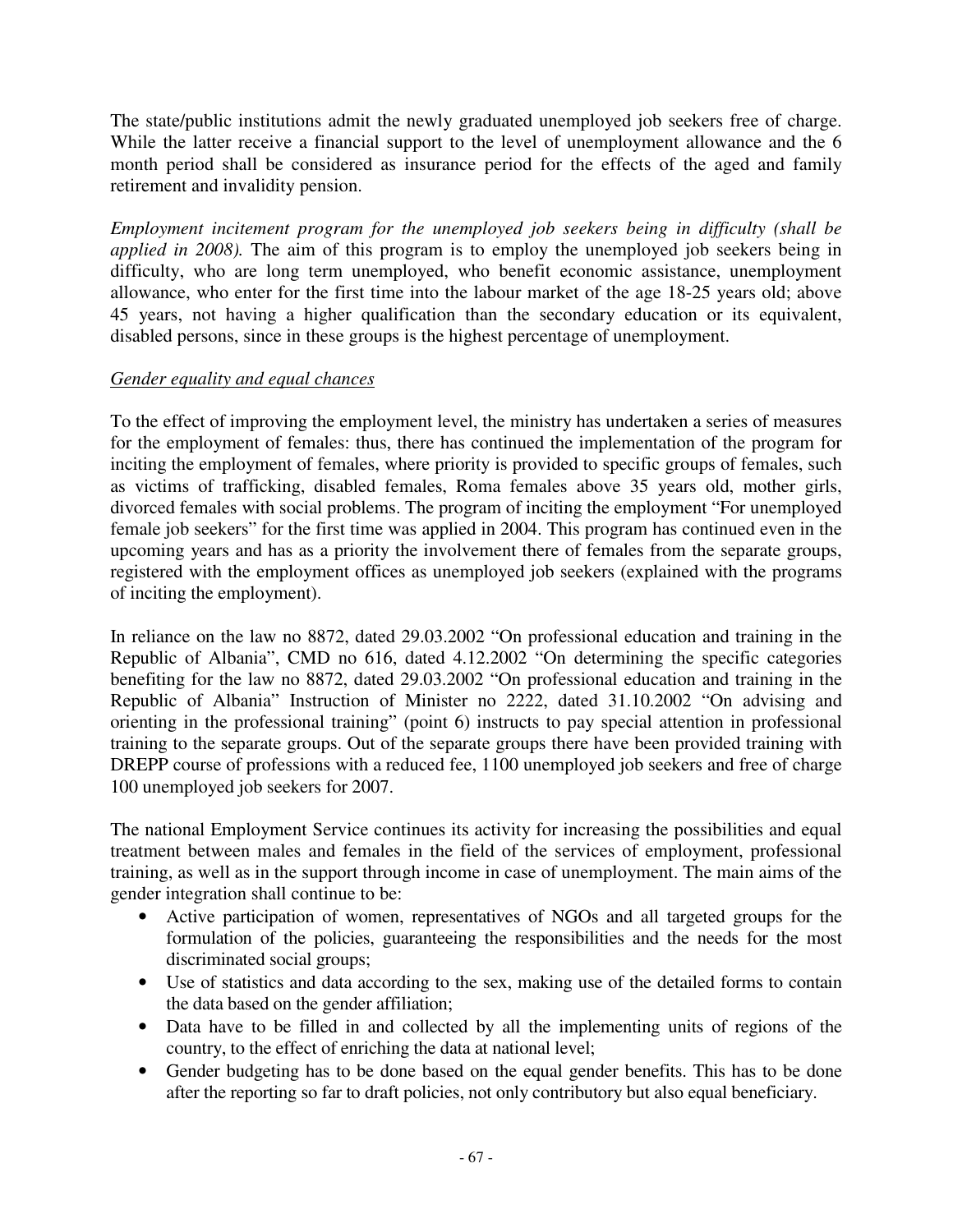The state/public institutions admit the newly graduated unemployed job seekers free of charge. While the latter receive a financial support to the level of unemployment allowance and the 6 month period shall be considered as insurance period for the effects of the aged and family retirement and invalidity pension.

*Employment incitement program for the unemployed job seekers being in difficulty (shall be applied in 2008).* The aim of this program is to employ the unemployed job seekers being in difficulty, who are long term unemployed, who benefit economic assistance, unemployment allowance, who enter for the first time into the labour market of the age 18-25 years old; above 45 years, not having a higher qualification than the secondary education or its equivalent, disabled persons, since in these groups is the highest percentage of unemployment.

### *Gender equality and equal chances*

To the effect of improving the employment level, the ministry has undertaken a series of measures for the employment of females: thus, there has continued the implementation of the program for inciting the employment of females, where priority is provided to specific groups of females, such as victims of trafficking, disabled females, Roma females above 35 years old, mother girls, divorced females with social problems. The program of inciting the employment "For unemployed female job seekers" for the first time was applied in 2004. This program has continued even in the upcoming years and has as a priority the involvement there of females from the separate groups, registered with the employment offices as unemployed job seekers (explained with the programs of inciting the employment).

In reliance on the law no 8872, dated 29.03.2002 "On professional education and training in the Republic of Albania", CMD no 616, dated 4.12.2002 "On determining the specific categories benefiting for the law no 8872, dated 29.03.2002 "On professional education and training in the Republic of Albania" Instruction of Minister no 2222, dated 31.10.2002 "On advising and orienting in the professional training" (point 6) instructs to pay special attention in professional training to the separate groups. Out of the separate groups there have been provided training with DREPP course of professions with a reduced fee, 1100 unemployed job seekers and free of charge 100 unemployed job seekers for 2007.

The national Employment Service continues its activity for increasing the possibilities and equal treatment between males and females in the field of the services of employment, professional training, as well as in the support through income in case of unemployment. The main aims of the gender integration shall continue to be:

- Active participation of women, representatives of NGOs and all targeted groups for the formulation of the policies, guaranteeing the responsibilities and the needs for the most discriminated social groups;
- Use of statistics and data according to the sex, making use of the detailed forms to contain the data based on the gender affiliation;
- Data have to be filled in and collected by all the implementing units of regions of the country, to the effect of enriching the data at national level;
- Gender budgeting has to be done based on the equal gender benefits. This has to be done after the reporting so far to draft policies, not only contributory but also equal beneficiary.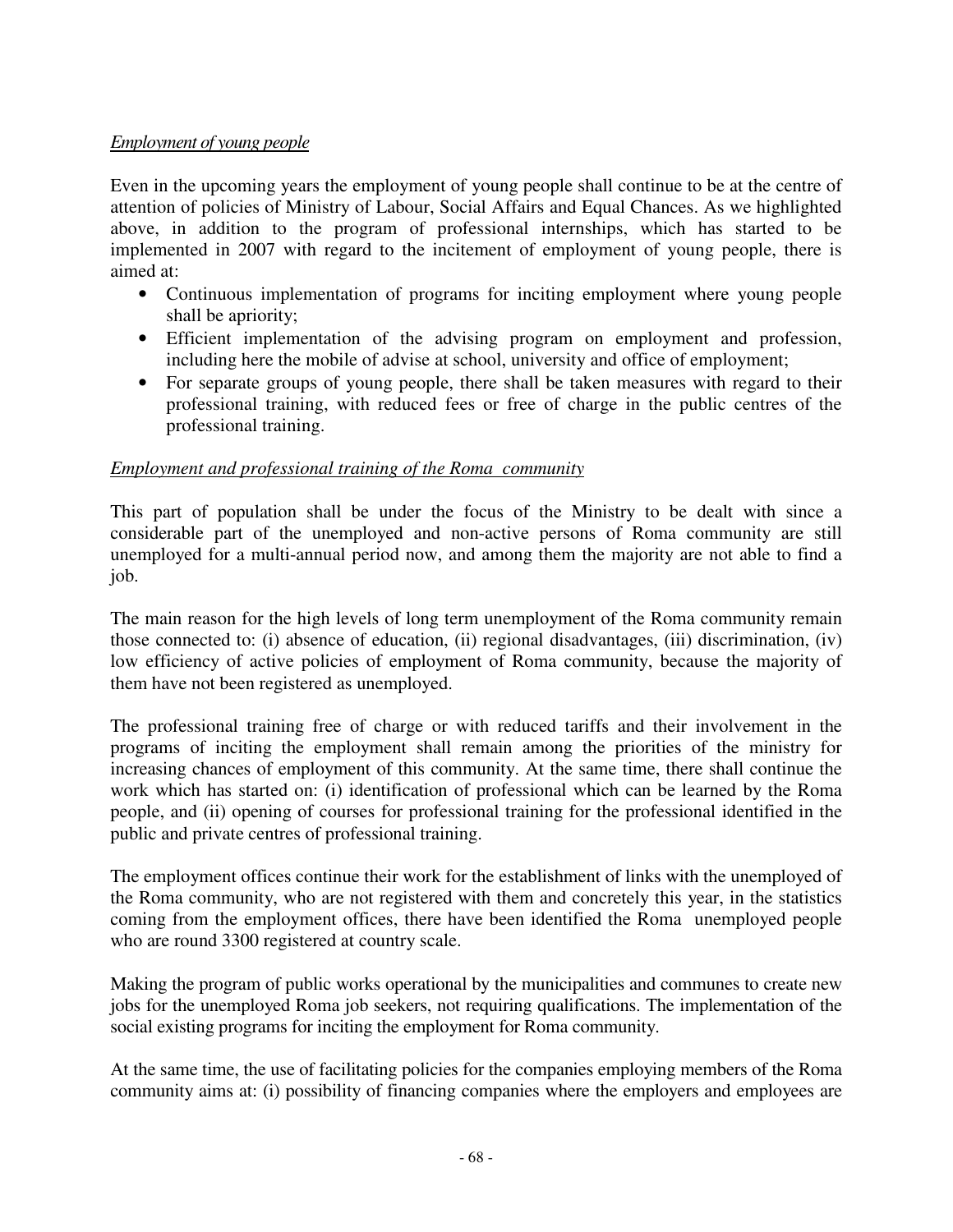## *Employment of young people*

Even in the upcoming years the employment of young people shall continue to be at the centre of attention of policies of Ministry of Labour, Social Affairs and Equal Chances. As we highlighted above, in addition to the program of professional internships, which has started to be implemented in 2007 with regard to the incitement of employment of young people, there is aimed at:

- Continuous implementation of programs for inciting employment where young people shall be apriority;
- Efficient implementation of the advising program on employment and profession, including here the mobile of advise at school, university and office of employment;
- For separate groups of young people, there shall be taken measures with regard to their professional training, with reduced fees or free of charge in the public centres of the professional training.

### *Employment and professional training of the Roma community*

This part of population shall be under the focus of the Ministry to be dealt with since a considerable part of the unemployed and non-active persons of Roma community are still unemployed for a multi-annual period now, and among them the majority are not able to find a job.

The main reason for the high levels of long term unemployment of the Roma community remain those connected to: (i) absence of education, (ii) regional disadvantages, (iii) discrimination, (iv) low efficiency of active policies of employment of Roma community, because the majority of them have not been registered as unemployed.

The professional training free of charge or with reduced tariffs and their involvement in the programs of inciting the employment shall remain among the priorities of the ministry for increasing chances of employment of this community. At the same time, there shall continue the work which has started on: (i) identification of professional which can be learned by the Roma people, and (ii) opening of courses for professional training for the professional identified in the public and private centres of professional training.

The employment offices continue their work for the establishment of links with the unemployed of the Roma community, who are not registered with them and concretely this year, in the statistics coming from the employment offices, there have been identified the Roma unemployed people who are round 3300 registered at country scale.

Making the program of public works operational by the municipalities and communes to create new jobs for the unemployed Roma job seekers, not requiring qualifications. The implementation of the social existing programs for inciting the employment for Roma community.

At the same time, the use of facilitating policies for the companies employing members of the Roma community aims at: (i) possibility of financing companies where the employers and employees are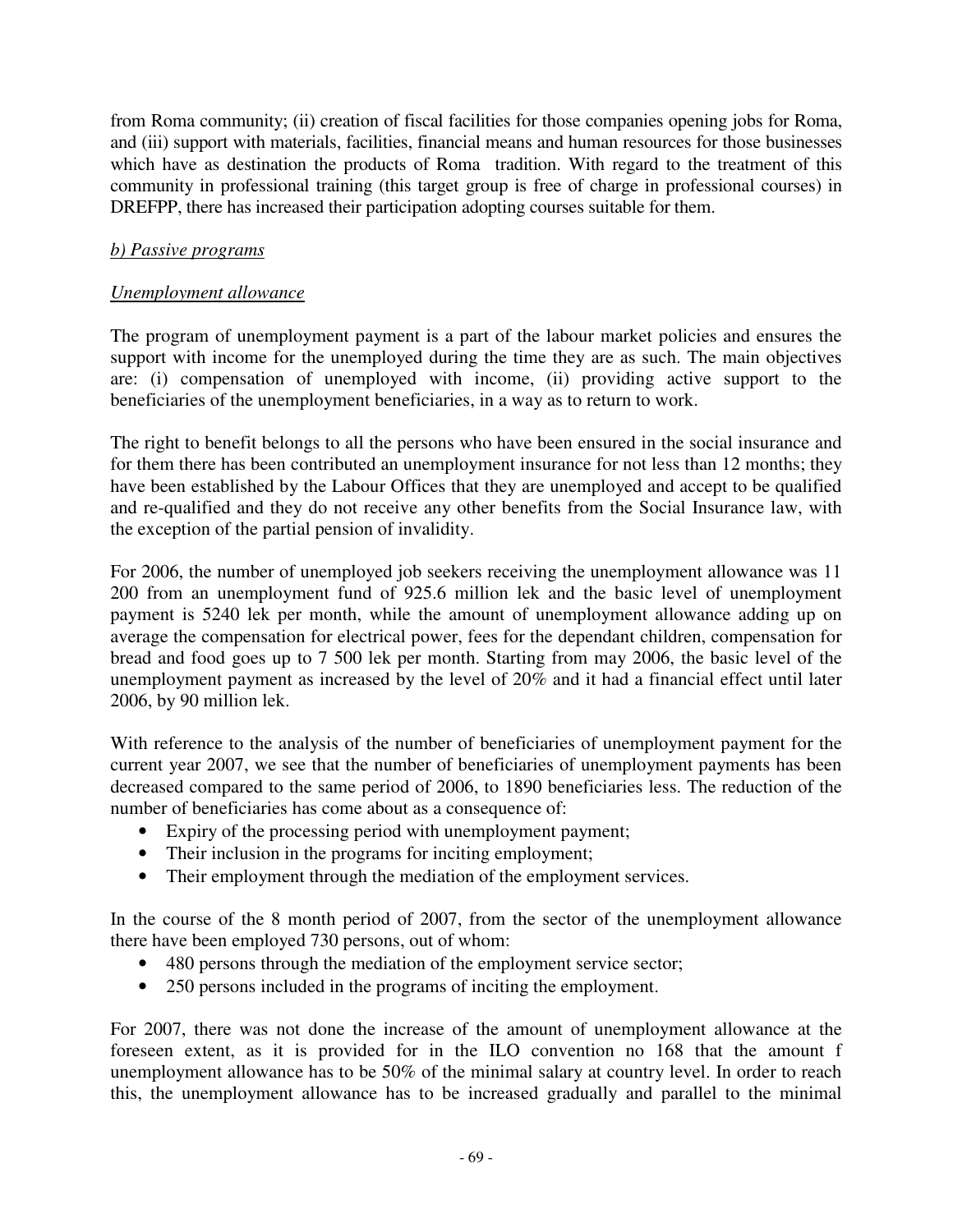from Roma community; (ii) creation of fiscal facilities for those companies opening jobs for Roma, and (iii) support with materials, facilities, financial means and human resources for those businesses which have as destination the products of Roma tradition. With regard to the treatment of this community in professional training (this target group is free of charge in professional courses) in DREFPP, there has increased their participation adopting courses suitable for them.

## *b) Passive programs*

### *Unemployment allowance*

The program of unemployment payment is a part of the labour market policies and ensures the support with income for the unemployed during the time they are as such. The main objectives are: (i) compensation of unemployed with income, (ii) providing active support to the beneficiaries of the unemployment beneficiaries, in a way as to return to work.

The right to benefit belongs to all the persons who have been ensured in the social insurance and for them there has been contributed an unemployment insurance for not less than 12 months; they have been established by the Labour Offices that they are unemployed and accept to be qualified and re-qualified and they do not receive any other benefits from the Social Insurance law, with the exception of the partial pension of invalidity.

For 2006, the number of unemployed job seekers receiving the unemployment allowance was 11 200 from an unemployment fund of 925.6 million lek and the basic level of unemployment payment is 5240 lek per month, while the amount of unemployment allowance adding up on average the compensation for electrical power, fees for the dependant children, compensation for bread and food goes up to 7 500 lek per month. Starting from may 2006, the basic level of the unemployment payment as increased by the level of 20% and it had a financial effect until later 2006, by 90 million lek.

With reference to the analysis of the number of beneficiaries of unemployment payment for the current year 2007, we see that the number of beneficiaries of unemployment payments has been decreased compared to the same period of 2006, to 1890 beneficiaries less. The reduction of the number of beneficiaries has come about as a consequence of:

- Expiry of the processing period with unemployment payment;
- Their inclusion in the programs for inciting employment;
- Their employment through the mediation of the employment services.

In the course of the 8 month period of 2007, from the sector of the unemployment allowance there have been employed 730 persons, out of whom:

- 480 persons through the mediation of the employment service sector;
- 250 persons included in the programs of inciting the employment.

For 2007, there was not done the increase of the amount of unemployment allowance at the foreseen extent, as it is provided for in the ILO convention no 168 that the amount f unemployment allowance has to be 50% of the minimal salary at country level. In order to reach this, the unemployment allowance has to be increased gradually and parallel to the minimal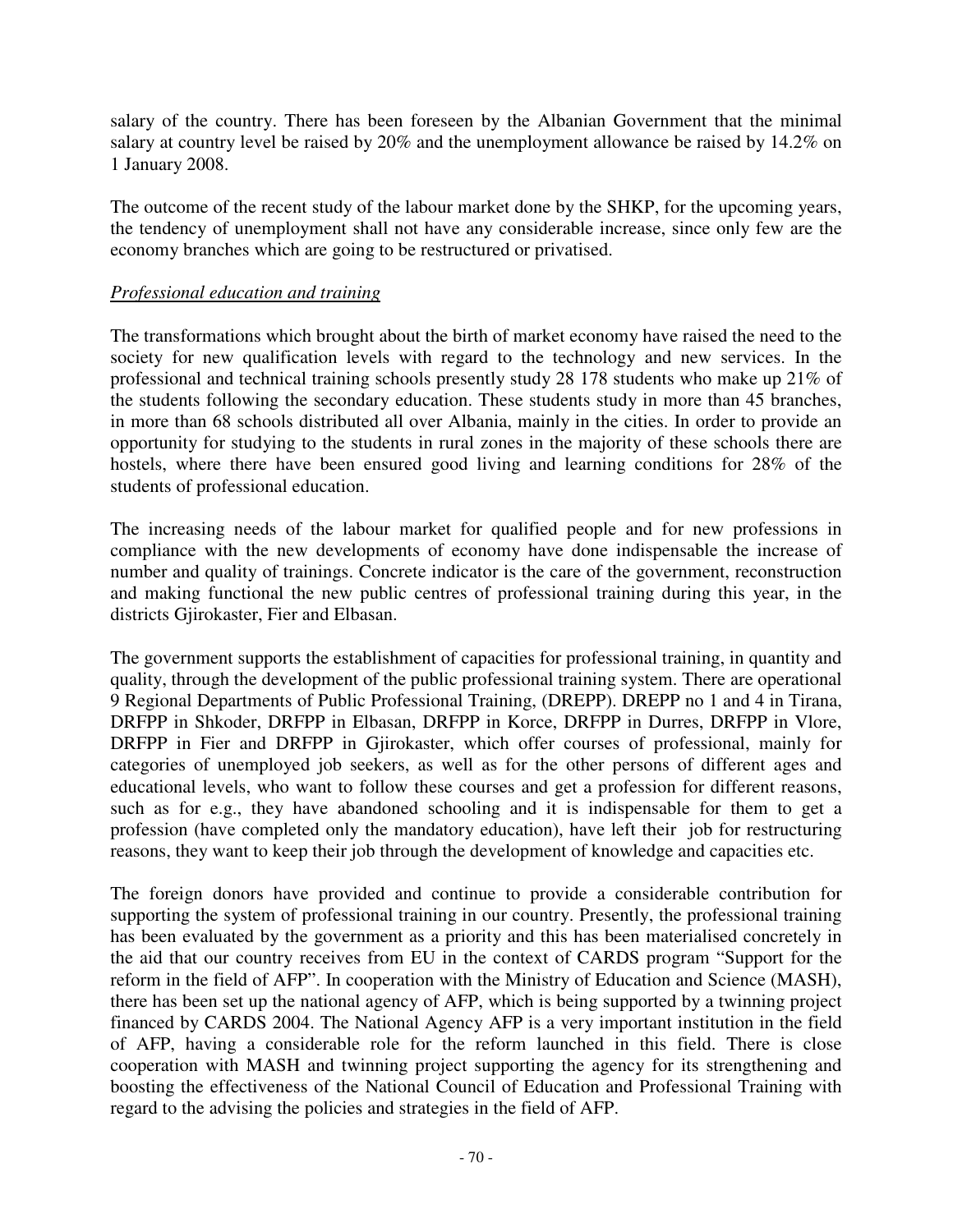salary of the country. There has been foreseen by the Albanian Government that the minimal salary at country level be raised by 20% and the unemployment allowance be raised by 14.2% on 1 January 2008.

The outcome of the recent study of the labour market done by the SHKP, for the upcoming years, the tendency of unemployment shall not have any considerable increase, since only few are the economy branches which are going to be restructured or privatised.

### *Professional education and training*

The transformations which brought about the birth of market economy have raised the need to the society for new qualification levels with regard to the technology and new services. In the professional and technical training schools presently study 28 178 students who make up 21% of the students following the secondary education. These students study in more than 45 branches, in more than 68 schools distributed all over Albania, mainly in the cities. In order to provide an opportunity for studying to the students in rural zones in the majority of these schools there are hostels, where there have been ensured good living and learning conditions for 28% of the students of professional education.

The increasing needs of the labour market for qualified people and for new professions in compliance with the new developments of economy have done indispensable the increase of number and quality of trainings. Concrete indicator is the care of the government, reconstruction and making functional the new public centres of professional training during this year, in the districts Gjirokaster, Fier and Elbasan.

The government supports the establishment of capacities for professional training, in quantity and quality, through the development of the public professional training system. There are operational 9 Regional Departments of Public Professional Training, (DREPP). DREPP no 1 and 4 in Tirana, DRFPP in Shkoder, DRFPP in Elbasan, DRFPP in Korce, DRFPP in Durres, DRFPP in Vlore, DRFPP in Fier and DRFPP in Gjirokaster, which offer courses of professional, mainly for categories of unemployed job seekers, as well as for the other persons of different ages and educational levels, who want to follow these courses and get a profession for different reasons, such as for e.g., they have abandoned schooling and it is indispensable for them to get a profession (have completed only the mandatory education), have left their job for restructuring reasons, they want to keep their job through the development of knowledge and capacities etc.

The foreign donors have provided and continue to provide a considerable contribution for supporting the system of professional training in our country. Presently, the professional training has been evaluated by the government as a priority and this has been materialised concretely in the aid that our country receives from EU in the context of CARDS program "Support for the reform in the field of AFP". In cooperation with the Ministry of Education and Science (MASH), there has been set up the national agency of AFP, which is being supported by a twinning project financed by CARDS 2004. The National Agency AFP is a very important institution in the field of AFP, having a considerable role for the reform launched in this field. There is close cooperation with MASH and twinning project supporting the agency for its strengthening and boosting the effectiveness of the National Council of Education and Professional Training with regard to the advising the policies and strategies in the field of AFP.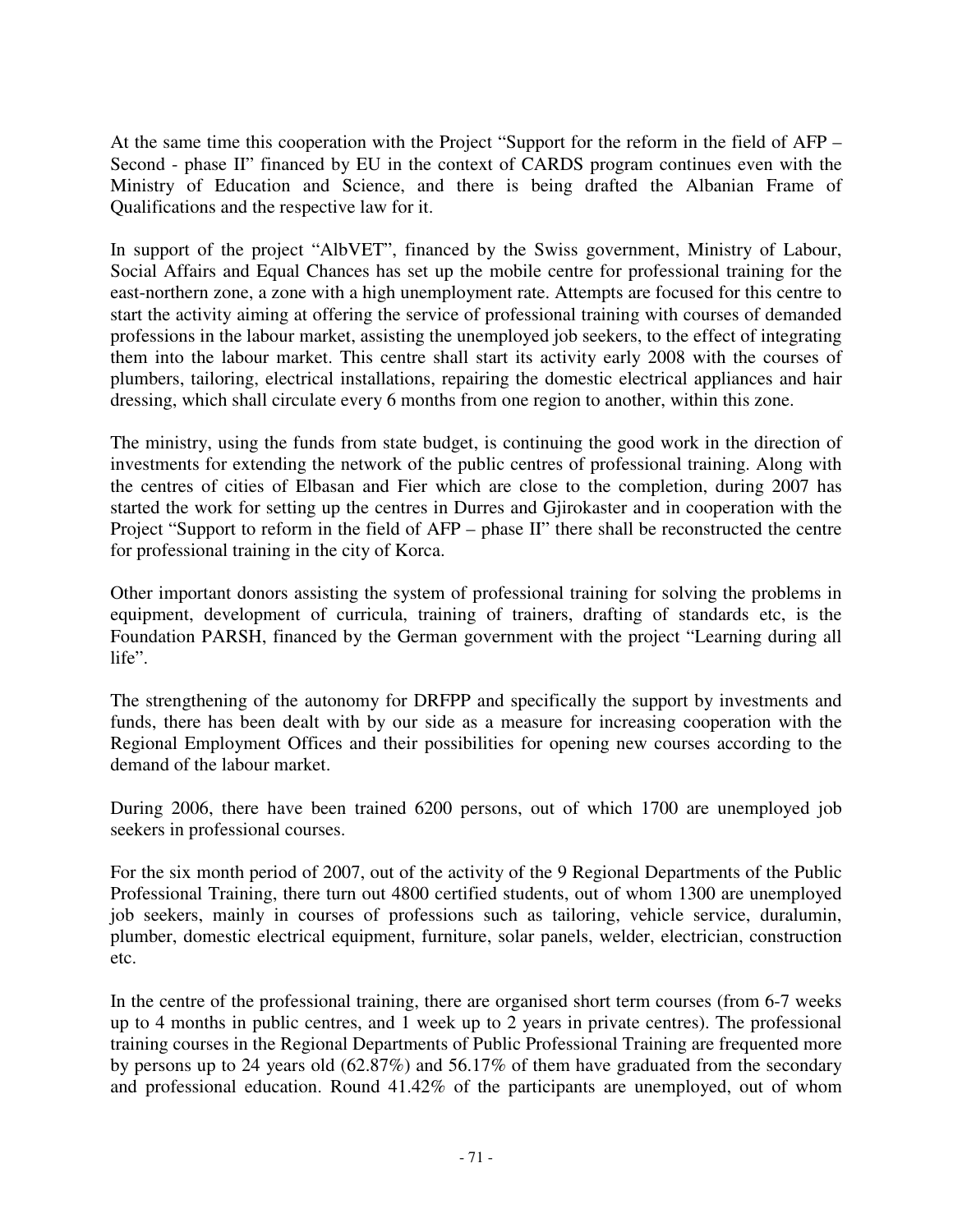At the same time this cooperation with the Project "Support for the reform in the field of AFP – Second - phase II" financed by EU in the context of CARDS program continues even with the Ministry of Education and Science, and there is being drafted the Albanian Frame of Qualifications and the respective law for it.

In support of the project "AlbVET", financed by the Swiss government, Ministry of Labour, Social Affairs and Equal Chances has set up the mobile centre for professional training for the east-northern zone, a zone with a high unemployment rate. Attempts are focused for this centre to start the activity aiming at offering the service of professional training with courses of demanded professions in the labour market, assisting the unemployed job seekers, to the effect of integrating them into the labour market. This centre shall start its activity early 2008 with the courses of plumbers, tailoring, electrical installations, repairing the domestic electrical appliances and hair dressing, which shall circulate every 6 months from one region to another, within this zone.

The ministry, using the funds from state budget, is continuing the good work in the direction of investments for extending the network of the public centres of professional training. Along with the centres of cities of Elbasan and Fier which are close to the completion, during 2007 has started the work for setting up the centres in Durres and Gjirokaster and in cooperation with the Project "Support to reform in the field of AFP – phase II" there shall be reconstructed the centre for professional training in the city of Korca.

Other important donors assisting the system of professional training for solving the problems in equipment, development of curricula, training of trainers, drafting of standards etc, is the Foundation PARSH, financed by the German government with the project "Learning during all life".

The strengthening of the autonomy for DRFPP and specifically the support by investments and funds, there has been dealt with by our side as a measure for increasing cooperation with the Regional Employment Offices and their possibilities for opening new courses according to the demand of the labour market.

During 2006, there have been trained 6200 persons, out of which 1700 are unemployed job seekers in professional courses.

For the six month period of 2007, out of the activity of the 9 Regional Departments of the Public Professional Training, there turn out 4800 certified students, out of whom 1300 are unemployed job seekers, mainly in courses of professions such as tailoring, vehicle service, duralumin, plumber, domestic electrical equipment, furniture, solar panels, welder, electrician, construction etc.

In the centre of the professional training, there are organised short term courses (from 6-7 weeks up to 4 months in public centres, and 1 week up to 2 years in private centres). The professional training courses in the Regional Departments of Public Professional Training are frequented more by persons up to 24 years old (62.87%) and 56.17% of them have graduated from the secondary and professional education. Round 41.42% of the participants are unemployed, out of whom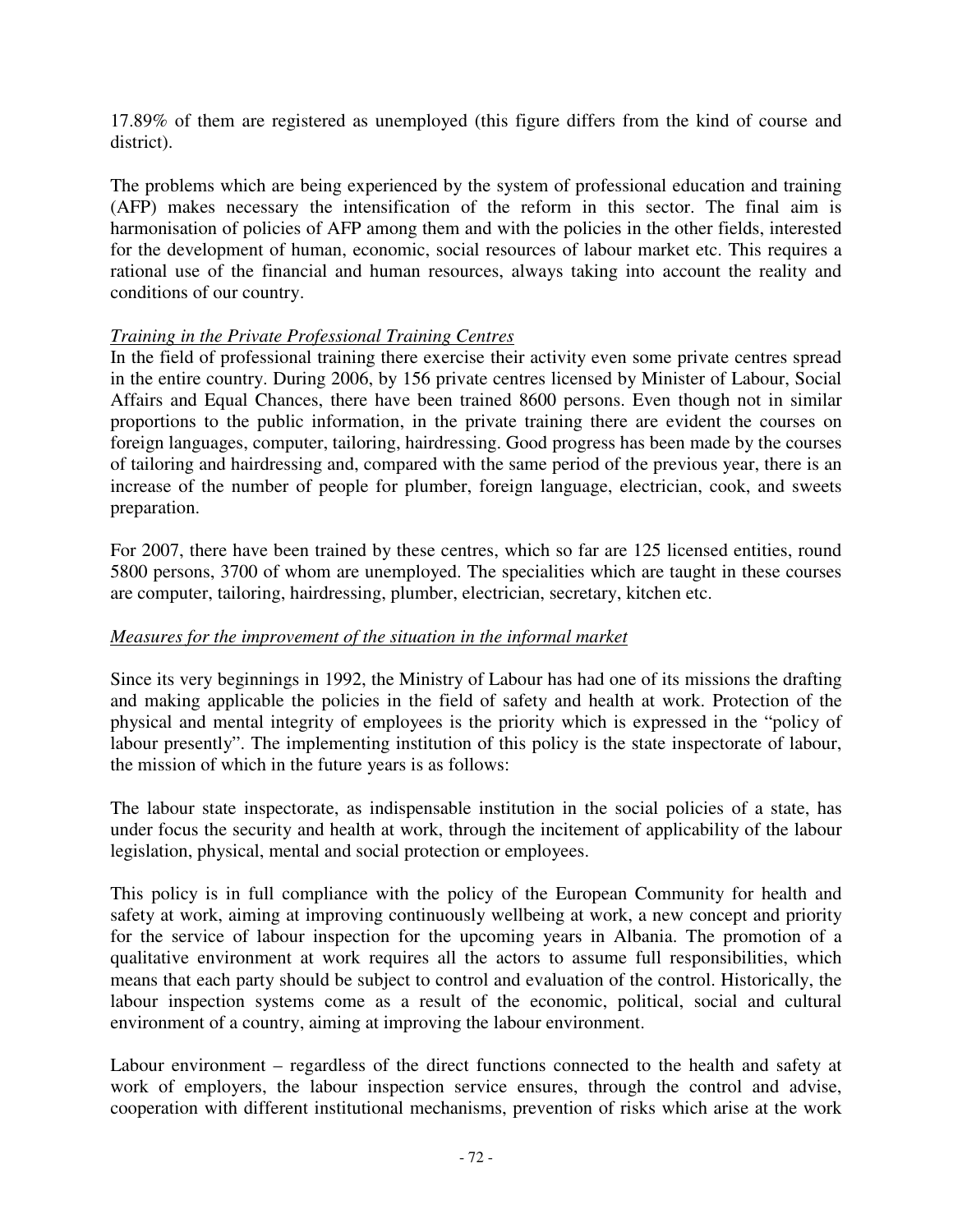17.89% of them are registered as unemployed (this figure differs from the kind of course and district).

The problems which are being experienced by the system of professional education and training (AFP) makes necessary the intensification of the reform in this sector. The final aim is harmonisation of policies of AFP among them and with the policies in the other fields, interested for the development of human, economic, social resources of labour market etc. This requires a rational use of the financial and human resources, always taking into account the reality and conditions of our country.

### *Training in the Private Professional Training Centres*

In the field of professional training there exercise their activity even some private centres spread in the entire country. During 2006, by 156 private centres licensed by Minister of Labour, Social Affairs and Equal Chances, there have been trained 8600 persons. Even though not in similar proportions to the public information, in the private training there are evident the courses on foreign languages, computer, tailoring, hairdressing. Good progress has been made by the courses of tailoring and hairdressing and, compared with the same period of the previous year, there is an increase of the number of people for plumber, foreign language, electrician, cook, and sweets preparation.

For 2007, there have been trained by these centres, which so far are 125 licensed entities, round 5800 persons, 3700 of whom are unemployed. The specialities which are taught in these courses are computer, tailoring, hairdressing, plumber, electrician, secretary, kitchen etc.

### *Measures for the improvement of the situation in the informal market*

Since its very beginnings in 1992, the Ministry of Labour has had one of its missions the drafting and making applicable the policies in the field of safety and health at work. Protection of the physical and mental integrity of employees is the priority which is expressed in the "policy of labour presently". The implementing institution of this policy is the state inspectorate of labour, the mission of which in the future years is as follows:

The labour state inspectorate, as indispensable institution in the social policies of a state, has under focus the security and health at work, through the incitement of applicability of the labour legislation, physical, mental and social protection or employees.

This policy is in full compliance with the policy of the European Community for health and safety at work, aiming at improving continuously wellbeing at work, a new concept and priority for the service of labour inspection for the upcoming years in Albania. The promotion of a qualitative environment at work requires all the actors to assume full responsibilities, which means that each party should be subject to control and evaluation of the control. Historically, the labour inspection systems come as a result of the economic, political, social and cultural environment of a country, aiming at improving the labour environment.

Labour environment – regardless of the direct functions connected to the health and safety at work of employers, the labour inspection service ensures, through the control and advise, cooperation with different institutional mechanisms, prevention of risks which arise at the work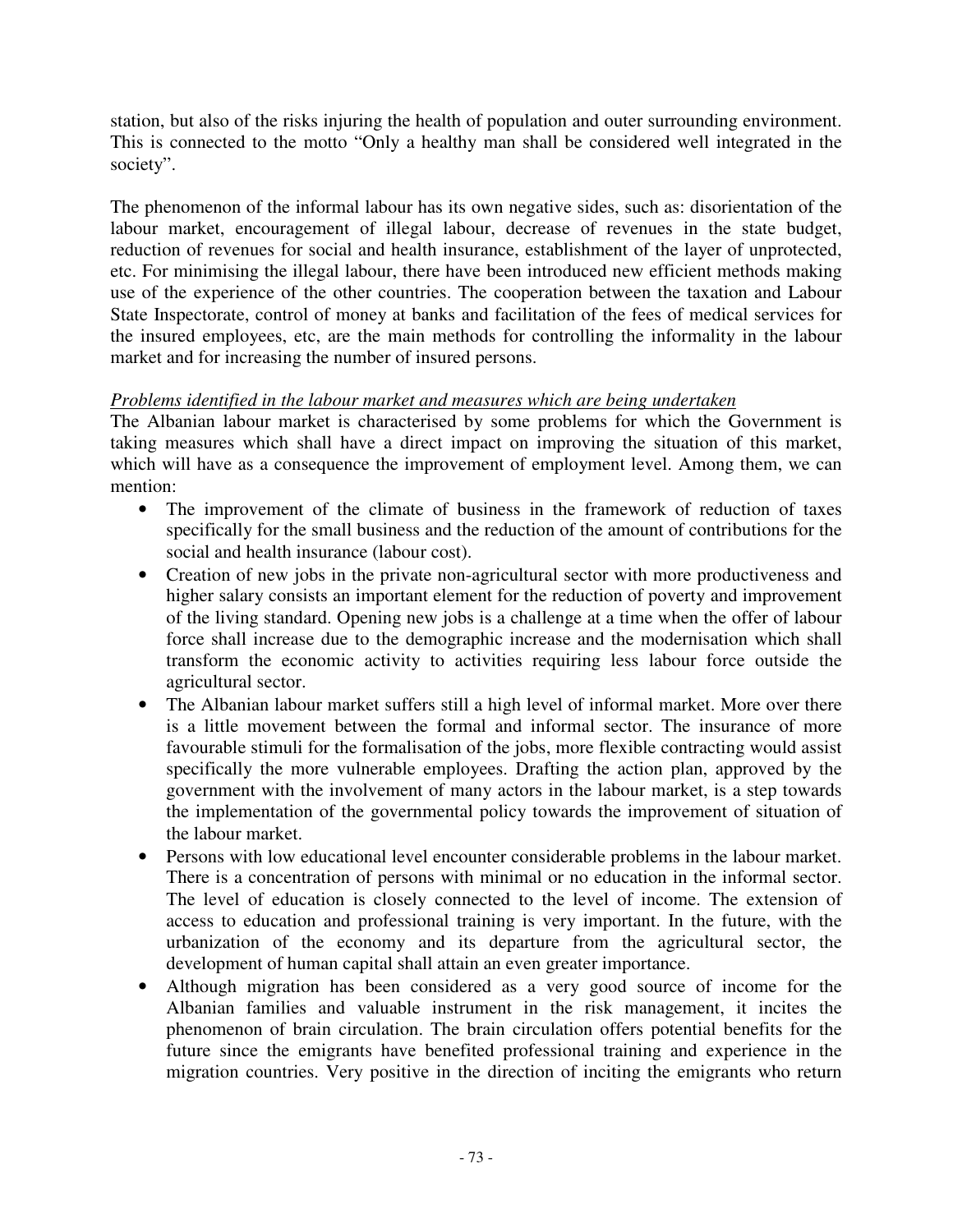station, but also of the risks injuring the health of population and outer surrounding environment. This is connected to the motto "Only a healthy man shall be considered well integrated in the society".

The phenomenon of the informal labour has its own negative sides, such as: disorientation of the labour market, encouragement of illegal labour, decrease of revenues in the state budget, reduction of revenues for social and health insurance, establishment of the layer of unprotected, etc. For minimising the illegal labour, there have been introduced new efficient methods making use of the experience of the other countries. The cooperation between the taxation and Labour State Inspectorate, control of money at banks and facilitation of the fees of medical services for the insured employees, etc, are the main methods for controlling the informality in the labour market and for increasing the number of insured persons.

#### *Problems identified in the labour market and measures which are being undertaken*

The Albanian labour market is characterised by some problems for which the Government is taking measures which shall have a direct impact on improving the situation of this market, which will have as a consequence the improvement of employment level. Among them, we can mention:

- The improvement of the climate of business in the framework of reduction of taxes specifically for the small business and the reduction of the amount of contributions for the social and health insurance (labour cost).
- Creation of new jobs in the private non-agricultural sector with more productiveness and higher salary consists an important element for the reduction of poverty and improvement of the living standard. Opening new jobs is a challenge at a time when the offer of labour force shall increase due to the demographic increase and the modernisation which shall transform the economic activity to activities requiring less labour force outside the agricultural sector.
- The Albanian labour market suffers still a high level of informal market. More over there is a little movement between the formal and informal sector. The insurance of more favourable stimuli for the formalisation of the jobs, more flexible contracting would assist specifically the more vulnerable employees. Drafting the action plan, approved by the government with the involvement of many actors in the labour market, is a step towards the implementation of the governmental policy towards the improvement of situation of the labour market.
- Persons with low educational level encounter considerable problems in the labour market. There is a concentration of persons with minimal or no education in the informal sector. The level of education is closely connected to the level of income. The extension of access to education and professional training is very important. In the future, with the urbanization of the economy and its departure from the agricultural sector, the development of human capital shall attain an even greater importance.
- Although migration has been considered as a very good source of income for the Albanian families and valuable instrument in the risk management, it incites the phenomenon of brain circulation. The brain circulation offers potential benefits for the future since the emigrants have benefited professional training and experience in the migration countries. Very positive in the direction of inciting the emigrants who return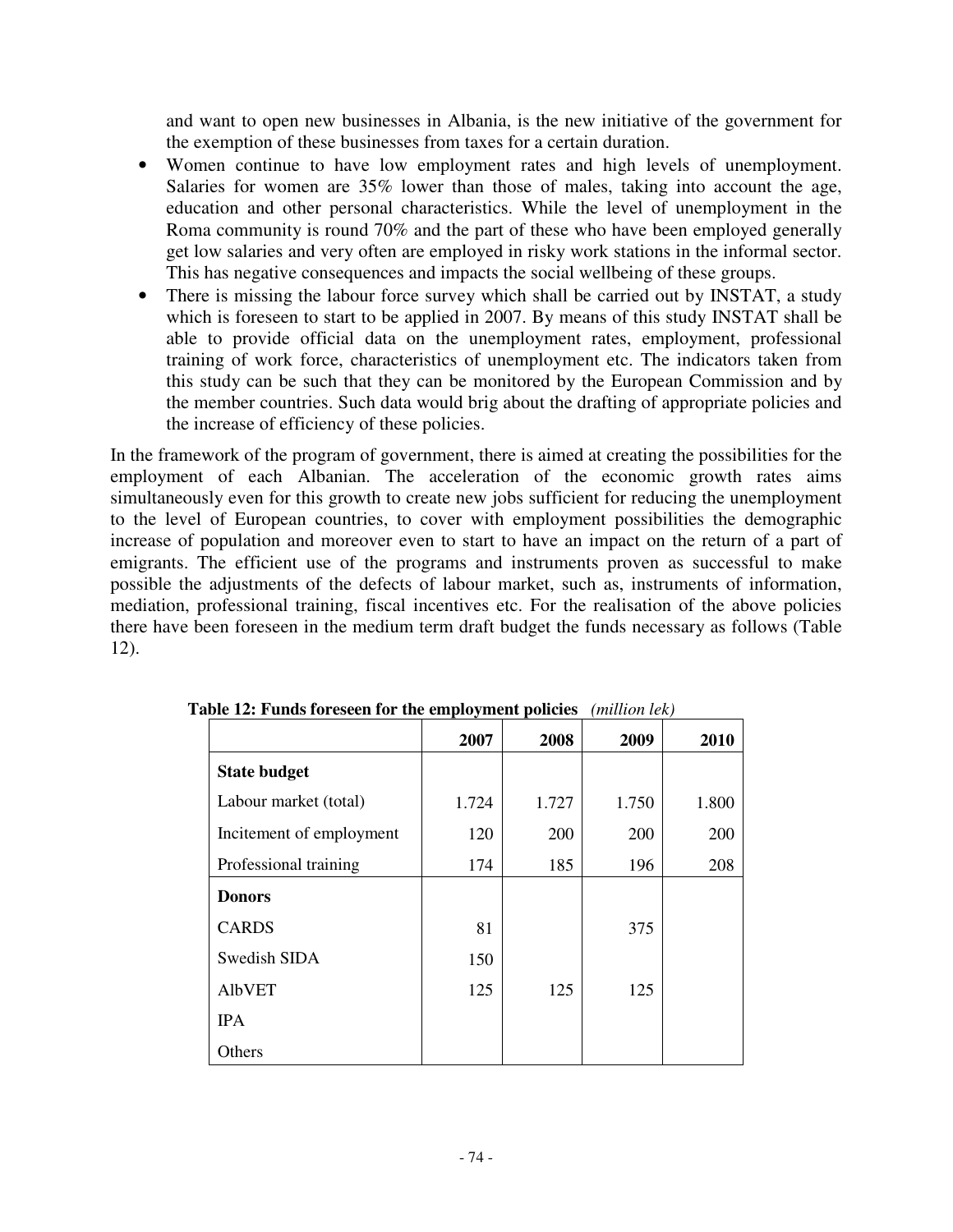and want to open new businesses in Albania, is the new initiative of the government for the exemption of these businesses from taxes for a certain duration.

- Women continue to have low employment rates and high levels of unemployment. Salaries for women are 35% lower than those of males, taking into account the age, education and other personal characteristics. While the level of unemployment in the Roma community is round 70% and the part of these who have been employed generally get low salaries and very often are employed in risky work stations in the informal sector. This has negative consequences and impacts the social wellbeing of these groups.
- There is missing the labour force survey which shall be carried out by INSTAT, a study which is foreseen to start to be applied in 2007. By means of this study INSTAT shall be able to provide official data on the unemployment rates, employment, professional training of work force, characteristics of unemployment etc. The indicators taken from this study can be such that they can be monitored by the European Commission and by the member countries. Such data would brig about the drafting of appropriate policies and the increase of efficiency of these policies.

In the framework of the program of government, there is aimed at creating the possibilities for the employment of each Albanian. The acceleration of the economic growth rates aims simultaneously even for this growth to create new jobs sufficient for reducing the unemployment to the level of European countries, to cover with employment possibilities the demographic increase of population and moreover even to start to have an impact on the return of a part of emigrants. The efficient use of the programs and instruments proven as successful to make possible the adjustments of the defects of labour market, such as, instruments of information, mediation, professional training, fiscal incentives etc. For the realisation of the above policies there have been foreseen in the medium term draft budget the funds necessary as follows (Table 12).

| $\mu$ , $\mu$ , $\mu$ and $\sigma$ research for the employment poncies |       |       | uuuuni icivi |       |
|------------------------------------------------------------------------|-------|-------|--------------|-------|
|                                                                        | 2007  | 2008  | 2009         | 2010  |
| <b>State budget</b>                                                    |       |       |              |       |
| Labour market (total)                                                  | 1.724 | 1.727 | 1.750        | 1.800 |
| Incitement of employment                                               | 120   | 200   | 200          | 200   |
| Professional training                                                  | 174   | 185   | 196          | 208   |
| <b>Donors</b>                                                          |       |       |              |       |
| <b>CARDS</b>                                                           | 81    |       | 375          |       |
| Swedish SIDA                                                           | 150   |       |              |       |
| <b>AlbVET</b>                                                          | 125   | 125   | 125          |       |
| <b>IPA</b>                                                             |       |       |              |       |
| Others                                                                 |       |       |              |       |

**Table 12: Funds foreseen for the employment policies** *(million lek)*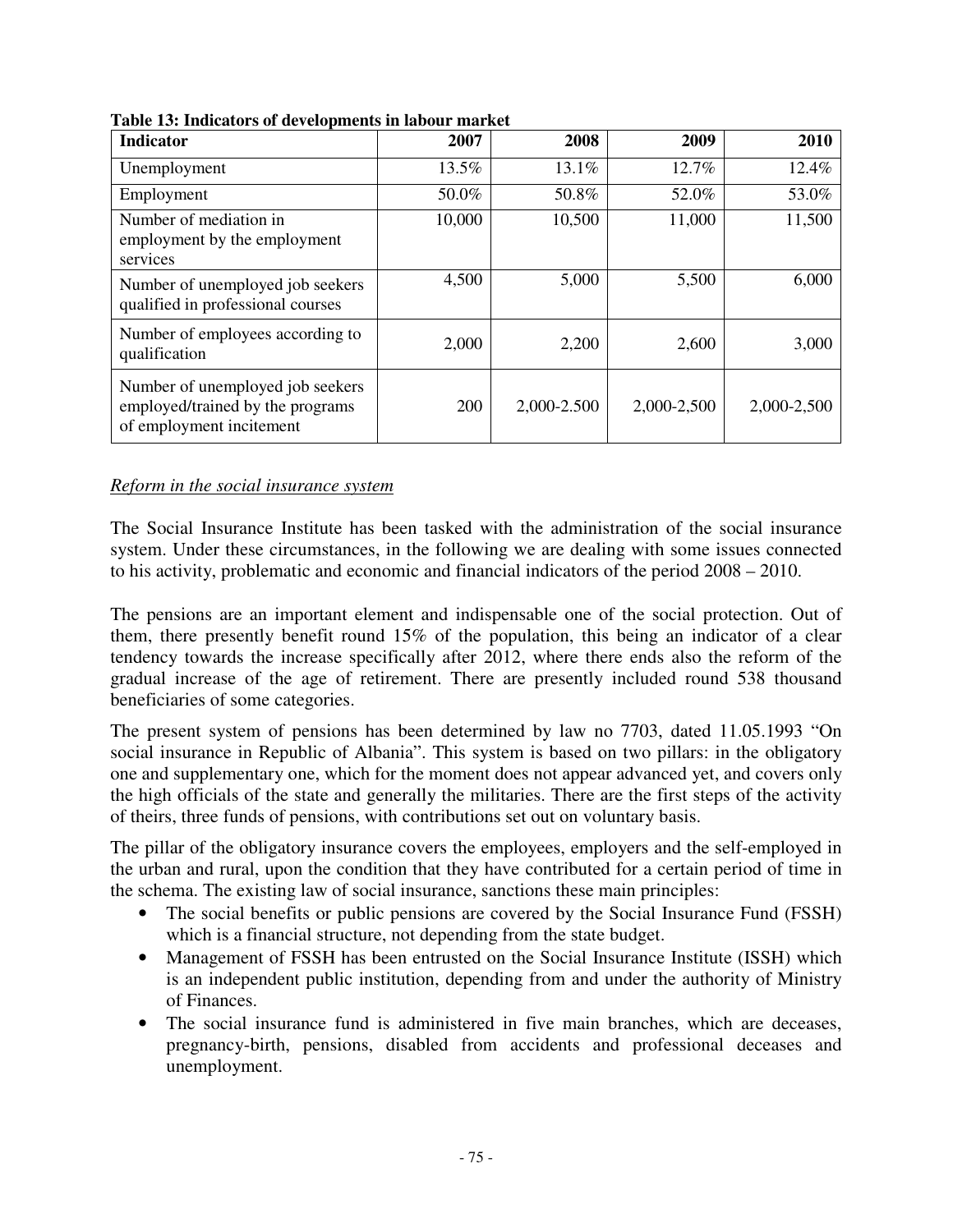| <b>Indicator</b>                                                                                 | 2007   | 2008        | 2009        | 2010        |
|--------------------------------------------------------------------------------------------------|--------|-------------|-------------|-------------|
| Unemployment                                                                                     | 13.5%  | 13.1%       | 12.7%       | 12.4%       |
| Employment                                                                                       | 50.0%  | 50.8%       | 52.0%       | 53.0%       |
| Number of mediation in<br>employment by the employment<br>services                               | 10,000 | 10,500      | 11,000      | 11,500      |
| Number of unemployed job seekers<br>qualified in professional courses                            | 4,500  | 5,000       | 5,500       | 6,000       |
| Number of employees according to<br>qualification                                                | 2,000  | 2,200       | 2,600       | 3,000       |
| Number of unemployed job seekers<br>employed/trained by the programs<br>of employment incitement | 200    | 2,000-2.500 | 2,000-2,500 | 2,000-2,500 |

**Table 13: Indicators of developments in labour market** 

#### *Reform in the social insurance system*

The Social Insurance Institute has been tasked with the administration of the social insurance system. Under these circumstances, in the following we are dealing with some issues connected to his activity, problematic and economic and financial indicators of the period 2008 – 2010.

The pensions are an important element and indispensable one of the social protection. Out of them, there presently benefit round 15% of the population, this being an indicator of a clear tendency towards the increase specifically after 2012, where there ends also the reform of the gradual increase of the age of retirement. There are presently included round 538 thousand beneficiaries of some categories.

The present system of pensions has been determined by law no 7703, dated 11.05.1993 "On social insurance in Republic of Albania". This system is based on two pillars: in the obligatory one and supplementary one, which for the moment does not appear advanced yet, and covers only the high officials of the state and generally the militaries. There are the first steps of the activity of theirs, three funds of pensions, with contributions set out on voluntary basis.

The pillar of the obligatory insurance covers the employees, employers and the self-employed in the urban and rural, upon the condition that they have contributed for a certain period of time in the schema. The existing law of social insurance, sanctions these main principles:

- The social benefits or public pensions are covered by the Social Insurance Fund (FSSH) which is a financial structure, not depending from the state budget.
- Management of FSSH has been entrusted on the Social Insurance Institute (ISSH) which is an independent public institution, depending from and under the authority of Ministry of Finances.
- The social insurance fund is administered in five main branches, which are deceases, pregnancy-birth, pensions, disabled from accidents and professional deceases and unemployment.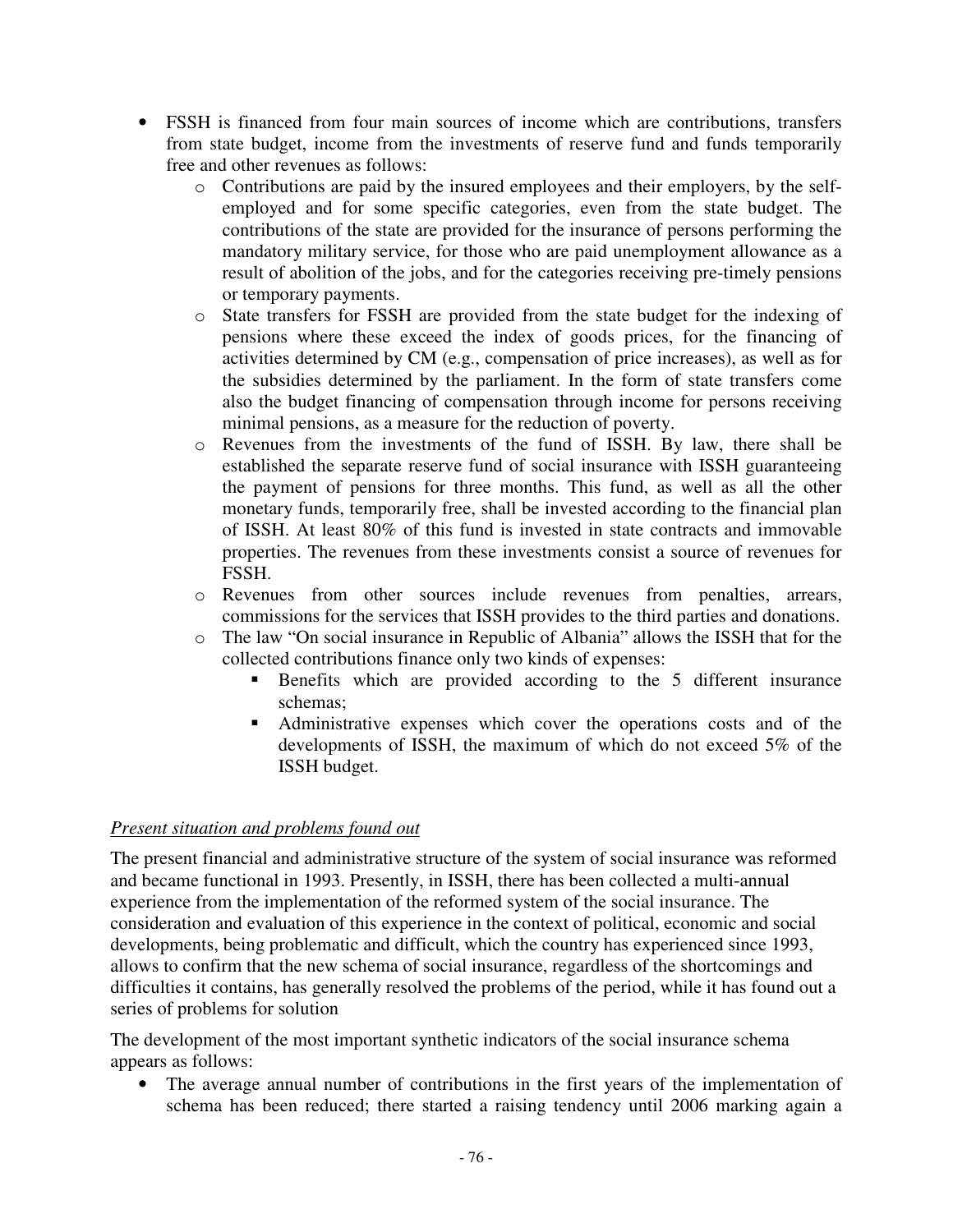- FSSH is financed from four main sources of income which are contributions, transfers from state budget, income from the investments of reserve fund and funds temporarily free and other revenues as follows:
	- o Contributions are paid by the insured employees and their employers, by the selfemployed and for some specific categories, even from the state budget. The contributions of the state are provided for the insurance of persons performing the mandatory military service, for those who are paid unemployment allowance as a result of abolition of the jobs, and for the categories receiving pre-timely pensions or temporary payments.
	- o State transfers for FSSH are provided from the state budget for the indexing of pensions where these exceed the index of goods prices, for the financing of activities determined by CM (e.g., compensation of price increases), as well as for the subsidies determined by the parliament. In the form of state transfers come also the budget financing of compensation through income for persons receiving minimal pensions, as a measure for the reduction of poverty.
	- o Revenues from the investments of the fund of ISSH. By law, there shall be established the separate reserve fund of social insurance with ISSH guaranteeing the payment of pensions for three months. This fund, as well as all the other monetary funds, temporarily free, shall be invested according to the financial plan of ISSH. At least 80% of this fund is invested in state contracts and immovable properties. The revenues from these investments consist a source of revenues for FSSH.
	- o Revenues from other sources include revenues from penalties, arrears, commissions for the services that ISSH provides to the third parties and donations.
	- o The law "On social insurance in Republic of Albania" allows the ISSH that for the collected contributions finance only two kinds of expenses:
		- Benefits which are provided according to the 5 different insurance schemas;
		- Administrative expenses which cover the operations costs and of the developments of ISSH, the maximum of which do not exceed 5% of the ISSH budget.

#### *Present situation and problems found out*

The present financial and administrative structure of the system of social insurance was reformed and became functional in 1993. Presently, in ISSH, there has been collected a multi-annual experience from the implementation of the reformed system of the social insurance. The consideration and evaluation of this experience in the context of political, economic and social developments, being problematic and difficult, which the country has experienced since 1993, allows to confirm that the new schema of social insurance, regardless of the shortcomings and difficulties it contains, has generally resolved the problems of the period, while it has found out a series of problems for solution

The development of the most important synthetic indicators of the social insurance schema appears as follows:

• The average annual number of contributions in the first years of the implementation of schema has been reduced; there started a raising tendency until 2006 marking again a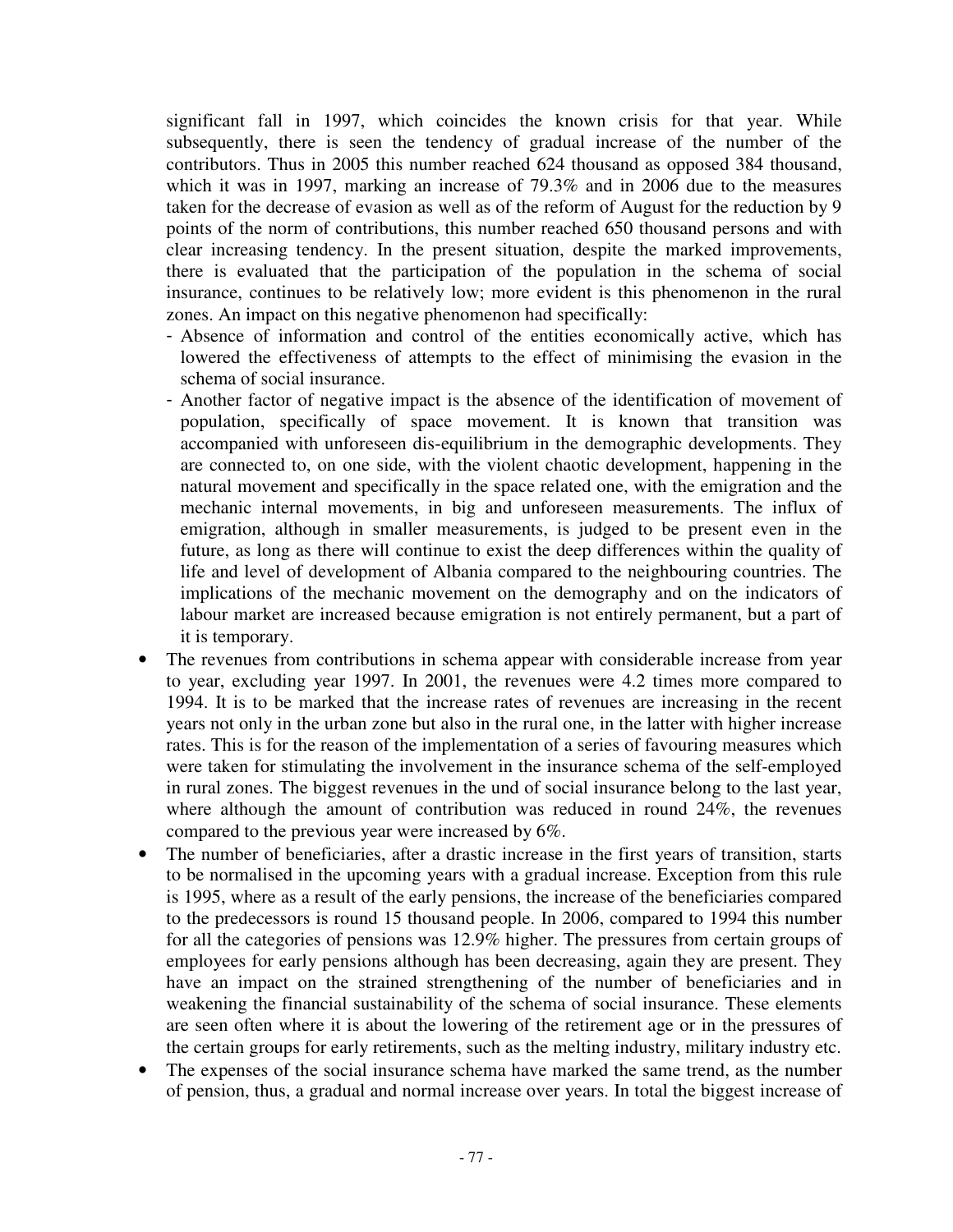significant fall in 1997, which coincides the known crisis for that year. While subsequently, there is seen the tendency of gradual increase of the number of the contributors. Thus in 2005 this number reached 624 thousand as opposed 384 thousand, which it was in 1997, marking an increase of 79.3% and in 2006 due to the measures taken for the decrease of evasion as well as of the reform of August for the reduction by 9 points of the norm of contributions, this number reached 650 thousand persons and with clear increasing tendency. In the present situation, despite the marked improvements, there is evaluated that the participation of the population in the schema of social insurance, continues to be relatively low; more evident is this phenomenon in the rural zones. An impact on this negative phenomenon had specifically:

- Absence of information and control of the entities economically active, which has lowered the effectiveness of attempts to the effect of minimising the evasion in the schema of social insurance.
- Another factor of negative impact is the absence of the identification of movement of population, specifically of space movement. It is known that transition was accompanied with unforeseen dis-equilibrium in the demographic developments. They are connected to, on one side, with the violent chaotic development, happening in the natural movement and specifically in the space related one, with the emigration and the mechanic internal movements, in big and unforeseen measurements. The influx of emigration, although in smaller measurements, is judged to be present even in the future, as long as there will continue to exist the deep differences within the quality of life and level of development of Albania compared to the neighbouring countries. The implications of the mechanic movement on the demography and on the indicators of labour market are increased because emigration is not entirely permanent, but a part of it is temporary.
- The revenues from contributions in schema appear with considerable increase from year to year, excluding year 1997. In 2001, the revenues were 4.2 times more compared to 1994. It is to be marked that the increase rates of revenues are increasing in the recent years not only in the urban zone but also in the rural one, in the latter with higher increase rates. This is for the reason of the implementation of a series of favouring measures which were taken for stimulating the involvement in the insurance schema of the self-employed in rural zones. The biggest revenues in the und of social insurance belong to the last year, where although the amount of contribution was reduced in round 24%, the revenues compared to the previous year were increased by 6%.
- The number of beneficiaries, after a drastic increase in the first years of transition, starts to be normalised in the upcoming years with a gradual increase. Exception from this rule is 1995, where as a result of the early pensions, the increase of the beneficiaries compared to the predecessors is round 15 thousand people. In 2006, compared to 1994 this number for all the categories of pensions was 12.9% higher. The pressures from certain groups of employees for early pensions although has been decreasing, again they are present. They have an impact on the strained strengthening of the number of beneficiaries and in weakening the financial sustainability of the schema of social insurance. These elements are seen often where it is about the lowering of the retirement age or in the pressures of the certain groups for early retirements, such as the melting industry, military industry etc.
- The expenses of the social insurance schema have marked the same trend, as the number of pension, thus, a gradual and normal increase over years. In total the biggest increase of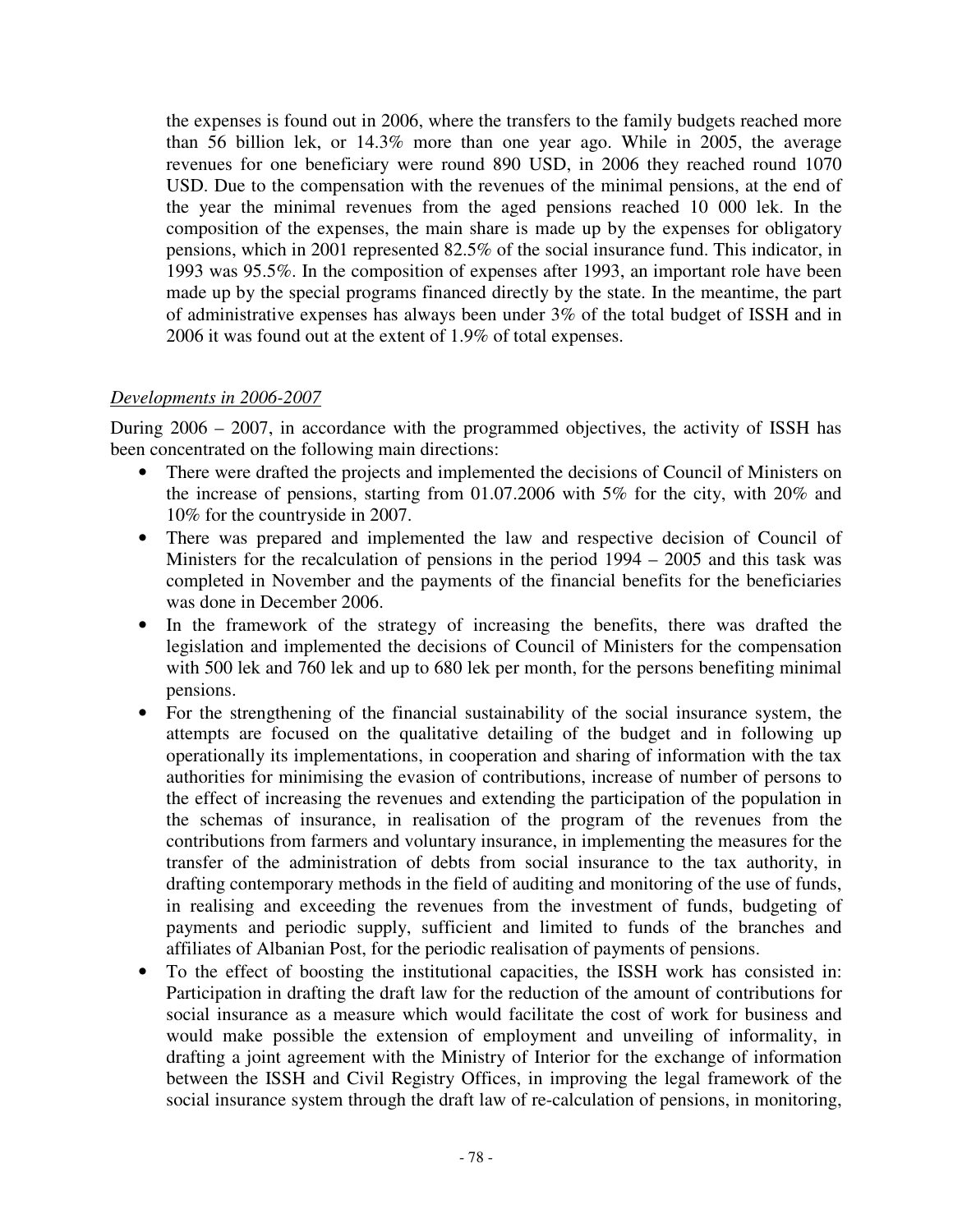the expenses is found out in 2006, where the transfers to the family budgets reached more than 56 billion lek, or 14.3% more than one year ago. While in 2005, the average revenues for one beneficiary were round 890 USD, in 2006 they reached round 1070 USD. Due to the compensation with the revenues of the minimal pensions, at the end of the year the minimal revenues from the aged pensions reached 10 000 lek. In the composition of the expenses, the main share is made up by the expenses for obligatory pensions, which in 2001 represented 82.5% of the social insurance fund. This indicator, in 1993 was 95.5%. In the composition of expenses after 1993, an important role have been made up by the special programs financed directly by the state. In the meantime, the part of administrative expenses has always been under 3% of the total budget of ISSH and in 2006 it was found out at the extent of 1.9% of total expenses.

#### *Developments in 2006-2007*

During 2006 – 2007, in accordance with the programmed objectives, the activity of ISSH has been concentrated on the following main directions:

- There were drafted the projects and implemented the decisions of Council of Ministers on the increase of pensions, starting from 01.07.2006 with 5% for the city, with 20% and 10% for the countryside in 2007.
- There was prepared and implemented the law and respective decision of Council of Ministers for the recalculation of pensions in the period 1994 – 2005 and this task was completed in November and the payments of the financial benefits for the beneficiaries was done in December 2006.
- In the framework of the strategy of increasing the benefits, there was drafted the legislation and implemented the decisions of Council of Ministers for the compensation with 500 lek and 760 lek and up to 680 lek per month, for the persons benefiting minimal pensions.
- For the strengthening of the financial sustainability of the social insurance system, the attempts are focused on the qualitative detailing of the budget and in following up operationally its implementations, in cooperation and sharing of information with the tax authorities for minimising the evasion of contributions, increase of number of persons to the effect of increasing the revenues and extending the participation of the population in the schemas of insurance, in realisation of the program of the revenues from the contributions from farmers and voluntary insurance, in implementing the measures for the transfer of the administration of debts from social insurance to the tax authority, in drafting contemporary methods in the field of auditing and monitoring of the use of funds, in realising and exceeding the revenues from the investment of funds, budgeting of payments and periodic supply, sufficient and limited to funds of the branches and affiliates of Albanian Post, for the periodic realisation of payments of pensions.
- To the effect of boosting the institutional capacities, the ISSH work has consisted in: Participation in drafting the draft law for the reduction of the amount of contributions for social insurance as a measure which would facilitate the cost of work for business and would make possible the extension of employment and unveiling of informality, in drafting a joint agreement with the Ministry of Interior for the exchange of information between the ISSH and Civil Registry Offices, in improving the legal framework of the social insurance system through the draft law of re-calculation of pensions, in monitoring,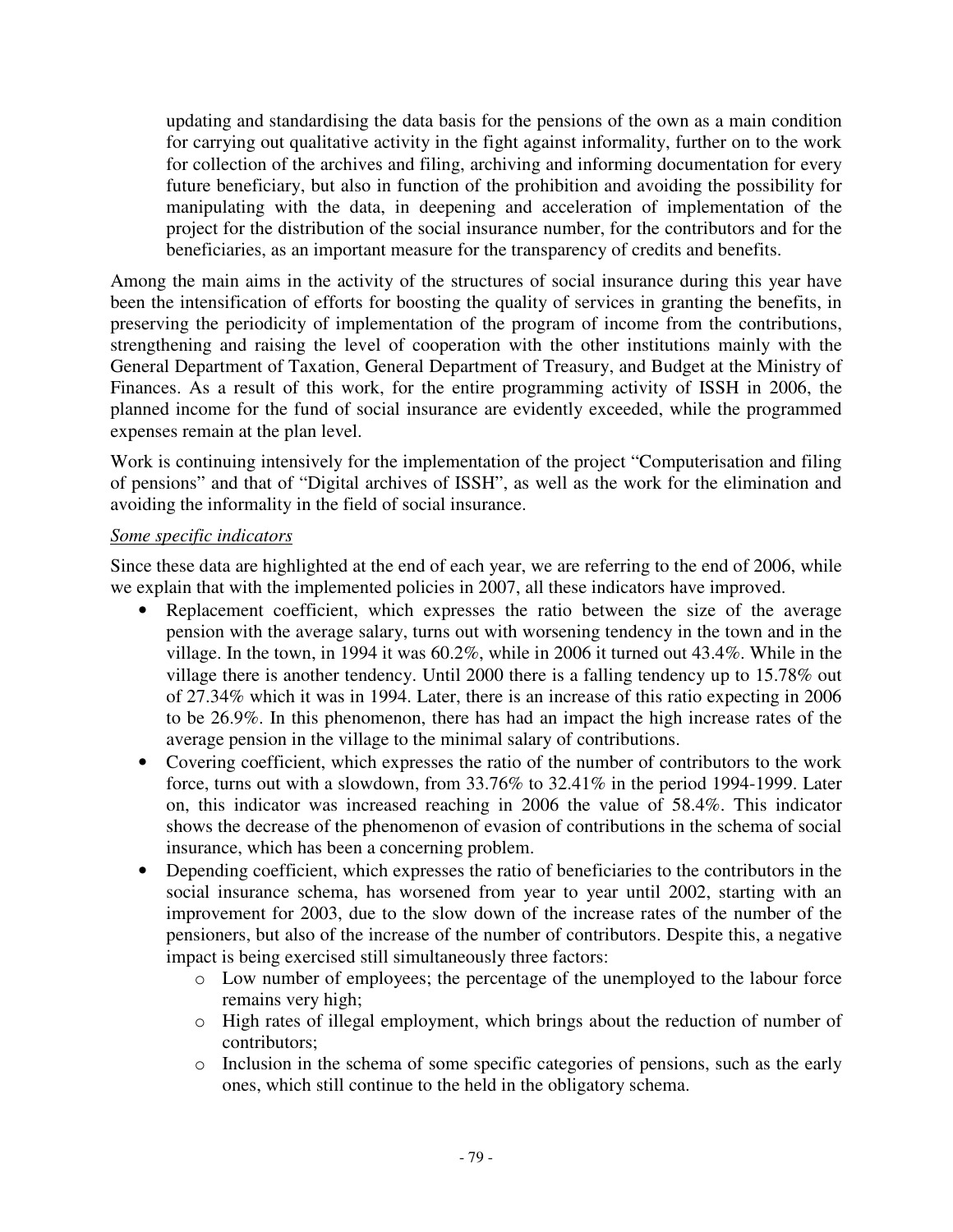updating and standardising the data basis for the pensions of the own as a main condition for carrying out qualitative activity in the fight against informality, further on to the work for collection of the archives and filing, archiving and informing documentation for every future beneficiary, but also in function of the prohibition and avoiding the possibility for manipulating with the data, in deepening and acceleration of implementation of the project for the distribution of the social insurance number, for the contributors and for the beneficiaries, as an important measure for the transparency of credits and benefits.

Among the main aims in the activity of the structures of social insurance during this year have been the intensification of efforts for boosting the quality of services in granting the benefits, in preserving the periodicity of implementation of the program of income from the contributions, strengthening and raising the level of cooperation with the other institutions mainly with the General Department of Taxation, General Department of Treasury, and Budget at the Ministry of Finances. As a result of this work, for the entire programming activity of ISSH in 2006, the planned income for the fund of social insurance are evidently exceeded, while the programmed expenses remain at the plan level.

Work is continuing intensively for the implementation of the project "Computerisation and filing of pensions" and that of "Digital archives of ISSH", as well as the work for the elimination and avoiding the informality in the field of social insurance.

#### *Some specific indicators*

Since these data are highlighted at the end of each year, we are referring to the end of 2006, while we explain that with the implemented policies in 2007, all these indicators have improved.

- Replacement coefficient, which expresses the ratio between the size of the average pension with the average salary, turns out with worsening tendency in the town and in the village. In the town, in 1994 it was 60.2%, while in 2006 it turned out 43.4%. While in the village there is another tendency. Until 2000 there is a falling tendency up to 15.78% out of 27.34% which it was in 1994. Later, there is an increase of this ratio expecting in 2006 to be 26.9%. In this phenomenon, there has had an impact the high increase rates of the average pension in the village to the minimal salary of contributions.
- Covering coefficient, which expresses the ratio of the number of contributors to the work force, turns out with a slowdown, from 33.76% to 32.41% in the period 1994-1999. Later on, this indicator was increased reaching in 2006 the value of 58.4%. This indicator shows the decrease of the phenomenon of evasion of contributions in the schema of social insurance, which has been a concerning problem.
- Depending coefficient, which expresses the ratio of beneficiaries to the contributors in the social insurance schema, has worsened from year to year until 2002, starting with an improvement for 2003, due to the slow down of the increase rates of the number of the pensioners, but also of the increase of the number of contributors. Despite this, a negative impact is being exercised still simultaneously three factors:
	- o Low number of employees; the percentage of the unemployed to the labour force remains very high;
	- o High rates of illegal employment, which brings about the reduction of number of contributors;
	- o Inclusion in the schema of some specific categories of pensions, such as the early ones, which still continue to the held in the obligatory schema.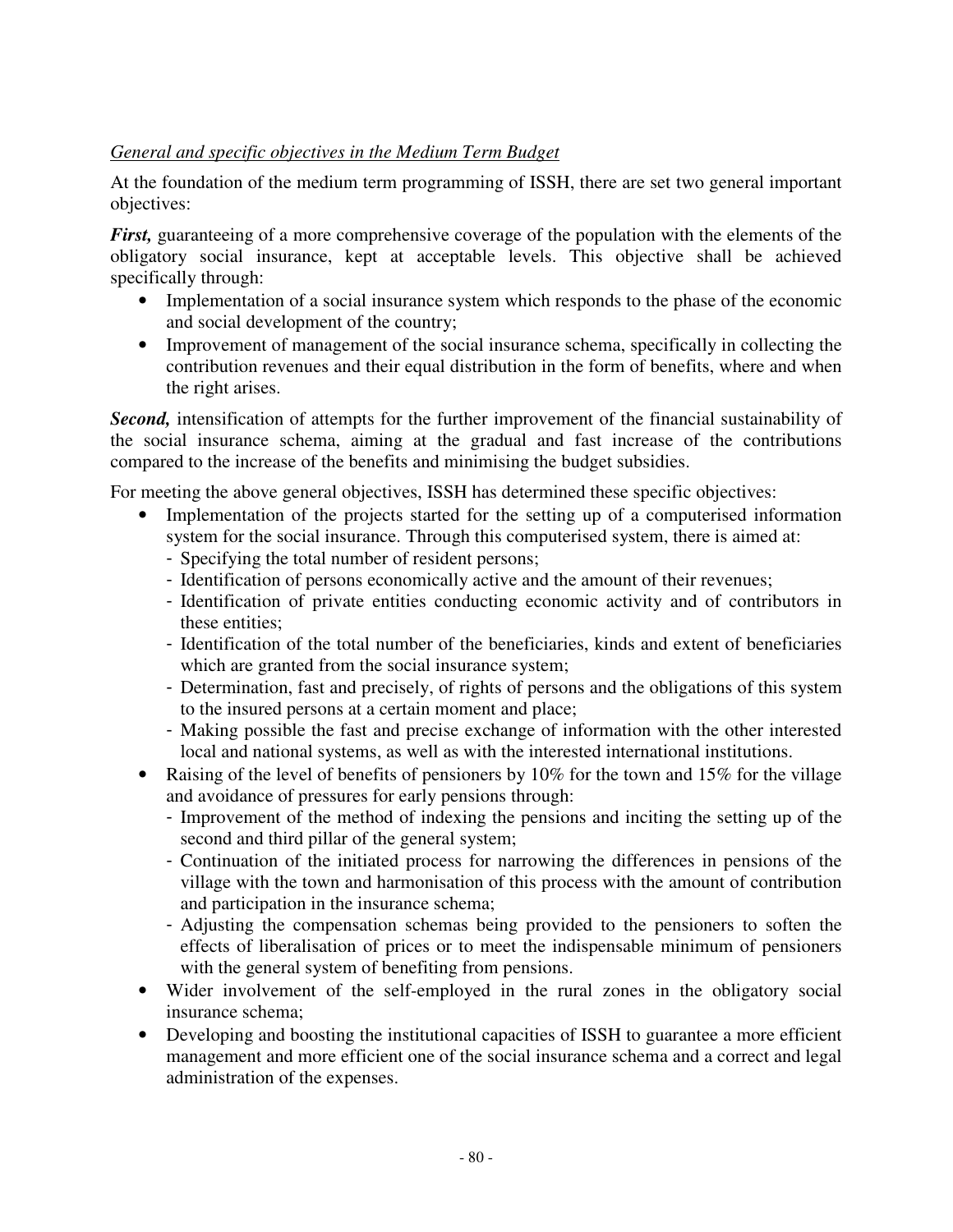#### *General and specific objectives in the Medium Term Budget*

At the foundation of the medium term programming of ISSH, there are set two general important objectives:

*First,* guaranteeing of a more comprehensive coverage of the population with the elements of the obligatory social insurance, kept at acceptable levels. This objective shall be achieved specifically through:

- Implementation of a social insurance system which responds to the phase of the economic and social development of the country;
- Improvement of management of the social insurance schema, specifically in collecting the contribution revenues and their equal distribution in the form of benefits, where and when the right arises.

*Second,* intensification of attempts for the further improvement of the financial sustainability of the social insurance schema, aiming at the gradual and fast increase of the contributions compared to the increase of the benefits and minimising the budget subsidies.

For meeting the above general objectives, ISSH has determined these specific objectives:

- Implementation of the projects started for the setting up of a computerised information system for the social insurance. Through this computerised system, there is aimed at:
	- Specifying the total number of resident persons;
	- Identification of persons economically active and the amount of their revenues;
	- Identification of private entities conducting economic activity and of contributors in these entities;
	- Identification of the total number of the beneficiaries, kinds and extent of beneficiaries which are granted from the social insurance system;
	- Determination, fast and precisely, of rights of persons and the obligations of this system to the insured persons at a certain moment and place;
	- Making possible the fast and precise exchange of information with the other interested local and national systems, as well as with the interested international institutions.
- Raising of the level of benefits of pensioners by  $10\%$  for the town and  $15\%$  for the village and avoidance of pressures for early pensions through:
	- Improvement of the method of indexing the pensions and inciting the setting up of the second and third pillar of the general system;
	- Continuation of the initiated process for narrowing the differences in pensions of the village with the town and harmonisation of this process with the amount of contribution and participation in the insurance schema;
	- Adjusting the compensation schemas being provided to the pensioners to soften the effects of liberalisation of prices or to meet the indispensable minimum of pensioners with the general system of benefiting from pensions.
- Wider involvement of the self-employed in the rural zones in the obligatory social insurance schema;
- Developing and boosting the institutional capacities of ISSH to guarantee a more efficient management and more efficient one of the social insurance schema and a correct and legal administration of the expenses.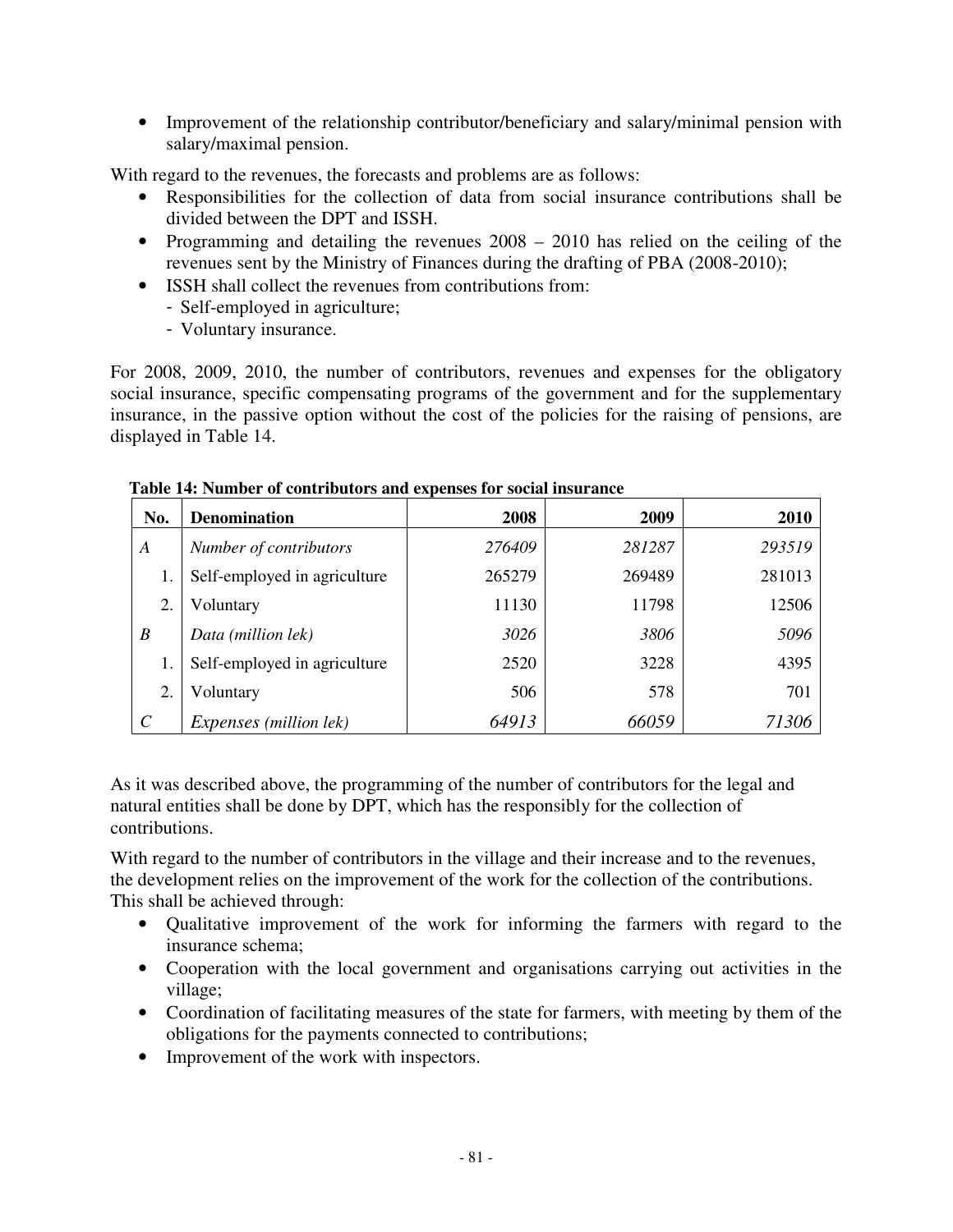• Improvement of the relationship contributor/beneficiary and salary/minimal pension with salary/maximal pension.

With regard to the revenues, the forecasts and problems are as follows:

- Responsibilities for the collection of data from social insurance contributions shall be divided between the DPT and ISSH.
- Programming and detailing the revenues  $2008 2010$  has relied on the ceiling of the revenues sent by the Ministry of Finances during the drafting of PBA (2008-2010);
- ISSH shall collect the revenues from contributions from:
	- Self-employed in agriculture;
	- Voluntary insurance.

For 2008, 2009, 2010, the number of contributors, revenues and expenses for the obligatory social insurance, specific compensating programs of the government and for the supplementary insurance, in the passive option without the cost of the policies for the raising of pensions, are displayed in Table 14.

| No.                   | <b>Denomination</b>                    | 2008   | 2009   | 2010   |
|-----------------------|----------------------------------------|--------|--------|--------|
| A                     | Number of contributors                 | 276409 | 281287 | 293519 |
| 1.                    | Self-employed in agriculture           | 265279 | 269489 | 281013 |
| 2.                    | Voluntary                              | 11130  | 11798  | 12506  |
| B                     | Data (million lek)                     | 3026   | 3806   | 5096   |
| 1.                    | Self-employed in agriculture           | 2520   | 3228   | 4395   |
| 2.                    | Voluntary                              | 506    | 578    | 701    |
| $\mathcal{C}_{0}^{0}$ | <i>Expenses</i> ( <i>million lek</i> ) | 64913  | 66059  | 71306  |

#### **Table 14: Number of contributors and expenses for social insurance**

As it was described above, the programming of the number of contributors for the legal and natural entities shall be done by DPT, which has the responsibly for the collection of contributions.

With regard to the number of contributors in the village and their increase and to the revenues, the development relies on the improvement of the work for the collection of the contributions. This shall be achieved through:

- Qualitative improvement of the work for informing the farmers with regard to the insurance schema;
- Cooperation with the local government and organisations carrying out activities in the village;
- Coordination of facilitating measures of the state for farmers, with meeting by them of the obligations for the payments connected to contributions;
- Improvement of the work with inspectors.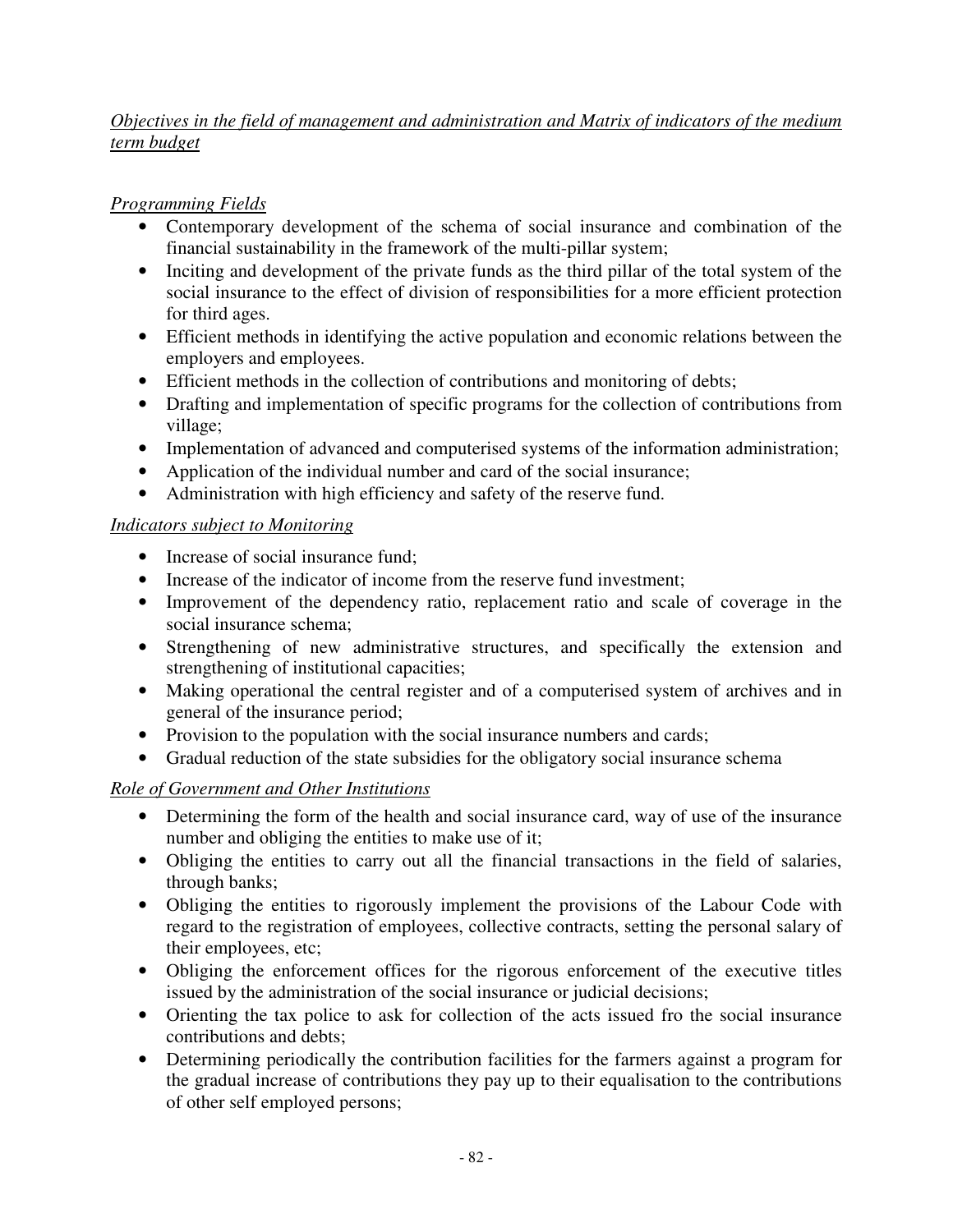#### *Objectives in the field of management and administration and Matrix of indicators of the medium term budget*

#### *Programming Fields*

- Contemporary development of the schema of social insurance and combination of the financial sustainability in the framework of the multi-pillar system;
- Inciting and development of the private funds as the third pillar of the total system of the social insurance to the effect of division of responsibilities for a more efficient protection for third ages.
- Efficient methods in identifying the active population and economic relations between the employers and employees.
- Efficient methods in the collection of contributions and monitoring of debts;
- Drafting and implementation of specific programs for the collection of contributions from village;
- Implementation of advanced and computerised systems of the information administration;
- Application of the individual number and card of the social insurance;
- Administration with high efficiency and safety of the reserve fund.

#### *Indicators subject to Monitoring*

- Increase of social insurance fund;
- Increase of the indicator of income from the reserve fund investment;
- Improvement of the dependency ratio, replacement ratio and scale of coverage in the social insurance schema;
- Strengthening of new administrative structures, and specifically the extension and strengthening of institutional capacities;
- Making operational the central register and of a computerised system of archives and in general of the insurance period;
- Provision to the population with the social insurance numbers and cards;
- Gradual reduction of the state subsidies for the obligatory social insurance schema

## *Role of Government and Other Institutions*

- Determining the form of the health and social insurance card, way of use of the insurance number and obliging the entities to make use of it;
- Obliging the entities to carry out all the financial transactions in the field of salaries, through banks;
- Obliging the entities to rigorously implement the provisions of the Labour Code with regard to the registration of employees, collective contracts, setting the personal salary of their employees, etc;
- Obliging the enforcement offices for the rigorous enforcement of the executive titles issued by the administration of the social insurance or judicial decisions;
- Orienting the tax police to ask for collection of the acts issued fro the social insurance contributions and debts;
- Determining periodically the contribution facilities for the farmers against a program for the gradual increase of contributions they pay up to their equalisation to the contributions of other self employed persons;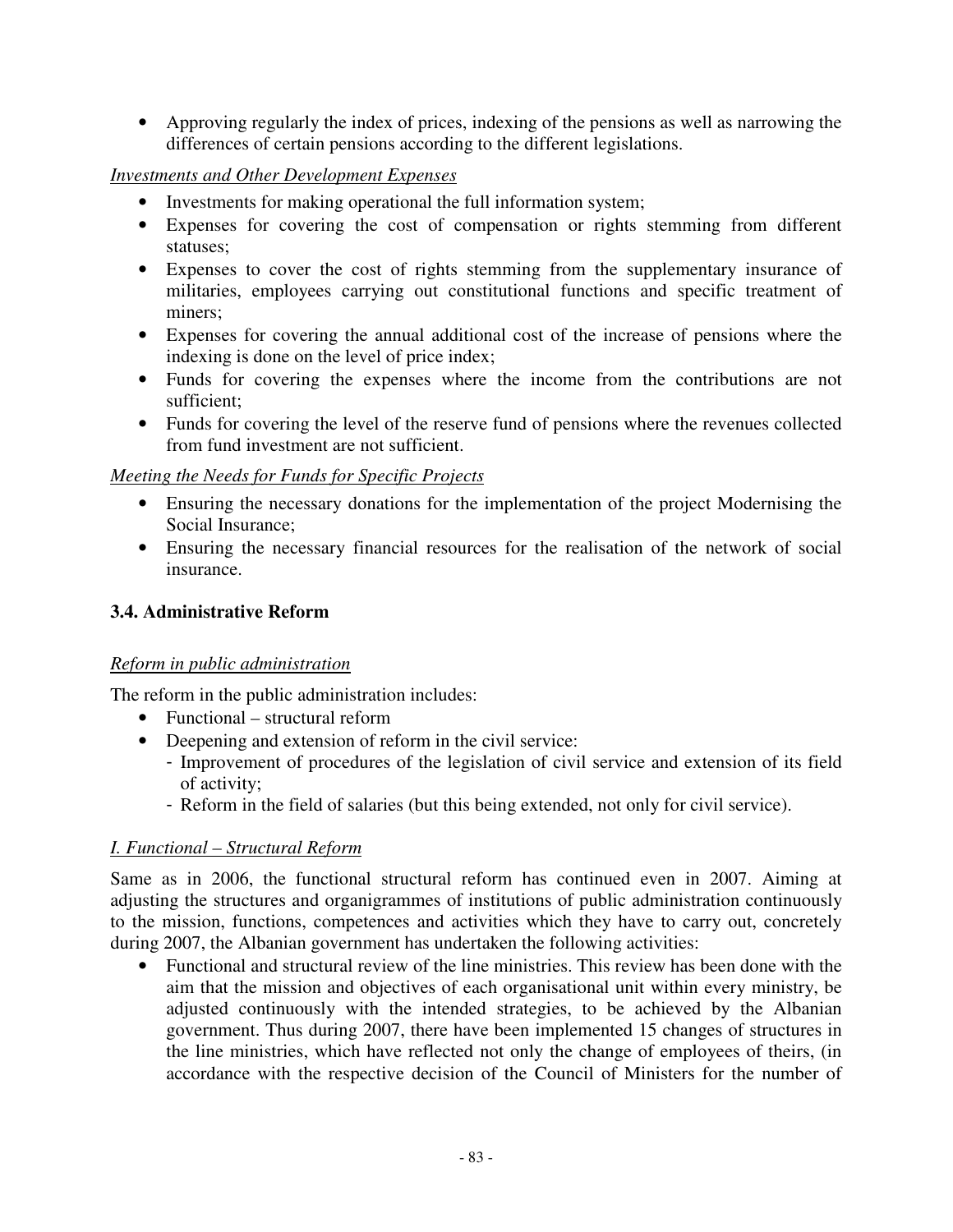• Approving regularly the index of prices, indexing of the pensions as well as narrowing the differences of certain pensions according to the different legislations.

#### *Investments and Other Development Expenses*

- Investments for making operational the full information system;
- Expenses for covering the cost of compensation or rights stemming from different statuses;
- Expenses to cover the cost of rights stemming from the supplementary insurance of militaries, employees carrying out constitutional functions and specific treatment of miners;
- Expenses for covering the annual additional cost of the increase of pensions where the indexing is done on the level of price index;
- Funds for covering the expenses where the income from the contributions are not sufficient;
- Funds for covering the level of the reserve fund of pensions where the revenues collected from fund investment are not sufficient.

#### *Meeting the Needs for Funds for Specific Projects*

- Ensuring the necessary donations for the implementation of the project Modernising the Social Insurance;
- Ensuring the necessary financial resources for the realisation of the network of social insurance.

## **3.4. Administrative Reform**

## *Reform in public administration*

The reform in the public administration includes:

- Functional structural reform
- Deepening and extension of reform in the civil service:
	- Improvement of procedures of the legislation of civil service and extension of its field of activity;
	- Reform in the field of salaries (but this being extended, not only for civil service).

## *I. Functional – Structural Reform*

Same as in 2006, the functional structural reform has continued even in 2007. Aiming at adjusting the structures and organigrammes of institutions of public administration continuously to the mission, functions, competences and activities which they have to carry out, concretely during 2007, the Albanian government has undertaken the following activities:

• Functional and structural review of the line ministries. This review has been done with the aim that the mission and objectives of each organisational unit within every ministry, be adjusted continuously with the intended strategies, to be achieved by the Albanian government. Thus during 2007, there have been implemented 15 changes of structures in the line ministries, which have reflected not only the change of employees of theirs, (in accordance with the respective decision of the Council of Ministers for the number of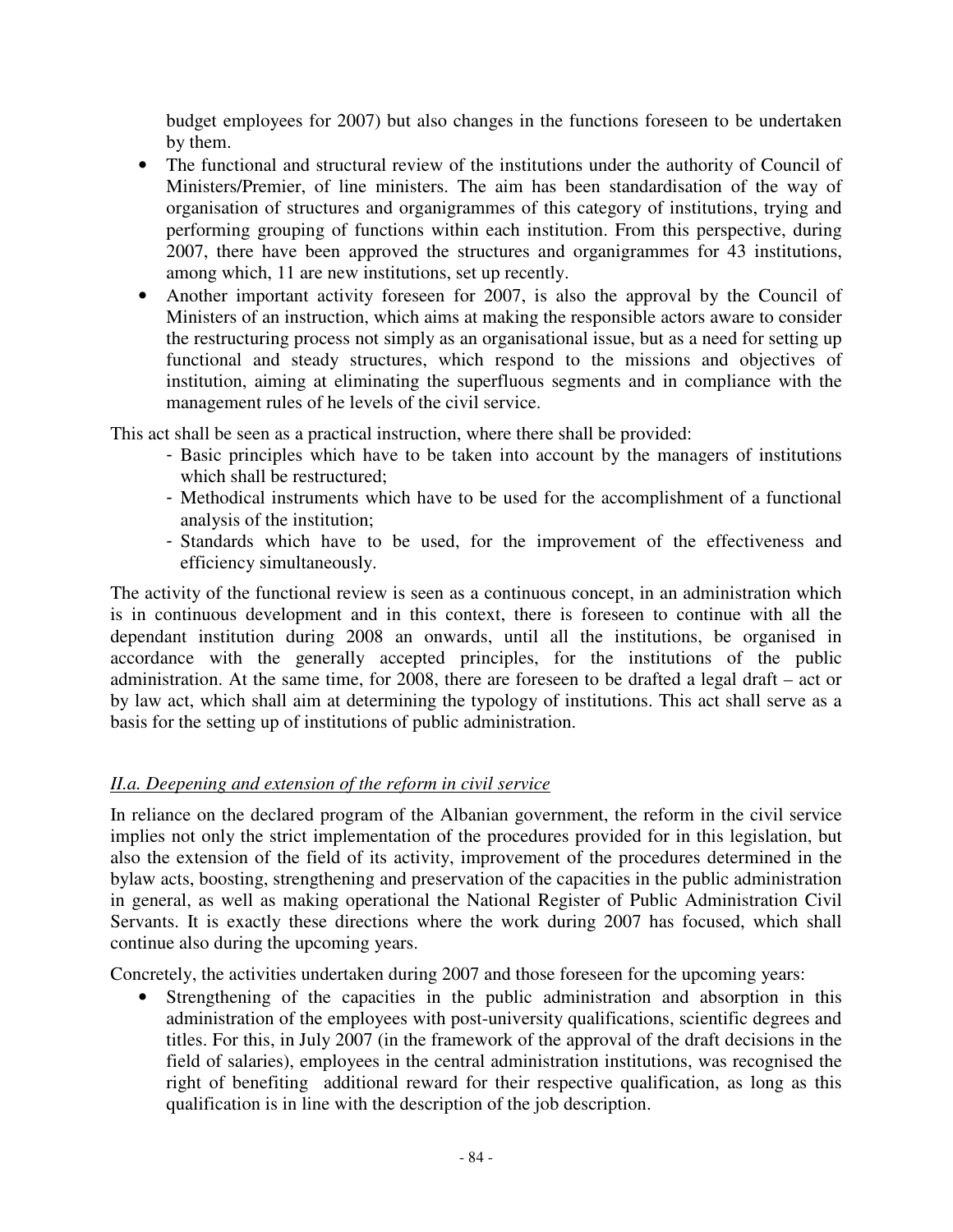budget employees for 2007) but also changes in the functions foreseen to be undertaken by them.

- The functional and structural review of the institutions under the authority of Council of Ministers/Premier, of line ministers. The aim has been standardisation of the way of organisation of structures and organigrammes of this category of institutions, trying and performing grouping of functions within each institution. From this perspective, during 2007, there have been approved the structures and organigrammes for 43 institutions, among which, 11 are new institutions, set up recently.
- Another important activity foreseen for 2007, is also the approval by the Council of Ministers of an instruction, which aims at making the responsible actors aware to consider the restructuring process not simply as an organisational issue, but as a need for setting up functional and steady structures, which respond to the missions and objectives of institution, aiming at eliminating the superfluous segments and in compliance with the management rules of he levels of the civil service.

This act shall be seen as a practical instruction, where there shall be provided:

- Basic principles which have to be taken into account by the managers of institutions which shall be restructured;
- Methodical instruments which have to be used for the accomplishment of a functional analysis of the institution;
- Standards which have to be used, for the improvement of the effectiveness and efficiency simultaneously.

The activity of the functional review is seen as a continuous concept, in an administration which is in continuous development and in this context, there is foreseen to continue with all the dependant institution during 2008 an onwards, until all the institutions, be organised in accordance with the generally accepted principles, for the institutions of the public administration. At the same time, for 2008, there are foreseen to be drafted a legal draft – act or by law act, which shall aim at determining the typology of institutions. This act shall serve as a basis for the setting up of institutions of public administration.

## *II.a. Deepening and extension of the reform in civil service*

In reliance on the declared program of the Albanian government, the reform in the civil service implies not only the strict implementation of the procedures provided for in this legislation, but also the extension of the field of its activity, improvement of the procedures determined in the bylaw acts, boosting, strengthening and preservation of the capacities in the public administration in general, as well as making operational the National Register of Public Administration Civil Servants. It is exactly these directions where the work during 2007 has focused, which shall continue also during the upcoming years.

Concretely, the activities undertaken during 2007 and those foreseen for the upcoming years:

• Strengthening of the capacities in the public administration and absorption in this administration of the employees with post-university qualifications, scientific degrees and titles. For this, in July 2007 (in the framework of the approval of the draft decisions in the field of salaries), employees in the central administration institutions, was recognised the right of benefiting additional reward for their respective qualification, as long as this qualification is in line with the description of the job description.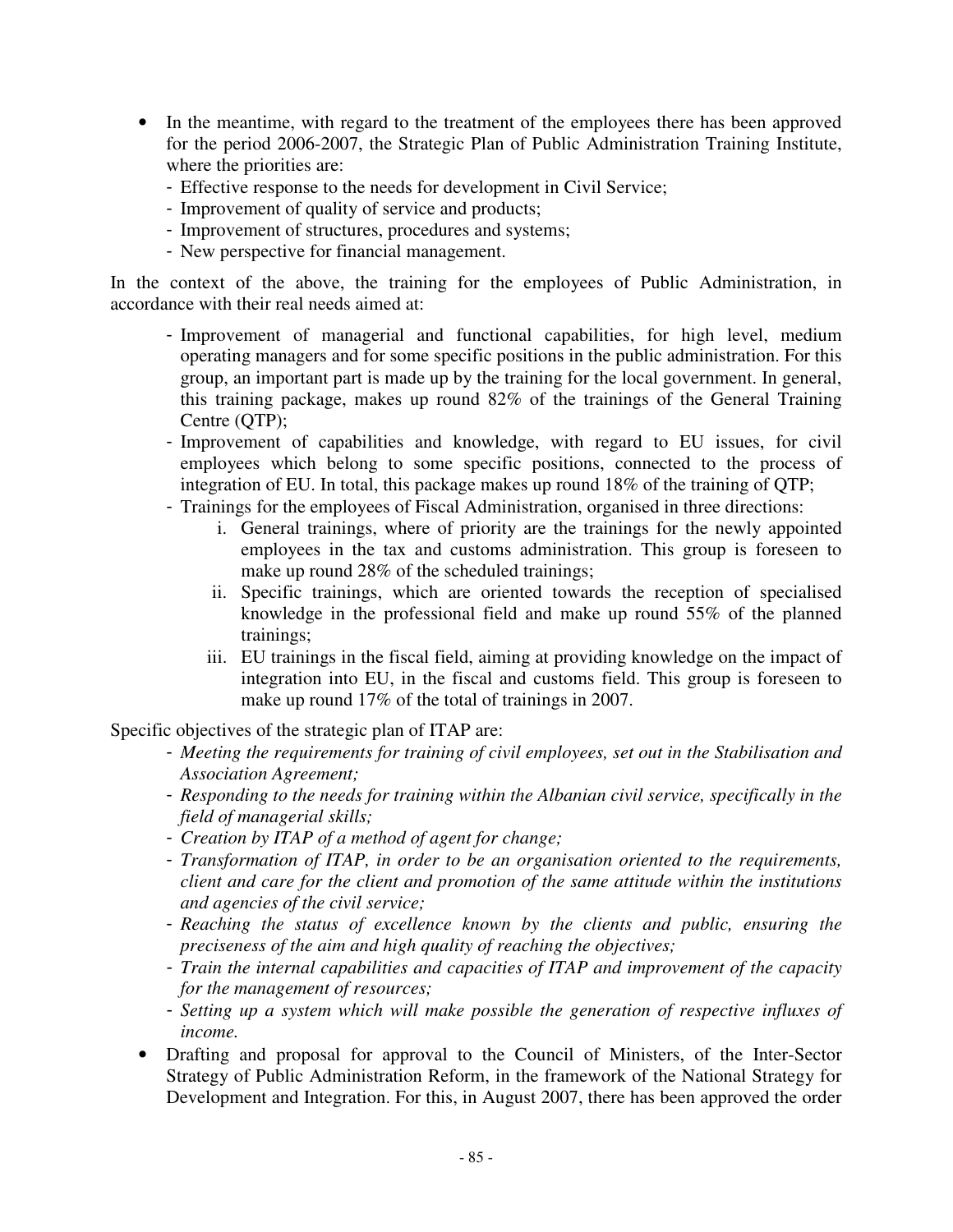- In the meantime, with regard to the treatment of the employees there has been approved for the period 2006-2007, the Strategic Plan of Public Administration Training Institute, where the priorities are:
	- Effective response to the needs for development in Civil Service;
	- Improvement of quality of service and products;
	- Improvement of structures, procedures and systems;
	- New perspective for financial management.

In the context of the above, the training for the employees of Public Administration, in accordance with their real needs aimed at:

- Improvement of managerial and functional capabilities, for high level, medium operating managers and for some specific positions in the public administration. For this group, an important part is made up by the training for the local government. In general, this training package, makes up round 82% of the trainings of the General Training Centre (QTP);
- Improvement of capabilities and knowledge, with regard to EU issues, for civil employees which belong to some specific positions, connected to the process of integration of EU. In total, this package makes up round 18% of the training of QTP;
- Trainings for the employees of Fiscal Administration, organised in three directions:
	- i. General trainings, where of priority are the trainings for the newly appointed employees in the tax and customs administration. This group is foreseen to make up round 28% of the scheduled trainings;
	- ii. Specific trainings, which are oriented towards the reception of specialised knowledge in the professional field and make up round 55% of the planned trainings;
	- iii. EU trainings in the fiscal field, aiming at providing knowledge on the impact of integration into EU, in the fiscal and customs field. This group is foreseen to make up round 17% of the total of trainings in 2007.

Specific objectives of the strategic plan of ITAP are:

- *Meeting the requirements for training of civil employees, set out in the Stabilisation and Association Agreement;*
- *Responding to the needs for training within the Albanian civil service, specifically in the field of managerial skills;*
- *Creation by ITAP of a method of agent for change;*
- *Transformation of ITAP, in order to be an organisation oriented to the requirements, client and care for the client and promotion of the same attitude within the institutions and agencies of the civil service;*
- *Reaching the status of excellence known by the clients and public, ensuring the preciseness of the aim and high quality of reaching the objectives;*
- *Train the internal capabilities and capacities of ITAP and improvement of the capacity for the management of resources;*
- *Setting up a system which will make possible the generation of respective influxes of income.*
- Drafting and proposal for approval to the Council of Ministers, of the Inter-Sector Strategy of Public Administration Reform, in the framework of the National Strategy for Development and Integration. For this, in August 2007, there has been approved the order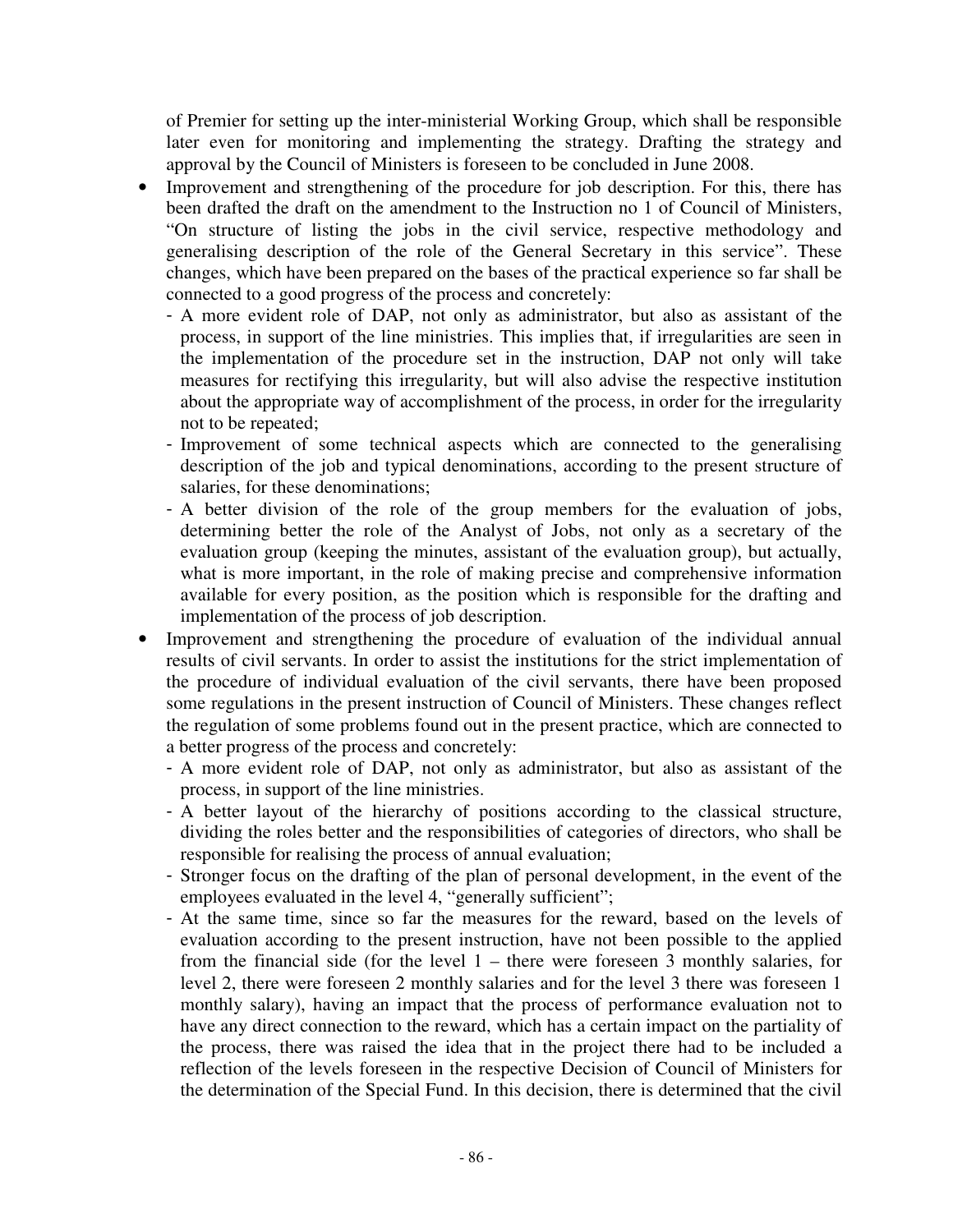of Premier for setting up the inter-ministerial Working Group, which shall be responsible later even for monitoring and implementing the strategy. Drafting the strategy and approval by the Council of Ministers is foreseen to be concluded in June 2008.

- Improvement and strengthening of the procedure for job description. For this, there has been drafted the draft on the amendment to the Instruction no 1 of Council of Ministers, "On structure of listing the jobs in the civil service, respective methodology and generalising description of the role of the General Secretary in this service". These changes, which have been prepared on the bases of the practical experience so far shall be connected to a good progress of the process and concretely:
	- A more evident role of DAP, not only as administrator, but also as assistant of the process, in support of the line ministries. This implies that, if irregularities are seen in the implementation of the procedure set in the instruction, DAP not only will take measures for rectifying this irregularity, but will also advise the respective institution about the appropriate way of accomplishment of the process, in order for the irregularity not to be repeated;
	- Improvement of some technical aspects which are connected to the generalising description of the job and typical denominations, according to the present structure of salaries, for these denominations;
	- A better division of the role of the group members for the evaluation of jobs, determining better the role of the Analyst of Jobs, not only as a secretary of the evaluation group (keeping the minutes, assistant of the evaluation group), but actually, what is more important, in the role of making precise and comprehensive information available for every position, as the position which is responsible for the drafting and implementation of the process of job description.
- Improvement and strengthening the procedure of evaluation of the individual annual results of civil servants. In order to assist the institutions for the strict implementation of the procedure of individual evaluation of the civil servants, there have been proposed some regulations in the present instruction of Council of Ministers. These changes reflect the regulation of some problems found out in the present practice, which are connected to a better progress of the process and concretely:
	- A more evident role of DAP, not only as administrator, but also as assistant of the process, in support of the line ministries.
	- A better layout of the hierarchy of positions according to the classical structure, dividing the roles better and the responsibilities of categories of directors, who shall be responsible for realising the process of annual evaluation;
	- Stronger focus on the drafting of the plan of personal development, in the event of the employees evaluated in the level 4, "generally sufficient";
	- At the same time, since so far the measures for the reward, based on the levels of evaluation according to the present instruction, have not been possible to the applied from the financial side (for the level 1 – there were foreseen 3 monthly salaries, for level 2, there were foreseen 2 monthly salaries and for the level 3 there was foreseen 1 monthly salary), having an impact that the process of performance evaluation not to have any direct connection to the reward, which has a certain impact on the partiality of the process, there was raised the idea that in the project there had to be included a reflection of the levels foreseen in the respective Decision of Council of Ministers for the determination of the Special Fund. In this decision, there is determined that the civil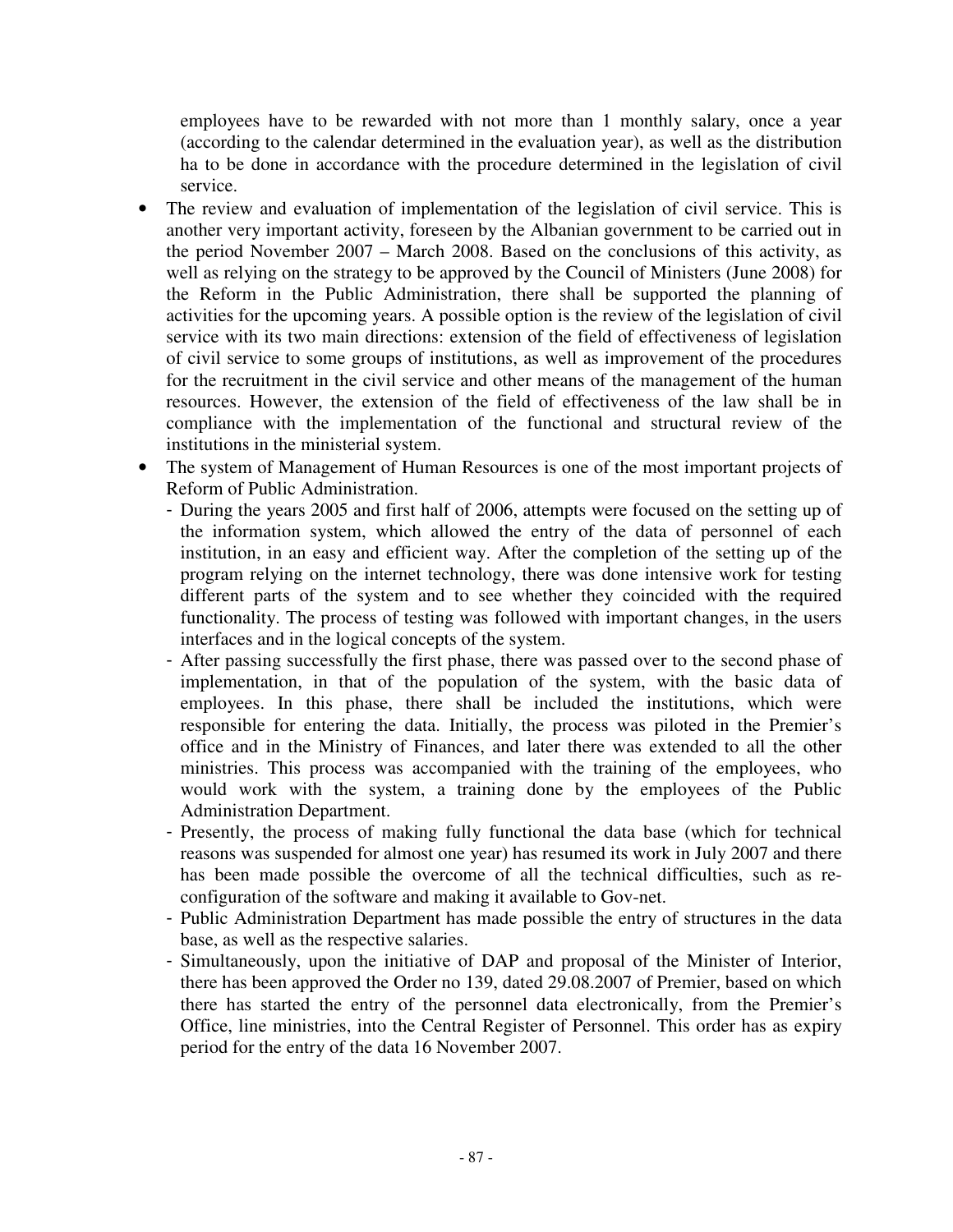employees have to be rewarded with not more than 1 monthly salary, once a year (according to the calendar determined in the evaluation year), as well as the distribution ha to be done in accordance with the procedure determined in the legislation of civil service.

- The review and evaluation of implementation of the legislation of civil service. This is another very important activity, foreseen by the Albanian government to be carried out in the period November 2007 – March 2008. Based on the conclusions of this activity, as well as relying on the strategy to be approved by the Council of Ministers (June 2008) for the Reform in the Public Administration, there shall be supported the planning of activities for the upcoming years. A possible option is the review of the legislation of civil service with its two main directions: extension of the field of effectiveness of legislation of civil service to some groups of institutions, as well as improvement of the procedures for the recruitment in the civil service and other means of the management of the human resources. However, the extension of the field of effectiveness of the law shall be in compliance with the implementation of the functional and structural review of the institutions in the ministerial system.
- The system of Management of Human Resources is one of the most important projects of Reform of Public Administration.
	- During the years 2005 and first half of 2006, attempts were focused on the setting up of the information system, which allowed the entry of the data of personnel of each institution, in an easy and efficient way. After the completion of the setting up of the program relying on the internet technology, there was done intensive work for testing different parts of the system and to see whether they coincided with the required functionality. The process of testing was followed with important changes, in the users interfaces and in the logical concepts of the system.
	- After passing successfully the first phase, there was passed over to the second phase of implementation, in that of the population of the system, with the basic data of employees. In this phase, there shall be included the institutions, which were responsible for entering the data. Initially, the process was piloted in the Premier's office and in the Ministry of Finances, and later there was extended to all the other ministries. This process was accompanied with the training of the employees, who would work with the system, a training done by the employees of the Public Administration Department.
	- Presently, the process of making fully functional the data base (which for technical reasons was suspended for almost one year) has resumed its work in July 2007 and there has been made possible the overcome of all the technical difficulties, such as reconfiguration of the software and making it available to Gov-net.
	- Public Administration Department has made possible the entry of structures in the data base, as well as the respective salaries.
	- Simultaneously, upon the initiative of DAP and proposal of the Minister of Interior, there has been approved the Order no 139, dated 29.08.2007 of Premier, based on which there has started the entry of the personnel data electronically, from the Premier's Office, line ministries, into the Central Register of Personnel. This order has as expiry period for the entry of the data 16 November 2007.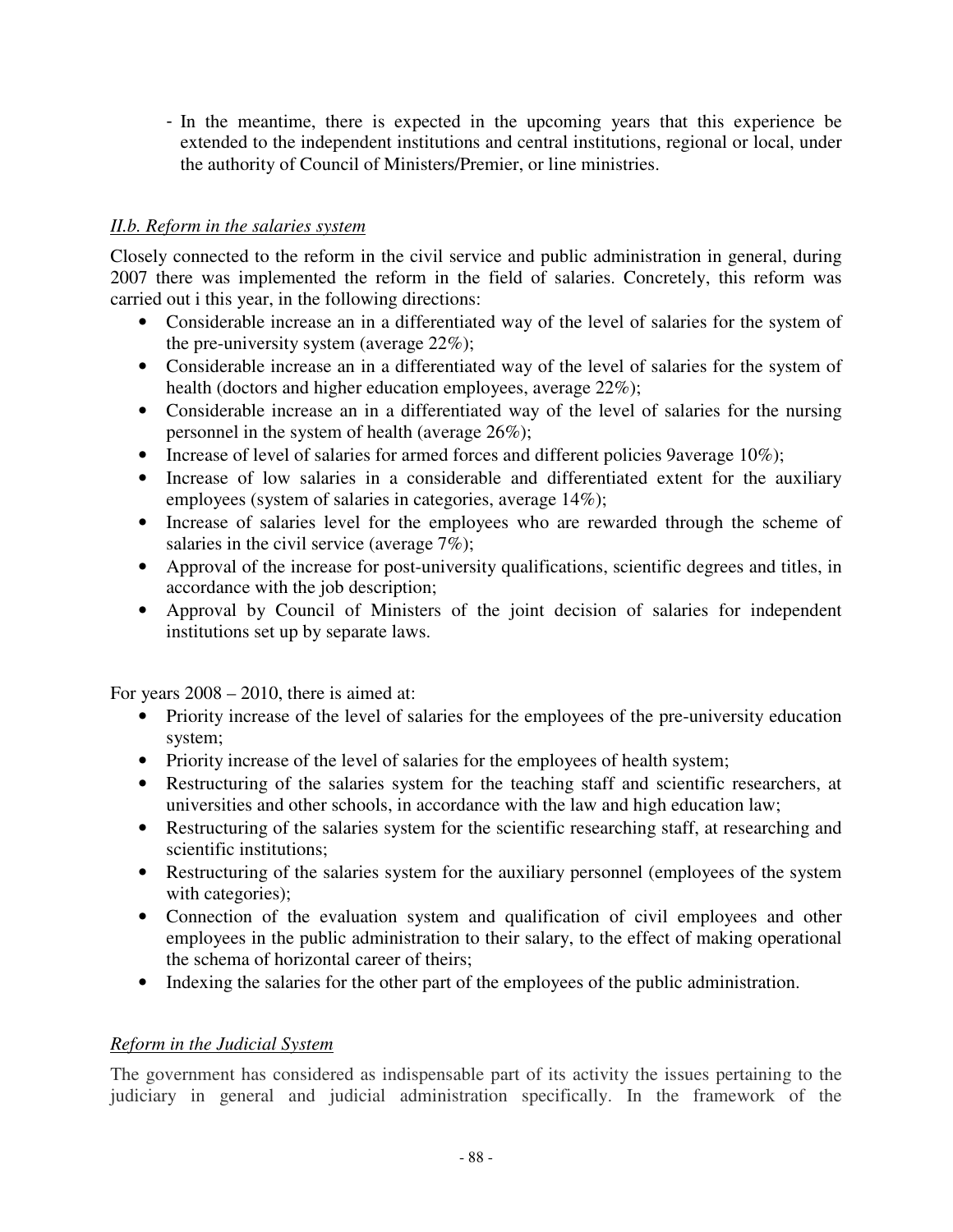- In the meantime, there is expected in the upcoming years that this experience be extended to the independent institutions and central institutions, regional or local, under the authority of Council of Ministers/Premier, or line ministries.

#### *II.b. Reform in the salaries system*

Closely connected to the reform in the civil service and public administration in general, during 2007 there was implemented the reform in the field of salaries. Concretely, this reform was carried out i this year, in the following directions:

- Considerable increase an in a differentiated way of the level of salaries for the system of the pre-university system (average 22%);
- Considerable increase an in a differentiated way of the level of salaries for the system of health (doctors and higher education employees, average 22%);
- Considerable increase an in a differentiated way of the level of salaries for the nursing personnel in the system of health (average 26%);
- Increase of level of salaries for armed forces and different policies 9average 10%);
- Increase of low salaries in a considerable and differentiated extent for the auxiliary employees (system of salaries in categories, average 14%);
- Increase of salaries level for the employees who are rewarded through the scheme of salaries in the civil service (average 7%);
- Approval of the increase for post-university qualifications, scientific degrees and titles, in accordance with the job description;
- Approval by Council of Ministers of the joint decision of salaries for independent institutions set up by separate laws.

For years 2008 – 2010, there is aimed at:

- Priority increase of the level of salaries for the employees of the pre-university education system;
- Priority increase of the level of salaries for the employees of health system;
- Restructuring of the salaries system for the teaching staff and scientific researchers, at universities and other schools, in accordance with the law and high education law;
- Restructuring of the salaries system for the scientific researching staff, at researching and scientific institutions;
- Restructuring of the salaries system for the auxiliary personnel (employees of the system with categories);
- Connection of the evaluation system and qualification of civil employees and other employees in the public administration to their salary, to the effect of making operational the schema of horizontal career of theirs;
- Indexing the salaries for the other part of the employees of the public administration.

#### *Reform in the Judicial System*

The government has considered as indispensable part of its activity the issues pertaining to the judiciary in general and judicial administration specifically. In the framework of the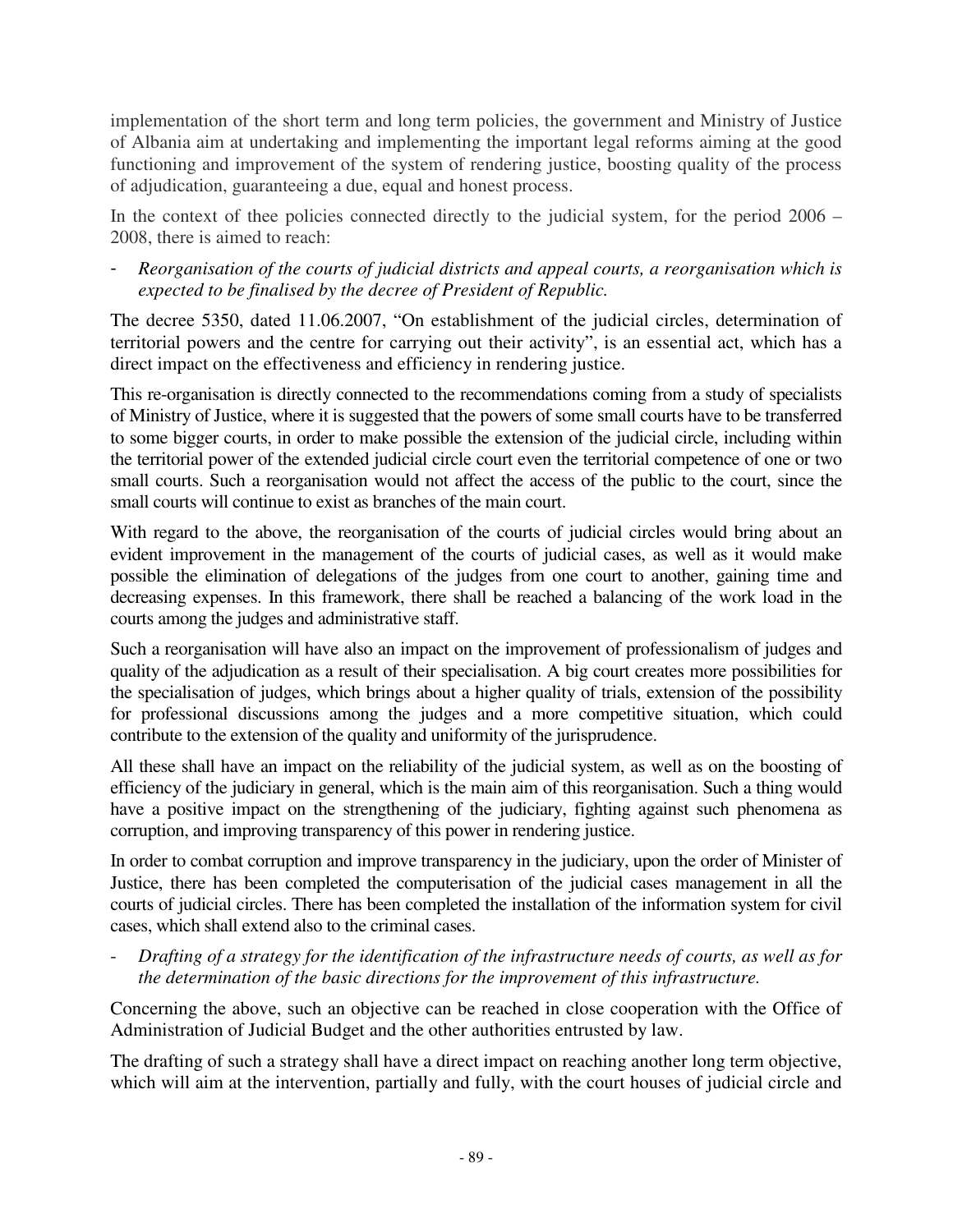implementation of the short term and long term policies, the government and Ministry of Justice of Albania aim at undertaking and implementing the important legal reforms aiming at the good functioning and improvement of the system of rendering justice, boosting quality of the process of adjudication, guaranteeing a due, equal and honest process.

In the context of thee policies connected directly to the judicial system, for the period 2006 – 2008, there is aimed to reach:

- *Reorganisation of the courts of judicial districts and appeal courts, a reorganisation which is expected to be finalised by the decree of President of Republic.* 

The decree 5350, dated 11.06.2007, "On establishment of the judicial circles, determination of territorial powers and the centre for carrying out their activity", is an essential act, which has a direct impact on the effectiveness and efficiency in rendering justice.

This re-organisation is directly connected to the recommendations coming from a study of specialists of Ministry of Justice, where it is suggested that the powers of some small courts have to be transferred to some bigger courts, in order to make possible the extension of the judicial circle, including within the territorial power of the extended judicial circle court even the territorial competence of one or two small courts. Such a reorganisation would not affect the access of the public to the court, since the small courts will continue to exist as branches of the main court.

With regard to the above, the reorganisation of the courts of judicial circles would bring about an evident improvement in the management of the courts of judicial cases, as well as it would make possible the elimination of delegations of the judges from one court to another, gaining time and decreasing expenses. In this framework, there shall be reached a balancing of the work load in the courts among the judges and administrative staff.

Such a reorganisation will have also an impact on the improvement of professionalism of judges and quality of the adjudication as a result of their specialisation. A big court creates more possibilities for the specialisation of judges, which brings about a higher quality of trials, extension of the possibility for professional discussions among the judges and a more competitive situation, which could contribute to the extension of the quality and uniformity of the jurisprudence.

All these shall have an impact on the reliability of the judicial system, as well as on the boosting of efficiency of the judiciary in general, which is the main aim of this reorganisation. Such a thing would have a positive impact on the strengthening of the judiciary, fighting against such phenomena as corruption, and improving transparency of this power in rendering justice.

In order to combat corruption and improve transparency in the judiciary, upon the order of Minister of Justice, there has been completed the computerisation of the judicial cases management in all the courts of judicial circles. There has been completed the installation of the information system for civil cases, which shall extend also to the criminal cases.

- *Drafting of a strategy for the identification of the infrastructure needs of courts, as well as for the determination of the basic directions for the improvement of this infrastructure.* 

Concerning the above, such an objective can be reached in close cooperation with the Office of Administration of Judicial Budget and the other authorities entrusted by law.

The drafting of such a strategy shall have a direct impact on reaching another long term objective, which will aim at the intervention, partially and fully, with the court houses of judicial circle and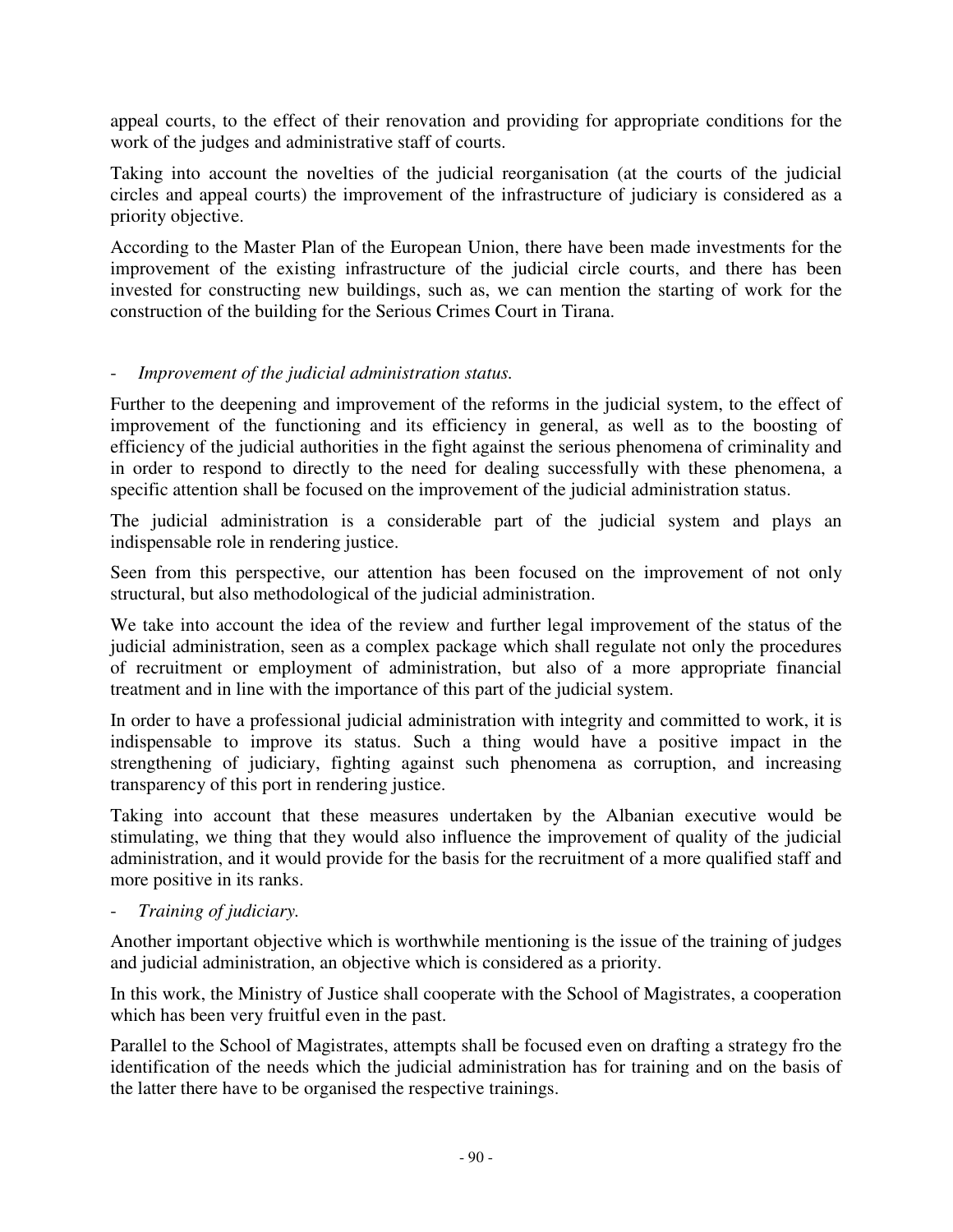appeal courts, to the effect of their renovation and providing for appropriate conditions for the work of the judges and administrative staff of courts.

Taking into account the novelties of the judicial reorganisation (at the courts of the judicial circles and appeal courts) the improvement of the infrastructure of judiciary is considered as a priority objective.

According to the Master Plan of the European Union, there have been made investments for the improvement of the existing infrastructure of the judicial circle courts, and there has been invested for constructing new buildings, such as, we can mention the starting of work for the construction of the building for the Serious Crimes Court in Tirana.

#### - *Improvement of the judicial administration status.*

Further to the deepening and improvement of the reforms in the judicial system, to the effect of improvement of the functioning and its efficiency in general, as well as to the boosting of efficiency of the judicial authorities in the fight against the serious phenomena of criminality and in order to respond to directly to the need for dealing successfully with these phenomena, a specific attention shall be focused on the improvement of the judicial administration status.

The judicial administration is a considerable part of the judicial system and plays an indispensable role in rendering justice.

Seen from this perspective, our attention has been focused on the improvement of not only structural, but also methodological of the judicial administration.

We take into account the idea of the review and further legal improvement of the status of the judicial administration, seen as a complex package which shall regulate not only the procedures of recruitment or employment of administration, but also of a more appropriate financial treatment and in line with the importance of this part of the judicial system.

In order to have a professional judicial administration with integrity and committed to work, it is indispensable to improve its status. Such a thing would have a positive impact in the strengthening of judiciary, fighting against such phenomena as corruption, and increasing transparency of this port in rendering justice.

Taking into account that these measures undertaken by the Albanian executive would be stimulating, we thing that they would also influence the improvement of quality of the judicial administration, and it would provide for the basis for the recruitment of a more qualified staff and more positive in its ranks.

- *Training of judiciary.* 

Another important objective which is worthwhile mentioning is the issue of the training of judges and judicial administration, an objective which is considered as a priority.

In this work, the Ministry of Justice shall cooperate with the School of Magistrates, a cooperation which has been very fruitful even in the past.

Parallel to the School of Magistrates, attempts shall be focused even on drafting a strategy fro the identification of the needs which the judicial administration has for training and on the basis of the latter there have to be organised the respective trainings.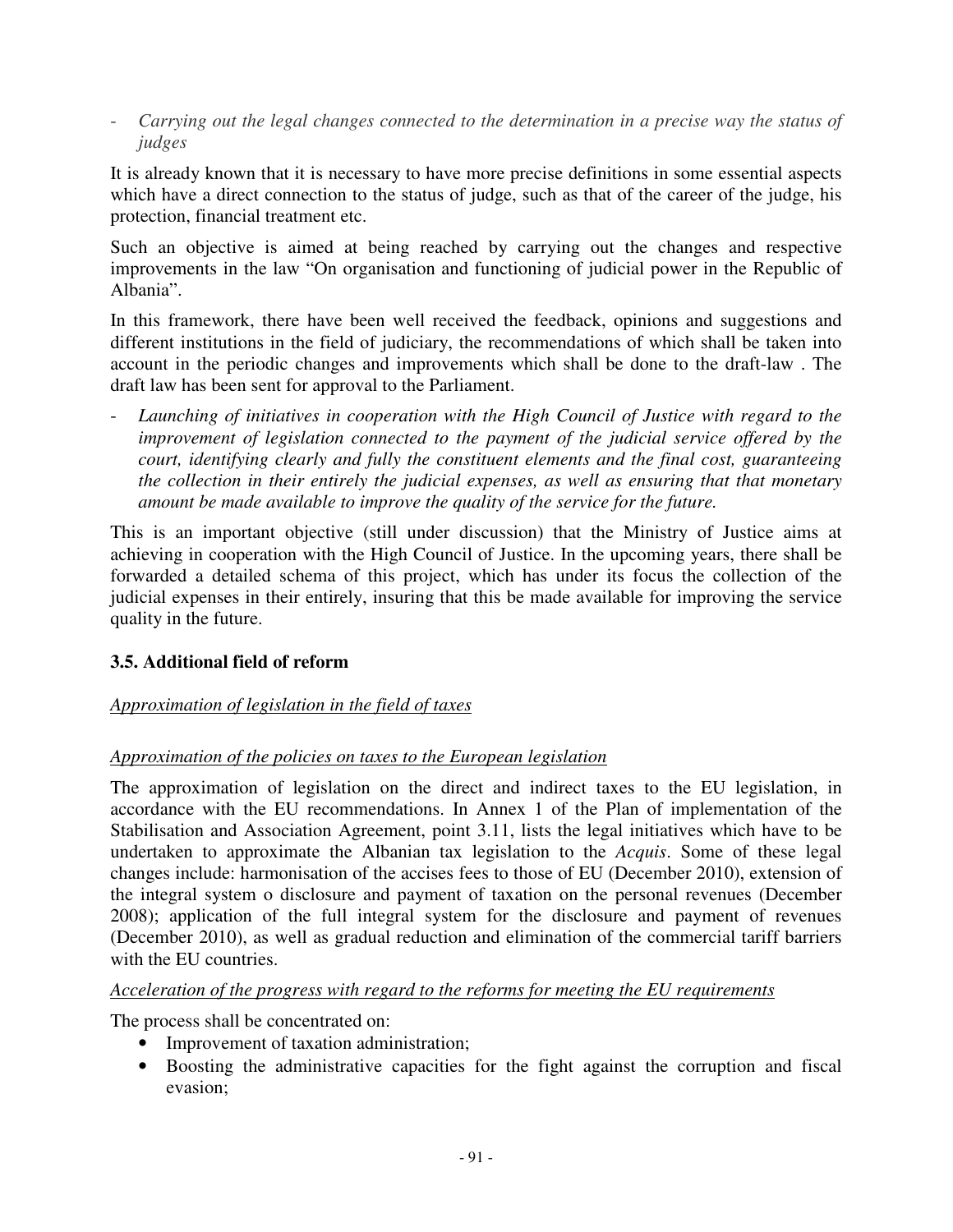- *Carrying out the legal changes connected to the determination in a precise way the status of judges* 

It is already known that it is necessary to have more precise definitions in some essential aspects which have a direct connection to the status of judge, such as that of the career of the judge, his protection, financial treatment etc.

Such an objective is aimed at being reached by carrying out the changes and respective improvements in the law "On organisation and functioning of judicial power in the Republic of Albania".

In this framework, there have been well received the feedback, opinions and suggestions and different institutions in the field of judiciary, the recommendations of which shall be taken into account in the periodic changes and improvements which shall be done to the draft-law . The draft law has been sent for approval to the Parliament.

Launching of initiatives in cooperation with the High Council of Justice with regard to the *improvement of legislation connected to the payment of the judicial service offered by the court, identifying clearly and fully the constituent elements and the final cost, guaranteeing the collection in their entirely the judicial expenses, as well as ensuring that that monetary amount be made available to improve the quality of the service for the future.* 

This is an important objective (still under discussion) that the Ministry of Justice aims at achieving in cooperation with the High Council of Justice. In the upcoming years, there shall be forwarded a detailed schema of this project, which has under its focus the collection of the judicial expenses in their entirely, insuring that this be made available for improving the service quality in the future.

## **3.5. Additional field of reform**

## *Approximation of legislation in the field of taxes*

## *Approximation of the policies on taxes to the European legislation*

The approximation of legislation on the direct and indirect taxes to the EU legislation, in accordance with the EU recommendations. In Annex 1 of the Plan of implementation of the Stabilisation and Association Agreement, point 3.11, lists the legal initiatives which have to be undertaken to approximate the Albanian tax legislation to the *Acquis*. Some of these legal changes include: harmonisation of the accises fees to those of EU (December 2010), extension of the integral system o disclosure and payment of taxation on the personal revenues (December 2008); application of the full integral system for the disclosure and payment of revenues (December 2010), as well as gradual reduction and elimination of the commercial tariff barriers with the EU countries.

#### *Acceleration of the progress with regard to the reforms for meeting the EU requirements*

The process shall be concentrated on:

- Improvement of taxation administration;
- Boosting the administrative capacities for the fight against the corruption and fiscal evasion;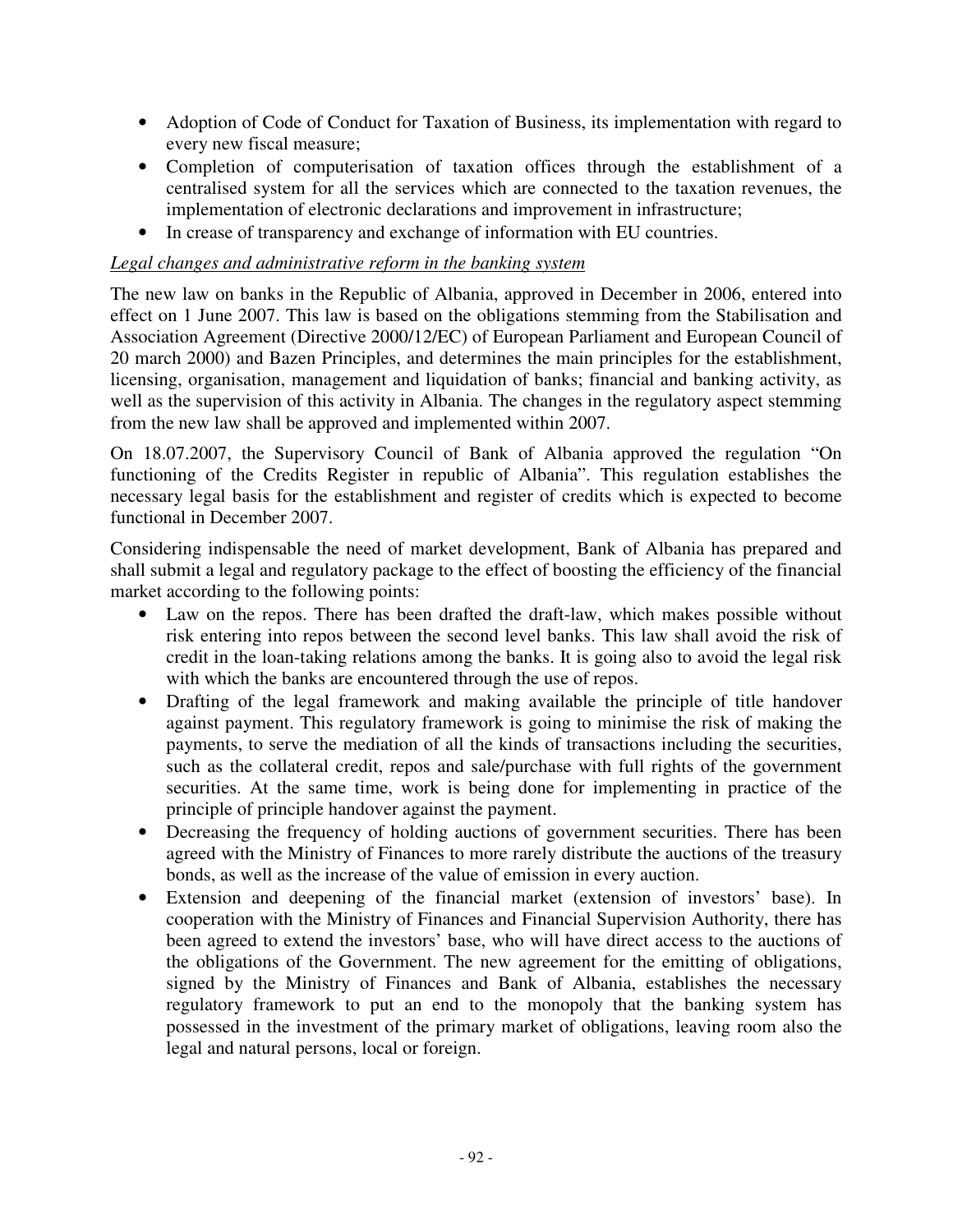- Adoption of Code of Conduct for Taxation of Business, its implementation with regard to every new fiscal measure;
- Completion of computerisation of taxation offices through the establishment of a centralised system for all the services which are connected to the taxation revenues, the implementation of electronic declarations and improvement in infrastructure;
- In crease of transparency and exchange of information with EU countries.

#### *Legal changes and administrative reform in the banking system*

The new law on banks in the Republic of Albania, approved in December in 2006, entered into effect on 1 June 2007. This law is based on the obligations stemming from the Stabilisation and Association Agreement (Directive 2000/12/EC) of European Parliament and European Council of 20 march 2000) and Bazen Principles, and determines the main principles for the establishment, licensing, organisation, management and liquidation of banks; financial and banking activity, as well as the supervision of this activity in Albania. The changes in the regulatory aspect stemming from the new law shall be approved and implemented within 2007.

On 18.07.2007, the Supervisory Council of Bank of Albania approved the regulation "On functioning of the Credits Register in republic of Albania". This regulation establishes the necessary legal basis for the establishment and register of credits which is expected to become functional in December 2007.

Considering indispensable the need of market development, Bank of Albania has prepared and shall submit a legal and regulatory package to the effect of boosting the efficiency of the financial market according to the following points:

- Law on the repos. There has been drafted the draft-law, which makes possible without risk entering into repos between the second level banks. This law shall avoid the risk of credit in the loan-taking relations among the banks. It is going also to avoid the legal risk with which the banks are encountered through the use of repos.
- Drafting of the legal framework and making available the principle of title handover against payment. This regulatory framework is going to minimise the risk of making the payments, to serve the mediation of all the kinds of transactions including the securities, such as the collateral credit, repos and sale/purchase with full rights of the government securities. At the same time, work is being done for implementing in practice of the principle of principle handover against the payment.
- Decreasing the frequency of holding auctions of government securities. There has been agreed with the Ministry of Finances to more rarely distribute the auctions of the treasury bonds, as well as the increase of the value of emission in every auction.
- Extension and deepening of the financial market (extension of investors' base). In cooperation with the Ministry of Finances and Financial Supervision Authority, there has been agreed to extend the investors' base, who will have direct access to the auctions of the obligations of the Government. The new agreement for the emitting of obligations, signed by the Ministry of Finances and Bank of Albania, establishes the necessary regulatory framework to put an end to the monopoly that the banking system has possessed in the investment of the primary market of obligations, leaving room also the legal and natural persons, local or foreign.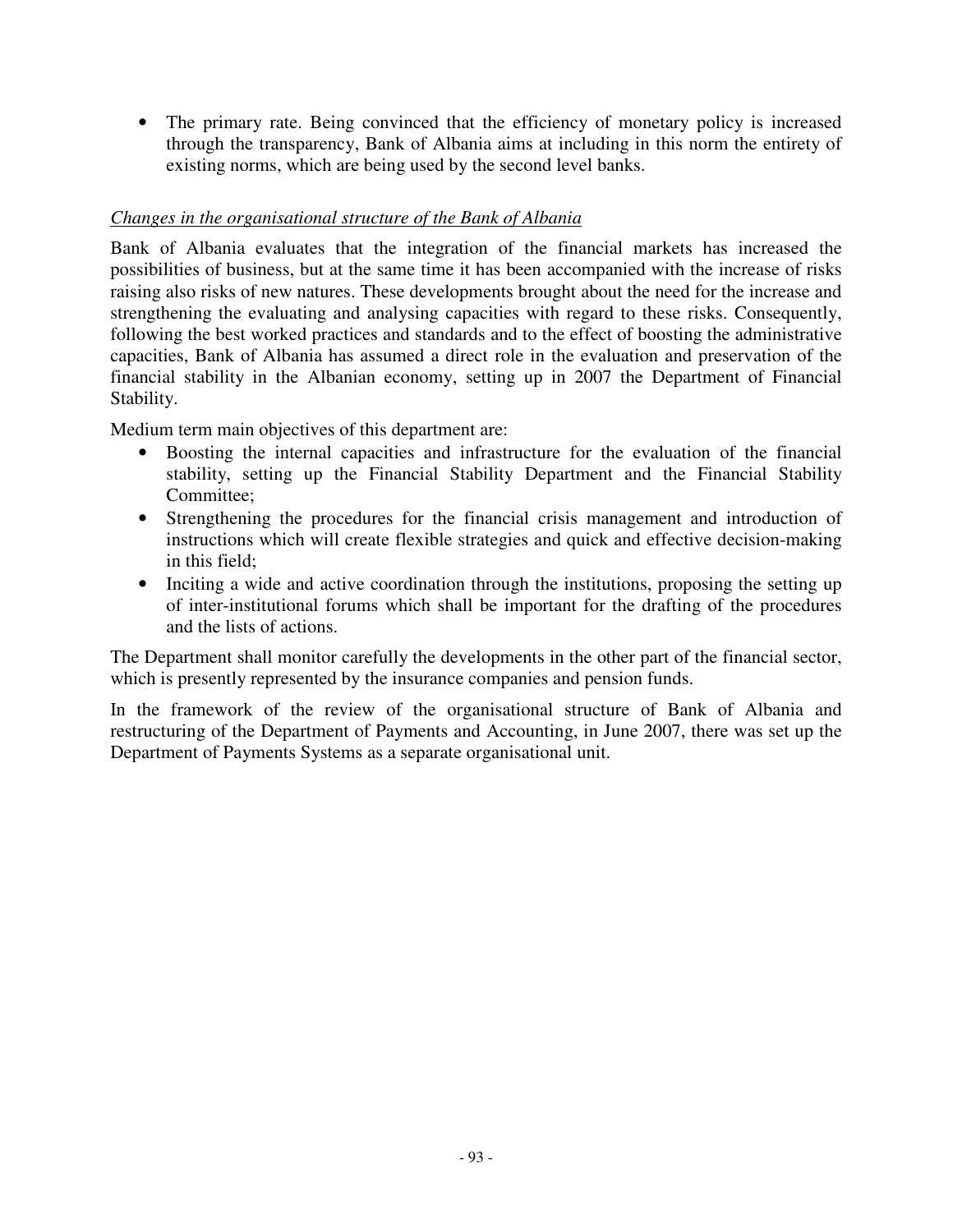• The primary rate. Being convinced that the efficiency of monetary policy is increased through the transparency, Bank of Albania aims at including in this norm the entirety of existing norms, which are being used by the second level banks.

#### *Changes in the organisational structure of the Bank of Albania*

Bank of Albania evaluates that the integration of the financial markets has increased the possibilities of business, but at the same time it has been accompanied with the increase of risks raising also risks of new natures. These developments brought about the need for the increase and strengthening the evaluating and analysing capacities with regard to these risks. Consequently, following the best worked practices and standards and to the effect of boosting the administrative capacities, Bank of Albania has assumed a direct role in the evaluation and preservation of the financial stability in the Albanian economy, setting up in 2007 the Department of Financial Stability.

Medium term main objectives of this department are:

- Boosting the internal capacities and infrastructure for the evaluation of the financial stability, setting up the Financial Stability Department and the Financial Stability Committee;
- Strengthening the procedures for the financial crisis management and introduction of instructions which will create flexible strategies and quick and effective decision-making in this field;
- Inciting a wide and active coordination through the institutions, proposing the setting up of inter-institutional forums which shall be important for the drafting of the procedures and the lists of actions.

The Department shall monitor carefully the developments in the other part of the financial sector, which is presently represented by the insurance companies and pension funds.

In the framework of the review of the organisational structure of Bank of Albania and restructuring of the Department of Payments and Accounting, in June 2007, there was set up the Department of Payments Systems as a separate organisational unit.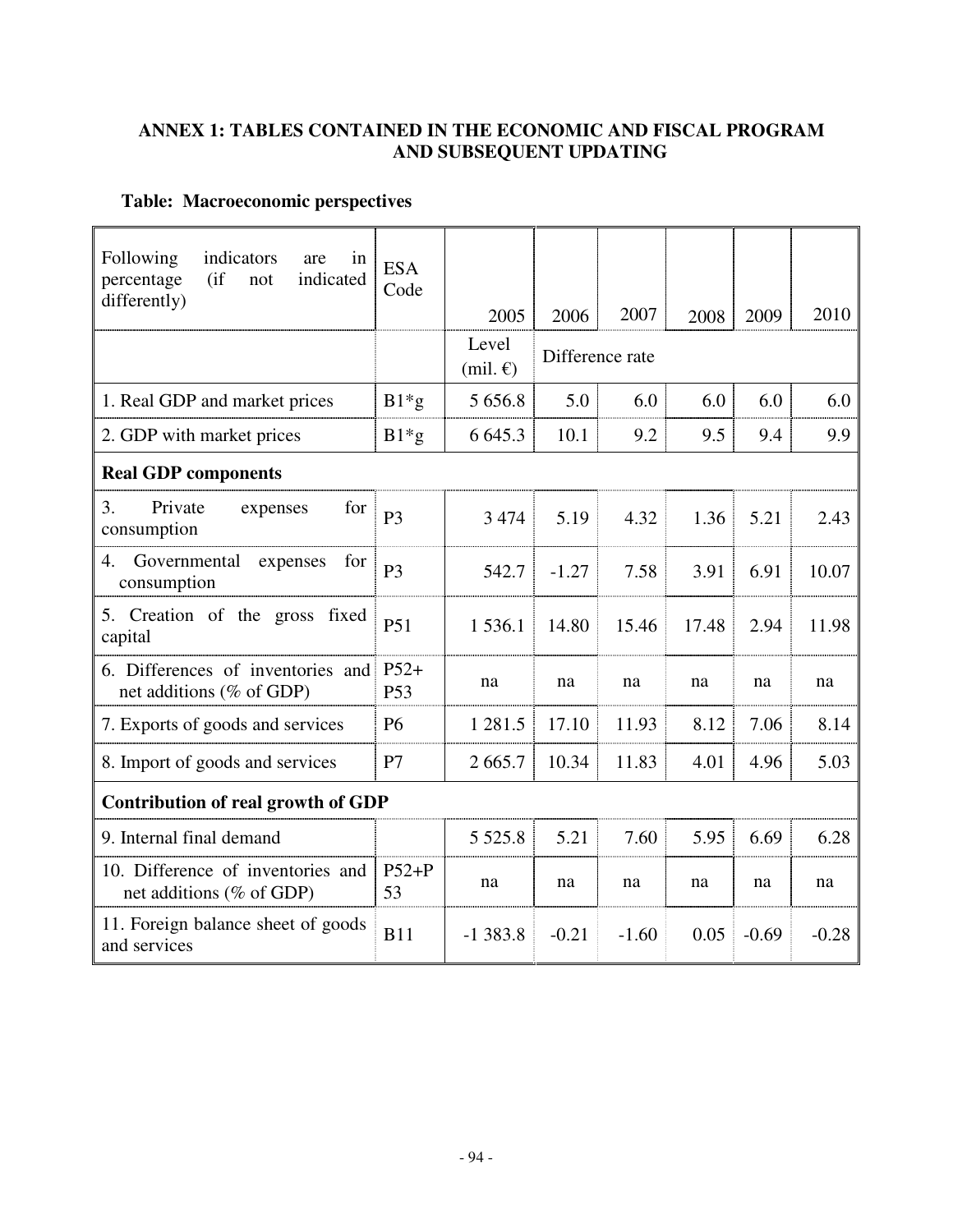## **ANNEX 1: TABLES CONTAINED IN THE ECONOMIC AND FISCAL PROGRAM AND SUBSEQUENT UPDATING**

## **Table: Macroeconomic perspectives**

| Following<br>indicators<br>in<br>are<br>$($ if<br>percentage<br>indicated<br>not<br>differently) | <b>ESA</b><br>Code        |                               |                 |         |       |         |         |
|--------------------------------------------------------------------------------------------------|---------------------------|-------------------------------|-----------------|---------|-------|---------|---------|
|                                                                                                  |                           | 2005                          | 2006            | 2007    | 2008  | 2009    | 2010    |
|                                                                                                  |                           | Level<br>$(mil. \mathcal{E})$ | Difference rate |         |       |         |         |
| 1. Real GDP and market prices                                                                    | $B1*g$                    | 5 6 5 6 .8                    | 5.0             | 6.0     | 6.0   | 6.0     | 6.0     |
| 2. GDP with market prices                                                                        | $B1*g$                    | 6 6 4 5 . 3                   | 10.1            | 9.2     | 9.5   | 9.4     | 9.9     |
| <b>Real GDP components</b>                                                                       |                           |                               |                 |         |       |         |         |
| 3.<br>Private<br>for<br>expenses<br>consumption                                                  | P <sub>3</sub>            | 3 4 7 4                       | 5.19            | 4.32    | 1.36  | 5.21    | 2.43    |
| Governmental<br>expenses<br>4.<br>for<br>consumption                                             | P <sub>3</sub>            | 542.7                         | $-1.27$         | 7.58    | 3.91  | 6.91    | 10.07   |
| 5. Creation of the gross fixed<br>capital                                                        | P <sub>51</sub>           | 1 536.1                       | 14.80           | 15.46   | 17.48 | 2.94    | 11.98   |
| 6. Differences of inventories and<br>net additions (% of GDP)                                    | $P52+$<br>P <sub>53</sub> | na                            | na              | na      | na    | na      | na      |
| 7. Exports of goods and services                                                                 | <b>P6</b>                 | 1 281.5                       | 17.10           | 11.93   | 8.12  | 7.06    | 8.14    |
| 8. Import of goods and services                                                                  | P7                        | 2665.7                        | 10.34           | 11.83   | 4.01  | 4.96    | 5.03    |
| <b>Contribution of real growth of GDP</b>                                                        |                           |                               |                 |         |       |         |         |
| 9. Internal final demand                                                                         |                           | 5 5 2 5 .8                    | 5.21            | 7.60    | 5.95  | 6.69    | 6.28    |
| 10. Difference of inventories and<br>net additions (% of GDP)                                    | $P52+P$<br>53             | na                            | na              | na      | na    | na      | na      |
| 11. Foreign balance sheet of goods<br>and services                                               | <b>B11</b>                | $-1383.8$                     | $-0.21$         | $-1.60$ | 0.05  | $-0.69$ | $-0.28$ |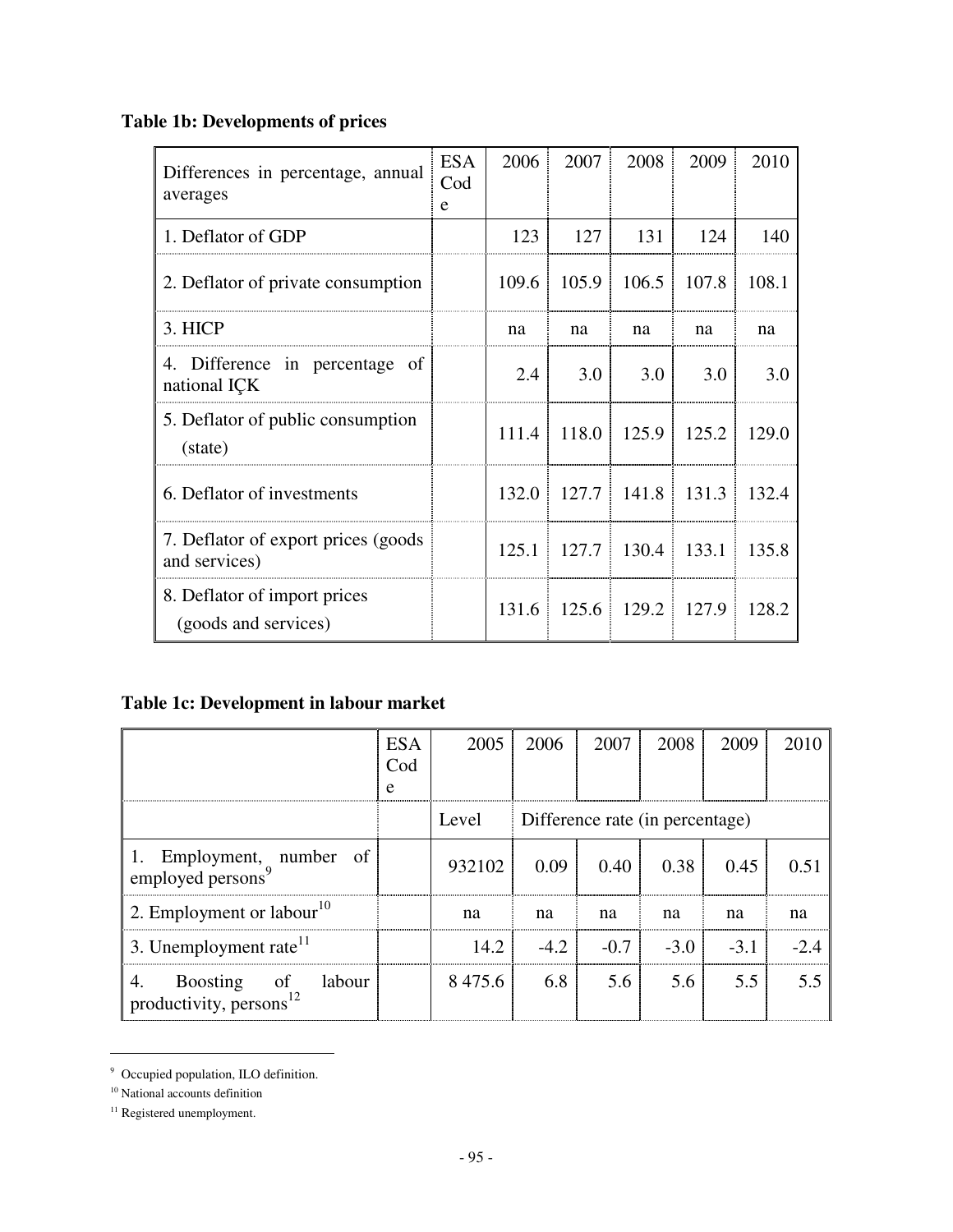# **Table 1b: Developments of prices**

| Differences in percentage, annual<br>averages         | <b>ESA</b><br>$\mathrm{Cod}$<br>e | 2006  | 2007                        | 2008  | 2009  | 2010  |
|-------------------------------------------------------|-----------------------------------|-------|-----------------------------|-------|-------|-------|
| 1. Deflator of GDP                                    |                                   | 123   | 127                         | 131   | 124   | 140   |
| 2. Deflator of private consumption                    |                                   | 109.6 | 105.9                       | 106.5 | 107.8 | 108.1 |
| 3. HICP                                               |                                   | na    | na                          | na    | na    | na    |
| 4. Difference in percentage of<br>national ICK        |                                   | 2.4   | 3.0 <sub>1</sub>            | 3.0   | 3.0   | 3.0   |
| 5. Deflator of public consumption<br>(state)          |                                   | 111.4 | 118.0                       | 125.9 | 125.2 | 129.0 |
| 6. Deflator of investments                            |                                   |       | $132.0$   $127.7$   $141.8$ |       | 131.3 | 132.4 |
| 7. Deflator of export prices (goods)<br>and services) |                                   | 125.1 | 127.7                       | 130.4 | 133.1 | 135.8 |
| 8. Deflator of import prices<br>(goods and services)  |                                   |       | $131.6$ 125.6 129.2         |       | 127.9 | 128.2 |

# **Table 1c: Development in labour market**

|                                                        | <b>ESA</b><br>Cod<br>e | 2005   | 2006          | 2007   | 2008                            | 2009   | 2010   |
|--------------------------------------------------------|------------------------|--------|---------------|--------|---------------------------------|--------|--------|
|                                                        |                        | Level  |               |        | Difference rate (in percentage) |        |        |
| 1. Employment, number of employed persons <sup>9</sup> |                        | 932102 | 0.09          | 0.40   | 0.38                            | 0.45   | 0.51   |
| 2. Employment or labour <sup>10</sup>                  |                        | na     | na            | na     | na                              | na     | na     |
| 3. Unemployment rate $11$                              |                        |        | $14.2$ $-4.2$ | $-0.7$ | $-3.0$                          | $-3.1$ | $-2.4$ |
| Boosting of labour<br>productivity, persons $^{12}$    |                        | 8475.6 | 6.8           |        | 5.6 5.6                         | 5.5    | 5.5    |

<sup>9</sup> Occupied population, ILO definition.

 $\overline{a}$ 

<sup>&</sup>lt;sup>10</sup> National accounts definition

<sup>&</sup>lt;sup>11</sup> Registered unemployment.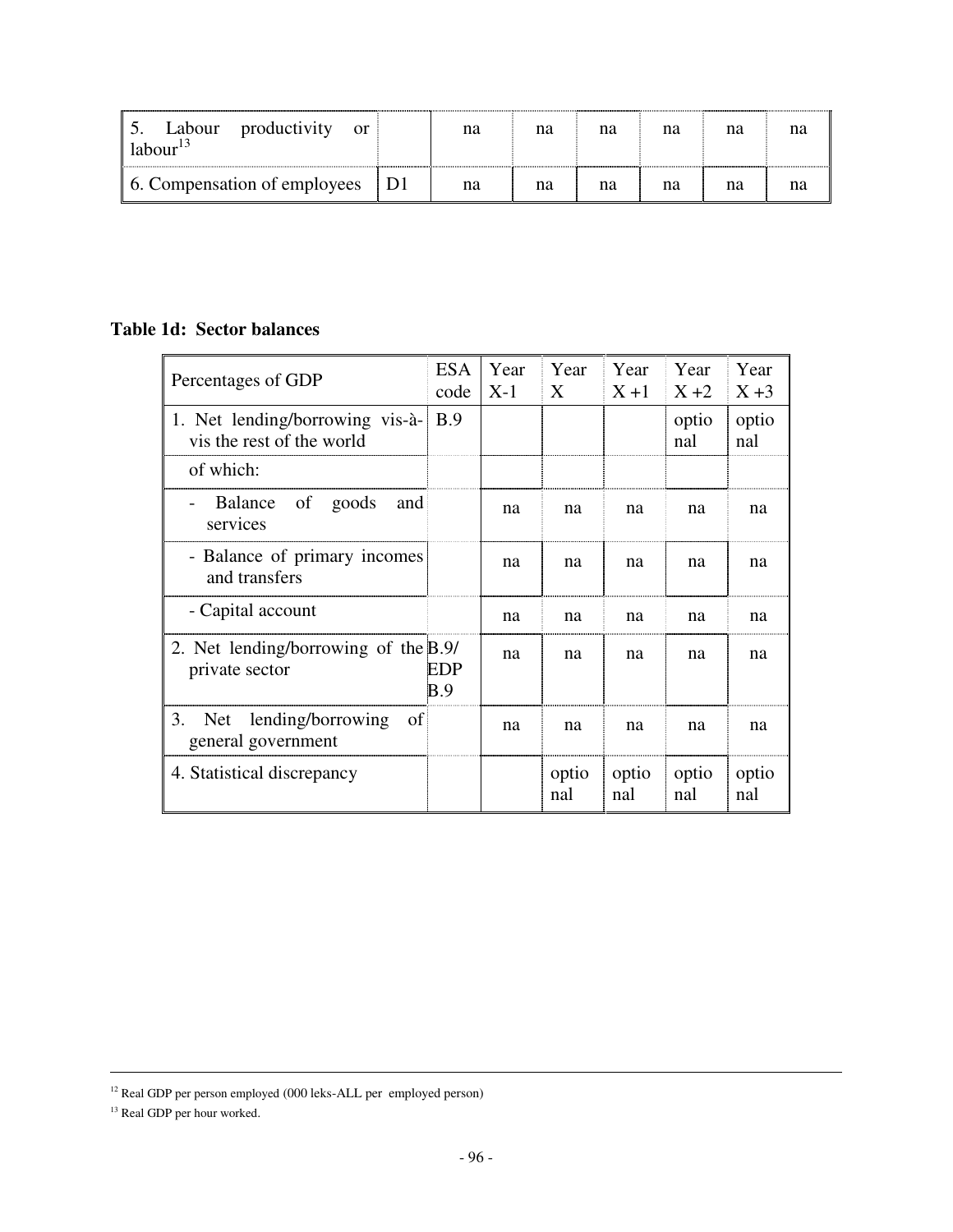| Labour productivity<br><sub>or</sub><br>labor <sup>13</sup> | na | na | na | na | na |  |
|-------------------------------------------------------------|----|----|----|----|----|--|
| 6. Compensation of employees   D1                           | na | na | na | na | na |  |

## **Table 1d: Sector balances**

| Percentages of GDP                                           | <b>ESA</b><br>code | Year<br>$X-1$ | Year<br>X    | ∣ Year<br>$X+1$ | Year<br>$X+2$ | Year<br>$X+3$ |
|--------------------------------------------------------------|--------------------|---------------|--------------|-----------------|---------------|---------------|
| 1. Net lending/borrowing vis-à-<br>vis the rest of the world | <b>B.9</b>         |               |              |                 | optio<br>nal  | optio<br>nal  |
| of which:                                                    |                    |               |              |                 |               |               |
| of<br>Balance<br>goods<br>and<br>services                    |                    | na            | na           | na              | na            | na            |
| - Balance of primary incomes<br>and transfers                |                    | na            | na           | na              | na            | na            |
| - Capital account                                            |                    | na            | na           | na              | na            | na            |
| 2. Net lending/borrowing of the B.9/<br>private sector       | EDP<br>B.9         | na            | na           | na              | na            | na            |
| Net lending/borrowing<br>3.<br>of  <br>general government    |                    | na            | na           | na              | na            | na            |
| 4. Statistical discrepancy                                   |                    |               | optio<br>nal | optio<br>nal    | optio<br>nal  | optio<br>nal  |

 $\overline{a}$ 

<sup>12</sup> Real GDP per person employed (000 leks-ALL per employed person)

<sup>&</sup>lt;sup>13</sup> Real GDP per hour worked.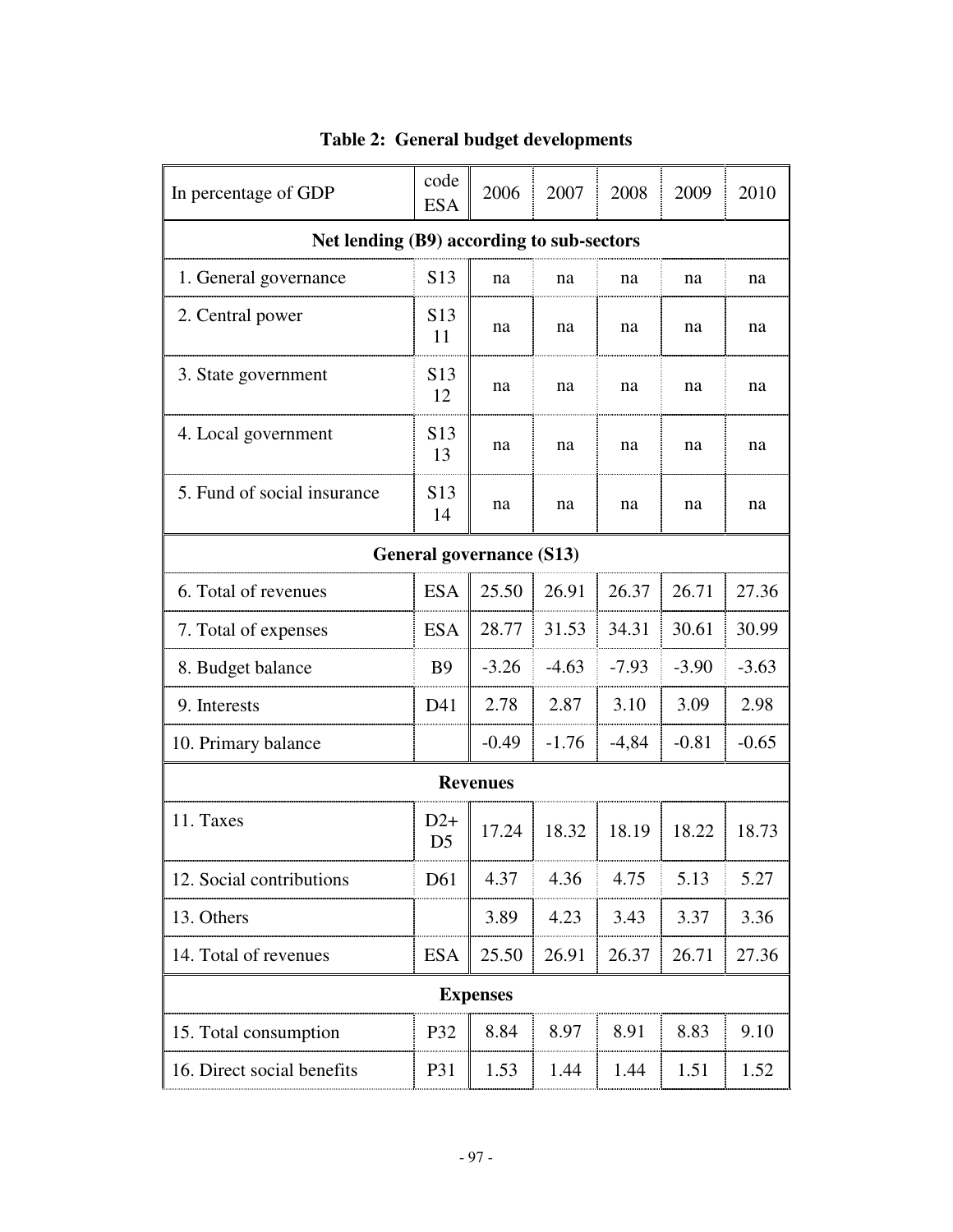| In percentage of GDP                      | code<br><b>ESA</b>      | 2006            | 2007    | 2008    | 2009    | 2010    |  |
|-------------------------------------------|-------------------------|-----------------|---------|---------|---------|---------|--|
| Net lending (B9) according to sub-sectors |                         |                 |         |         |         |         |  |
| 1. General governance                     | S <sub>13</sub>         | na              | na      | na      | na      | na      |  |
| 2. Central power                          | S <sub>13</sub><br>11   | na              | na      | na      | na      | na      |  |
| 3. State government                       | S <sub>13</sub><br>12   | na              | na      | na      | na      | na      |  |
| 4. Local government                       | S <sub>13</sub><br>13   | na              | na      | na      | na      | na      |  |
| 5. Fund of social insurance               | S <sub>13</sub><br>14   | na              | na      | na      | na      | na      |  |
| General governance (S13)                  |                         |                 |         |         |         |         |  |
| 6. Total of revenues                      | <b>ESA</b>              | 25.50           | 26.91   | 26.37   | 26.71   | 27.36   |  |
| 7. Total of expenses                      | <b>ESA</b>              | 28.77           | 31.53   | 34.31   | 30.61   | 30.99   |  |
| 8. Budget balance                         | <b>B</b> 9              | $-3.26$         | $-4.63$ | $-7.93$ | $-3.90$ | $-3.63$ |  |
| 9. Interests                              | D41                     | 2.78            | 2.87    | 3.10    | 3.09    | 2.98    |  |
| 10. Primary balance                       |                         | $-0.49$         | $-1.76$ | $-4,84$ | $-0.81$ | $-0.65$ |  |
|                                           |                         | <b>Revenues</b> |         |         |         |         |  |
| 11. Taxes                                 | $D2+$<br>D <sub>5</sub> | 17.24           | 18.32   | 18.19   | 18.22   | 18.73   |  |
| 12. Social contributions                  | D61                     | 4.37            | 4.36    | 4.75    | 5.13    | 5.27    |  |
| 13. Others                                |                         | 3.89            | 4.23    | 3.43    | 3.37    | 3.36    |  |
| 14. Total of revenues                     | <b>ESA</b>              | 25.50           | 26.91   | 26.37   | 26.71   | 27.36   |  |
|                                           |                         | <b>Expenses</b> |         |         |         |         |  |
| 15. Total consumption                     | P32                     | 8.84            | 8.97    | 8.91    | 8.83    | 9.10    |  |
| 16. Direct social benefits                | P31                     | 1.53            | 1.44    | 1.44    | 1.51    | 1.52    |  |

# **Table 2: General budget developments**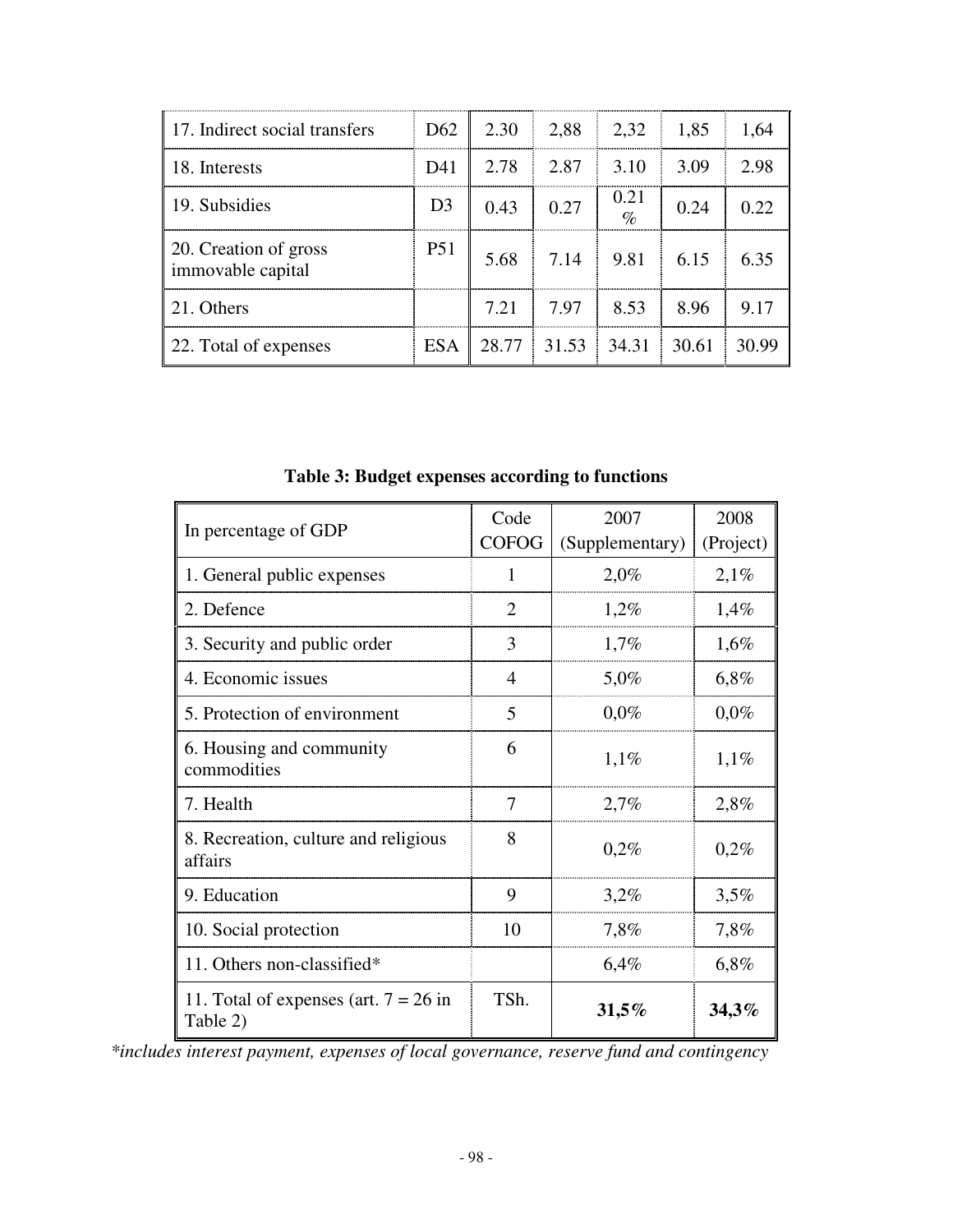| 17. Indirect social transfers              |                |      | $D62$   2.30   2.88   2.32   1.85 |                   |      | 1,64  |
|--------------------------------------------|----------------|------|-----------------------------------|-------------------|------|-------|
| 18. Interests                              | D41            |      | $2.78$   $2.87$   $3.10$   $3.09$ |                   |      | 2.98  |
| 19. Subsidies                              | D <sub>3</sub> | 0.43 | 0.27                              | $\frac{0.21}{\%}$ | 0.24 | 0.22  |
| 20. Creation of gross<br>immovable capital | <b>P51</b>     |      | $5.68$ 7.14 9.81 6.15             |                   |      | 6.35  |
| 21. Others                                 |                |      | $7.21$   $7.97$   8.53            |                   | 8.96 | 9.17  |
| 22. Total of expenses                      | <b>ESA</b>     |      | $28.77$ 31.53 34.31 30.61         |                   |      | 30.99 |

| In percentage of GDP                                | Code         | 2007            | 2008      |
|-----------------------------------------------------|--------------|-----------------|-----------|
|                                                     | <b>COFOG</b> | (Supplementary) | (Project) |
| 1. General public expenses                          | 1            | 2,0%            | 2,1%      |
| 2. Defence                                          | 2            | $1,2\%$         | 1,4%      |
| 3. Security and public order                        | 3            | 1,7%            | $1,6\%$   |
| 4. Economic issues                                  | 4            | 5,0%            | $6,8\%$   |
| 5. Protection of environment                        | 5            | $0,0\%$         | $0,0\%$   |
| 6. Housing and community<br>commodities             | 6            | 1,1%            | 1,1%      |
| 7. Health                                           | 7            | 2,7%            | 2,8%      |
| 8. Recreation, culture and religious<br>affairs     | 8            | 0,2%            | 0,2%      |
| 9. Education                                        | 9            | 3,2%            | 3,5%      |
| 10. Social protection                               | 10           | 7,8%            | 7,8%      |
| 11. Others non-classified*                          |              | 6,4%            | 6,8%      |
| 11. Total of expenses (art. $7 = 26$ in<br>Table 2) | TSh.         | 31,5%           | 34,3%     |

**Table 3: Budget expenses according to functions** 

*\*includes interest payment, expenses of local governance, reserve fund and contingency*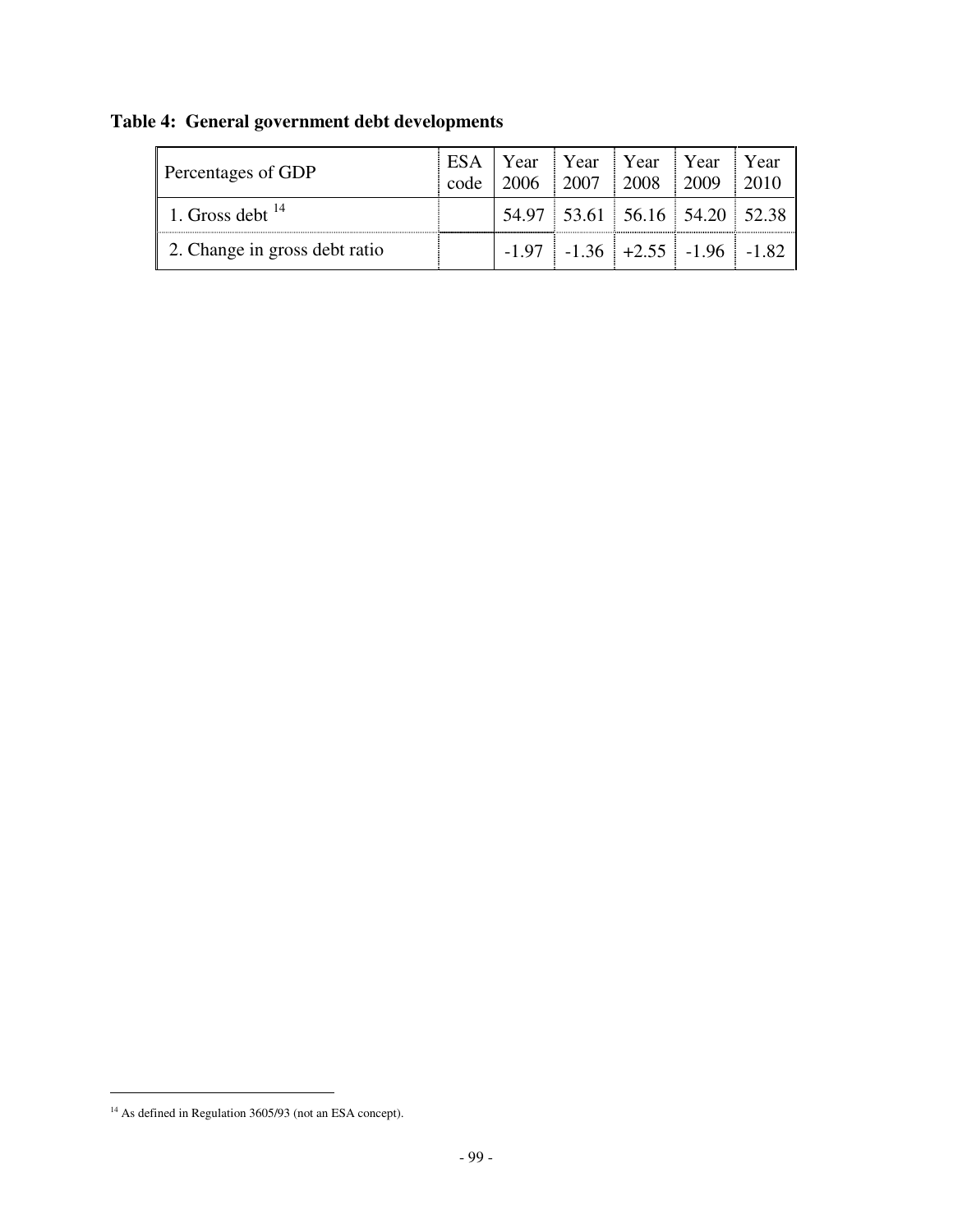| Percentages of GDP            |  | ESA Year Year Year Year Year Year<br>code 2006 2007 2008 2009 2010    |  |
|-------------------------------|--|-----------------------------------------------------------------------|--|
| 1. Gross debt $14$            |  | $54.97$ 53.61 56.16 54.20 52.38                                       |  |
| 2. Change in gross debt ratio |  | $\vert$ -1.97 $\vert$ -1.36 $\vert$ +2.55 $\vert$ -1.96 $\vert$ -1.82 |  |

# **Table 4: General government debt developments**

 $\overline{a}$ 

<sup>&</sup>lt;sup>14</sup> As defined in Regulation 3605/93 (not an ESA concept).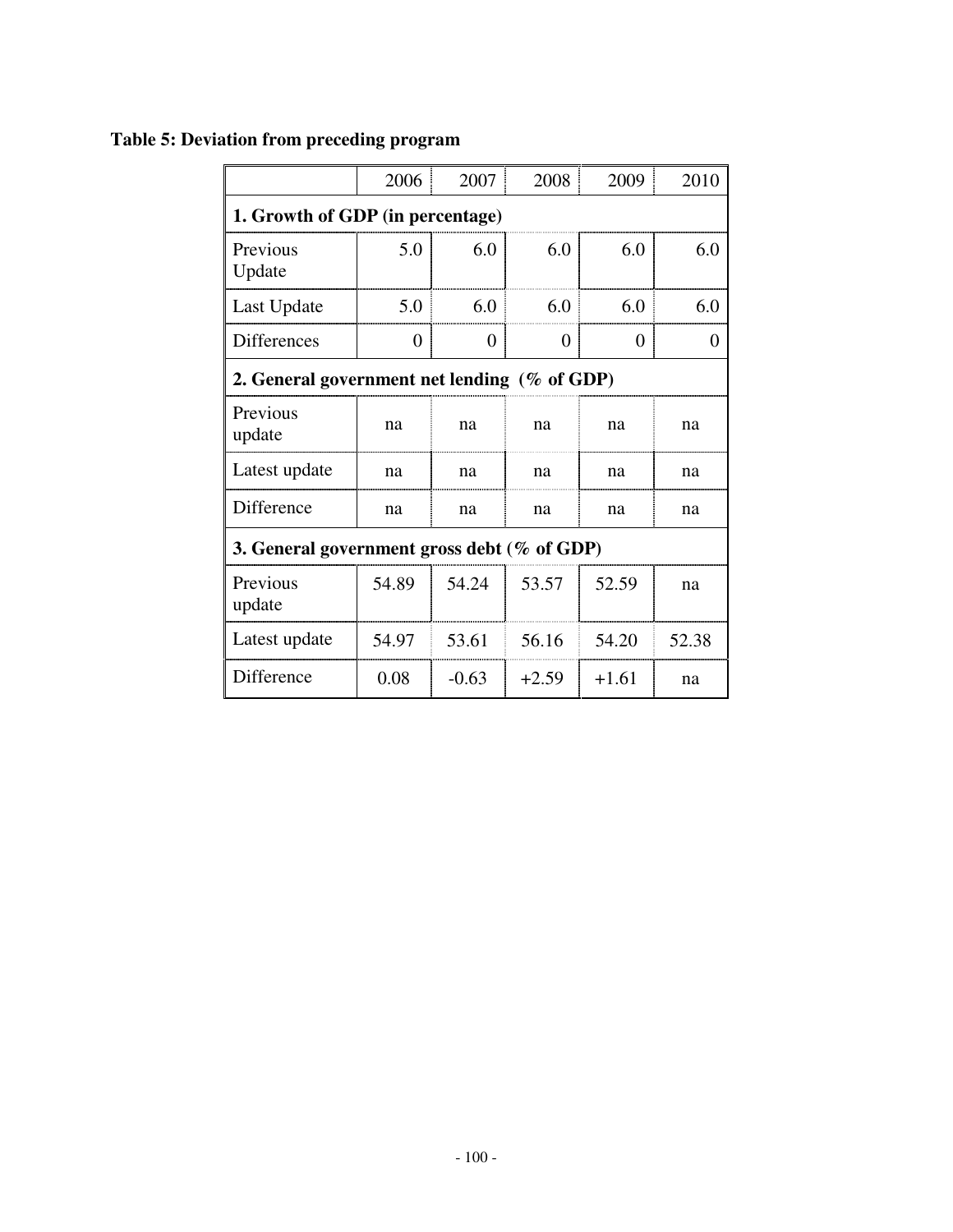## **Table 5: Deviation from preceding program**

|                                                 | 2006     | 2007     | 2008     | 2009     | 2010     |  |  |  |
|-------------------------------------------------|----------|----------|----------|----------|----------|--|--|--|
| 1. Growth of GDP (in percentage)                |          |          |          |          |          |  |  |  |
| Previous<br>Update                              | 5.0      | 6.0      | 6.0      | 6.0      | 6.0      |  |  |  |
| Last Update                                     | 5.0      | 6.0      | 6.0      | 6.0      | 6.0      |  |  |  |
| <b>Differences</b>                              | $\Omega$ | $\theta$ | $\theta$ | $\theta$ | $\theta$ |  |  |  |
| 2. General government net lending $(\%$ of GDP) |          |          |          |          |          |  |  |  |
| Previous<br>update                              | na       | na       | na       | na       | na       |  |  |  |
| Latest update                                   | na       | na       | na       | na       | na       |  |  |  |
| Difference                                      | na       | na       | na       | na       | na       |  |  |  |
| 3. General government gross debt (% of GDP)     |          |          |          |          |          |  |  |  |
| Previous<br>update                              | 54.89    | 54.24    | 53.57    | 52.59    | na       |  |  |  |
| Latest update                                   | 54.97    | 53.61    | 56.16    | 54.20    | 52.38    |  |  |  |
| Difference                                      | 0.08     | $-0.63$  | $+2.59$  | $+1.61$  | na       |  |  |  |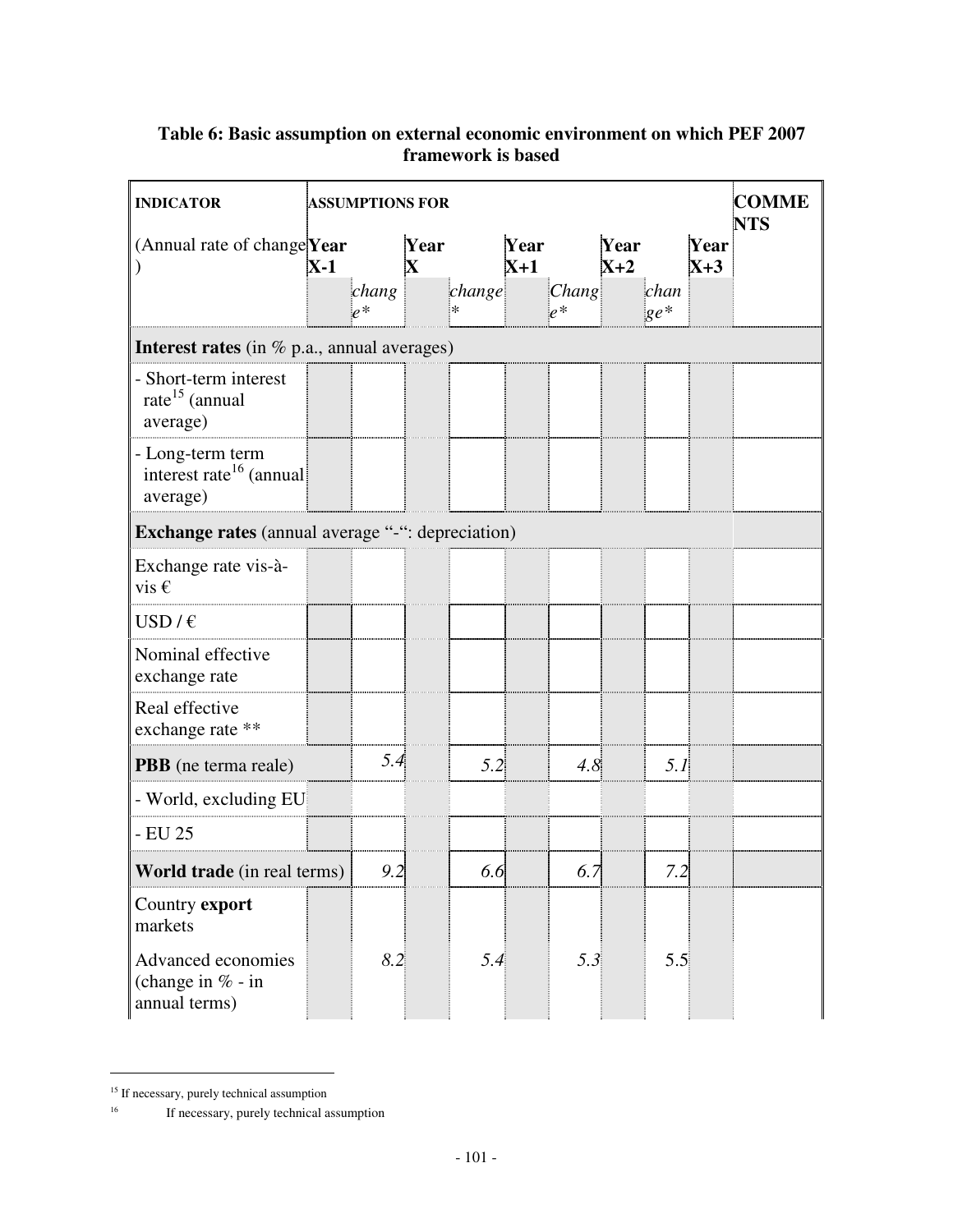## **Table 6: Basic assumption on external economic environment on which PEF 2007 framework is based**

| <b>INDICATOR</b>                                                    |       | <b>ASSUMPTIONS FOR</b> |                     |                  |               | <b>COMME</b><br><b>NTS</b> |               |                |               |  |
|---------------------------------------------------------------------|-------|------------------------|---------------------|------------------|---------------|----------------------------|---------------|----------------|---------------|--|
| (Annual rate of change Year                                         | $X-1$ |                        | Year<br>$\mathbf X$ |                  | Year<br>$X+1$ |                            | Year<br>$X+2$ |                | Year<br>$X+3$ |  |
|                                                                     |       | chang<br>$e^*$         |                     | change<br>$\ast$ |               | Chang<br>$e^*$             |               | chan<br>$ge^*$ |               |  |
| <b>Interest rates</b> (in $\%$ p.a., annual averages)               |       |                        |                     |                  |               |                            |               |                |               |  |
| - Short-term interest<br>rate <sup>15</sup> (annual<br>average)     |       |                        |                     |                  |               |                            |               |                |               |  |
| - Long-term term<br>interest rate <sup>16</sup> (annual<br>average) |       |                        |                     |                  |               |                            |               |                |               |  |
| Exchange rates (annual average "-": depreciation)                   |       |                        |                     |                  |               |                            |               |                |               |  |
| Exchange rate vis-à-<br>vis $\epsilon$                              |       |                        |                     |                  |               |                            |               |                |               |  |
| USD/ $\epsilon$                                                     |       |                        |                     |                  |               |                            |               |                |               |  |
| Nominal effective<br>exchange rate                                  |       |                        |                     |                  |               |                            |               |                |               |  |
| Real effective<br>exchange rate **                                  |       |                        |                     |                  |               |                            |               |                |               |  |
| <b>PBB</b> (ne terma reale)                                         |       | 5.4                    |                     | 5.2              |               | 4.8                        |               | 5.1            |               |  |
| - World, excluding EU                                               |       |                        |                     |                  |               |                            |               |                |               |  |
| - EU 25                                                             |       |                        |                     |                  |               |                            |               |                |               |  |
| <b>World trade</b> (in real terms)                                  |       | 9.2                    |                     | 6.6              |               | 6.7                        |               | 7.2            |               |  |
| Country export<br>markets                                           |       |                        |                     |                  |               |                            |               |                |               |  |
| Advanced economies<br>(change in $% -$ in<br>annual terms)          |       | 8.2                    |                     | 5.4              |               | 5.3                        |               | 5.5            |               |  |

<sup>&</sup>lt;sup>15</sup> If necessary, purely technical assumption<br> $\frac{16}{2}$  If necessary, purely technical as

 $\overline{a}$ 

<sup>16</sup> If necessary, purely technical assumption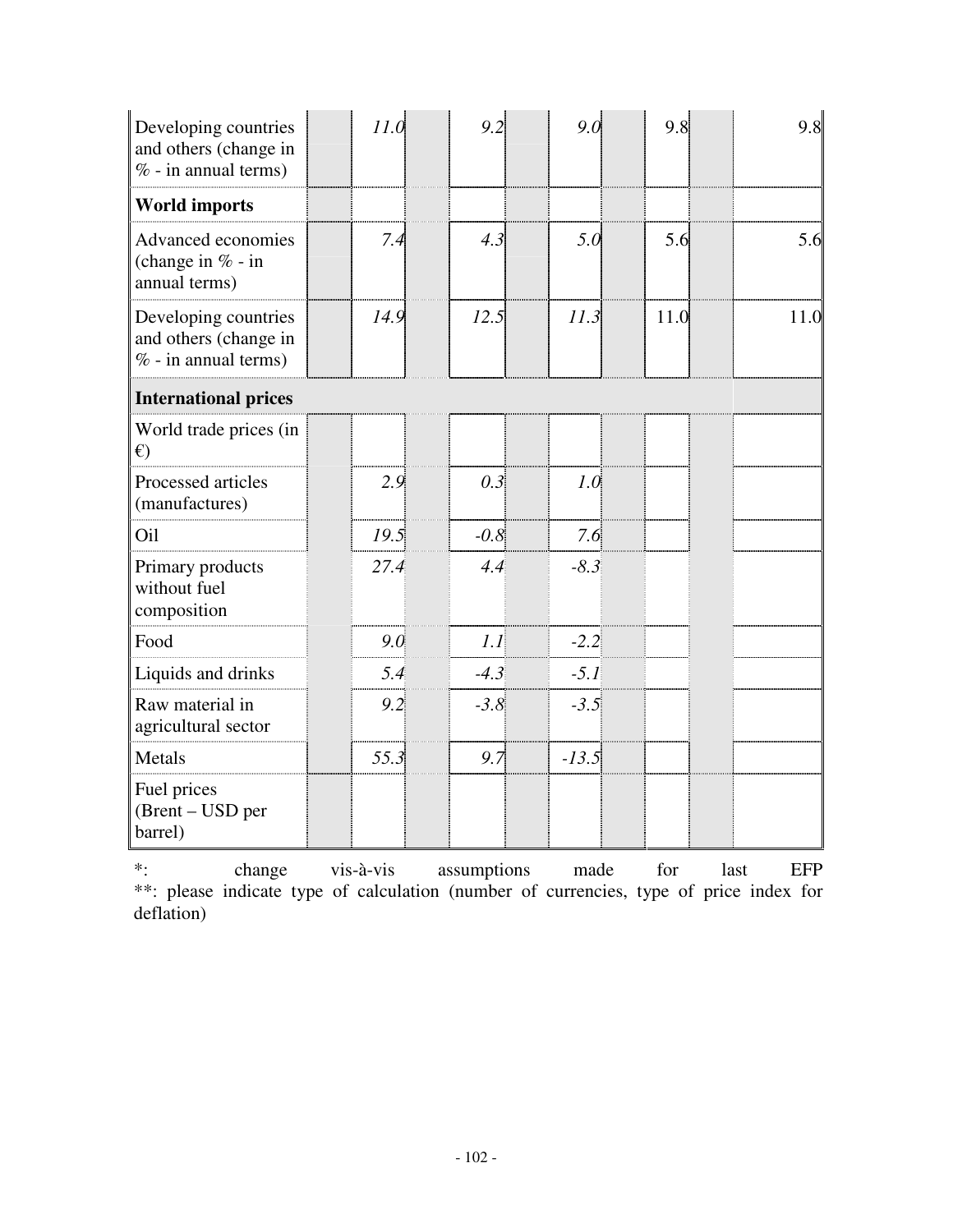| Developing countries<br>and others (change in<br>$% -$ in annual terms) | 11.0 | 9.2           | 9.0     | 9.8  | 9.8  |
|-------------------------------------------------------------------------|------|---------------|---------|------|------|
| <b>World imports</b>                                                    |      |               |         |      |      |
| Advanced economies<br>(change in $% -$ in<br>annual terms)              |      | 7.4<br>4.3    | 5.0     | 5.6  | 5.6  |
| Developing countries<br>and others (change in<br>$% -$ in annual terms) | 14.9 | 12.5          | 11.3    | 11.0 | 11.0 |
| <b>International prices</b>                                             |      |               |         |      |      |
| World trade prices (in<br>$\epsilon$                                    |      |               |         |      |      |
| Processed articles<br>(manufactures)                                    | 2.9  | 0.3           | 1.0     |      |      |
| Oil                                                                     | 19.5 | $-0.8$        | 7.6     |      |      |
| Primary products<br>without fuel<br>composition                         | 27.4 | 4.4           | $-8.3$  |      |      |
| Food                                                                    | 9.0  | 1.1           | $-2.2$  |      |      |
| Liquids and drinks                                                      |      | 5.4<br>$-4.3$ | $-5.1$  |      |      |
| Raw material in<br>agricultural sector                                  | 9.2  | $-3.8$        | $-3.5$  |      |      |
| Metals                                                                  | 55.3 | 9.7           | $-13.5$ |      |      |
| Fuel prices<br>(Brent – USD per<br>barrel)                              |      |               |         |      |      |

\*: change vis-à-vis assumptions made for last EFP \*\*: please indicate type of calculation (number of currencies, type of price index for deflation)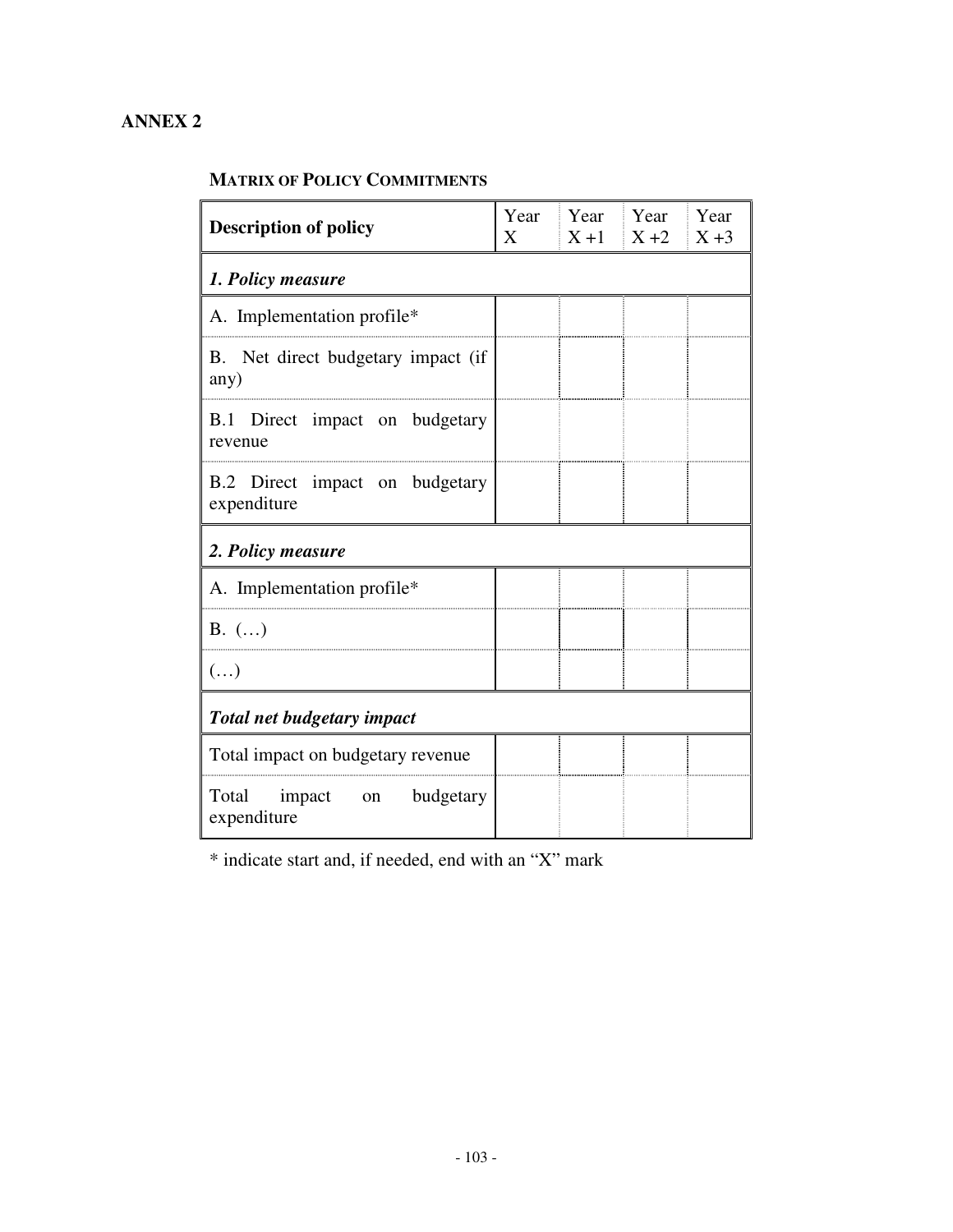## **ANNEX 2**

#### **MATRIX OF POLICY COMMITMENTS**

| <b>Description of policy</b>                  | Year<br>X |  | Year Year Year<br>$X + 1$ $X + 2$ $X + 3$ |  |  |  |
|-----------------------------------------------|-----------|--|-------------------------------------------|--|--|--|
| 1. Policy measure                             |           |  |                                           |  |  |  |
| A. Implementation profile*                    |           |  |                                           |  |  |  |
| B. Net direct budgetary impact (if<br>any)    |           |  |                                           |  |  |  |
| B.1 Direct impact on budgetary<br>revenue     |           |  |                                           |  |  |  |
| B.2 Direct impact on budgetary<br>expenditure |           |  |                                           |  |  |  |
| 2. Policy measure                             |           |  |                                           |  |  |  |
| A. Implementation profile*                    |           |  |                                           |  |  |  |
| $B.$ $(\ldots)$                               |           |  |                                           |  |  |  |
| $(\ldots)$                                    |           |  |                                           |  |  |  |
| Total net budgetary impact                    |           |  |                                           |  |  |  |
| Total impact on budgetary revenue             |           |  |                                           |  |  |  |
| Total impact on<br>budgetary<br>expenditure   |           |  |                                           |  |  |  |

\* indicate start and, if needed, end with an "X" mark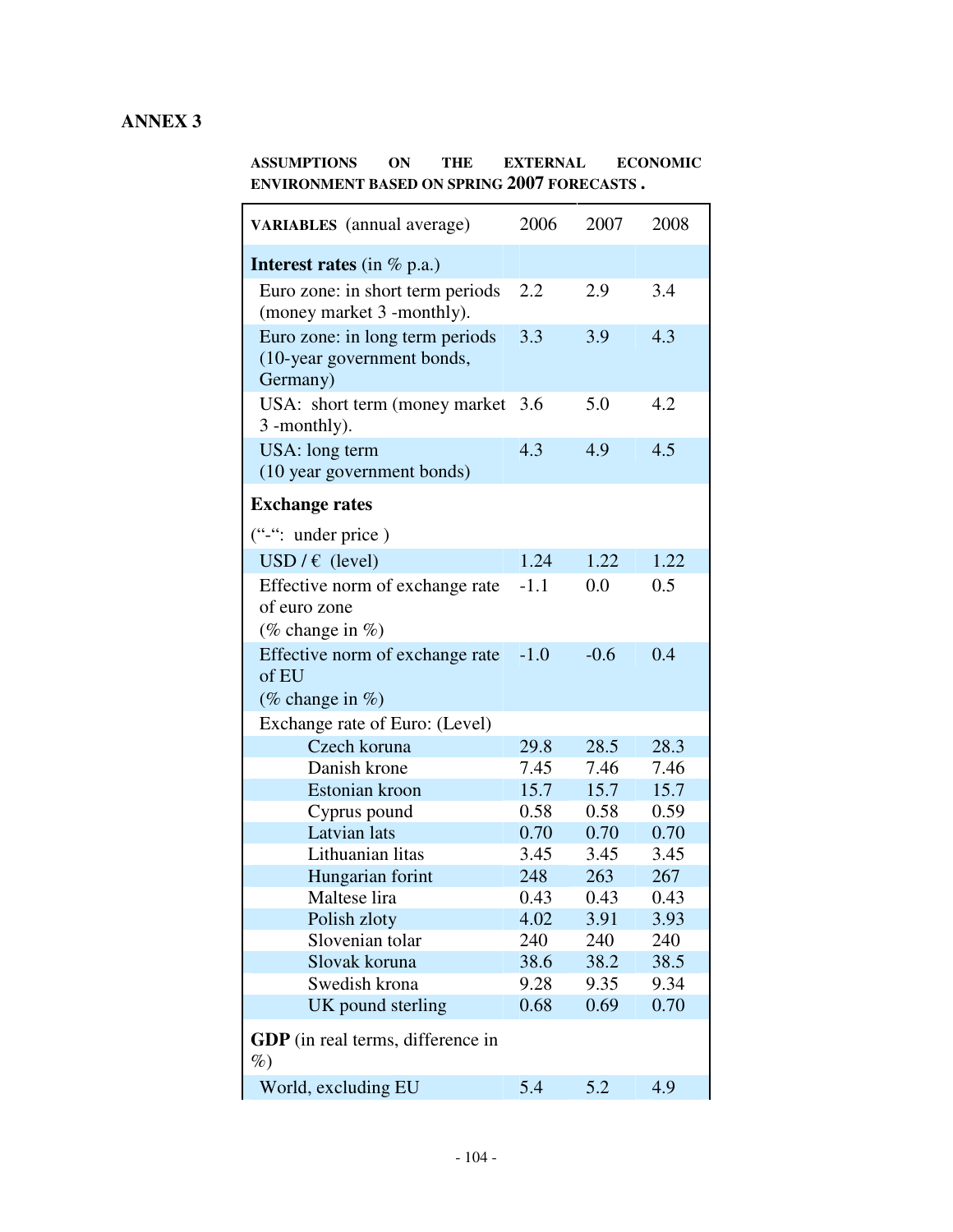## **ANNEX 3**

**ASSUMPTIONS ON THE EXTERNAL ECONOMIC ENVIRONMENT BASED ON SPRING 2007 FORECASTS .**

| <b>VARIABLES</b> (annual average)                                         | 2006   | 2007   | 2008 |  |  |  |
|---------------------------------------------------------------------------|--------|--------|------|--|--|--|
| <b>Interest rates</b> (in $\%$ p.a.)                                      |        |        |      |  |  |  |
| Euro zone: in short term periods<br>(money market 3 -monthly).            | 2.2    | 2.9    | 3.4  |  |  |  |
| Euro zone: in long term periods<br>(10-year government bonds,<br>Germany) | 3.3    | 3.9    | 4.3  |  |  |  |
| USA: short term (money market)<br>3 -monthly).                            | 3.6    | 5.0    | 4.2  |  |  |  |
| USA: long term<br>(10 year government bonds)                              | 4.3    | 4.9    | 4.5  |  |  |  |
| <b>Exchange rates</b>                                                     |        |        |      |  |  |  |
| ("-": under price)                                                        |        |        |      |  |  |  |
| USD/ $\epsilon$ (level)                                                   | 1.24   | 1.22   | 1.22 |  |  |  |
| Effective norm of exchange rate<br>of euro zone<br>(% change in %)        | $-1.1$ | 0.0    | 0.5  |  |  |  |
| Effective norm of exchange rate<br>of EU<br>(% change in %)               | $-1.0$ | $-0.6$ | 0.4  |  |  |  |
| Exchange rate of Euro: (Level)                                            |        |        |      |  |  |  |
| Czech koruna                                                              | 29.8   | 28.5   | 28.3 |  |  |  |
| Danish krone                                                              | 7.45   | 7.46   | 7.46 |  |  |  |
| Estonian kroon                                                            | 15.7   | 15.7   | 15.7 |  |  |  |
| Cyprus pound                                                              | 0.58   | 0.58   | 0.59 |  |  |  |
| <b>Latvian</b> lats                                                       | 0.70   | 0.70   | 0.70 |  |  |  |
| Lithuanian litas                                                          | 3.45   | 3.45   | 3.45 |  |  |  |
| Hungarian forint                                                          | 248    | 263    | 267  |  |  |  |
| Maltese lira                                                              | 0.43   | 0.43   | 0.43 |  |  |  |
| Polish zloty                                                              | 4.02   | 3.91   | 3.93 |  |  |  |
| Slovenian tolar                                                           | 240    | 240    | 240  |  |  |  |
| Slovak koruna                                                             | 38.6   | 38.2   | 38.5 |  |  |  |
| Swedish krona                                                             | 9.28   | 9.35   | 9.34 |  |  |  |
| UK pound sterling                                                         | 0.68   | 0.69   | 0.70 |  |  |  |
| <b>GDP</b> (in real terms, difference in<br>$\%$                          |        |        |      |  |  |  |
| World, excluding EU                                                       | 5.4    | 5.2    | 4.9  |  |  |  |